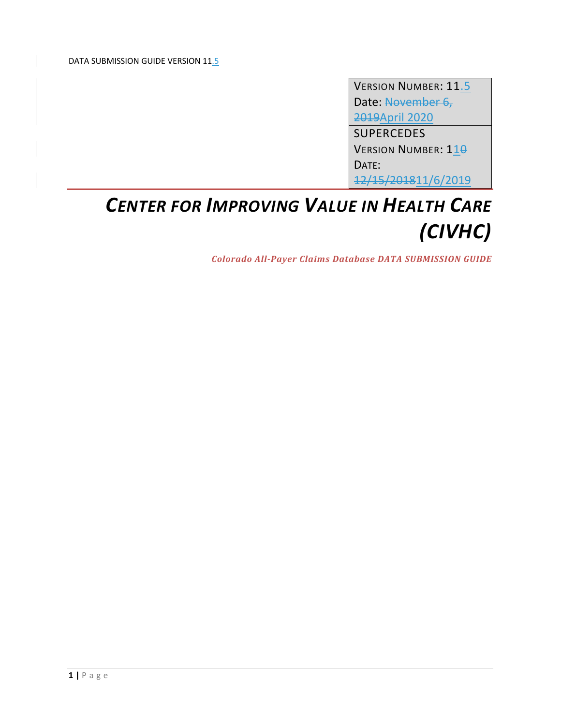VERSION NUMBER: 11.5 Date: November 6, 2019April 2020 SUPERCEDES VERSION NUMBER: 110 DATE: 12/15/201811/6/2019

# *CENTER FOR IMPROVING VALUE IN HEALTH CARE (CIVHC)*

*Colorado All‐Payer Claims Database DATA SUBMISSION GUIDE*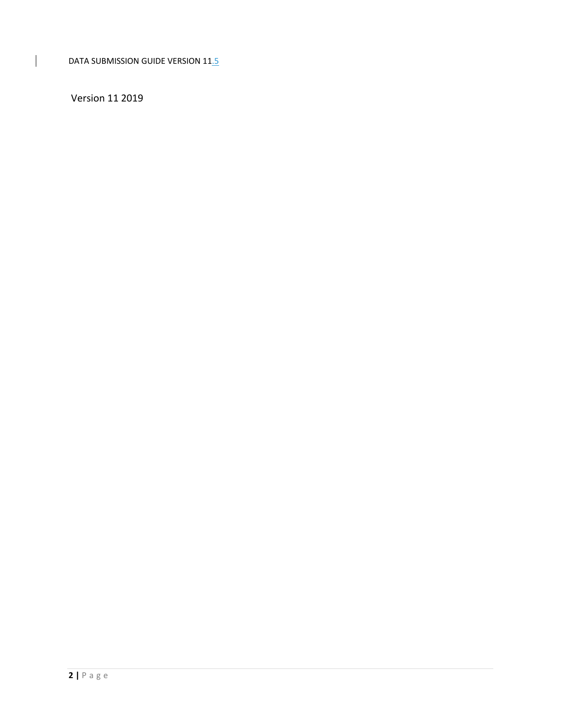Version 11 2019

 $\begin{array}{c} \hline \end{array}$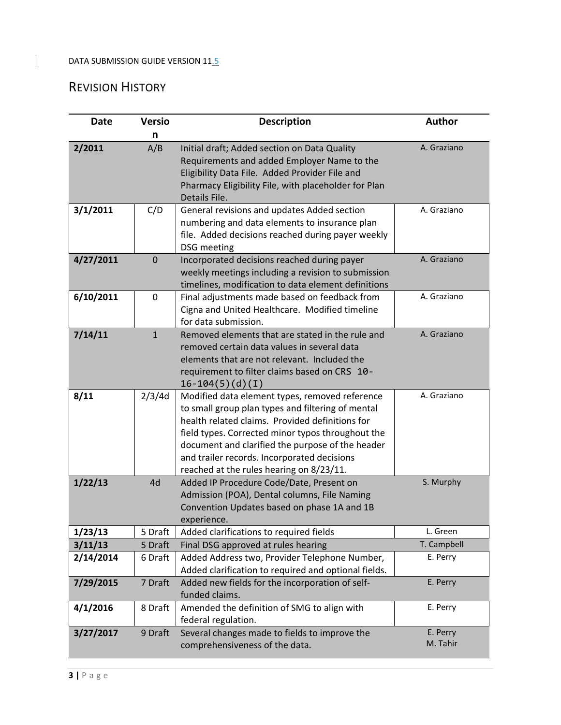# REVISION HISTORY

 $\overline{1}$ 

| <b>Date</b> | <b>Versio</b> | <b>Description</b>                                                                                                                                                                                                                                                                                                                                         | <b>Author</b>        |
|-------------|---------------|------------------------------------------------------------------------------------------------------------------------------------------------------------------------------------------------------------------------------------------------------------------------------------------------------------------------------------------------------------|----------------------|
|             | n             |                                                                                                                                                                                                                                                                                                                                                            |                      |
| 2/2011      | A/B           | Initial draft; Added section on Data Quality<br>Requirements and added Employer Name to the<br>Eligibility Data File. Added Provider File and<br>Pharmacy Eligibility File, with placeholder for Plan<br>Details File.                                                                                                                                     | A. Graziano          |
| 3/1/2011    | C/D           | General revisions and updates Added section<br>numbering and data elements to insurance plan<br>file. Added decisions reached during payer weekly<br><b>DSG</b> meeting                                                                                                                                                                                    | A. Graziano          |
| 4/27/2011   | $\Omega$      | Incorporated decisions reached during payer<br>weekly meetings including a revision to submission<br>timelines, modification to data element definitions                                                                                                                                                                                                   | A. Graziano          |
| 6/10/2011   | 0             | Final adjustments made based on feedback from<br>Cigna and United Healthcare. Modified timeline<br>for data submission.                                                                                                                                                                                                                                    | A. Graziano          |
| 7/14/11     | $\mathbf{1}$  | Removed elements that are stated in the rule and<br>removed certain data values in several data<br>elements that are not relevant. Included the<br>requirement to filter claims based on CRS 10-<br>$16-104(5)(d)(I)$                                                                                                                                      | A. Graziano          |
| 8/11        | 2/3/4d        | Modified data element types, removed reference<br>to small group plan types and filtering of mental<br>health related claims. Provided definitions for<br>field types. Corrected minor typos throughout the<br>document and clarified the purpose of the header<br>and trailer records. Incorporated decisions<br>reached at the rules hearing on 8/23/11. | A. Graziano          |
| 1/22/13     | 4d            | Added IP Procedure Code/Date, Present on<br>Admission (POA), Dental columns, File Naming<br>Convention Updates based on phase 1A and 1B<br>experience.                                                                                                                                                                                                     | S. Murphy            |
| 1/23/13     | 5 Draft       | Added clarifications to required fields                                                                                                                                                                                                                                                                                                                    | L. Green             |
| 3/11/13     | 5 Draft       | Final DSG approved at rules hearing                                                                                                                                                                                                                                                                                                                        | T. Campbell          |
| 2/14/2014   | 6 Draft       | Added Address two, Provider Telephone Number,<br>Added clarification to required and optional fields.                                                                                                                                                                                                                                                      | E. Perry             |
| 7/29/2015   | 7 Draft       | Added new fields for the incorporation of self-<br>funded claims.                                                                                                                                                                                                                                                                                          | E. Perry             |
| 4/1/2016    | 8 Draft       | Amended the definition of SMG to align with<br>federal regulation.                                                                                                                                                                                                                                                                                         | E. Perry             |
| 3/27/2017   | 9 Draft       | Several changes made to fields to improve the<br>comprehensiveness of the data.                                                                                                                                                                                                                                                                            | E. Perry<br>M. Tahir |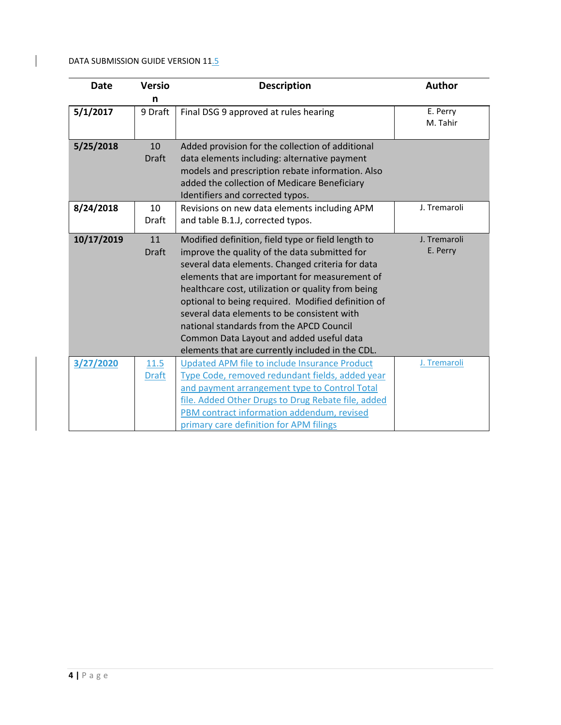$\overline{1}$ 

| <b>Date</b> | <b>Versio</b>               | <b>Description</b>                                                                                                                                                                                                                                                                                                                                                                                                                                                                                               | <b>Author</b>            |
|-------------|-----------------------------|------------------------------------------------------------------------------------------------------------------------------------------------------------------------------------------------------------------------------------------------------------------------------------------------------------------------------------------------------------------------------------------------------------------------------------------------------------------------------------------------------------------|--------------------------|
|             | n                           |                                                                                                                                                                                                                                                                                                                                                                                                                                                                                                                  |                          |
| 5/1/2017    | 9 Draft                     | Final DSG 9 approved at rules hearing                                                                                                                                                                                                                                                                                                                                                                                                                                                                            | E. Perry<br>M. Tahir     |
| 5/25/2018   | 10<br><b>Draft</b>          | Added provision for the collection of additional<br>data elements including: alternative payment<br>models and prescription rebate information. Also<br>added the collection of Medicare Beneficiary<br>Identifiers and corrected typos.                                                                                                                                                                                                                                                                         |                          |
| 8/24/2018   | 10<br><b>Draft</b>          | Revisions on new data elements including APM<br>and table B.1.J, corrected typos.                                                                                                                                                                                                                                                                                                                                                                                                                                | J. Tremaroli             |
| 10/17/2019  | 11<br><b>Draft</b>          | Modified definition, field type or field length to<br>improve the quality of the data submitted for<br>several data elements. Changed criteria for data<br>elements that are important for measurement of<br>healthcare cost, utilization or quality from being<br>optional to being required. Modified definition of<br>several data elements to be consistent with<br>national standards from the APCD Council<br>Common Data Layout and added useful data<br>elements that are currently included in the CDL. | J. Tremaroli<br>E. Perry |
| 3/27/2020   | <u>11.5</u><br><b>Draft</b> | Updated APM file to include Insurance Product<br>Type Code, removed redundant fields, added year<br>and payment arrangement type to Control Total<br>file. Added Other Drugs to Drug Rebate file, added<br>PBM contract information addendum, revised<br>primary care definition for APM filings                                                                                                                                                                                                                 | J. Tremaroli             |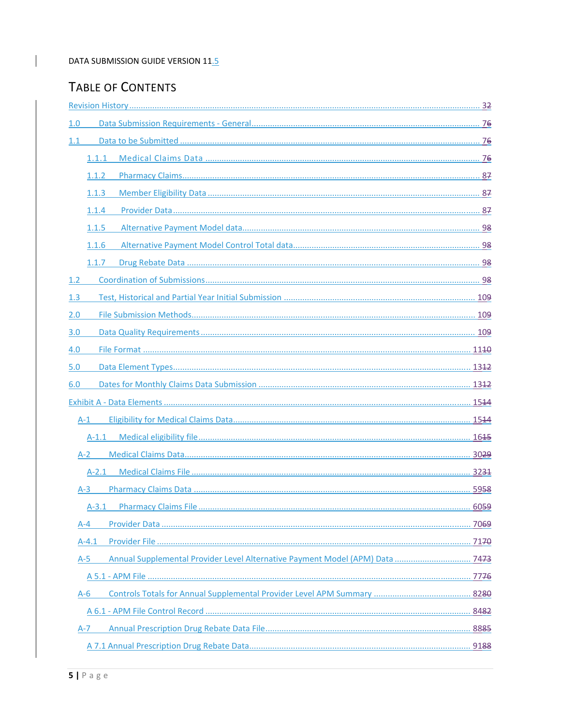# TABLE OF CONTENTS

 $\overline{1}$ 

| 1.0                                                                                    |  |
|----------------------------------------------------------------------------------------|--|
| 1.1                                                                                    |  |
| 1.1.1                                                                                  |  |
| 1.1.2                                                                                  |  |
| 1.1.3                                                                                  |  |
| 1.1.4                                                                                  |  |
| 1.1.5                                                                                  |  |
| 1.1.6                                                                                  |  |
| 1.1.7                                                                                  |  |
| 1.2                                                                                    |  |
| 1.3                                                                                    |  |
| 2.0                                                                                    |  |
| 3.0                                                                                    |  |
| 4.0                                                                                    |  |
| 5.0                                                                                    |  |
| 6.0                                                                                    |  |
|                                                                                        |  |
| $A-1$                                                                                  |  |
|                                                                                        |  |
| $A-2$                                                                                  |  |
|                                                                                        |  |
| $A-3$                                                                                  |  |
| $A-3.1$                                                                                |  |
| $A - 4$                                                                                |  |
| A-4.1                                                                                  |  |
| Annual Supplemental Provider Level Alternative Payment Model (APM) Data  7473<br>$A-5$ |  |
|                                                                                        |  |
| $A-6$                                                                                  |  |
|                                                                                        |  |
| A-7                                                                                    |  |
|                                                                                        |  |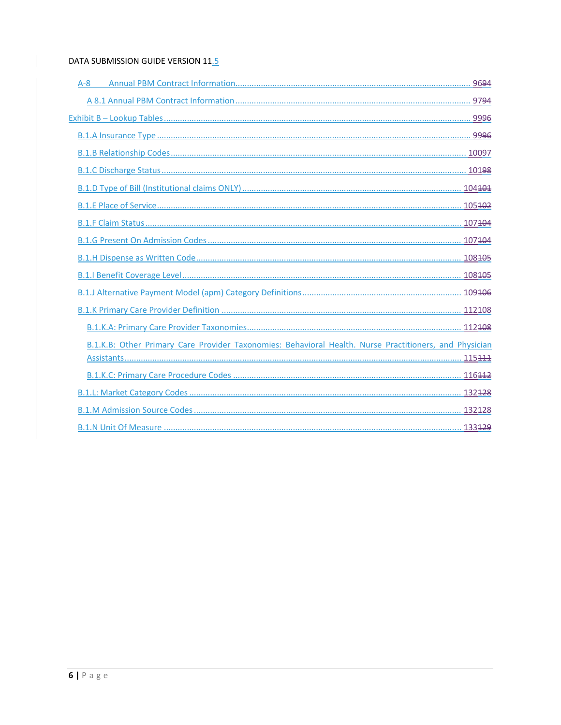$\overline{\phantom{a}}$ 

| $A - 8$                                                                                                |
|--------------------------------------------------------------------------------------------------------|
|                                                                                                        |
|                                                                                                        |
|                                                                                                        |
|                                                                                                        |
|                                                                                                        |
|                                                                                                        |
|                                                                                                        |
|                                                                                                        |
|                                                                                                        |
|                                                                                                        |
|                                                                                                        |
|                                                                                                        |
|                                                                                                        |
|                                                                                                        |
| B.1.K.B: Other Primary Care Provider Taxonomies: Behavioral Health. Nurse Practitioners, and Physician |
|                                                                                                        |
|                                                                                                        |
|                                                                                                        |
|                                                                                                        |
|                                                                                                        |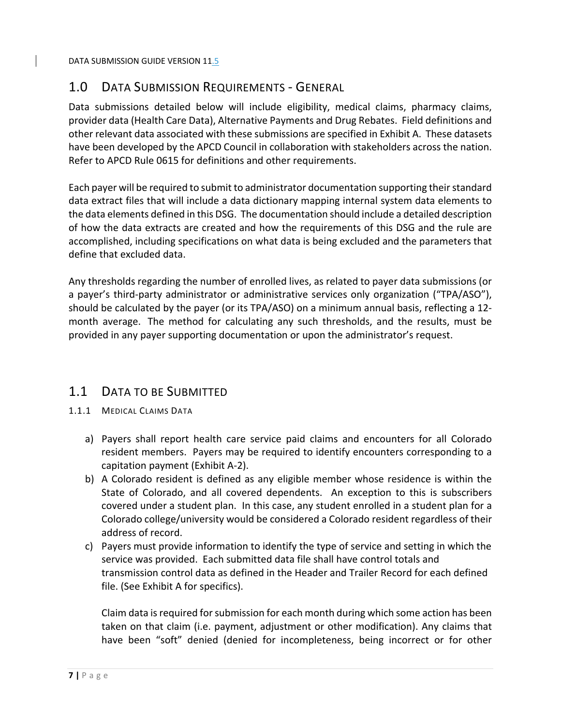# 1.0 DATA SUBMISSION REQUIREMENTS ‐ GENERAL

Data submissions detailed below will include eligibility, medical claims, pharmacy claims, provider data (Health Care Data), Alternative Payments and Drug Rebates. Field definitions and other relevant data associated with these submissions are specified in Exhibit A. These datasets have been developed by the APCD Council in collaboration with stakeholders across the nation. Refer to APCD Rule 0615 for definitions and other requirements.

Each payer will be required to submit to administrator documentation supporting theirstandard data extract files that will include a data dictionary mapping internal system data elements to the data elements defined in this DSG. The documentation should include a detailed description of how the data extracts are created and how the requirements of this DSG and the rule are accomplished, including specifications on what data is being excluded and the parameters that define that excluded data.

Any thresholds regarding the number of enrolled lives, as related to payer data submissions (or a payer's third-party administrator or administrative services only organization ("TPA/ASO"), should be calculated by the payer (or its TPA/ASO) on a minimum annual basis, reflecting a 12‐ month average. The method for calculating any such thresholds, and the results, must be provided in any payer supporting documentation or upon the administrator's request.

# 1.1 DATA TO BE SUBMITTED

- 1.1.1 MEDICAL CLAIMS DATA
	- a) Payers shall report health care service paid claims and encounters for all Colorado resident members. Payers may be required to identify encounters corresponding to a capitation payment (Exhibit A‐2).
	- b) A Colorado resident is defined as any eligible member whose residence is within the State of Colorado, and all covered dependents. An exception to this is subscribers covered under a student plan. In this case, any student enrolled in a student plan for a Colorado college/university would be considered a Colorado resident regardless of their address of record.
	- c) Payers must provide information to identify the type of service and setting in which the service was provided. Each submitted data file shall have control totals and transmission control data as defined in the Header and Trailer Record for each defined file. (See Exhibit A for specifics).

Claim data is required for submission for each month during which some action has been taken on that claim (i.e. payment, adjustment or other modification). Any claims that have been "soft" denied (denied for incompleteness, being incorrect or for other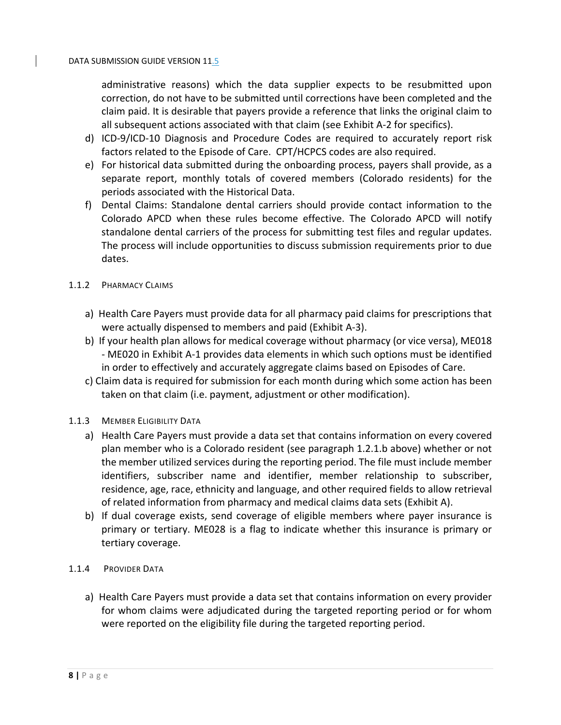administrative reasons) which the data supplier expects to be resubmitted upon correction, do not have to be submitted until corrections have been completed and the claim paid. It is desirable that payers provide a reference that links the original claim to all subsequent actions associated with that claim (see Exhibit A‐2 for specifics).

- d) ICD‐9/ICD‐10 Diagnosis and Procedure Codes are required to accurately report risk factors related to the Episode of Care. CPT/HCPCS codes are also required.
- e) For historical data submitted during the onboarding process, payers shall provide, as a separate report, monthly totals of covered members (Colorado residents) for the periods associated with the Historical Data.
- f) Dental Claims: Standalone dental carriers should provide contact information to the Colorado APCD when these rules become effective. The Colorado APCD will notify standalone dental carriers of the process for submitting test files and regular updates. The process will include opportunities to discuss submission requirements prior to due dates.

## 1.1.2 PHARMACY CLAIMS

- a) Health Care Payers must provide data for all pharmacy paid claims for prescriptions that were actually dispensed to members and paid (Exhibit A‐3).
- b) If your health plan allows for medical coverage without pharmacy (or vice versa), ME018 ‐ ME020 in Exhibit A‐1 provides data elements in which such options must be identified in order to effectively and accurately aggregate claims based on Episodes of Care.
- c) Claim data is required for submission for each month during which some action has been taken on that claim (i.e. payment, adjustment or other modification).

# 1.1.3 MEMBER ELIGIBILITY DATA

- a) Health Care Payers must provide a data set that contains information on every covered plan member who is a Colorado resident (see paragraph 1.2.1.b above) whether or not the member utilized services during the reporting period. The file must include member identifiers, subscriber name and identifier, member relationship to subscriber, residence, age, race, ethnicity and language, and other required fields to allow retrieval of related information from pharmacy and medical claims data sets (Exhibit A).
- b) If dual coverage exists, send coverage of eligible members where payer insurance is primary or tertiary. ME028 is a flag to indicate whether this insurance is primary or tertiary coverage.
- 1.1.4 PROVIDER DATA
	- a) Health Care Payers must provide a data set that contains information on every provider for whom claims were adjudicated during the targeted reporting period or for whom were reported on the eligibility file during the targeted reporting period.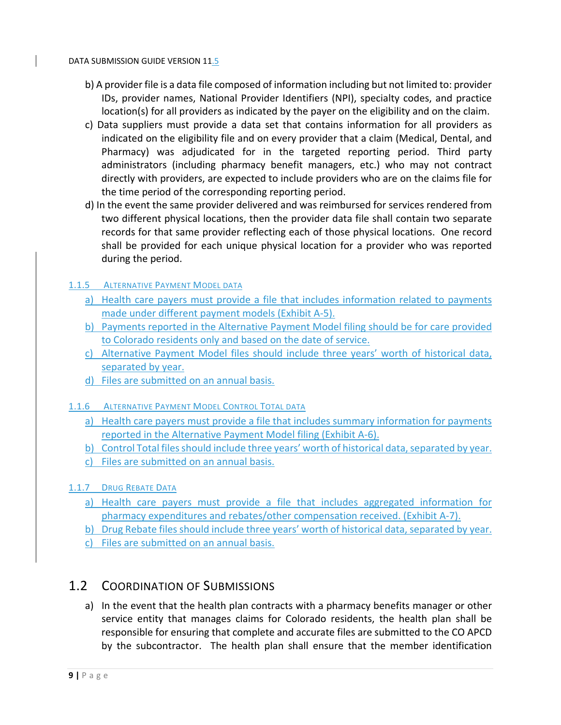- b) A provider file is a data file composed of information including but not limited to: provider IDs, provider names, National Provider Identifiers (NPI), specialty codes, and practice location(s) for all providers as indicated by the payer on the eligibility and on the claim.
- c) Data suppliers must provide a data set that contains information for all providers as indicated on the eligibility file and on every provider that a claim (Medical, Dental, and Pharmacy) was adjudicated for in the targeted reporting period. Third party administrators (including pharmacy benefit managers, etc.) who may not contract directly with providers, are expected to include providers who are on the claims file for the time period of the corresponding reporting period.
- d) In the event the same provider delivered and was reimbursed for services rendered from two different physical locations, then the provider data file shall contain two separate records for that same provider reflecting each of those physical locations. One record shall be provided for each unique physical location for a provider who was reported during the period.

# 1.1.5 ALTERNATIVE PAYMENT MODEL DATA

- a) Health care payers must provide a file that includes information related to payments made under different payment models (Exhibit A‐5).
- b) Payments reported in the Alternative Payment Model filing should be for care provided to Colorado residents only and based on the date of service.
- c) Alternative Payment Model files should include three years' worth of historical data, separated by year.
- d) Files are submitted on an annual basis.

# 1.1.6 ALTERNATIVE PAYMENT MODEL CONTROL TOTAL DATA

- a) Health care payers must provide a file that includes summary information for payments reported in the Alternative Payment Model filing (Exhibit A‐6).
- b) Control Total files should include three years' worth of historical data, separated by year.
- c) Files are submitted on an annual basis.

# 1.1.7 DRUG REBATE DATA

- a) Health care payers must provide a file that includes aggregated information for pharmacy expenditures and rebates/other compensation received. (Exhibit A‐7).
- b) Drug Rebate files should include three years' worth of historical data, separated by year.
- c) Files are submitted on an annual basis.

# 1.2 COORDINATION OF SUBMISSIONS

a) In the event that the health plan contracts with a pharmacy benefits manager or other service entity that manages claims for Colorado residents, the health plan shall be responsible for ensuring that complete and accurate files are submitted to the CO APCD by the subcontractor. The health plan shall ensure that the member identification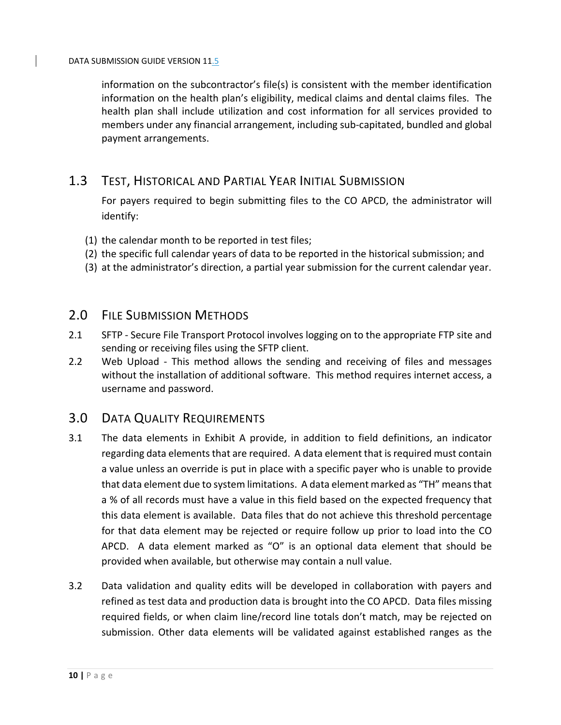information on the subcontractor's file(s) is consistent with the member identification information on the health plan's eligibility, medical claims and dental claims files. The health plan shall include utilization and cost information for all services provided to members under any financial arrangement, including sub‐capitated, bundled and global payment arrangements.

# 1.3 TEST, HISTORICAL AND PARTIAL YEAR INITIAL SUBMISSION

For payers required to begin submitting files to the CO APCD, the administrator will identify:

- (1) the calendar month to be reported in test files;
- (2) the specific full calendar years of data to be reported in the historical submission; and
- (3) at the administrator's direction, a partial year submission for the current calendar year.

# 2.0 FILE SUBMISSION METHODS

- 2.1 SFTP Secure File Transport Protocol involves logging on to the appropriate FTP site and sending or receiving files using the SFTP client.
- 2.2 Web Upload This method allows the sending and receiving of files and messages without the installation of additional software. This method requires internet access, a username and password.

# 3.0 DATA QUALITY REQUIREMENTS

- 3.1 The data elements in Exhibit A provide, in addition to field definitions, an indicator regarding data elements that are required. A data element that is required must contain a value unless an override is put in place with a specific payer who is unable to provide that data element due to system limitations. A data element marked as "TH" meansthat a % of all records must have a value in this field based on the expected frequency that this data element is available. Data files that do not achieve this threshold percentage for that data element may be rejected or require follow up prior to load into the CO APCD. A data element marked as "O" is an optional data element that should be provided when available, but otherwise may contain a null value.
- 3.2 Data validation and quality edits will be developed in collaboration with payers and refined as test data and production data is brought into the CO APCD. Data files missing required fields, or when claim line/record line totals don't match, may be rejected on submission. Other data elements will be validated against established ranges as the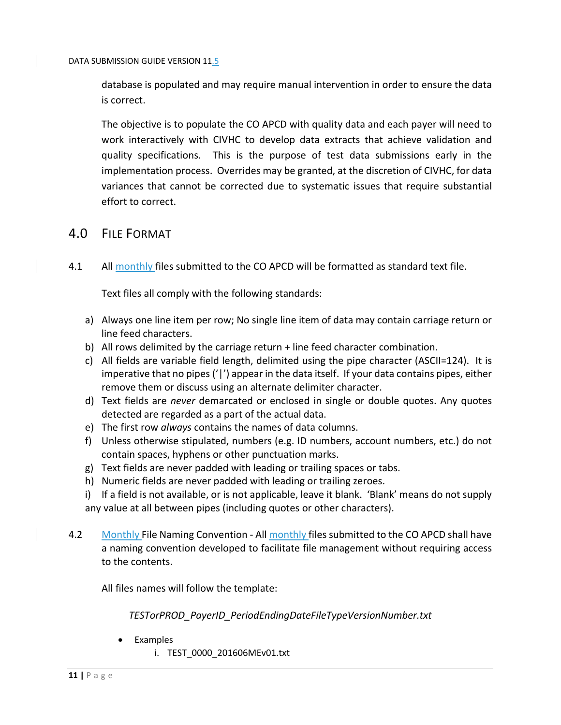database is populated and may require manual intervention in order to ensure the data is correct.

The objective is to populate the CO APCD with quality data and each payer will need to work interactively with CIVHC to develop data extracts that achieve validation and quality specifications. This is the purpose of test data submissions early in the implementation process. Overrides may be granted, at the discretion of CIVHC, for data variances that cannot be corrected due to systematic issues that require substantial effort to correct.

# 4.0 FILE FORMAT

4.1 All monthly files submitted to the CO APCD will be formatted as standard text file.

Text files all comply with the following standards:

- a) Always one line item per row; No single line item of data may contain carriage return or line feed characters.
- b) All rows delimited by the carriage return + line feed character combination.
- c) All fields are variable field length, delimited using the pipe character (ASCII=124). It is imperative that no pipes('|') appear in the data itself. If your data contains pipes, either remove them or discuss using an alternate delimiter character.
- d) Text fields are *never* demarcated or enclosed in single or double quotes. Any quotes detected are regarded as a part of the actual data.
- e) The first row *always* contains the names of data columns.
- f) Unless otherwise stipulated, numbers (e.g. ID numbers, account numbers, etc.) do not contain spaces, hyphens or other punctuation marks.
- g) Text fields are never padded with leading or trailing spaces or tabs.
- h) Numeric fields are never padded with leading or trailing zeroes.
- i) If a field is not available, or is not applicable, leave it blank. 'Blank' means do not supply any value at all between pipes (including quotes or other characters).
- 4.2 Monthly File Naming Convention All monthly files submitted to the CO APCD shall have a naming convention developed to facilitate file management without requiring access to the contents.

All files names will follow the template:

*TESTorPROD\_PayerID\_PeriodEndingDateFileTypeVersionNumber.txt*

Examples

i. TEST\_0000\_201606MEv01.txt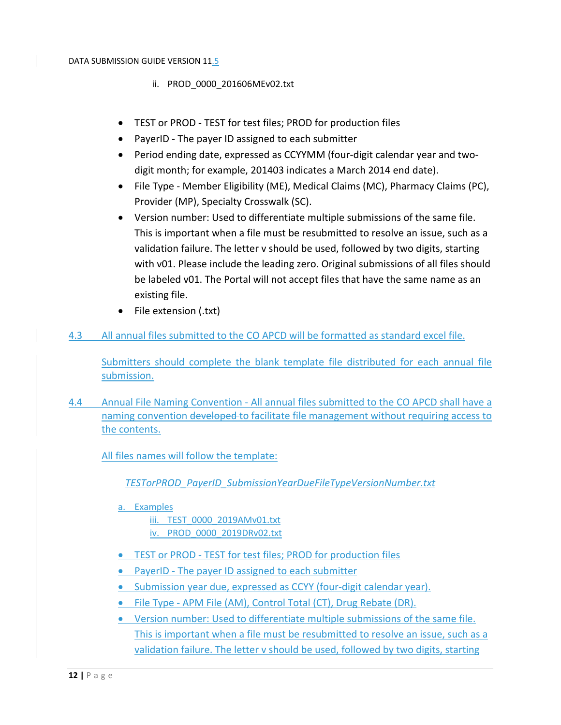- ii. PROD\_0000\_201606MEv02.txt
- TEST or PROD ‐ TEST for test files; PROD for production files
- PayerID The payer ID assigned to each submitter
- Period ending date, expressed as CCYYMM (four-digit calendar year and twodigit month; for example, 201403 indicates a March 2014 end date).
- File Type ‐ Member Eligibility (ME), Medical Claims (MC), Pharmacy Claims (PC), Provider (MP), Specialty Crosswalk (SC).
- Version number: Used to differentiate multiple submissions of the same file. This is important when a file must be resubmitted to resolve an issue, such as a validation failure. The letter v should be used, followed by two digits, starting with v01. Please include the leading zero. Original submissions of all files should be labeled v01. The Portal will not accept files that have the same name as an existing file.
- File extension (.txt)
- 4.3 All annual files submitted to the CO APCD will be formatted as standard excel file.

Submitters should complete the blank template file distributed for each annual file submission.

4.4 Annual File Naming Convention - All annual files submitted to the CO APCD shall have a naming convention developed to facilitate file management without requiring access to the contents.

All files names will follow the template:

*TESTorPROD\_PayerID\_SubmissionYearDueFileTypeVersionNumber.txt*

a. Examples

iii. TEST\_0000\_2019AMv01.txt

- iv. PROD\_0000\_2019DRv02.txt
- TEST or PROD TEST for test files; PROD for production files
- PayerID The payer ID assigned to each submitter
- Submission year due, expressed as CCYY (four-digit calendar year).
- File Type ‐ APM File (AM), Control Total (CT), Drug Rebate (DR).
- Version number: Used to differentiate multiple submissions of the same file. This is important when a file must be resubmitted to resolve an issue, such as a validation failure. The letter v should be used, followed by two digits, starting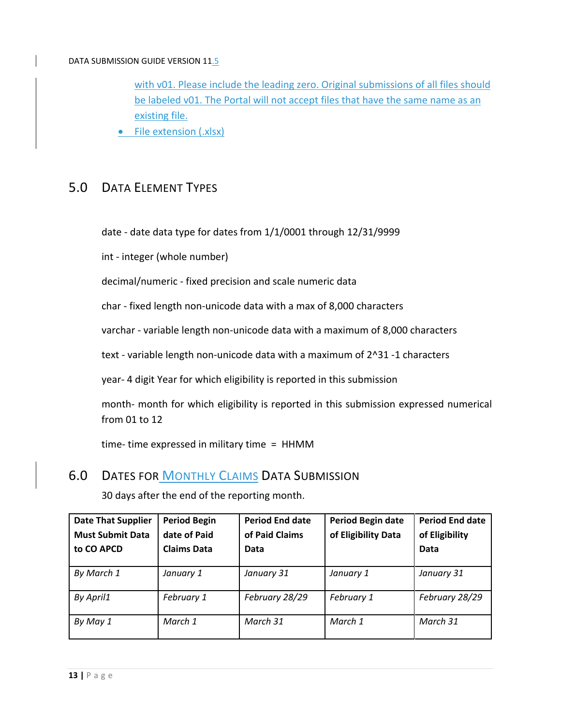with v01. Please include the leading zero. Original submissions of all files should be labeled v01. The Portal will not accept files that have the same name as an existing file.

• File extension (.xlsx)

# 5.0 DATA ELEMENT TYPES

date ‐ date data type for dates from 1/1/0001 through 12/31/9999

int ‐ integer (whole number)

decimal/numeric ‐ fixed precision and scale numeric data

char ‐ fixed length non‐unicode data with a max of 8,000 characters

varchar ‐ variable length non‐unicode data with a maximum of 8,000 characters

text - variable length non-unicode data with a maximum of 2^31 -1 characters

year‐ 4 digit Year for which eligibility is reported in this submission

month‐ month for which eligibility is reported in this submission expressed numerical from 01 to 12

time-time expressed in military time  $=$  HHMM

# 6.0 DATES FOR MONTHLY CLAIMS DATA SUBMISSION

| <b>Date That Supplier</b><br><b>Must Submit Data</b><br>to CO APCD | <b>Period Begin</b><br>date of Paid<br><b>Claims Data</b> | <b>Period End date</b><br>of Paid Claims<br>Data | <b>Period Begin date</b><br>of Eligibility Data | <b>Period End date</b><br>of Eligibility<br>Data |
|--------------------------------------------------------------------|-----------------------------------------------------------|--------------------------------------------------|-------------------------------------------------|--------------------------------------------------|
| By March 1                                                         | January 1                                                 | January 31                                       | January 1                                       | January 31                                       |
| By April1                                                          | February 1                                                | February 28/29                                   | February 1                                      | February 28/29                                   |
| By May 1                                                           | March 1                                                   | March 31                                         | March 1                                         | March 31                                         |

30 days after the end of the reporting month.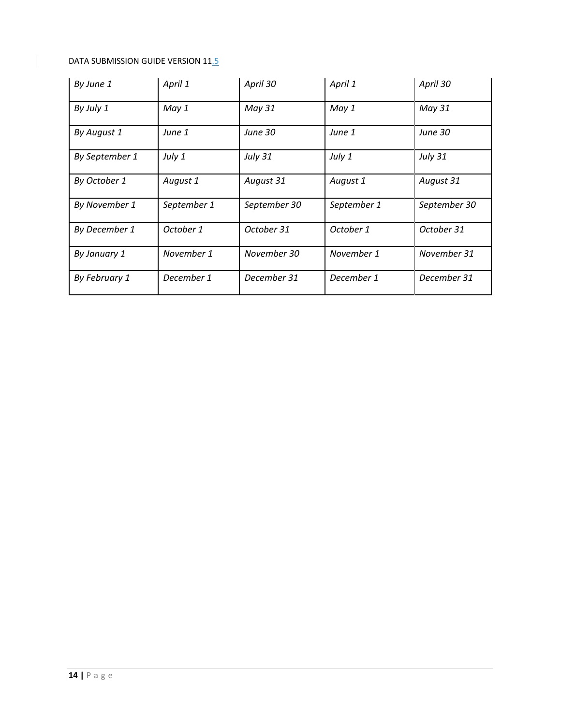$\begin{array}{c} \hline \end{array}$ 

| By June 1      | April 1     | April 30       | April 1     | April 30       |
|----------------|-------------|----------------|-------------|----------------|
| By July 1      | May 1       | May 31         | May 1       | May 31         |
| By August 1    | June 1      | <b>June 30</b> | June 1      | <b>June 30</b> |
| By September 1 | July 1      | <b>July 31</b> | July 1      | July 31        |
| By October 1   | August 1    | August 31      | August 1    | August 31      |
| By November 1  | September 1 | September 30   | September 1 | September 30   |
| By December 1  | October 1   | October 31     | October 1   | October 31     |
| By January 1   | November 1  | November 30    | November 1  | November 31    |
| By February 1  | December 1  | December 31    | December 1  | December 31    |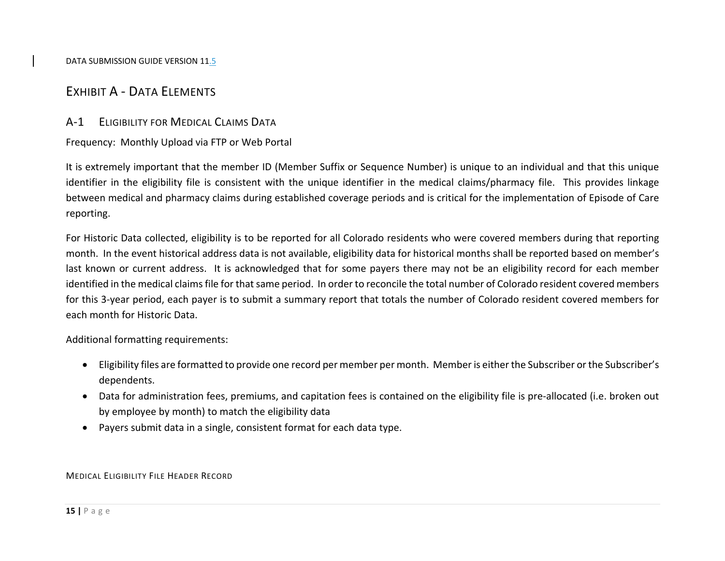# EXHIBIT A ‐ DATA ELEMENTS

# A‐1 ELIGIBILITY FOR MEDICAL CLAIMS DATA

Frequency: Monthly Upload via FTP or Web Portal

It is extremely important that the member ID (Member Suffix or Sequence Number) is unique to an individual and that this unique identifier in the eligibility file is consistent with the unique identifier in the medical claims/pharmacy file. This provides linkage between medical and pharmacy claims during established coverage periods and is critical for the implementation of Episode of Care reporting.

For Historic Data collected, eligibility is to be reported for all Colorado residents who were covered members during that reporting month. In the event historical address data is not available, eligibility data for historical months shall be reported based on member's last known or current address. It is acknowledged that for some payers there may not be an eligibility record for each member identified in the medical claims file for that same period. In order to reconcile the total number of Colorado resident covered members for this 3‐year period, each payer is to submit <sup>a</sup> summary report that totals the number of Colorado resident covered members for each month for Historic Data.

Additional formatting requirements:

- Eligibility files are formatted to provide one record per member per month. Memberis either the Subscriber or the Subscriber's dependents.
- Data for administration fees, premiums, and capitation fees is contained on the eligibility file is pre-allocated (i.e. broken out by employee by month) to match the eligibility data
- Payers submit data in <sup>a</sup> single, consistent format for each data type.

# MEDICAL ELIGIBILITY FILE HEADER RECORD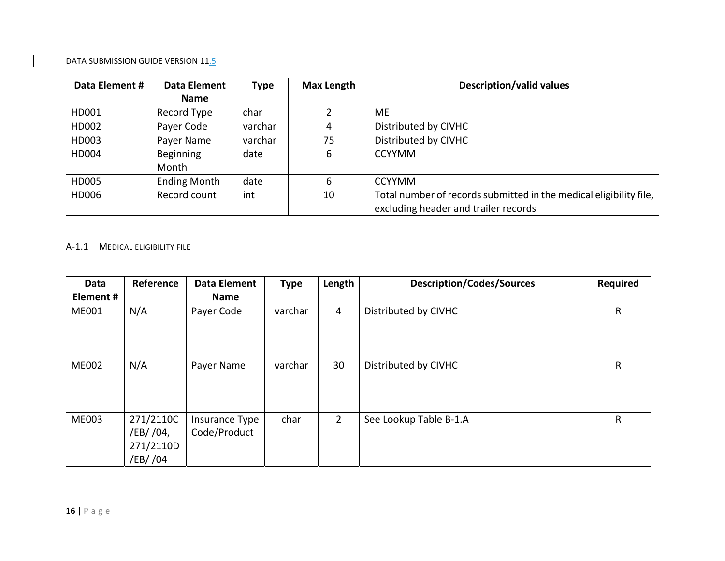| Data Element # | Data Element        | <b>Type</b> | <b>Max Length</b> | <b>Description/valid values</b>                                    |
|----------------|---------------------|-------------|-------------------|--------------------------------------------------------------------|
|                | <b>Name</b>         |             |                   |                                                                    |
| HD001          | Record Type         | char        |                   | ME.                                                                |
| HD002          | Payer Code          | varchar     | 4                 | Distributed by CIVHC                                               |
| HD003          | Payer Name          | varchar     | 75                | Distributed by CIVHC                                               |
| HD004          | Beginning           | date        | 6                 | <b>CCYYMM</b>                                                      |
|                | Month               |             |                   |                                                                    |
| HD005          | <b>Ending Month</b> | date        | 6                 | <b>CCYYMM</b>                                                      |
| HD006          | Record count        | int         | 10                | Total number of records submitted in the medical eligibility file, |
|                |                     |             |                   | excluding header and trailer records                               |

#### A‐1.1 MEDICAL ELIGIBILITY FILE

| Data<br>Element # | Reference                                       | Data Element<br><b>Name</b>    | <b>Type</b> | Length         | <b>Description/Codes/Sources</b> | <b>Required</b> |
|-------------------|-------------------------------------------------|--------------------------------|-------------|----------------|----------------------------------|-----------------|
| ME001             | N/A                                             | Payer Code                     | varchar     | $\overline{4}$ | Distributed by CIVHC             | R               |
| <b>ME002</b>      | N/A                                             | Payer Name                     | varchar     | 30             | Distributed by CIVHC             | R               |
| <b>ME003</b>      | 271/2110C<br>/EB/ /04,<br>271/2110D<br>/EB/ /04 | Insurance Type<br>Code/Product | char        | $\overline{2}$ | See Lookup Table B-1.A           | R               |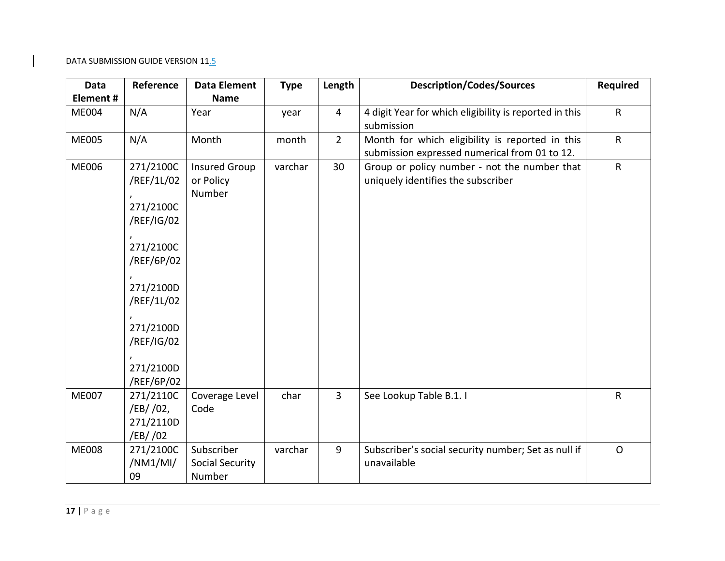| Data         | Reference                                                                                                                                                      | <b>Data Element</b>                            | <b>Type</b> | Length         | <b>Description/Codes/Sources</b>                                                                 | <b>Required</b> |
|--------------|----------------------------------------------------------------------------------------------------------------------------------------------------------------|------------------------------------------------|-------------|----------------|--------------------------------------------------------------------------------------------------|-----------------|
| Element#     |                                                                                                                                                                | <b>Name</b>                                    |             |                |                                                                                                  |                 |
| <b>ME004</b> | N/A                                                                                                                                                            | Year                                           | year        | $\overline{4}$ | 4 digit Year for which eligibility is reported in this<br>submission                             | $\mathsf R$     |
| <b>ME005</b> | N/A                                                                                                                                                            | Month                                          | month       | $\overline{2}$ | Month for which eligibility is reported in this<br>submission expressed numerical from 01 to 12. | $\mathsf{R}$    |
| <b>ME006</b> | 271/2100C<br>/REF/1L/02<br>271/2100C<br>/REF/IG/02<br>271/2100C<br>/REF/6P/02<br>271/2100D<br>/REF/1L/02<br>271/2100D<br>/REF/IG/02<br>271/2100D<br>/REF/6P/02 | <b>Insured Group</b><br>or Policy<br>Number    | varchar     | 30             | Group or policy number - not the number that<br>uniquely identifies the subscriber               | $\mathsf{R}$    |
| <b>ME007</b> | 271/2110C<br>/EB/ /02,<br>271/2110D<br>/EB/ /02                                                                                                                | Coverage Level<br>Code                         | char        | $\overline{3}$ | See Lookup Table B.1. I                                                                          | $\mathsf R$     |
| <b>ME008</b> | 271/2100C<br>/NM1/MI/<br>09                                                                                                                                    | Subscriber<br><b>Social Security</b><br>Number | varchar     | 9              | Subscriber's social security number; Set as null if<br>unavailable                               | $\Omega$        |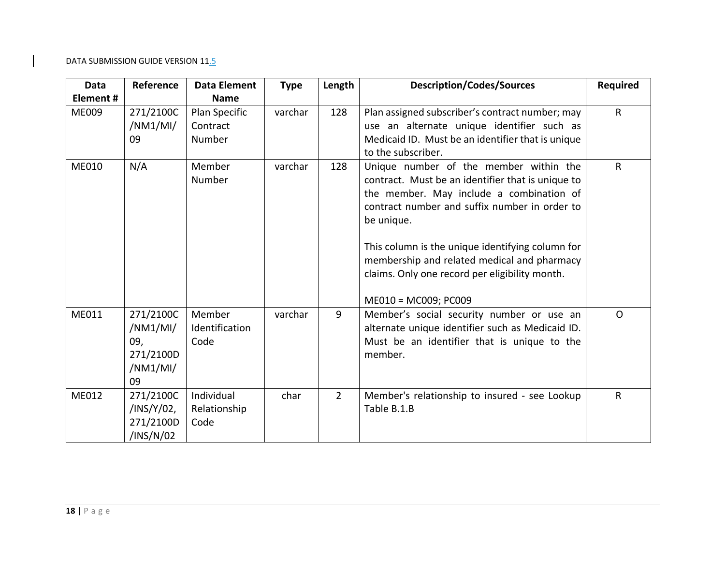| <b>Data</b>  | Reference                                                   | <b>Data Element</b>                 | <b>Type</b> | Length         | <b>Description/Codes/Sources</b>                                                                                                                                                                       | <b>Required</b> |
|--------------|-------------------------------------------------------------|-------------------------------------|-------------|----------------|--------------------------------------------------------------------------------------------------------------------------------------------------------------------------------------------------------|-----------------|
| Element #    |                                                             | <b>Name</b>                         |             |                |                                                                                                                                                                                                        |                 |
| <b>ME009</b> | 271/2100C<br>/NM1/MI/<br>09                                 | Plan Specific<br>Contract<br>Number | varchar     | 128            | Plan assigned subscriber's contract number; may<br>use an alternate unique identifier such as<br>Medicaid ID. Must be an identifier that is unique                                                     | $\mathsf{R}$    |
|              |                                                             |                                     |             |                | to the subscriber.                                                                                                                                                                                     |                 |
| ME010        | N/A                                                         | Member<br>Number                    | varchar     | 128            | Unique number of the member within the<br>contract. Must be an identifier that is unique to<br>the member. May include a combination of<br>contract number and suffix number in order to<br>be unique. | $\mathsf{R}$    |
|              |                                                             |                                     |             |                | This column is the unique identifying column for<br>membership and related medical and pharmacy<br>claims. Only one record per eligibility month.<br>ME010 = MC009; PC009                              |                 |
| ME011        | 271/2100C<br>/NM1/MI/<br>09,<br>271/2100D<br>/NM1/MI/<br>09 | Member<br>Identification<br>Code    | varchar     | 9              | Member's social security number or use an<br>alternate unique identifier such as Medicaid ID.<br>Must be an identifier that is unique to the<br>member.                                                | $\Omega$        |
| ME012        | 271/2100C<br>/INS/Y/02,<br>271/2100D<br>/INS/N/02           | Individual<br>Relationship<br>Code  | char        | $\overline{2}$ | Member's relationship to insured - see Lookup<br>Table B.1.B                                                                                                                                           | $\mathsf{R}$    |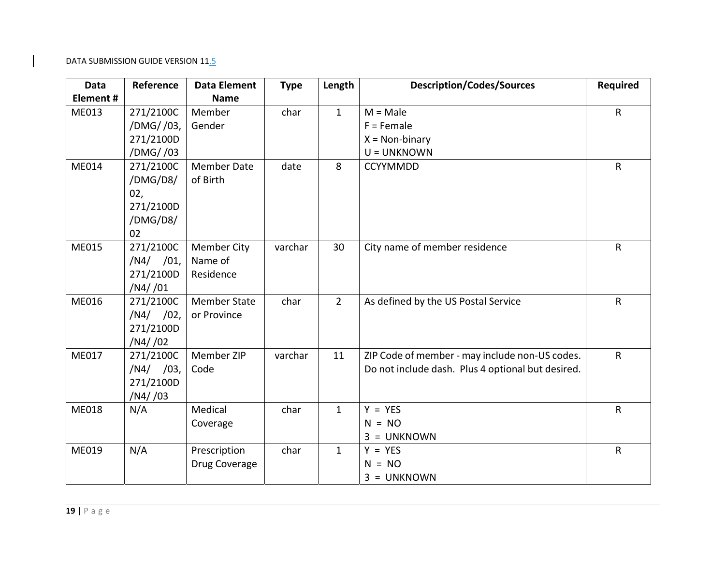| <b>Data</b>  | Reference   | <b>Data Element</b> | <b>Type</b> | Length         | <b>Description/Codes/Sources</b>                  | <b>Required</b> |
|--------------|-------------|---------------------|-------------|----------------|---------------------------------------------------|-----------------|
| Element#     |             | <b>Name</b>         |             |                |                                                   |                 |
| ME013        | 271/2100C   | Member              | char        | $\mathbf{1}$   | $M = Male$                                        | $\mathsf{R}$    |
|              | /DMG//03,   | Gender              |             |                | $F =$ Female                                      |                 |
|              | 271/2100D   |                     |             |                | $X = Non-binary$                                  |                 |
|              | /DMG//03    |                     |             |                | U = UNKNOWN                                       |                 |
| ME014        | 271/2100C   | <b>Member Date</b>  | date        | 8              | <b>CCYYMMDD</b>                                   | $\mathsf{R}$    |
|              | /DMG/D8/    | of Birth            |             |                |                                                   |                 |
|              | 02,         |                     |             |                |                                                   |                 |
|              | 271/2100D   |                     |             |                |                                                   |                 |
|              | /DMG/D8/    |                     |             |                |                                                   |                 |
|              | 02          |                     |             |                |                                                   |                 |
| ME015        | 271/2100C   | <b>Member City</b>  | varchar     | 30             | City name of member residence                     | $\mathsf{R}$    |
|              | $/N4/$ /01, | Name of             |             |                |                                                   |                 |
|              | 271/2100D   | Residence           |             |                |                                                   |                 |
|              | /N4//01     |                     |             |                |                                                   |                 |
| <b>ME016</b> | 271/2100C   | <b>Member State</b> | char        | $\overline{2}$ | As defined by the US Postal Service               | $\mathsf{R}$    |
|              | $/N4/$ /02, | or Province         |             |                |                                                   |                 |
|              | 271/2100D   |                     |             |                |                                                   |                 |
|              | /N4//02     |                     |             |                |                                                   |                 |
| ME017        | 271/2100C   | Member ZIP          | varchar     | 11             | ZIP Code of member - may include non-US codes.    | $\mathsf{R}$    |
|              | $/N4/$ /03, | Code                |             |                | Do not include dash. Plus 4 optional but desired. |                 |
|              | 271/2100D   |                     |             |                |                                                   |                 |
|              | /N4/03      |                     |             |                |                                                   |                 |
| ME018        | N/A         | Medical             | char        | $\mathbf{1}$   | $Y = YES$                                         | $\mathsf R$     |
|              |             | Coverage            |             |                | $N = NO$                                          |                 |
|              |             |                     |             |                | $3 = UNKNOWN$                                     |                 |
| ME019        | N/A         | Prescription        | char        | $\mathbf{1}$   | $Y = YES$                                         | $\mathsf{R}$    |
|              |             | Drug Coverage       |             |                | $= NO$                                            |                 |
|              |             |                     |             |                | $3 = UNKNOWN$                                     |                 |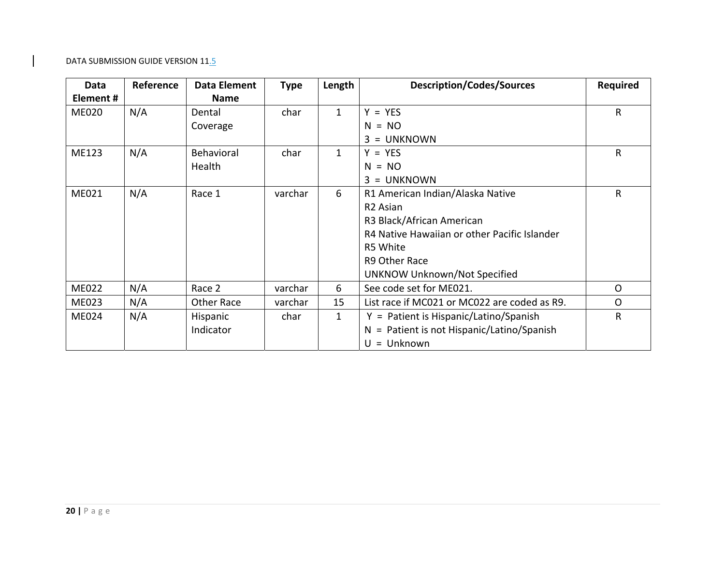| Data         | Reference | Data Element | <b>Type</b> | Length       | <b>Description/Codes/Sources</b>                | <b>Required</b> |
|--------------|-----------|--------------|-------------|--------------|-------------------------------------------------|-----------------|
| Element#     |           | <b>Name</b>  |             |              |                                                 |                 |
| <b>ME020</b> | N/A       | Dental       | char        | $\mathbf{1}$ | $Y = YES$                                       | $\mathsf R$     |
|              |           | Coverage     |             |              | $N = NO$                                        |                 |
|              |           |              |             |              | <b>UNKNOWN</b><br>3<br>$=$                      |                 |
| ME123        | N/A       | Behavioral   | char        | $\mathbf{1}$ | <b>YES</b><br>$Y =$                             | R               |
|              |           | Health       |             |              | NO.<br>N<br>$=$                                 |                 |
|              |           |              |             |              | <b>UNKNOWN</b><br>3<br>$\equiv$                 |                 |
| ME021        | N/A       | Race 1       | varchar     | 6            | R1 American Indian/Alaska Native                | R               |
|              |           |              |             |              | R <sub>2</sub> Asian                            |                 |
|              |           |              |             |              | R3 Black/African American                       |                 |
|              |           |              |             |              | R4 Native Hawaiian or other Pacific Islander    |                 |
|              |           |              |             |              | R5 White                                        |                 |
|              |           |              |             |              | R9 Other Race                                   |                 |
|              |           |              |             |              | <b>UNKNOW Unknown/Not Specified</b>             |                 |
| <b>ME022</b> | N/A       | Race 2       | varchar     | 6            | See code set for ME021.                         | $\mathsf{O}$    |
| ME023        | N/A       | Other Race   | varchar     | 15           | List race if MC021 or MC022 are coded as R9.    | O               |
| ME024        | N/A       | Hispanic     | char        | $\mathbf{1}$ | $Y =$ Patient is Hispanic/Latino/Spanish        | R               |
|              |           | Indicator    |             |              | $=$ Patient is not Hispanic/Latino/Spanish<br>N |                 |
|              |           |              |             |              | $U =$ Unknown                                   |                 |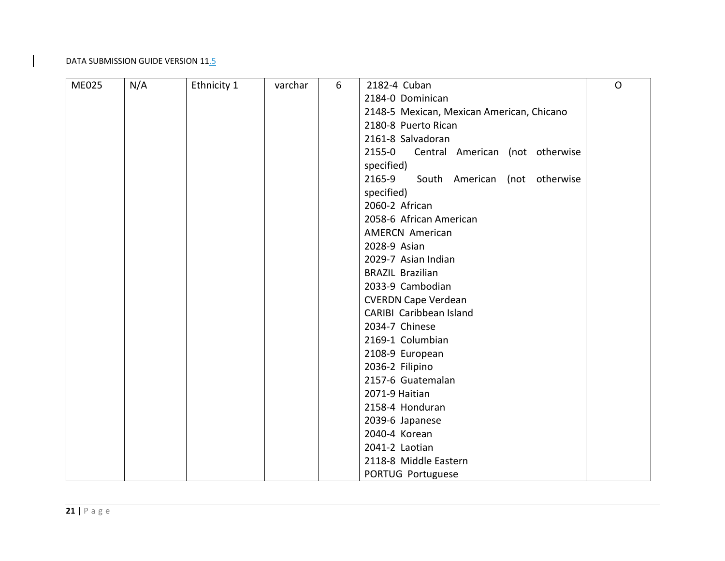| <b>ME025</b> | N/A | Ethnicity 1 | varchar | 6 | 2182-4 Cuban                              | $\mathsf{O}$ |
|--------------|-----|-------------|---------|---|-------------------------------------------|--------------|
|              |     |             |         |   | 2184-0 Dominican                          |              |
|              |     |             |         |   | 2148-5 Mexican, Mexican American, Chicano |              |
|              |     |             |         |   | 2180-8 Puerto Rican                       |              |
|              |     |             |         |   | 2161-8 Salvadoran                         |              |
|              |     |             |         |   | 2155-0<br>Central American (not otherwise |              |
|              |     |             |         |   | specified)                                |              |
|              |     |             |         |   | 2165-9<br>South American (not otherwise   |              |
|              |     |             |         |   | specified)                                |              |
|              |     |             |         |   | 2060-2 African                            |              |
|              |     |             |         |   | 2058-6 African American                   |              |
|              |     |             |         |   | <b>AMERCN American</b>                    |              |
|              |     |             |         |   | 2028-9 Asian                              |              |
|              |     |             |         |   | 2029-7 Asian Indian                       |              |
|              |     |             |         |   | <b>BRAZIL Brazilian</b>                   |              |
|              |     |             |         |   | 2033-9 Cambodian                          |              |
|              |     |             |         |   | <b>CVERDN Cape Verdean</b>                |              |
|              |     |             |         |   | CARIBI Caribbean Island                   |              |
|              |     |             |         |   | 2034-7 Chinese                            |              |
|              |     |             |         |   | 2169-1 Columbian                          |              |
|              |     |             |         |   | 2108-9 European                           |              |
|              |     |             |         |   | 2036-2 Filipino                           |              |
|              |     |             |         |   | 2157-6 Guatemalan                         |              |
|              |     |             |         |   | 2071-9 Haitian                            |              |
|              |     |             |         |   | 2158-4 Honduran                           |              |
|              |     |             |         |   | 2039-6 Japanese                           |              |
|              |     |             |         |   | 2040-4 Korean                             |              |
|              |     |             |         |   | 2041-2 Laotian                            |              |
|              |     |             |         |   | 2118-8 Middle Eastern                     |              |
|              |     |             |         |   | PORTUG Portuguese                         |              |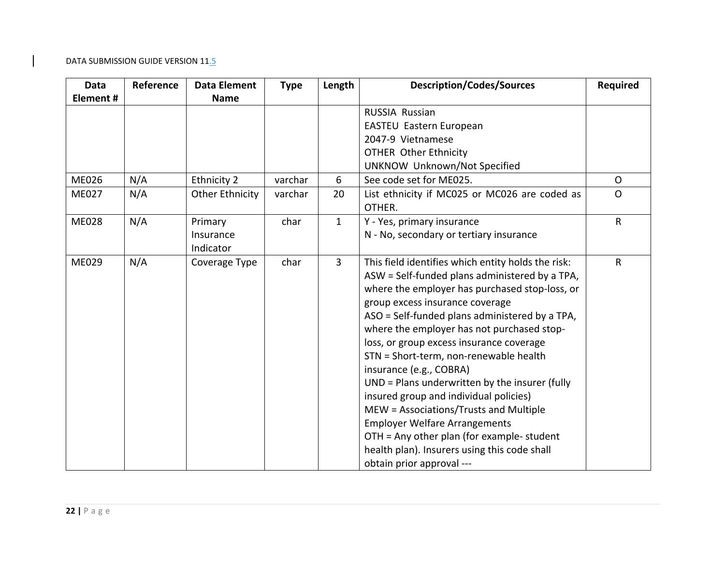| <b>Data</b>  | Reference | Data Element           | <b>Type</b> | Length         | <b>Description/Codes/Sources</b>                        | <b>Required</b> |
|--------------|-----------|------------------------|-------------|----------------|---------------------------------------------------------|-----------------|
| Element#     |           | <b>Name</b>            |             |                |                                                         |                 |
|              |           |                        |             |                | <b>RUSSIA Russian</b>                                   |                 |
|              |           |                        |             |                | EASTEU Eastern European                                 |                 |
|              |           |                        |             |                | 2047-9 Vietnamese                                       |                 |
|              |           |                        |             |                | <b>OTHER Other Ethnicity</b>                            |                 |
|              |           |                        |             |                | UNKNOW Unknown/Not Specified                            |                 |
| ME026        | N/A       | Ethnicity 2            | varchar     | 6              | See code set for ME025.                                 | $\mathsf{O}$    |
| <b>ME027</b> | N/A       | <b>Other Ethnicity</b> | varchar     | 20             | List ethnicity if MC025 or MC026 are coded as<br>OTHER. | $\Omega$        |
| <b>ME028</b> | N/A       | Primary                | char        | $\mathbf{1}$   | Y - Yes, primary insurance                              | $\mathsf{R}$    |
|              |           | Insurance              |             |                | N - No, secondary or tertiary insurance                 |                 |
|              |           | Indicator              |             |                |                                                         |                 |
| ME029        | N/A       | Coverage Type          | char        | $\overline{3}$ | This field identifies which entity holds the risk:      | $\mathsf{R}$    |
|              |           |                        |             |                | ASW = Self-funded plans administered by a TPA,          |                 |
|              |           |                        |             |                | where the employer has purchased stop-loss, or          |                 |
|              |           |                        |             |                | group excess insurance coverage                         |                 |
|              |           |                        |             |                | ASO = Self-funded plans administered by a TPA,          |                 |
|              |           |                        |             |                | where the employer has not purchased stop-              |                 |
|              |           |                        |             |                | loss, or group excess insurance coverage                |                 |
|              |           |                        |             |                | STN = Short-term, non-renewable health                  |                 |
|              |           |                        |             |                | insurance (e.g., COBRA)                                 |                 |
|              |           |                        |             |                | UND = Plans underwritten by the insurer (fully          |                 |
|              |           |                        |             |                | insured group and individual policies)                  |                 |
|              |           |                        |             |                | MEW = Associations/Trusts and Multiple                  |                 |
|              |           |                        |             |                | <b>Employer Welfare Arrangements</b>                    |                 |
|              |           |                        |             |                | OTH = Any other plan (for example- student              |                 |
|              |           |                        |             |                | health plan). Insurers using this code shall            |                 |
|              |           |                        |             |                | obtain prior approval ---                               |                 |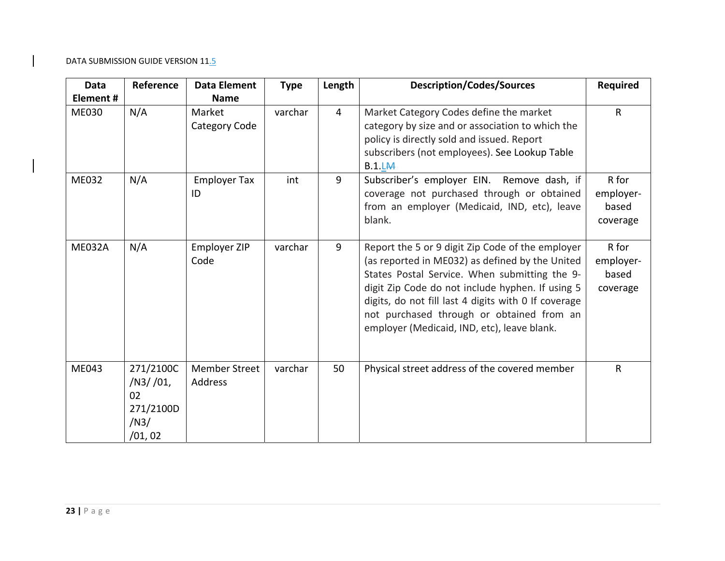| <b>Data</b>   | Reference                                                   | <b>Data Element</b>                    | <b>Type</b> | Length         | <b>Description/Codes/Sources</b>                                                                                                                                                                                                                                                                                                                             | <b>Required</b>                         |
|---------------|-------------------------------------------------------------|----------------------------------------|-------------|----------------|--------------------------------------------------------------------------------------------------------------------------------------------------------------------------------------------------------------------------------------------------------------------------------------------------------------------------------------------------------------|-----------------------------------------|
| Element#      |                                                             | <b>Name</b>                            |             |                |                                                                                                                                                                                                                                                                                                                                                              |                                         |
| <b>ME030</b>  | N/A                                                         | Market<br>Category Code                | varchar     | $\overline{4}$ | Market Category Codes define the market<br>category by size and or association to which the<br>policy is directly sold and issued. Report<br>subscribers (not employees). See Lookup Table<br>B.1.LM                                                                                                                                                         | $\mathsf{R}$                            |
| <b>ME032</b>  | N/A                                                         | <b>Employer Tax</b><br>ID              | int         | 9              | Subscriber's employer EIN. Remove dash, if<br>coverage not purchased through or obtained<br>from an employer (Medicaid, IND, etc), leave<br>blank.                                                                                                                                                                                                           | R for<br>employer-<br>based<br>coverage |
| <b>ME032A</b> | N/A                                                         | Employer ZIP<br>Code                   | varchar     | 9              | Report the 5 or 9 digit Zip Code of the employer<br>(as reported in ME032) as defined by the United<br>States Postal Service. When submitting the 9-<br>digit Zip Code do not include hyphen. If using 5<br>digits, do not fill last 4 digits with 0 If coverage<br>not purchased through or obtained from an<br>employer (Medicaid, IND, etc), leave blank. | R for<br>employer-<br>based<br>coverage |
| ME043         | 271/2100C<br>/N3//01,<br>02<br>271/2100D<br>/N3/<br>/01, 02 | <b>Member Street</b><br><b>Address</b> | varchar     | 50             | Physical street address of the covered member                                                                                                                                                                                                                                                                                                                | $\mathsf{R}$                            |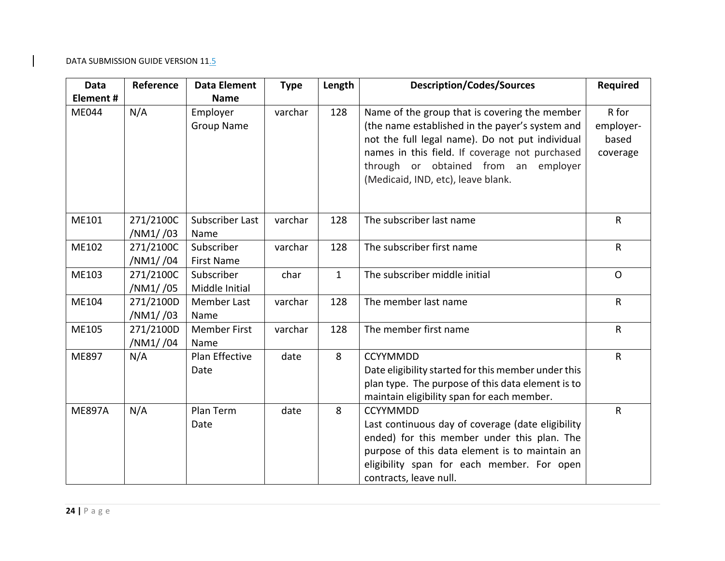| Data          | Reference              | <b>Data Element</b>             | <b>Type</b> | Length       | <b>Description/Codes/Sources</b>                                                                                                                                                                                                                                                    | Required                                |
|---------------|------------------------|---------------------------------|-------------|--------------|-------------------------------------------------------------------------------------------------------------------------------------------------------------------------------------------------------------------------------------------------------------------------------------|-----------------------------------------|
| Element #     |                        | <b>Name</b>                     |             |              |                                                                                                                                                                                                                                                                                     |                                         |
| ME044         | N/A                    | Employer<br><b>Group Name</b>   | varchar     | 128          | Name of the group that is covering the member<br>(the name established in the payer's system and<br>not the full legal name). Do not put individual<br>names in this field. If coverage not purchased<br>through or obtained from an employer<br>(Medicaid, IND, etc), leave blank. | R for<br>employer-<br>based<br>coverage |
| ME101         | 271/2100C<br>/NM1//03  | Subscriber Last<br>Name         | varchar     | 128          | The subscriber last name                                                                                                                                                                                                                                                            | $\mathsf{R}$                            |
| ME102         | 271/2100C<br>/NM1//04  | Subscriber<br><b>First Name</b> | varchar     | 128          | The subscriber first name                                                                                                                                                                                                                                                           | $\mathsf{R}$                            |
| ME103         | 271/2100C<br>/NM1//05  | Subscriber<br>Middle Initial    | char        | $\mathbf{1}$ | The subscriber middle initial                                                                                                                                                                                                                                                       | $\Omega$                                |
| ME104         | 271/2100D<br>/NM1/ /03 | Member Last<br>Name             | varchar     | 128          | The member last name                                                                                                                                                                                                                                                                | $\mathsf{R}$                            |
| ME105         | 271/2100D<br>/NM1//04  | <b>Member First</b><br>Name     | varchar     | 128          | The member first name                                                                                                                                                                                                                                                               | $\mathsf{R}$                            |
| ME897         | N/A                    | Plan Effective<br>Date          | date        | 8            | <b>CCYYMMDD</b><br>Date eligibility started for this member under this<br>plan type. The purpose of this data element is to<br>maintain eligibility span for each member.                                                                                                           | $\mathsf{R}$                            |
| <b>ME897A</b> | N/A                    | Plan Term<br>Date               | date        | 8            | <b>CCYYMMDD</b><br>Last continuous day of coverage (date eligibility<br>ended) for this member under this plan. The<br>purpose of this data element is to maintain an<br>eligibility span for each member. For open<br>contracts, leave null.                                       | $\mathsf{R}$                            |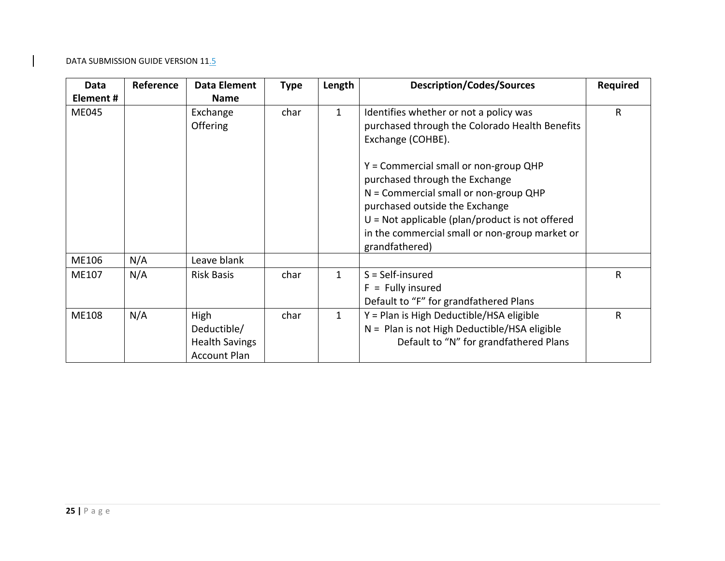| Data         | Reference | <b>Data Element</b>                                                 | <b>Type</b> | Length       | <b>Description/Codes/Sources</b>                                                                                                                                                                                                                                              | <b>Required</b> |
|--------------|-----------|---------------------------------------------------------------------|-------------|--------------|-------------------------------------------------------------------------------------------------------------------------------------------------------------------------------------------------------------------------------------------------------------------------------|-----------------|
| Element#     |           | <b>Name</b>                                                         |             |              |                                                                                                                                                                                                                                                                               |                 |
| <b>ME045</b> |           | Exchange<br><b>Offering</b>                                         | char        | $\mathbf{1}$ | Identifies whether or not a policy was<br>purchased through the Colorado Health Benefits<br>Exchange (COHBE).                                                                                                                                                                 | R               |
|              |           |                                                                     |             |              | Y = Commercial small or non-group QHP<br>purchased through the Exchange<br>$N =$ Commercial small or non-group QHP<br>purchased outside the Exchange<br>$U = Not$ applicable (plan/product is not offered<br>in the commercial small or non-group market or<br>grandfathered) |                 |
| ME106        | N/A       | Leave blank                                                         |             |              |                                                                                                                                                                                                                                                                               |                 |
| ME107        | N/A       | <b>Risk Basis</b>                                                   | char        | $\mathbf{1}$ | $S = Self-insured$<br>$F =$ Fully insured<br>Default to "F" for grandfathered Plans                                                                                                                                                                                           | R               |
| <b>ME108</b> | N/A       | High<br>Deductible/<br><b>Health Savings</b><br><b>Account Plan</b> | char        | $\mathbf{1}$ | Y = Plan is High Deductible/HSA eligible<br>N = Plan is not High Deductible/HSA eligible<br>Default to "N" for grandfathered Plans                                                                                                                                            | R               |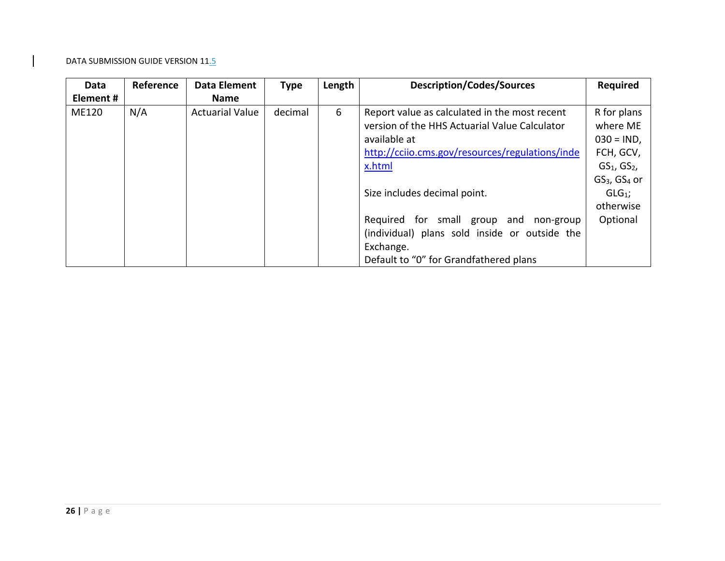| Data         | Reference | <b>Data Element</b>    | <b>Type</b> | Length<br><b>Description/Codes/Sources</b> |                                                 | <b>Required</b>                      |
|--------------|-----------|------------------------|-------------|--------------------------------------------|-------------------------------------------------|--------------------------------------|
| Element #    |           | <b>Name</b>            |             |                                            |                                                 |                                      |
| <b>ME120</b> | N/A       | <b>Actuarial Value</b> | decimal     | 6                                          | Report value as calculated in the most recent   | R for plans                          |
|              |           |                        |             |                                            | version of the HHS Actuarial Value Calculator   | where ME                             |
|              |           |                        |             |                                            | available at                                    | $030 = IND$ ,                        |
|              |           |                        |             |                                            | http://cciio.cms.gov/resources/regulations/inde | FCH, GCV,                            |
|              |           |                        |             | x.html                                     |                                                 | $GS1$ , $GS2$ ,                      |
|              |           |                        |             |                                            |                                                 | GS <sub>3</sub> , GS <sub>4</sub> or |
|              |           |                        |             |                                            | Size includes decimal point.                    | $GLG1$ ;                             |
|              |           |                        |             |                                            |                                                 | otherwise                            |
|              |           |                        |             |                                            | Required for small group and<br>non-group       | Optional                             |
|              |           |                        |             |                                            | (individual) plans sold inside or outside the   |                                      |
|              |           |                        |             |                                            | Exchange.                                       |                                      |
|              |           |                        |             |                                            | Default to "0" for Grandfathered plans          |                                      |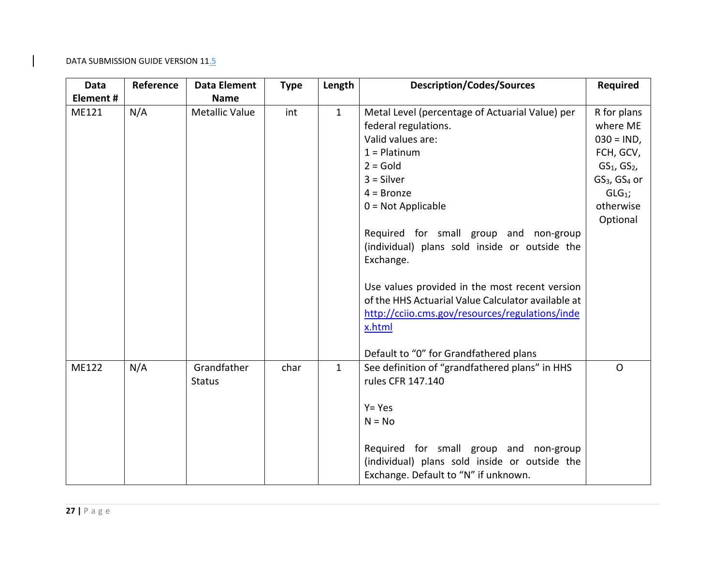| Data     | Reference | Data Element                 | <b>Type</b> | Length       | <b>Description/Codes/Sources</b>                                                                                                                                                                                                                                                                                    | <b>Required</b>                                      |
|----------|-----------|------------------------------|-------------|--------------|---------------------------------------------------------------------------------------------------------------------------------------------------------------------------------------------------------------------------------------------------------------------------------------------------------------------|------------------------------------------------------|
| Element# |           | <b>Name</b>                  |             |              |                                                                                                                                                                                                                                                                                                                     |                                                      |
| ME121    | N/A       | Metallic Value               | int         | $\mathbf{1}$ | Metal Level (percentage of Actuarial Value) per<br>federal regulations.<br>Valid values are:<br>$1 =$ Platinum                                                                                                                                                                                                      | R for plans<br>where ME<br>$030 = IND,$<br>FCH, GCV, |
|          |           |                              |             |              | $2 = Gold$                                                                                                                                                                                                                                                                                                          | $GS1$ , $GS2$ ,                                      |
|          |           |                              |             |              | $3 = Silver$                                                                                                                                                                                                                                                                                                        | GS <sub>3</sub> , GS <sub>4</sub> or                 |
|          |           |                              |             |              | $4 = Bronze$                                                                                                                                                                                                                                                                                                        | $GLG1$ ;                                             |
|          |           |                              |             |              | $0 = Not Applicable$                                                                                                                                                                                                                                                                                                | otherwise<br>Optional                                |
|          |           |                              |             |              | Required for small group and non-group<br>(individual) plans sold inside or outside the<br>Exchange.<br>Use values provided in the most recent version<br>of the HHS Actuarial Value Calculator available at<br>http://cciio.cms.gov/resources/regulations/inde<br>x.html<br>Default to "0" for Grandfathered plans |                                                      |
| ME122    | N/A       | Grandfather<br><b>Status</b> | char        | $\mathbf{1}$ | See definition of "grandfathered plans" in HHS<br>rules CFR 147.140<br>$Y = Yes$<br>$N = No$                                                                                                                                                                                                                        | $\Omega$                                             |
|          |           |                              |             |              | Required for small group and non-group<br>(individual) plans sold inside or outside the<br>Exchange. Default to "N" if unknown.                                                                                                                                                                                     |                                                      |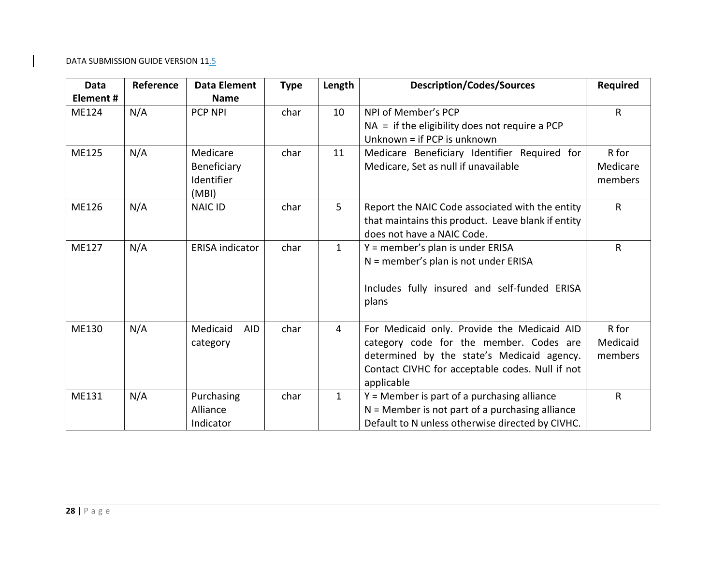| <b>Data</b>  | Reference | <b>Data Element</b>    | <b>Type</b> | Length       | <b>Description/Codes/Sources</b>                                                | <b>Required</b> |
|--------------|-----------|------------------------|-------------|--------------|---------------------------------------------------------------------------------|-----------------|
| Element#     |           | <b>Name</b>            |             |              |                                                                                 |                 |
| ME124        | N/A       | <b>PCP NPI</b>         | char        | 10           | NPI of Member's PCP                                                             | $\mathsf{R}$    |
|              |           |                        |             |              | $NA =$ if the eligibility does not require a PCP<br>Unknown = if PCP is unknown |                 |
| <b>ME125</b> | N/A       | Medicare               | char        | 11           | Medicare Beneficiary Identifier Required for                                    | R for           |
|              |           | Beneficiary            |             |              | Medicare, Set as null if unavailable                                            | Medicare        |
|              |           | Identifier<br>(MBI)    |             |              |                                                                                 | members         |
| <b>ME126</b> | N/A       | <b>NAIC ID</b>         | char        | 5            | Report the NAIC Code associated with the entity                                 | $\mathsf{R}$    |
|              |           |                        |             |              | that maintains this product. Leave blank if entity                              |                 |
|              |           |                        |             |              | does not have a NAIC Code.                                                      |                 |
| <b>ME127</b> | N/A       | <b>ERISA indicator</b> | char        | $\mathbf{1}$ | Y = member's plan is under ERISA                                                | $\mathsf{R}$    |
|              |           |                        |             |              | $N =$ member's plan is not under ERISA                                          |                 |
|              |           |                        |             |              | Includes fully insured and self-funded ERISA                                    |                 |
|              |           |                        |             |              | plans                                                                           |                 |
|              |           |                        |             |              |                                                                                 |                 |
| ME130        | N/A       | Medicaid<br><b>AID</b> | char        | 4            | For Medicaid only. Provide the Medicaid AID                                     | R for           |
|              |           | category               |             |              | category code for the member. Codes are                                         | Medicaid        |
|              |           |                        |             |              | determined by the state's Medicaid agency.                                      | members         |
|              |           |                        |             |              | Contact CIVHC for acceptable codes. Null if not                                 |                 |
|              |           |                        |             |              | applicable                                                                      |                 |
| ME131        | N/A       | Purchasing             | char        | $\mathbf{1}$ | $Y =$ Member is part of a purchasing alliance                                   | $\mathsf{R}$    |
|              |           | Alliance               |             |              | $N =$ Member is not part of a purchasing alliance                               |                 |
|              |           | Indicator              |             |              | Default to N unless otherwise directed by CIVHC.                                |                 |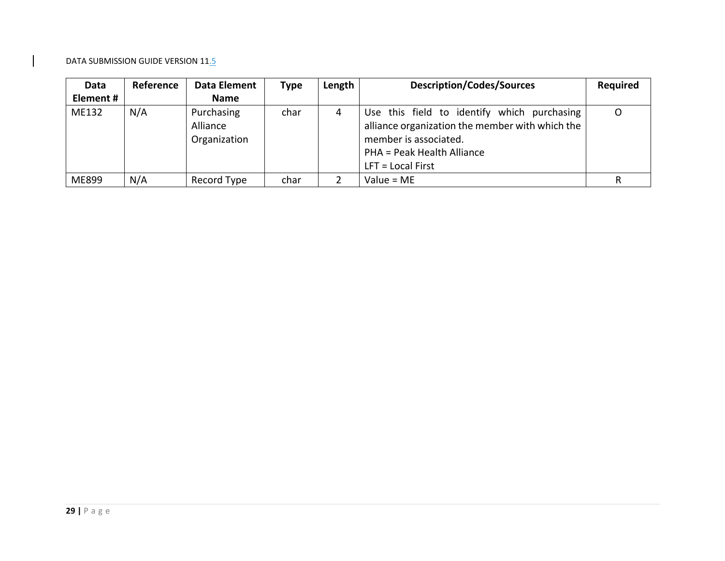| Data      | Reference | Data Element                           | <b>Type</b> | Length | <b>Description/Codes/Sources</b>                                                                                                                                             | <b>Required</b> |
|-----------|-----------|----------------------------------------|-------------|--------|------------------------------------------------------------------------------------------------------------------------------------------------------------------------------|-----------------|
| Element # |           | <b>Name</b>                            |             |        |                                                                                                                                                                              |                 |
| ME132     | N/A       | Purchasing<br>Alliance<br>Organization | char        | 4      | Use this field to identify which purchasing<br>alliance organization the member with which the<br>member is associated.<br>PHA = Peak Health Alliance<br>$LFT = Local First$ | O               |
| ME899     | N/A       | Record Type                            | char        |        | Value = $ME$                                                                                                                                                                 |                 |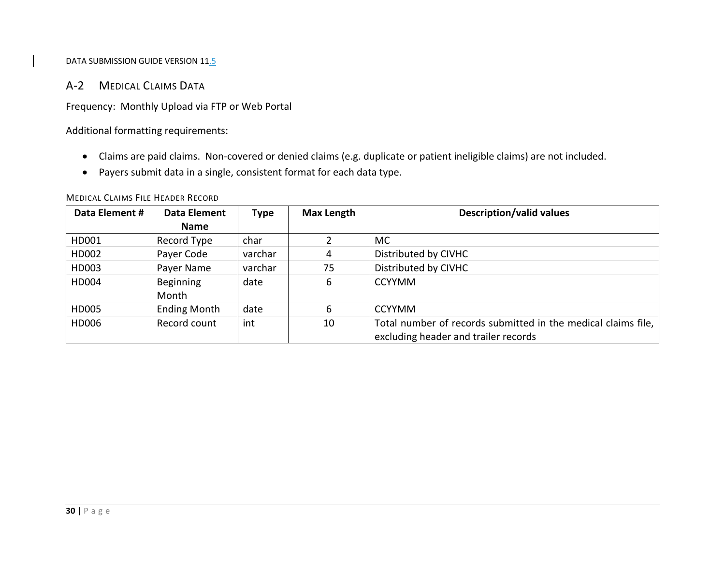# A‐2 MEDICAL CLAIMS DATA

Frequency: Monthly Upload via FTP or Web Portal

Additional formatting requirements:

- Claims are paid claims. Non‐covered or denied claims (e.g. duplicate or patient ineligible claims) are not included.
- Payers submit data in <sup>a</sup> single, consistent format for each data type.

| Data Element # | Data Element        | Type    | <b>Max Length</b> | <b>Description/valid values</b>                               |
|----------------|---------------------|---------|-------------------|---------------------------------------------------------------|
|                | <b>Name</b>         |         |                   |                                                               |
| HD001          | Record Type         | char    |                   | <b>MC</b>                                                     |
| HD002          | Payer Code          | varchar | 4                 | Distributed by CIVHC                                          |
| HD003          | Payer Name          | varchar | 75                | Distributed by CIVHC                                          |
| HD004          | Beginning           | date    | 6                 | <b>CCYYMM</b>                                                 |
|                | Month               |         |                   |                                                               |
| HD005          | <b>Ending Month</b> | date    | 6                 | <b>CCYYMM</b>                                                 |
| HD006          | Record count        | int     | 10                | Total number of records submitted in the medical claims file, |
|                |                     |         |                   | excluding header and trailer records                          |

MEDICAL CLAIMS FILE HEADER RECORD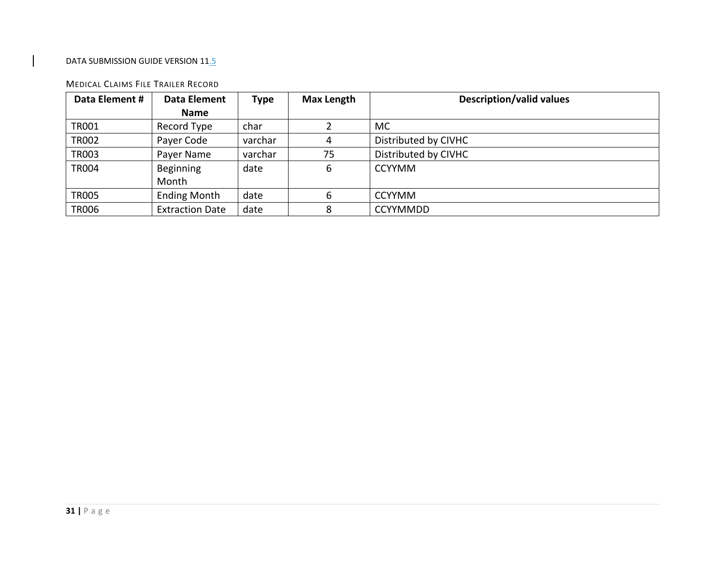#### MEDICAL CLAIMS FILE TRAILER RECORD

| Data Element # | Data Element           | <b>Type</b> | <b>Max Length</b> | <b>Description/valid values</b> |  |
|----------------|------------------------|-------------|-------------------|---------------------------------|--|
|                | Name                   |             |                   |                                 |  |
| TR001          | Record Type            | char        |                   | <b>MC</b>                       |  |
| <b>TR002</b>   | Payer Code             | varchar     |                   | Distributed by CIVHC            |  |
| <b>TR003</b>   | Payer Name             | varchar     | 75                | Distributed by CIVHC            |  |
| <b>TR004</b>   | Beginning              | date        | 6                 | <b>CCYYMM</b>                   |  |
|                | Month                  |             |                   |                                 |  |
| <b>TR005</b>   | <b>Ending Month</b>    | date        | 6                 | <b>CCYYMM</b>                   |  |
| <b>TR006</b>   | <b>Extraction Date</b> | date        | 8                 | <b>CCYYMMDD</b>                 |  |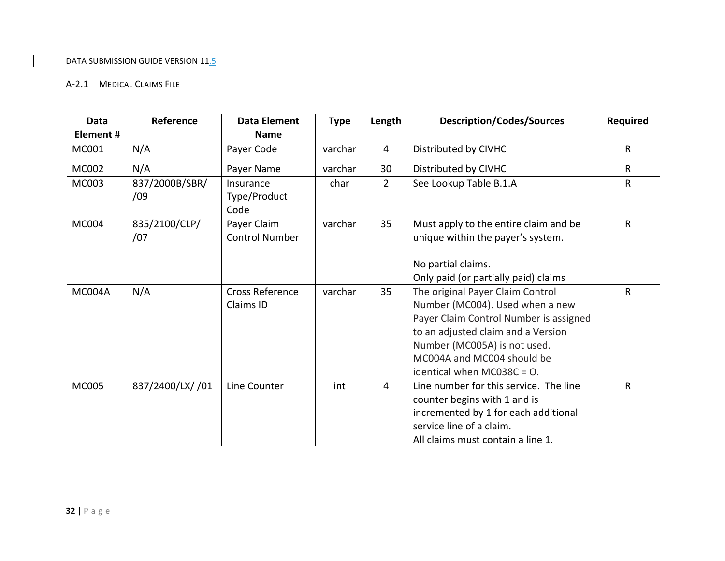#### A‐2.1 MEDICAL CLAIMS FILE

| Data<br>Element# | Reference        | <b>Data Element</b><br><b>Name</b> | <b>Type</b> | Length         | <b>Description/Codes/Sources</b>       | <b>Required</b> |
|------------------|------------------|------------------------------------|-------------|----------------|----------------------------------------|-----------------|
|                  |                  |                                    |             |                |                                        |                 |
| MC001            | N/A              | Payer Code                         | varchar     | $\overline{4}$ | Distributed by CIVHC                   | $\mathsf{R}$    |
| MC002            | N/A              | Payer Name                         | varchar     | 30             | Distributed by CIVHC                   | $\mathsf{R}$    |
| <b>MC003</b>     | 837/2000B/SBR/   | Insurance                          | char        | $\overline{2}$ | See Lookup Table B.1.A                 | $\mathsf{R}$    |
|                  | /09              | Type/Product                       |             |                |                                        |                 |
|                  |                  | Code                               |             |                |                                        |                 |
| <b>MC004</b>     | 835/2100/CLP/    | Payer Claim                        | varchar     | 35             | Must apply to the entire claim and be  | $\mathsf{R}$    |
|                  | /07              | <b>Control Number</b>              |             |                | unique within the payer's system.      |                 |
|                  |                  |                                    |             |                |                                        |                 |
|                  |                  |                                    |             |                | No partial claims.                     |                 |
|                  |                  |                                    |             |                | Only paid (or partially paid) claims   |                 |
| MC004A           | N/A              | <b>Cross Reference</b>             | varchar     | 35             | The original Payer Claim Control       | $\mathsf{R}$    |
|                  |                  | Claims ID                          |             |                | Number (MC004). Used when a new        |                 |
|                  |                  |                                    |             |                | Payer Claim Control Number is assigned |                 |
|                  |                  |                                    |             |                | to an adjusted claim and a Version     |                 |
|                  |                  |                                    |             |                | Number (MC005A) is not used.           |                 |
|                  |                  |                                    |             |                | MC004A and MC004 should be             |                 |
|                  |                  |                                    |             |                | identical when MC038C = $O$ .          |                 |
| <b>MC005</b>     | 837/2400/LX/ /01 | Line Counter                       | int         | $\overline{4}$ | Line number for this service. The line | $\mathsf{R}$    |
|                  |                  |                                    |             |                | counter begins with 1 and is           |                 |
|                  |                  |                                    |             |                | incremented by 1 for each additional   |                 |
|                  |                  |                                    |             |                | service line of a claim.               |                 |
|                  |                  |                                    |             |                | All claims must contain a line 1.      |                 |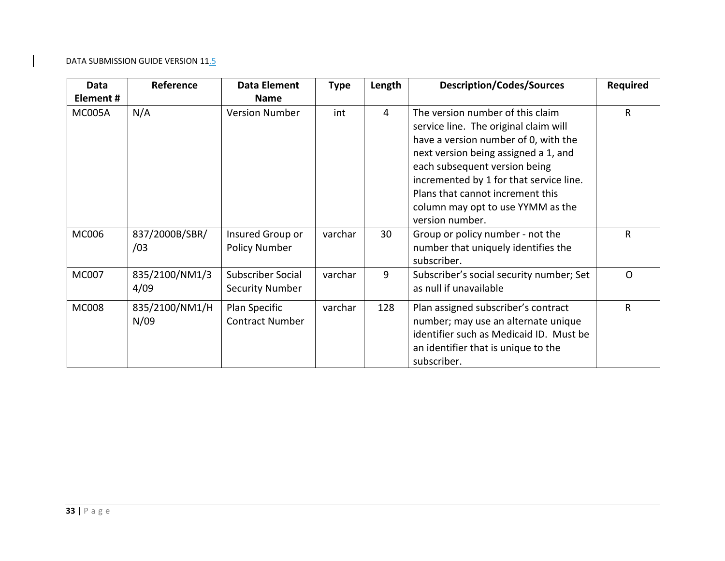| Data          | Reference              | <b>Data Element</b>                         | <b>Type</b> | Length         | <b>Description/Codes/Sources</b>                                                                                                                                                                                                                                                                                                  | <b>Required</b> |
|---------------|------------------------|---------------------------------------------|-------------|----------------|-----------------------------------------------------------------------------------------------------------------------------------------------------------------------------------------------------------------------------------------------------------------------------------------------------------------------------------|-----------------|
| Element#      |                        | <b>Name</b>                                 |             |                |                                                                                                                                                                                                                                                                                                                                   |                 |
| <b>MC005A</b> | N/A                    | <b>Version Number</b>                       | int         | $\overline{4}$ | The version number of this claim<br>service line. The original claim will<br>have a version number of 0, with the<br>next version being assigned a 1, and<br>each subsequent version being<br>incremented by 1 for that service line.<br>Plans that cannot increment this<br>column may opt to use YYMM as the<br>version number. | $\mathsf{R}$    |
| <b>MC006</b>  | 837/2000B/SBR/<br>/03  | Insured Group or<br><b>Policy Number</b>    | varchar     | 30             | Group or policy number - not the<br>number that uniquely identifies the<br>subscriber.                                                                                                                                                                                                                                            | R               |
| <b>MC007</b>  | 835/2100/NM1/3<br>4/09 | Subscriber Social<br><b>Security Number</b> | varchar     | 9              | Subscriber's social security number; Set<br>as null if unavailable                                                                                                                                                                                                                                                                | $\Omega$        |
| <b>MC008</b>  | 835/2100/NM1/H<br>N/09 | Plan Specific<br><b>Contract Number</b>     | varchar     | 128            | Plan assigned subscriber's contract<br>number; may use an alternate unique<br>identifier such as Medicaid ID. Must be<br>an identifier that is unique to the<br>subscriber.                                                                                                                                                       | $\mathsf{R}$    |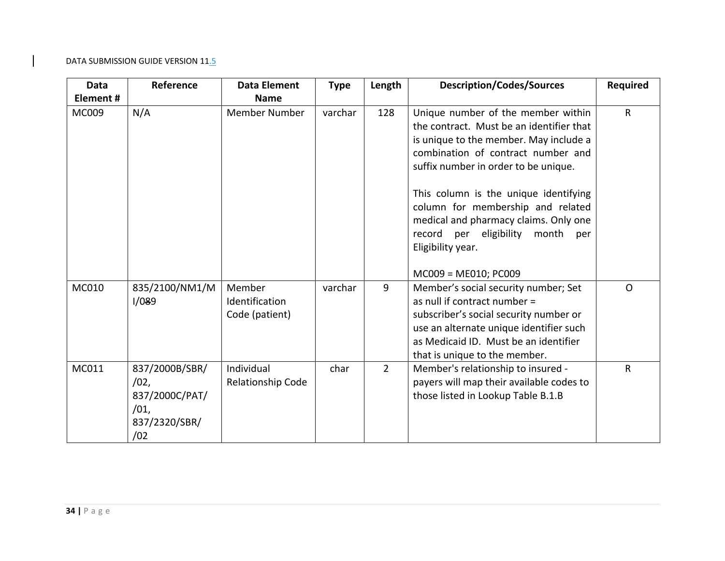| <b>Data</b>  | Reference                                                                | <b>Data Element</b>                        | <b>Type</b> | Length         | <b>Description/Codes/Sources</b>                                                                                                                                                                                                                                                                                                                                                             | <b>Required</b> |
|--------------|--------------------------------------------------------------------------|--------------------------------------------|-------------|----------------|----------------------------------------------------------------------------------------------------------------------------------------------------------------------------------------------------------------------------------------------------------------------------------------------------------------------------------------------------------------------------------------------|-----------------|
| Element #    |                                                                          | <b>Name</b>                                |             |                |                                                                                                                                                                                                                                                                                                                                                                                              |                 |
| <b>MC009</b> | N/A                                                                      | <b>Member Number</b>                       | varchar     | 128            | Unique number of the member within<br>the contract. Must be an identifier that<br>is unique to the member. May include a<br>combination of contract number and<br>suffix number in order to be unique.<br>This column is the unique identifying<br>column for membership and related<br>medical and pharmacy claims. Only one<br>record per eligibility<br>month<br>per<br>Eligibility year. | $\mathsf{R}$    |
| MC010        | 835/2100/NM1/M<br>1/089                                                  | Member<br>Identification<br>Code (patient) | varchar     | 9              | MC009 = ME010; PC009<br>Member's social security number; Set<br>as null if contract number =<br>subscriber's social security number or<br>use an alternate unique identifier such<br>as Medicaid ID. Must be an identifier<br>that is unique to the member.                                                                                                                                  | $\Omega$        |
| MC011        | 837/2000B/SBR/<br>/02,<br>837/2000C/PAT/<br>/01,<br>837/2320/SBR/<br>/02 | Individual<br><b>Relationship Code</b>     | char        | $\overline{2}$ | Member's relationship to insured -<br>payers will map their available codes to<br>those listed in Lookup Table B.1.B                                                                                                                                                                                                                                                                         | $\mathsf{R}$    |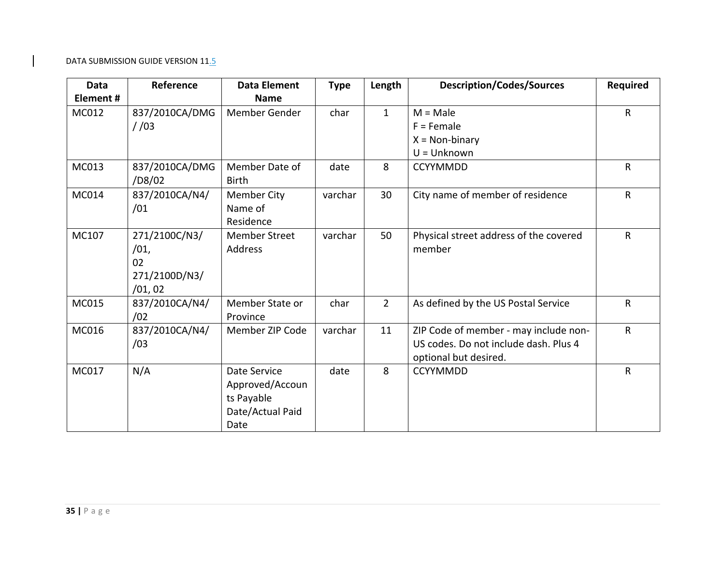| <b>Data</b>  | Reference                                              | <b>Data Element</b>                                                       | <b>Type</b> | Length         | <b>Description/Codes/Sources</b>                                                                        | <b>Required</b> |
|--------------|--------------------------------------------------------|---------------------------------------------------------------------------|-------------|----------------|---------------------------------------------------------------------------------------------------------|-----------------|
| Element#     |                                                        | <b>Name</b>                                                               |             |                |                                                                                                         |                 |
| MC012        | 837/2010CA/DMG                                         | Member Gender                                                             | char        | $\mathbf{1}$   | $M = Male$                                                                                              | $\mathsf{R}$    |
|              | 1/03                                                   |                                                                           |             |                | $F =$ Female                                                                                            |                 |
|              |                                                        |                                                                           |             |                | $X = Non-binary$                                                                                        |                 |
|              |                                                        |                                                                           |             |                | $U =$ Unknown                                                                                           |                 |
| MC013        | 837/2010CA/DMG<br>/D8/02                               | Member Date of<br><b>Birth</b>                                            | date        | 8              | <b>CCYYMMDD</b>                                                                                         | $\mathsf{R}$    |
| MC014        | 837/2010CA/N4/<br>/01                                  | Member City<br>Name of<br>Residence                                       | varchar     | 30             | City name of member of residence                                                                        | $\mathsf{R}$    |
| MC107        | 271/2100C/N3/<br>/01,<br>02<br>271/2100D/N3/<br>/01,02 | <b>Member Street</b><br>Address                                           | varchar     | 50             | Physical street address of the covered<br>member                                                        | $\mathsf{R}$    |
| MC015        | 837/2010CA/N4/<br>/02                                  | Member State or<br>Province                                               | char        | $\overline{2}$ | As defined by the US Postal Service                                                                     | $\mathsf{R}$    |
| MC016        | 837/2010CA/N4/<br>/03                                  | Member ZIP Code                                                           | varchar     | 11             | ZIP Code of member - may include non-<br>US codes. Do not include dash. Plus 4<br>optional but desired. | $\mathsf{R}$    |
| <b>MC017</b> | N/A                                                    | Date Service<br>Approved/Accoun<br>ts Payable<br>Date/Actual Paid<br>Date | date        | 8              | <b>CCYYMMDD</b>                                                                                         | $\mathsf{R}$    |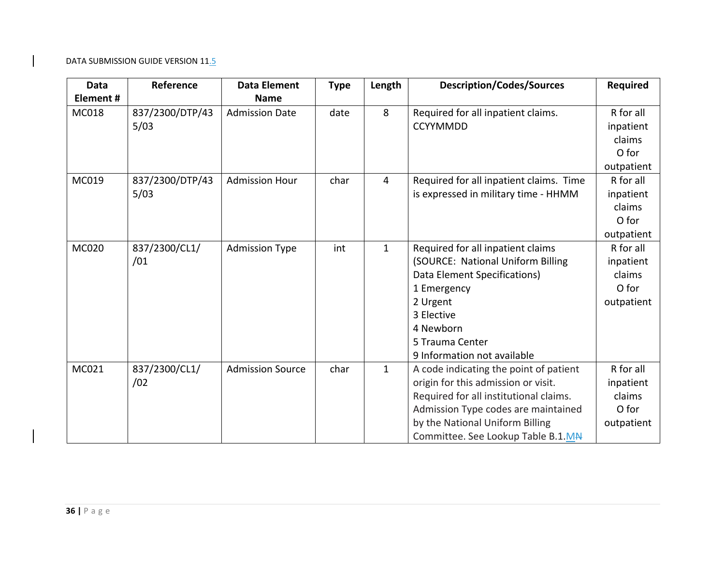| <b>Data</b><br><b>Element#</b> | Reference               | <b>Data Element</b><br><b>Name</b> | <b>Type</b> | Length       | <b>Description/Codes/Sources</b>                                                                                                                                                                                                        | <b>Required</b>                                         |
|--------------------------------|-------------------------|------------------------------------|-------------|--------------|-----------------------------------------------------------------------------------------------------------------------------------------------------------------------------------------------------------------------------------------|---------------------------------------------------------|
| MC018                          | 837/2300/DTP/43<br>5/03 | <b>Admission Date</b>              | date        | 8            | Required for all inpatient claims.<br><b>CCYYMMDD</b>                                                                                                                                                                                   | R for all<br>inpatient<br>claims<br>O for<br>outpatient |
| MC019                          | 837/2300/DTP/43<br>5/03 | <b>Admission Hour</b>              | char        | 4            | Required for all inpatient claims. Time<br>is expressed in military time - HHMM                                                                                                                                                         | R for all<br>inpatient<br>claims<br>O for<br>outpatient |
| <b>MC020</b>                   | 837/2300/CL1/<br>/01    | <b>Admission Type</b>              | int         | $\mathbf{1}$ | Required for all inpatient claims<br>(SOURCE: National Uniform Billing<br>Data Element Specifications)<br>1 Emergency<br>2 Urgent<br>3 Elective<br>4 Newborn<br>5 Trauma Center<br>9 Information not available                          | R for all<br>inpatient<br>claims<br>O for<br>outpatient |
| MC021                          | 837/2300/CL1/<br>/02    | <b>Admission Source</b>            | char        | $\mathbf{1}$ | A code indicating the point of patient<br>origin for this admission or visit.<br>Required for all institutional claims.<br>Admission Type codes are maintained<br>by the National Uniform Billing<br>Committee. See Lookup Table B.1.MA | R for all<br>inpatient<br>claims<br>O for<br>outpatient |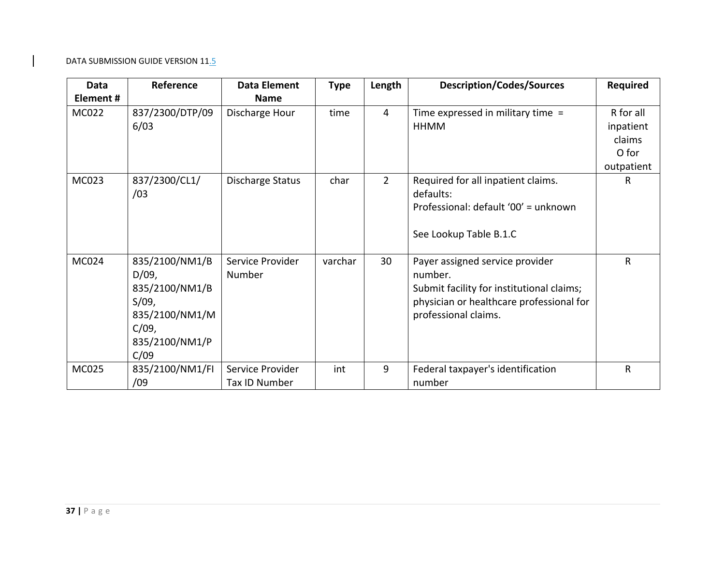| Data     | Reference                                                                                                  | Data Element                      | <b>Type</b> | Length         | <b>Description/Codes/Sources</b>                                                                                                                            | <b>Required</b>                                         |
|----------|------------------------------------------------------------------------------------------------------------|-----------------------------------|-------------|----------------|-------------------------------------------------------------------------------------------------------------------------------------------------------------|---------------------------------------------------------|
| Element# |                                                                                                            | <b>Name</b>                       |             |                |                                                                                                                                                             |                                                         |
| MC022    | 837/2300/DTP/09<br>6/03                                                                                    | Discharge Hour                    | time        | $\overline{4}$ | Time expressed in military time =<br>HHMM                                                                                                                   | R for all<br>inpatient<br>claims<br>O for<br>outpatient |
| MC023    | 837/2300/CL1/<br>/03                                                                                       | Discharge Status                  | char        | $\overline{2}$ | Required for all inpatient claims.<br>defaults:<br>Professional: default '00' = unknown<br>See Lookup Table B.1.C                                           | R                                                       |
| MC024    | 835/2100/NM1/B<br>$D/09$ ,<br>835/2100/NM1/B<br>S/09,<br>835/2100/NM1/M<br>C/09,<br>835/2100/NM1/P<br>C/09 | Service Provider<br>Number        | varchar     | 30             | Payer assigned service provider<br>number.<br>Submit facility for institutional claims;<br>physician or healthcare professional for<br>professional claims. | $\mathsf{R}$                                            |
| MC025    | 835/2100/NM1/FI<br>/09                                                                                     | Service Provider<br>Tax ID Number | int         | 9              | Federal taxpayer's identification<br>number                                                                                                                 | $\mathsf{R}$                                            |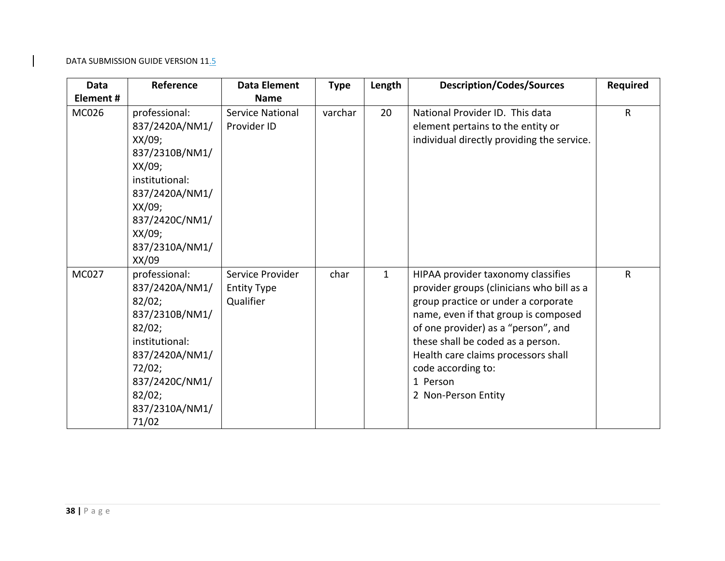| Data         | Reference                                                                                                                                                                        | <b>Data Element</b>                                 | <b>Type</b> | Length       | <b>Description/Codes/Sources</b>                                                                                                                                                                                                                                                                                                           | <b>Required</b> |
|--------------|----------------------------------------------------------------------------------------------------------------------------------------------------------------------------------|-----------------------------------------------------|-------------|--------------|--------------------------------------------------------------------------------------------------------------------------------------------------------------------------------------------------------------------------------------------------------------------------------------------------------------------------------------------|-----------------|
| Element#     |                                                                                                                                                                                  | <b>Name</b>                                         |             |              |                                                                                                                                                                                                                                                                                                                                            |                 |
| <b>MC026</b> | professional:<br>837/2420A/NM1/<br>$XX/09$ ;<br>837/2310B/NM1/<br>$XX/09$ ;<br>institutional:<br>837/2420A/NM1/<br>XX/09;<br>837/2420C/NM1/<br>XX/09;<br>837/2310A/NM1/<br>XX/09 | <b>Service National</b><br>Provider ID              | varchar     | 20           | National Provider ID. This data<br>element pertains to the entity or<br>individual directly providing the service.                                                                                                                                                                                                                         | R               |
| <b>MC027</b> | professional:<br>837/2420A/NM1/<br>82/02;<br>837/2310B/NM1/<br>82/02;<br>institutional:<br>837/2420A/NM1/<br>72/02;<br>837/2420C/NM1/<br>82/02;<br>837/2310A/NM1/<br>71/02       | Service Provider<br><b>Entity Type</b><br>Qualifier | char        | $\mathbf{1}$ | HIPAA provider taxonomy classifies<br>provider groups (clinicians who bill as a<br>group practice or under a corporate<br>name, even if that group is composed<br>of one provider) as a "person", and<br>these shall be coded as a person.<br>Health care claims processors shall<br>code according to:<br>1 Person<br>2 Non-Person Entity | $\mathsf{R}$    |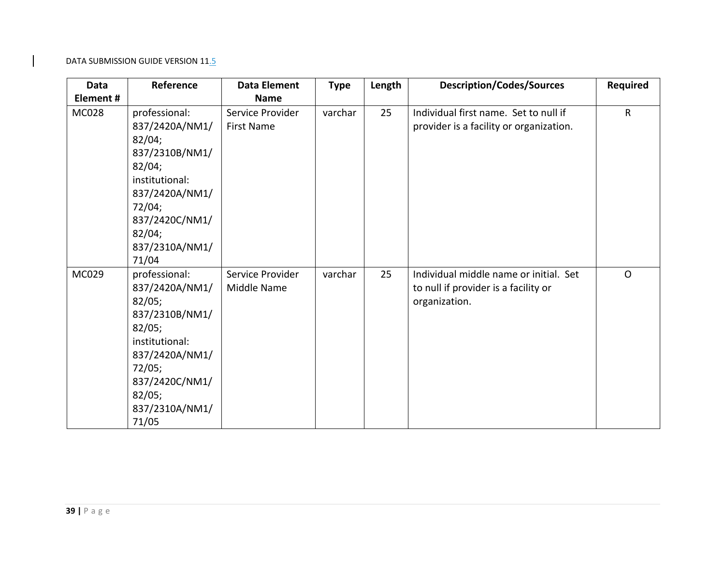| Data         | Reference                                                                                                                                                                  | <b>Data Element</b>                   | <b>Type</b> | Length | <b>Description/Codes/Sources</b>                                                                | <b>Required</b> |
|--------------|----------------------------------------------------------------------------------------------------------------------------------------------------------------------------|---------------------------------------|-------------|--------|-------------------------------------------------------------------------------------------------|-----------------|
| Element#     |                                                                                                                                                                            | <b>Name</b>                           |             |        |                                                                                                 |                 |
| <b>MC028</b> | professional:<br>837/2420A/NM1/<br>82/04;<br>837/2310B/NM1/<br>82/04;<br>institutional:<br>837/2420A/NM1/<br>72/04;<br>837/2420C/NM1/<br>82/04;<br>837/2310A/NM1/<br>71/04 | Service Provider<br><b>First Name</b> | varchar     | 25     | Individual first name. Set to null if<br>provider is a facility or organization.                | R               |
| MC029        | professional:<br>837/2420A/NM1/<br>82/05;<br>837/2310B/NM1/<br>82/05;<br>institutional:<br>837/2420A/NM1/<br>72/05;<br>837/2420C/NM1/<br>82/05;<br>837/2310A/NM1/<br>71/05 | Service Provider<br>Middle Name       | varchar     | 25     | Individual middle name or initial. Set<br>to null if provider is a facility or<br>organization. | $\mathsf{O}$    |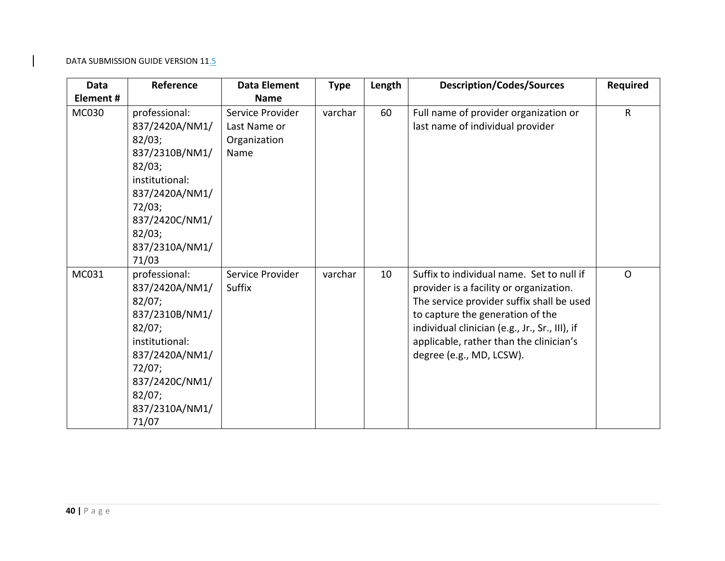| <b>Data</b>  | Reference                                                                                                                                                                  | <b>Data Element</b>                                      | <b>Type</b> | Length | <b>Description/Codes/Sources</b>                                                                                                                                                                                                                                                               | <b>Required</b> |
|--------------|----------------------------------------------------------------------------------------------------------------------------------------------------------------------------|----------------------------------------------------------|-------------|--------|------------------------------------------------------------------------------------------------------------------------------------------------------------------------------------------------------------------------------------------------------------------------------------------------|-----------------|
| Element#     |                                                                                                                                                                            | <b>Name</b>                                              |             |        |                                                                                                                                                                                                                                                                                                |                 |
| <b>MC030</b> | professional:<br>837/2420A/NM1/<br>82/03;<br>837/2310B/NM1/<br>82/03;<br>institutional:<br>837/2420A/NM1/<br>72/03;<br>837/2420C/NM1/<br>82/03;<br>837/2310A/NM1/<br>71/03 | Service Provider<br>Last Name or<br>Organization<br>Name | varchar     | 60     | Full name of provider organization or<br>last name of individual provider                                                                                                                                                                                                                      | $\mathsf{R}$    |
| MC031        | professional:<br>837/2420A/NM1/<br>82/07;<br>837/2310B/NM1/<br>82/07;<br>institutional:<br>837/2420A/NM1/<br>72/07;<br>837/2420C/NM1/<br>82/07;<br>837/2310A/NM1/<br>71/07 | Service Provider<br>Suffix                               | varchar     | 10     | Suffix to individual name. Set to null if<br>provider is a facility or organization.<br>The service provider suffix shall be used<br>to capture the generation of the<br>individual clinician (e.g., Jr., Sr., III), if<br>applicable, rather than the clinician's<br>degree (e.g., MD, LCSW). | $\Omega$        |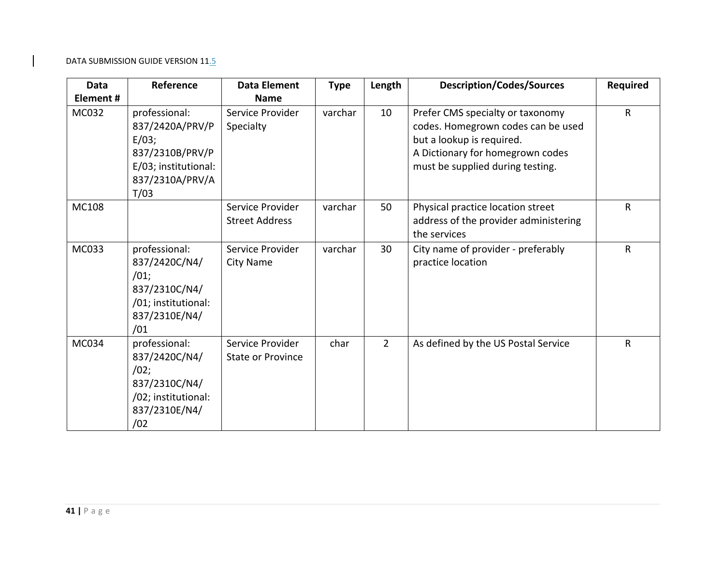| Data         | Reference                                                                                                       | <b>Data Element</b>                          | <b>Type</b> | Length         | <b>Description/Codes/Sources</b>                                                                                                                                            | <b>Required</b> |
|--------------|-----------------------------------------------------------------------------------------------------------------|----------------------------------------------|-------------|----------------|-----------------------------------------------------------------------------------------------------------------------------------------------------------------------------|-----------------|
| Element#     |                                                                                                                 | <b>Name</b>                                  |             |                |                                                                                                                                                                             |                 |
| <b>MC032</b> | professional:<br>837/2420A/PRV/P<br>E/03;<br>837/2310B/PRV/P<br>E/03; institutional:<br>837/2310A/PRV/A<br>T/03 | Service Provider<br>Specialty                | varchar     | 10             | Prefer CMS specialty or taxonomy<br>codes. Homegrown codes can be used<br>but a lookup is required.<br>A Dictionary for homegrown codes<br>must be supplied during testing. | $\mathsf{R}$    |
| <b>MC108</b> |                                                                                                                 | Service Provider<br><b>Street Address</b>    | varchar     | 50             | Physical practice location street<br>address of the provider administering<br>the services                                                                                  | R               |
| MC033        | professional:<br>837/2420C/N4/<br>/01;<br>837/2310C/N4/<br>/01; institutional:<br>837/2310E/N4/<br>/01          | Service Provider<br>City Name                | varchar     | 30             | City name of provider - preferably<br>practice location                                                                                                                     | R               |
| MC034        | professional:<br>837/2420C/N4/<br>/02;<br>837/2310C/N4/<br>/02; institutional:<br>837/2310E/N4/<br>/02          | Service Provider<br><b>State or Province</b> | char        | $\overline{2}$ | As defined by the US Postal Service                                                                                                                                         | R               |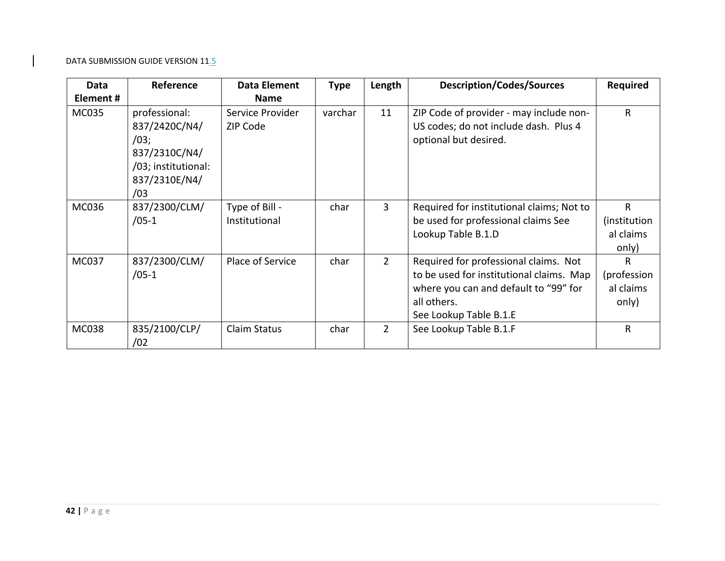| Data         | Reference                                                                                              | Data Element                    | <b>Type</b> | Length         | <b>Description/Codes/Sources</b>                                                                                                                                    | <b>Required</b>                                    |
|--------------|--------------------------------------------------------------------------------------------------------|---------------------------------|-------------|----------------|---------------------------------------------------------------------------------------------------------------------------------------------------------------------|----------------------------------------------------|
| Element#     |                                                                                                        | <b>Name</b>                     |             |                |                                                                                                                                                                     |                                                    |
| <b>MC035</b> | professional:<br>837/2420C/N4/<br>/03;<br>837/2310C/N4/<br>/03; institutional:<br>837/2310E/N4/<br>/03 | Service Provider<br>ZIP Code    | varchar     | 11             | ZIP Code of provider - may include non-<br>US codes; do not include dash. Plus 4<br>optional but desired.                                                           | $\mathsf{R}$                                       |
| <b>MC036</b> | 837/2300/CLM/<br>$/05-1$                                                                               | Type of Bill -<br>Institutional | char        | 3              | Required for institutional claims; Not to<br>be used for professional claims See<br>Lookup Table B.1.D                                                              | $\mathsf{R}$<br>(institution<br>al claims<br>only) |
| MC037        | 837/2300/CLM/<br>$/05-1$                                                                               | Place of Service                | char        | $2^{\circ}$    | Required for professional claims. Not<br>to be used for institutional claims. Map<br>where you can and default to "99" for<br>all others.<br>See Lookup Table B.1.E | R<br>(profession<br>al claims<br>only)             |
| <b>MC038</b> | 835/2100/CLP/<br>/02                                                                                   | Claim Status                    | char        | $\overline{2}$ | See Lookup Table B.1.F                                                                                                                                              | $\mathsf{R}$                                       |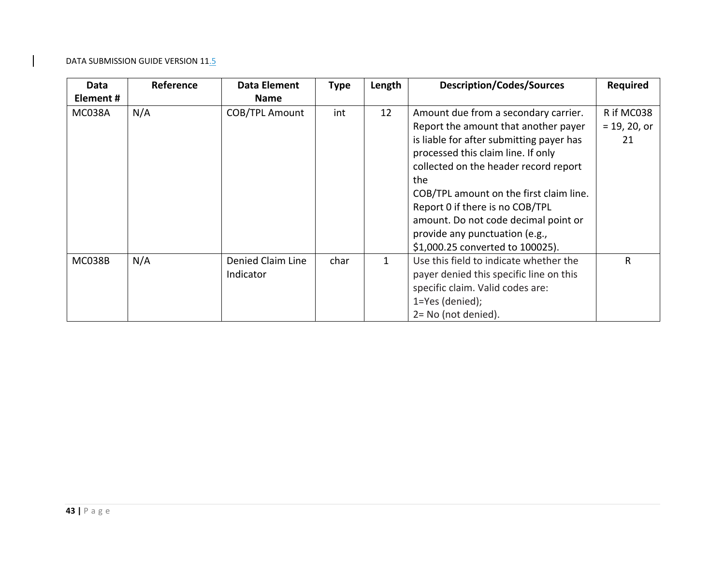| Data          | Reference | Data Element          | <b>Type</b> | Length       | <b>Description/Codes/Sources</b>         | <b>Required</b> |
|---------------|-----------|-----------------------|-------------|--------------|------------------------------------------|-----------------|
| Element#      |           | <b>Name</b>           |             |              |                                          |                 |
| MC038A        | N/A       | <b>COB/TPL Amount</b> | int         | 12           | Amount due from a secondary carrier.     | R if MC038      |
|               |           |                       |             |              | Report the amount that another payer     | $= 19, 20, or$  |
|               |           |                       |             |              | is liable for after submitting payer has | 21              |
|               |           |                       |             |              | processed this claim line. If only       |                 |
|               |           |                       |             |              | collected on the header record report    |                 |
|               |           |                       |             |              | the                                      |                 |
|               |           |                       |             |              | COB/TPL amount on the first claim line.  |                 |
|               |           |                       |             |              | Report 0 if there is no COB/TPL          |                 |
|               |           |                       |             |              | amount. Do not code decimal point or     |                 |
|               |           |                       |             |              | provide any punctuation (e.g.,           |                 |
|               |           |                       |             |              | \$1,000.25 converted to 100025).         |                 |
| <b>MC038B</b> | N/A       | Denied Claim Line     | char        | $\mathbf{1}$ | Use this field to indicate whether the   | R               |
|               |           | Indicator             |             |              | payer denied this specific line on this  |                 |
|               |           |                       |             |              | specific claim. Valid codes are:         |                 |
|               |           |                       |             |              | 1=Yes (denied);                          |                 |
|               |           |                       |             |              | 2= No (not denied).                      |                 |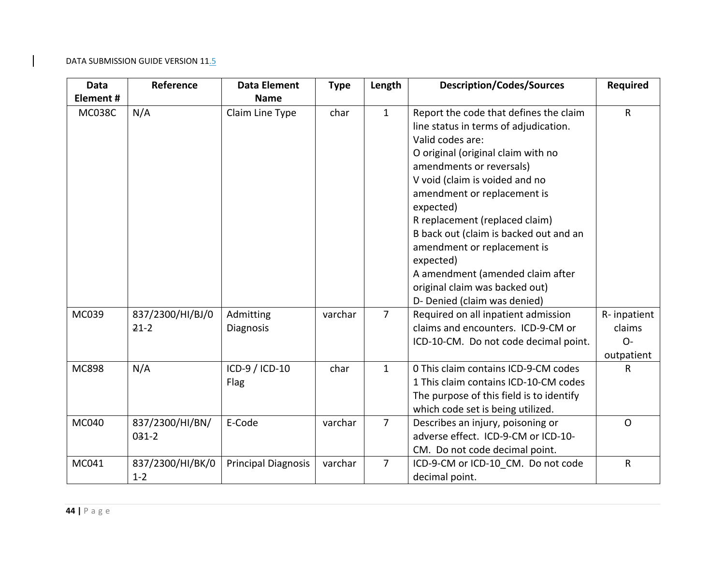| Data          | Reference                   | <b>Data Element</b>        | <b>Type</b> | Length         | <b>Description/Codes/Sources</b>                                                                                                                                                                                                                                                                                                                                                                                                                                                  | Required                                     |
|---------------|-----------------------------|----------------------------|-------------|----------------|-----------------------------------------------------------------------------------------------------------------------------------------------------------------------------------------------------------------------------------------------------------------------------------------------------------------------------------------------------------------------------------------------------------------------------------------------------------------------------------|----------------------------------------------|
| Element#      |                             | <b>Name</b>                |             |                |                                                                                                                                                                                                                                                                                                                                                                                                                                                                                   |                                              |
| <b>MC038C</b> | N/A                         | Claim Line Type            | char        | $\mathbf{1}$   | Report the code that defines the claim<br>line status in terms of adjudication.<br>Valid codes are:<br>O original (original claim with no<br>amendments or reversals)<br>V void (claim is voided and no<br>amendment or replacement is<br>expected)<br>R replacement (replaced claim)<br>B back out (claim is backed out and an<br>amendment or replacement is<br>expected)<br>A amendment (amended claim after<br>original claim was backed out)<br>D- Denied (claim was denied) | R                                            |
| MC039         | 837/2300/HI/BJ/0<br>$21-2$  | Admitting<br>Diagnosis     | varchar     | $\overline{7}$ | Required on all inpatient admission<br>claims and encounters. ICD-9-CM or<br>ICD-10-CM. Do not code decimal point.                                                                                                                                                                                                                                                                                                                                                                | R-inpatient<br>claims<br>$O -$<br>outpatient |
| <b>MC898</b>  | N/A                         | ICD-9 / ICD-10<br>Flag     | char        | $\mathbf{1}$   | 0 This claim contains ICD-9-CM codes<br>1 This claim contains ICD-10-CM codes<br>The purpose of this field is to identify<br>which code set is being utilized.                                                                                                                                                                                                                                                                                                                    | R                                            |
| MC040         | 837/2300/HI/BN/<br>$031-2$  | E-Code                     | varchar     | $\overline{7}$ | Describes an injury, poisoning or<br>adverse effect. ICD-9-CM or ICD-10-<br>CM. Do not code decimal point.                                                                                                                                                                                                                                                                                                                                                                        | $\mathsf{O}$                                 |
| MC041         | 837/2300/HI/BK/0<br>$1 - 2$ | <b>Principal Diagnosis</b> | varchar     | $\overline{7}$ | ICD-9-CM or ICD-10 CM. Do not code<br>decimal point.                                                                                                                                                                                                                                                                                                                                                                                                                              | $\mathsf R$                                  |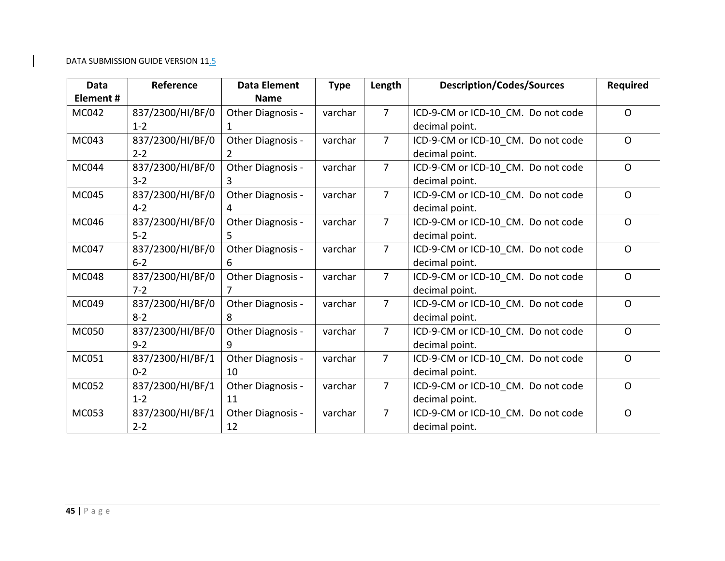| <b>Data</b>  | Reference        | <b>Data Element</b> | <b>Type</b> | Length         | <b>Description/Codes/Sources</b>   | <b>Required</b> |
|--------------|------------------|---------------------|-------------|----------------|------------------------------------|-----------------|
| Element#     |                  | <b>Name</b>         |             |                |                                    |                 |
| MC042        | 837/2300/HI/BF/0 | Other Diagnosis -   | varchar     | $\overline{7}$ | ICD-9-CM or ICD-10 CM. Do not code | $\Omega$        |
|              | $1 - 2$          |                     |             |                | decimal point.                     |                 |
| MC043        | 837/2300/HI/BF/0 | Other Diagnosis -   | varchar     | $\overline{7}$ | ICD-9-CM or ICD-10_CM. Do not code | $\Omega$        |
|              | $2 - 2$          | 2                   |             |                | decimal point.                     |                 |
| <b>MC044</b> | 837/2300/HI/BF/0 | Other Diagnosis -   | varchar     | $\overline{7}$ | ICD-9-CM or ICD-10_CM. Do not code | $\Omega$        |
|              | $3 - 2$          | 3                   |             |                | decimal point.                     |                 |
| MC045        | 837/2300/HI/BF/0 | Other Diagnosis -   | varchar     | $\overline{7}$ | ICD-9-CM or ICD-10_CM. Do not code | $\Omega$        |
|              | $4 - 2$          | 4                   |             |                | decimal point.                     |                 |
| MC046        | 837/2300/HI/BF/0 | Other Diagnosis -   | varchar     | $\overline{7}$ | ICD-9-CM or ICD-10 CM. Do not code | $\Omega$        |
|              | $5 - 2$          | 5.                  |             |                | decimal point.                     |                 |
| <b>MC047</b> | 837/2300/HI/BF/0 | Other Diagnosis -   | varchar     | $\overline{7}$ | ICD-9-CM or ICD-10 CM. Do not code | $\mathsf{O}$    |
|              | $6 - 2$          | 6                   |             |                | decimal point.                     |                 |
| <b>MC048</b> | 837/2300/HI/BF/0 | Other Diagnosis -   | varchar     | $\overline{7}$ | ICD-9-CM or ICD-10_CM. Do not code | $\Omega$        |
|              | $7 - 2$          | 7                   |             |                | decimal point.                     |                 |
| MC049        | 837/2300/HI/BF/0 | Other Diagnosis -   | varchar     | $\overline{7}$ | ICD-9-CM or ICD-10 CM. Do not code | $\mathsf{O}$    |
|              | $8 - 2$          | 8                   |             |                | decimal point.                     |                 |
| <b>MC050</b> | 837/2300/HI/BF/0 | Other Diagnosis -   | varchar     | $\overline{7}$ | ICD-9-CM or ICD-10_CM. Do not code | $\Omega$        |
|              | $9 - 2$          | 9                   |             |                | decimal point.                     |                 |
| MC051        | 837/2300/HI/BF/1 | Other Diagnosis -   | varchar     | $\overline{7}$ | ICD-9-CM or ICD-10_CM. Do not code | $\Omega$        |
|              | $0 - 2$          | 10                  |             |                | decimal point.                     |                 |
| MC052        | 837/2300/HI/BF/1 | Other Diagnosis -   | varchar     | $\overline{7}$ | ICD-9-CM or ICD-10_CM. Do not code | $\Omega$        |
|              | $1 - 2$          | 11                  |             |                | decimal point.                     |                 |
| MC053        | 837/2300/HI/BF/1 | Other Diagnosis -   | varchar     | $\overline{7}$ | ICD-9-CM or ICD-10_CM. Do not code | $\Omega$        |
|              | $2 - 2$          | 12                  |             |                | decimal point.                     |                 |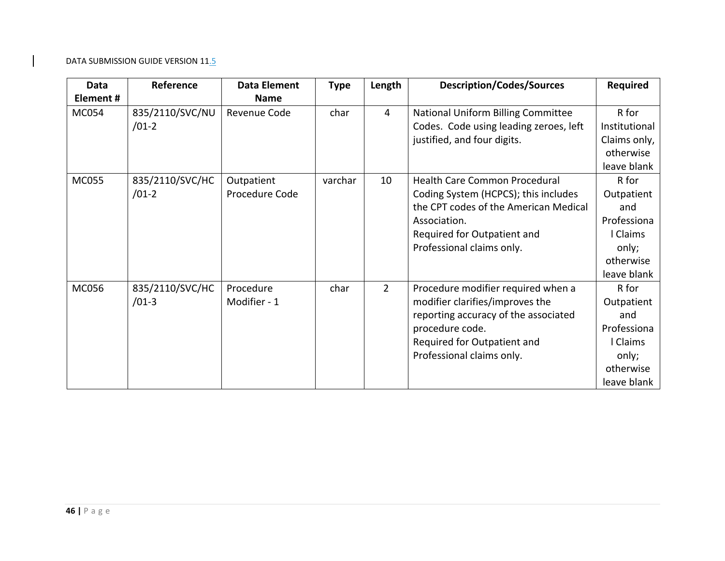| Data         | Reference                  | <b>Data Element</b>          | <b>Type</b> | Length         | <b>Description/Codes/Sources</b>                                                                                                                                                             | <b>Required</b>                                                                            |
|--------------|----------------------------|------------------------------|-------------|----------------|----------------------------------------------------------------------------------------------------------------------------------------------------------------------------------------------|--------------------------------------------------------------------------------------------|
| Element#     |                            | <b>Name</b>                  |             |                |                                                                                                                                                                                              |                                                                                            |
| <b>MC054</b> | 835/2110/SVC/NU<br>$/01-2$ | Revenue Code                 | char        | 4              | National Uniform Billing Committee<br>Codes. Code using leading zeroes, left                                                                                                                 | R for<br>Institutional                                                                     |
|              |                            |                              |             |                | justified, and four digits.                                                                                                                                                                  | Claims only,<br>otherwise<br>leave blank                                                   |
| <b>MC055</b> | 835/2110/SVC/HC<br>$/01-2$ | Outpatient<br>Procedure Code | varchar     | 10             | Health Care Common Procedural<br>Coding System (HCPCS); this includes<br>the CPT codes of the American Medical<br>Association.<br>Required for Outpatient and<br>Professional claims only.   | R for<br>Outpatient<br>and<br>Professiona<br>l Claims<br>only;<br>otherwise<br>leave blank |
| <b>MC056</b> | 835/2110/SVC/HC<br>$/01-3$ | Procedure<br>Modifier - 1    | char        | $\overline{2}$ | Procedure modifier required when a<br>modifier clarifies/improves the<br>reporting accuracy of the associated<br>procedure code.<br>Required for Outpatient and<br>Professional claims only. | R for<br>Outpatient<br>and<br>Professiona<br>l Claims<br>only;<br>otherwise<br>leave blank |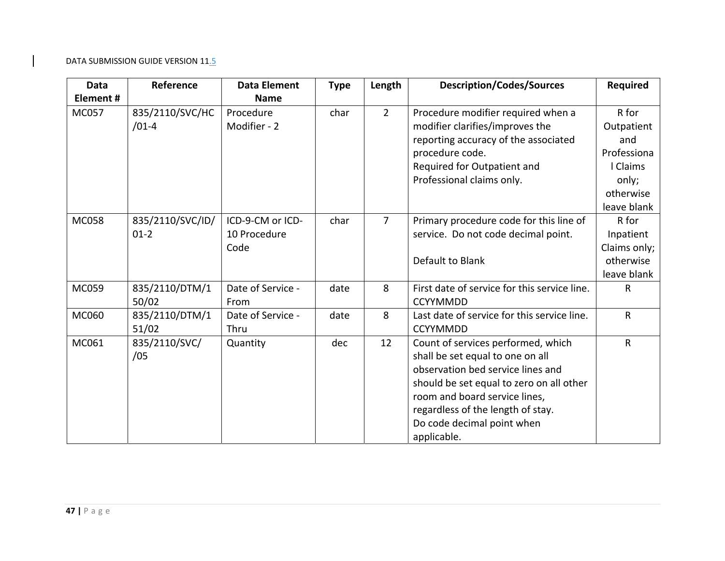| <b>Data</b>  | Reference                    | <b>Data Element</b>                      | <b>Type</b> | Length         | <b>Description/Codes/Sources</b>                                                                                                                                                                                                                                           | <b>Required</b>                                                                            |
|--------------|------------------------------|------------------------------------------|-------------|----------------|----------------------------------------------------------------------------------------------------------------------------------------------------------------------------------------------------------------------------------------------------------------------------|--------------------------------------------------------------------------------------------|
| Element#     |                              | <b>Name</b>                              |             |                |                                                                                                                                                                                                                                                                            |                                                                                            |
| MC057        | 835/2110/SVC/HC<br>$/01-4$   | Procedure<br>Modifier - 2                | char        | $\overline{2}$ | Procedure modifier required when a<br>modifier clarifies/improves the<br>reporting accuracy of the associated<br>procedure code.<br>Required for Outpatient and<br>Professional claims only.                                                                               | R for<br>Outpatient<br>and<br>Professiona<br>I Claims<br>only;<br>otherwise<br>leave blank |
| <b>MC058</b> | 835/2110/SVC/ID/<br>$01 - 2$ | ICD-9-CM or ICD-<br>10 Procedure<br>Code | char        | $\overline{7}$ | Primary procedure code for this line of<br>service. Do not code decimal point.<br>Default to Blank                                                                                                                                                                         | R for<br>Inpatient<br>Claims only;<br>otherwise<br>leave blank                             |
| MC059        | 835/2110/DTM/1<br>50/02      | Date of Service -<br>From                | date        | 8              | First date of service for this service line.<br><b>CCYYMMDD</b>                                                                                                                                                                                                            | R                                                                                          |
| MC060        | 835/2110/DTM/1<br>51/02      | Date of Service -<br>Thru                | date        | 8              | Last date of service for this service line.<br><b>CCYYMMDD</b>                                                                                                                                                                                                             | ${\sf R}$                                                                                  |
| MC061        | 835/2110/SVC/<br>/05         | Quantity                                 | dec         | 12             | Count of services performed, which<br>shall be set equal to one on all<br>observation bed service lines and<br>should be set equal to zero on all other<br>room and board service lines,<br>regardless of the length of stay.<br>Do code decimal point when<br>applicable. | $\mathsf{R}$                                                                               |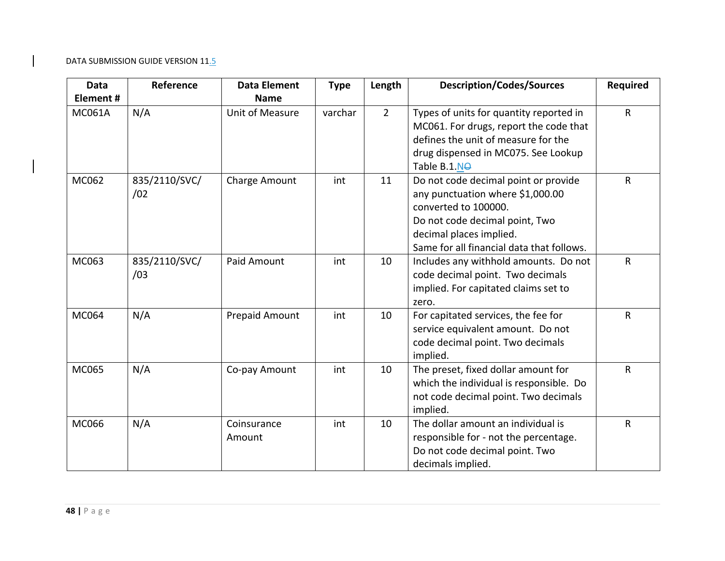| Data          | Reference            | <b>Data Element</b>   | <b>Type</b> | Length         | <b>Description/Codes/Sources</b>                                                                                                                                                                           | <b>Required</b> |
|---------------|----------------------|-----------------------|-------------|----------------|------------------------------------------------------------------------------------------------------------------------------------------------------------------------------------------------------------|-----------------|
| Element#      |                      | <b>Name</b>           |             |                |                                                                                                                                                                                                            |                 |
| <b>MC061A</b> | N/A                  | Unit of Measure       | varchar     | $\overline{2}$ | Types of units for quantity reported in<br>MC061. For drugs, report the code that<br>defines the unit of measure for the<br>drug dispensed in MC075. See Lookup<br>Table B.1.NO                            | $\mathsf{R}$    |
| MC062         | 835/2110/SVC/<br>/02 | Charge Amount         | int         | 11             | Do not code decimal point or provide<br>any punctuation where \$1,000.00<br>converted to 100000.<br>Do not code decimal point, Two<br>decimal places implied.<br>Same for all financial data that follows. | $\mathsf{R}$    |
| MC063         | 835/2110/SVC/<br>/03 | Paid Amount           | int         | 10             | Includes any withhold amounts. Do not<br>code decimal point. Two decimals<br>implied. For capitated claims set to<br>zero.                                                                                 | $\mathsf{R}$    |
| MC064         | N/A                  | <b>Prepaid Amount</b> | int         | 10             | For capitated services, the fee for<br>service equivalent amount. Do not<br>code decimal point. Two decimals<br>implied.                                                                                   | $\mathsf{R}$    |
| MC065         | N/A                  | Co-pay Amount         | int         | 10             | The preset, fixed dollar amount for<br>which the individual is responsible. Do<br>not code decimal point. Two decimals<br>implied.                                                                         | $\mathsf{R}$    |
| <b>MC066</b>  | N/A                  | Coinsurance<br>Amount | int         | 10             | The dollar amount an individual is<br>responsible for - not the percentage.<br>Do not code decimal point. Two<br>decimals implied.                                                                         | $\mathsf R$     |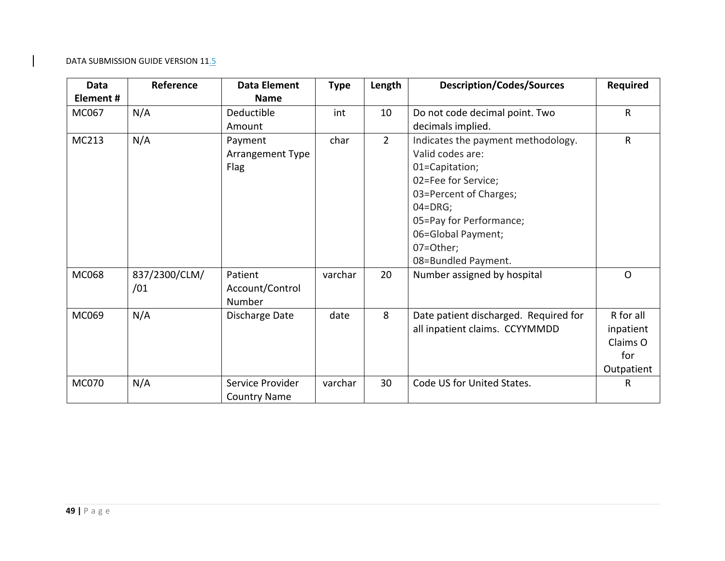| Data         | Reference     | <b>Data Element</b> | <b>Type</b> | Length         | <b>Description/Codes/Sources</b>      | <b>Required</b> |
|--------------|---------------|---------------------|-------------|----------------|---------------------------------------|-----------------|
| Element#     |               | <b>Name</b>         |             |                |                                       |                 |
| MC067        | N/A           | Deductible          | int         | 10             | Do not code decimal point. Two        | $\mathsf{R}$    |
|              |               | Amount              |             |                | decimals implied.                     |                 |
| MC213        | N/A           | Payment             | char        | $\overline{2}$ | Indicates the payment methodology.    | R               |
|              |               | Arrangement Type    |             |                | Valid codes are:                      |                 |
|              |               | Flag                |             |                | 01=Capitation;                        |                 |
|              |               |                     |             |                | 02=Fee for Service;                   |                 |
|              |               |                     |             |                | 03=Percent of Charges;                |                 |
|              |               |                     |             |                | $04 = DRG$ ;                          |                 |
|              |               |                     |             |                | 05=Pay for Performance;               |                 |
|              |               |                     |             |                | 06=Global Payment;                    |                 |
|              |               |                     |             |                | 07=Other;                             |                 |
|              |               |                     |             |                | 08=Bundled Payment.                   |                 |
| <b>MC068</b> | 837/2300/CLM/ | Patient             | varchar     | 20             | Number assigned by hospital           | $\Omega$        |
|              | /01           | Account/Control     |             |                |                                       |                 |
|              |               | Number              |             |                |                                       |                 |
| MC069        | N/A           | Discharge Date      | date        | 8              | Date patient discharged. Required for | R for all       |
|              |               |                     |             |                | all inpatient claims. CCYYMMDD        | inpatient       |
|              |               |                     |             |                |                                       | Claims O        |
|              |               |                     |             |                |                                       | for             |
|              |               |                     |             |                |                                       | Outpatient      |
| <b>MC070</b> | N/A           | Service Provider    | varchar     | 30             | Code US for United States.            | R               |
|              |               | <b>Country Name</b> |             |                |                                       |                 |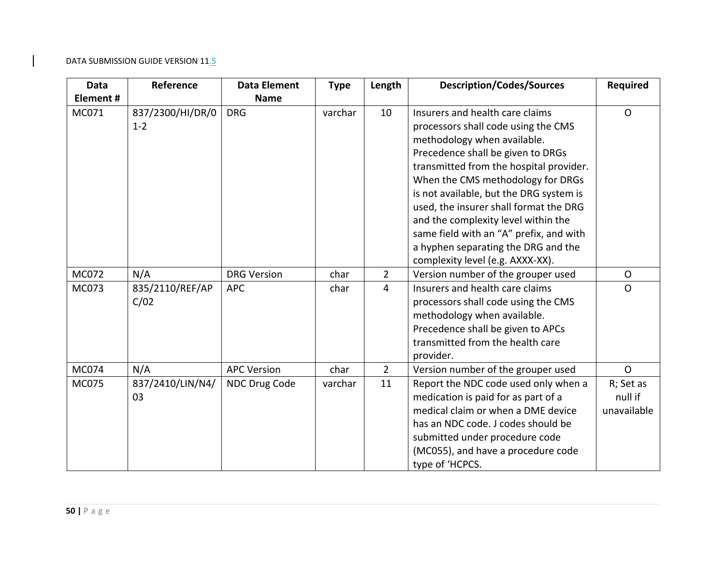| <b>Data</b>  | Reference                   | <b>Data Element</b> | <b>Type</b> | Length         | <b>Description/Codes/Sources</b>                                                                                                                                                                                                                                                                                                                                                                                                                                             | <b>Required</b>                     |
|--------------|-----------------------------|---------------------|-------------|----------------|------------------------------------------------------------------------------------------------------------------------------------------------------------------------------------------------------------------------------------------------------------------------------------------------------------------------------------------------------------------------------------------------------------------------------------------------------------------------------|-------------------------------------|
| Element#     |                             | <b>Name</b>         |             |                |                                                                                                                                                                                                                                                                                                                                                                                                                                                                              |                                     |
| MC071        | 837/2300/HI/DR/0<br>$1 - 2$ | <b>DRG</b>          | varchar     | 10             | Insurers and health care claims<br>processors shall code using the CMS<br>methodology when available.<br>Precedence shall be given to DRGs<br>transmitted from the hospital provider.<br>When the CMS methodology for DRGs<br>is not available, but the DRG system is<br>used, the insurer shall format the DRG<br>and the complexity level within the<br>same field with an "A" prefix, and with<br>a hyphen separating the DRG and the<br>complexity level (e.g. AXXX-XX). | $\Omega$                            |
| MC072        | N/A                         | <b>DRG Version</b>  | char        | $\overline{2}$ | Version number of the grouper used                                                                                                                                                                                                                                                                                                                                                                                                                                           | $\mathsf{O}$                        |
| <b>MC073</b> | 835/2110/REF/AP<br>C/02     | <b>APC</b>          | char        | $\overline{4}$ | Insurers and health care claims<br>processors shall code using the CMS<br>methodology when available.<br>Precedence shall be given to APCs<br>transmitted from the health care<br>provider.                                                                                                                                                                                                                                                                                  | $\mathsf{O}$                        |
| <b>MC074</b> | N/A                         | <b>APC Version</b>  | char        | $\overline{2}$ | Version number of the grouper used                                                                                                                                                                                                                                                                                                                                                                                                                                           | $\mathsf{O}$                        |
| <b>MC075</b> | 837/2410/LIN/N4/<br>03      | NDC Drug Code       | varchar     | 11             | Report the NDC code used only when a<br>medication is paid for as part of a<br>medical claim or when a DME device<br>has an NDC code. J codes should be<br>submitted under procedure code<br>(MC055), and have a procedure code<br>type of 'HCPCS.                                                                                                                                                                                                                           | R; Set as<br>null if<br>unavailable |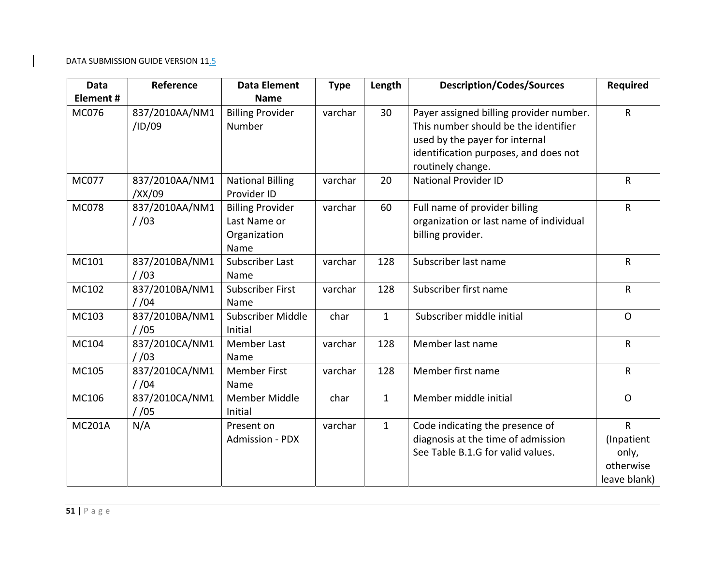| Data          | Reference                | <b>Data Element</b>                                             | <b>Type</b> | Length       | <b>Description/Codes/Sources</b>                                                                                                                                                | <b>Required</b>                                                  |
|---------------|--------------------------|-----------------------------------------------------------------|-------------|--------------|---------------------------------------------------------------------------------------------------------------------------------------------------------------------------------|------------------------------------------------------------------|
| Element#      |                          | <b>Name</b>                                                     |             |              |                                                                                                                                                                                 |                                                                  |
| <b>MC076</b>  | 837/2010AA/NM1<br>/ID/09 | <b>Billing Provider</b><br>Number                               | varchar     | 30           | Payer assigned billing provider number.<br>This number should be the identifier<br>used by the payer for internal<br>identification purposes, and does not<br>routinely change. | $\mathsf{R}$                                                     |
| <b>MC077</b>  | 837/2010AA/NM1<br>/XX/09 | <b>National Billing</b><br>Provider ID                          | varchar     |              | <b>National Provider ID</b>                                                                                                                                                     | $\mathsf{R}$                                                     |
| <b>MC078</b>  | 837/2010AA/NM1<br>1/03   | <b>Billing Provider</b><br>Last Name or<br>Organization<br>Name | varchar     | 60           | Full name of provider billing<br>organization or last name of individual<br>billing provider.                                                                                   | $\mathsf{R}$                                                     |
| MC101         | 837/2010BA/NM1<br>/ 103  | Subscriber Last<br>Name                                         | varchar     | 128          | Subscriber last name                                                                                                                                                            | $\mathsf{R}$                                                     |
| MC102         | 837/2010BA/NM1<br>1/04   | <b>Subscriber First</b><br>Name                                 | varchar     | 128          | Subscriber first name                                                                                                                                                           | $\mathsf{R}$                                                     |
| MC103         | 837/2010BA/NM1<br>/ 105  | Subscriber Middle<br>Initial                                    | char        | $\mathbf{1}$ | Subscriber middle initial                                                                                                                                                       | $\Omega$                                                         |
| MC104         | 837/2010CA/NM1<br>/ 103  | <b>Member Last</b><br>Name                                      | varchar     | 128          | Member last name                                                                                                                                                                | $\mathsf{R}$                                                     |
| MC105         | 837/2010CA/NM1<br>/104   | <b>Member First</b><br>Name                                     | varchar     | 128          | Member first name                                                                                                                                                               | $\mathsf{R}$                                                     |
| MC106         | 837/2010CA/NM1<br>//05   | <b>Member Middle</b><br>Initial                                 | char        | $\mathbf{1}$ | Member middle initial                                                                                                                                                           | $\Omega$                                                         |
| <b>MC201A</b> | N/A                      | Present on<br>Admission - PDX                                   | varchar     | $\mathbf{1}$ | Code indicating the presence of<br>diagnosis at the time of admission<br>See Table B.1.G for valid values.                                                                      | $\mathsf{R}$<br>(Inpatient<br>only,<br>otherwise<br>leave blank) |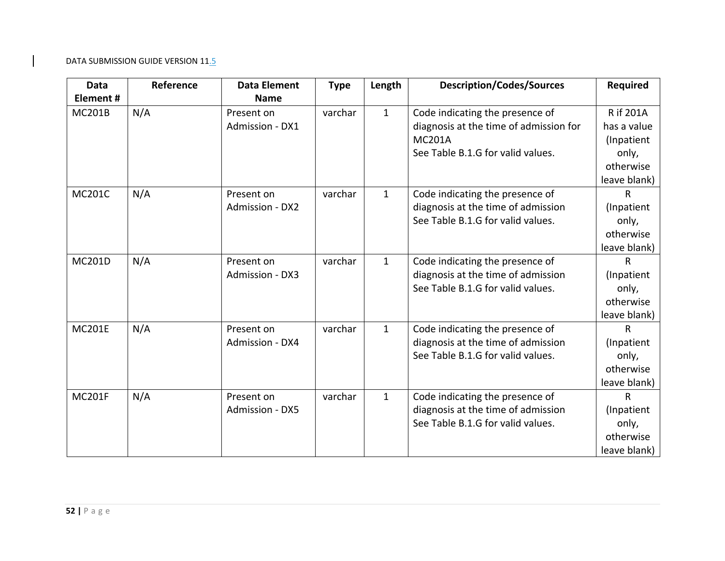| Data          | Reference | <b>Data Element</b>    | <b>Type</b> | Length       | <b>Description/Codes/Sources</b>       | <b>Required</b> |
|---------------|-----------|------------------------|-------------|--------------|----------------------------------------|-----------------|
| Element#      |           | <b>Name</b>            |             |              |                                        |                 |
| <b>MC201B</b> | N/A       | Present on             | varchar     | $\mathbf{1}$ | Code indicating the presence of        | R if 201A       |
|               |           | Admission - DX1        |             |              | diagnosis at the time of admission for | has a value     |
|               |           |                        |             |              | <b>MC201A</b>                          | (Inpatient      |
|               |           |                        |             |              | See Table B.1.G for valid values.      | only,           |
|               |           |                        |             |              |                                        | otherwise       |
|               |           |                        |             |              |                                        | leave blank)    |
| <b>MC201C</b> | N/A       | Present on             | varchar     | $\mathbf{1}$ | Code indicating the presence of        | R               |
|               |           | Admission - DX2        |             |              | diagnosis at the time of admission     | (Inpatient      |
|               |           |                        |             |              | See Table B.1.G for valid values.      | only,           |
|               |           |                        |             |              |                                        | otherwise       |
|               |           |                        |             |              |                                        | leave blank)    |
| <b>MC201D</b> | N/A       | Present on             | varchar     | $\mathbf{1}$ | Code indicating the presence of        | R               |
|               |           | Admission - DX3        |             |              | diagnosis at the time of admission     | (Inpatient      |
|               |           |                        |             |              | See Table B.1.G for valid values.      | only,           |
|               |           |                        |             |              |                                        | otherwise       |
|               |           |                        |             |              |                                        | leave blank)    |
| <b>MC201E</b> | N/A       | Present on             | varchar     | $\mathbf{1}$ | Code indicating the presence of        | R               |
|               |           | Admission - DX4        |             |              | diagnosis at the time of admission     | (Inpatient      |
|               |           |                        |             |              | See Table B.1.G for valid values.      | only,           |
|               |           |                        |             |              |                                        | otherwise       |
|               |           |                        |             |              |                                        | leave blank)    |
| <b>MC201F</b> | N/A       | Present on             | varchar     | $\mathbf{1}$ | Code indicating the presence of        | R               |
|               |           | <b>Admission - DX5</b> |             |              | diagnosis at the time of admission     | (Inpatient      |
|               |           |                        |             |              | See Table B.1.G for valid values.      | only,           |
|               |           |                        |             |              |                                        | otherwise       |
|               |           |                        |             |              |                                        | leave blank)    |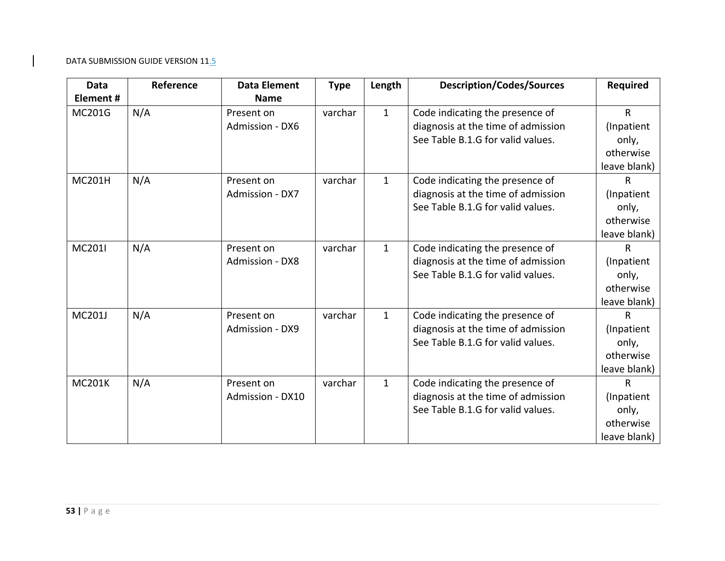| <b>Data</b>   | Reference | <b>Data Element</b>    | <b>Type</b> | Length       | <b>Description/Codes/Sources</b>   | <b>Required</b> |
|---------------|-----------|------------------------|-------------|--------------|------------------------------------|-----------------|
| Element#      |           | <b>Name</b>            |             |              |                                    |                 |
| MC201G        | N/A       | Present on             | varchar     | $\mathbf{1}$ | Code indicating the presence of    | $\mathsf{R}$    |
|               |           | Admission - DX6        |             |              | diagnosis at the time of admission | (Inpatient      |
|               |           |                        |             |              | See Table B.1.G for valid values.  | only,           |
|               |           |                        |             |              |                                    | otherwise       |
|               |           |                        |             |              |                                    | leave blank)    |
| <b>MC201H</b> | N/A       | Present on             | varchar     | $\mathbf{1}$ | Code indicating the presence of    | $\mathsf{R}$    |
|               |           | Admission - DX7        |             |              | diagnosis at the time of admission | (Inpatient      |
|               |           |                        |             |              | See Table B.1.G for valid values.  | only,           |
|               |           |                        |             |              |                                    | otherwise       |
|               |           |                        |             |              |                                    | leave blank)    |
| MC201I        | N/A       | Present on             | varchar     | $\mathbf{1}$ | Code indicating the presence of    | $\mathsf{R}$    |
|               |           | <b>Admission - DX8</b> |             |              | diagnosis at the time of admission | (Inpatient      |
|               |           |                        |             |              | See Table B.1.G for valid values.  | only,           |
|               |           |                        |             |              |                                    | otherwise       |
|               |           |                        |             |              |                                    | leave blank)    |
| <b>MC201J</b> | N/A       | Present on             | varchar     | $\mathbf{1}$ | Code indicating the presence of    | $\mathsf{R}$    |
|               |           | Admission - DX9        |             |              | diagnosis at the time of admission | (Inpatient      |
|               |           |                        |             |              | See Table B.1.G for valid values.  | only,           |
|               |           |                        |             |              |                                    | otherwise       |
|               |           |                        |             |              |                                    | leave blank)    |
| <b>MC201K</b> | N/A       | Present on             | varchar     | $\mathbf{1}$ | Code indicating the presence of    | $\mathsf{R}$    |
|               |           | Admission - DX10       |             |              | diagnosis at the time of admission | (Inpatient      |
|               |           |                        |             |              | See Table B.1.G for valid values.  | only,           |
|               |           |                        |             |              |                                    | otherwise       |
|               |           |                        |             |              |                                    | leave blank)    |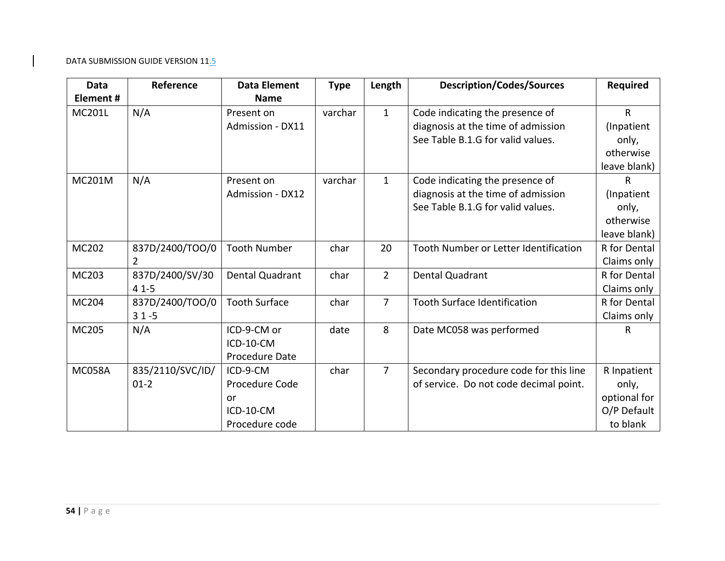| Data          | Reference        | <b>Data Element</b>  | <b>Type</b> | Length         | <b>Description/Codes/Sources</b>       | <b>Required</b> |
|---------------|------------------|----------------------|-------------|----------------|----------------------------------------|-----------------|
| Element#      |                  | <b>Name</b>          |             |                |                                        |                 |
| <b>MC201L</b> | N/A              | Present on           | varchar     | $\mathbf{1}$   | Code indicating the presence of        | $\mathsf{R}$    |
|               |                  | Admission - DX11     |             |                | diagnosis at the time of admission     | (Inpatient      |
|               |                  |                      |             |                | See Table B.1.G for valid values.      | only,           |
|               |                  |                      |             |                |                                        | otherwise       |
|               |                  |                      |             |                |                                        | leave blank)    |
| <b>MC201M</b> | N/A              | Present on           | varchar     | $\mathbf{1}$   | Code indicating the presence of        | R               |
|               |                  | Admission - DX12     |             |                | diagnosis at the time of admission     | (Inpatient      |
|               |                  |                      |             |                | See Table B.1.G for valid values.      | only,           |
|               |                  |                      |             |                |                                        | otherwise       |
|               |                  |                      |             |                |                                        | leave blank)    |
| <b>MC202</b>  | 837D/2400/TOO/0  | <b>Tooth Number</b>  | char        | 20             | Tooth Number or Letter Identification  | R for Dental    |
|               | $\overline{2}$   |                      |             |                |                                        | Claims only     |
| MC203         | 837D/2400/SV/30  | Dental Quadrant      | char        | $2^{\circ}$    | Dental Quadrant                        | R for Dental    |
|               | $41 - 5$         |                      |             |                |                                        | Claims only     |
| MC204         | 837D/2400/TOO/0  | <b>Tooth Surface</b> | char        | $\overline{7}$ | <b>Tooth Surface Identification</b>    | R for Dental    |
|               | $31 - 5$         |                      |             |                |                                        | Claims only     |
| MC205         | N/A              | ICD-9-CM or          | date        | 8              | Date MC058 was performed               | R               |
|               |                  | ICD-10-CM            |             |                |                                        |                 |
|               |                  | Procedure Date       |             |                |                                        |                 |
| <b>MC058A</b> | 835/2110/SVC/ID/ | ICD-9-CM             | char        | $\overline{7}$ | Secondary procedure code for this line | R Inpatient     |
|               | $01-2$           | Procedure Code       |             |                | of service. Do not code decimal point. | only,           |
|               |                  | or                   |             |                |                                        | optional for    |
|               |                  | ICD-10-CM            |             |                |                                        | O/P Default     |
|               |                  | Procedure code       |             |                |                                        | to blank        |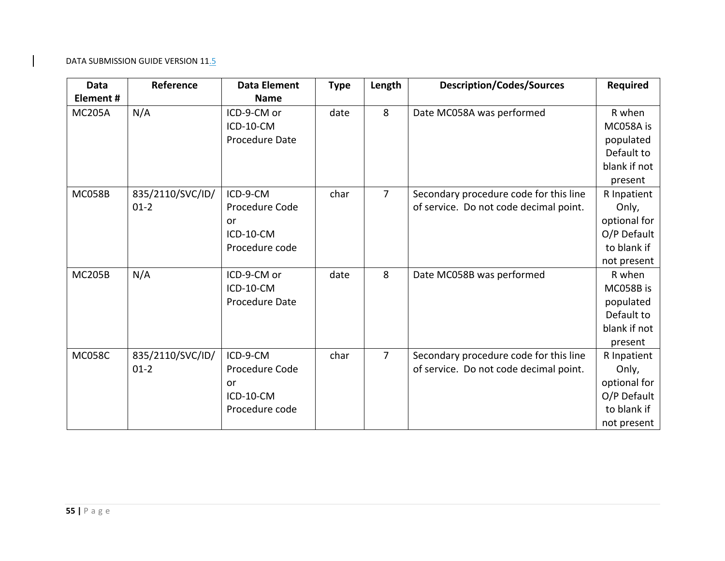| <b>Data</b>   | Reference                  | <b>Data Element</b>                                             | <b>Type</b> | Length         | <b>Description/Codes/Sources</b>                                                 | <b>Required</b>                                                                   |
|---------------|----------------------------|-----------------------------------------------------------------|-------------|----------------|----------------------------------------------------------------------------------|-----------------------------------------------------------------------------------|
| Element#      |                            | <b>Name</b>                                                     |             |                |                                                                                  |                                                                                   |
| <b>MC205A</b> | N/A                        | ICD-9-CM or<br>ICD-10-CM<br>Procedure Date                      | date        | 8              | Date MC058A was performed                                                        | R when<br>MC058A is<br>populated<br>Default to<br>blank if not<br>present         |
| <b>MC058B</b> | 835/2110/SVC/ID/<br>$01-2$ | ICD-9-CM<br>Procedure Code<br>or<br>ICD-10-CM<br>Procedure code | char        | $\overline{7}$ | Secondary procedure code for this line<br>of service. Do not code decimal point. | R Inpatient<br>Only,<br>optional for<br>O/P Default<br>to blank if<br>not present |
| <b>MC205B</b> | N/A                        | ICD-9-CM or<br>ICD-10-CM<br>Procedure Date                      | date        | 8              | Date MC058B was performed                                                        | R when<br>MC058B is<br>populated<br>Default to<br>blank if not<br>present         |
| <b>MC058C</b> | 835/2110/SVC/ID/<br>$01-2$ | ICD-9-CM<br>Procedure Code<br>or<br>ICD-10-CM<br>Procedure code | char        | $\overline{7}$ | Secondary procedure code for this line<br>of service. Do not code decimal point. | R Inpatient<br>Only,<br>optional for<br>O/P Default<br>to blank if<br>not present |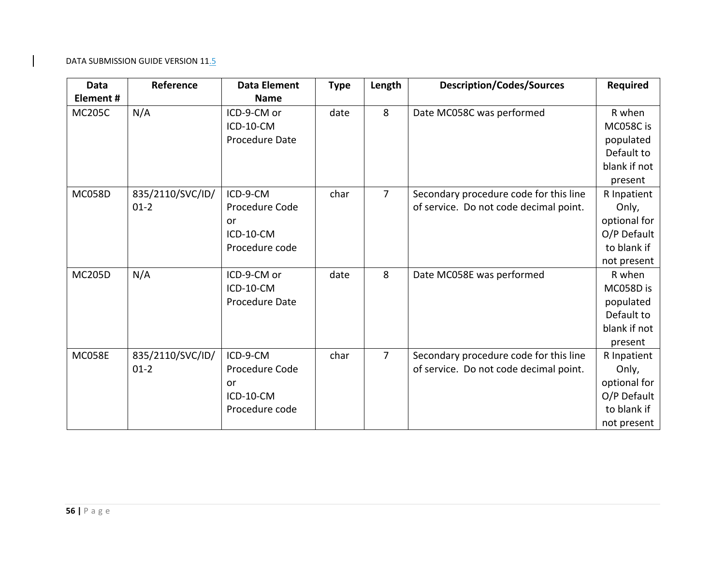| <b>Data</b>   | Reference                  | <b>Data Element</b>                                             | <b>Type</b> | Length         | <b>Description/Codes/Sources</b>                                                 | <b>Required</b>                                                                   |
|---------------|----------------------------|-----------------------------------------------------------------|-------------|----------------|----------------------------------------------------------------------------------|-----------------------------------------------------------------------------------|
| Element#      |                            | <b>Name</b>                                                     |             |                |                                                                                  |                                                                                   |
| <b>MC205C</b> | N/A                        | ICD-9-CM or<br>ICD-10-CM<br>Procedure Date                      | date        | 8              | Date MC058C was performed                                                        | R when<br>MC058C is<br>populated<br>Default to<br>blank if not<br>present         |
| <b>MC058D</b> | 835/2110/SVC/ID/<br>$01-2$ | ICD-9-CM<br>Procedure Code<br>or<br>ICD-10-CM<br>Procedure code | char        | $\overline{7}$ | Secondary procedure code for this line<br>of service. Do not code decimal point. | R Inpatient<br>Only,<br>optional for<br>O/P Default<br>to blank if<br>not present |
| <b>MC205D</b> | N/A                        | ICD-9-CM or<br>ICD-10-CM<br>Procedure Date                      | date        | 8              | Date MC058E was performed                                                        | R when<br>MC058D is<br>populated<br>Default to<br>blank if not<br>present         |
| <b>MC058E</b> | 835/2110/SVC/ID/<br>$01-2$ | ICD-9-CM<br>Procedure Code<br>or<br>ICD-10-CM<br>Procedure code | char        | $\overline{7}$ | Secondary procedure code for this line<br>of service. Do not code decimal point. | R Inpatient<br>Only,<br>optional for<br>O/P Default<br>to blank if<br>not present |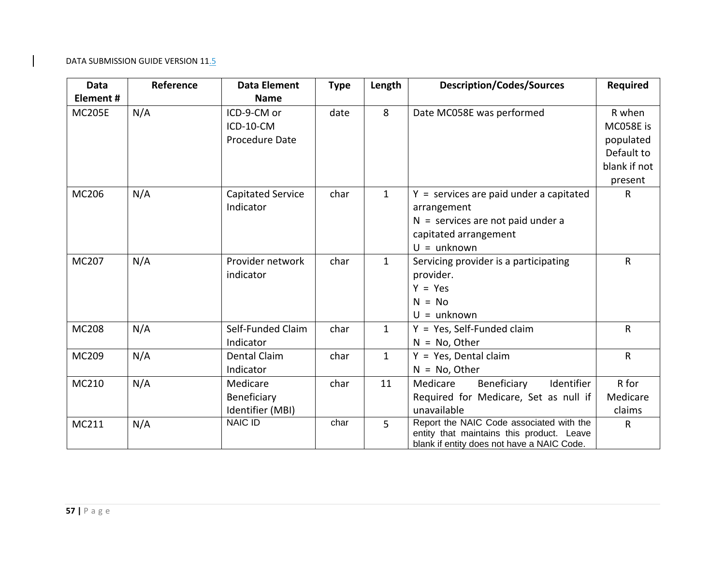| <b>Data</b>   | Reference | <b>Data Element</b>      | <b>Type</b> | Length         | <b>Description/Codes/Sources</b>                                                        | <b>Required</b> |
|---------------|-----------|--------------------------|-------------|----------------|-----------------------------------------------------------------------------------------|-----------------|
| Element#      |           | <b>Name</b>              |             |                |                                                                                         |                 |
| <b>MC205E</b> | N/A       | ICD-9-CM or              | date        | 8              | Date MC058E was performed                                                               | R when          |
|               |           | ICD-10-CM                |             |                |                                                                                         | MC058E is       |
|               |           | Procedure Date           |             |                |                                                                                         | populated       |
|               |           |                          |             |                |                                                                                         | Default to      |
|               |           |                          |             |                |                                                                                         | blank if not    |
|               |           |                          |             |                |                                                                                         | present         |
| MC206         | N/A       | <b>Capitated Service</b> | char        | $\mathbf{1}$   | $Y =$ services are paid under a capitated                                               | $\mathsf{R}$    |
|               |           | Indicator                |             |                | arrangement                                                                             |                 |
|               |           |                          |             |                | $N =$ services are not paid under a                                                     |                 |
|               |           |                          |             |                | capitated arrangement                                                                   |                 |
|               |           |                          |             |                | $U =$ unknown                                                                           |                 |
| MC207         | N/A       | Provider network         | char        | $\mathbf{1}$   | Servicing provider is a participating                                                   | $\mathsf{R}$    |
|               |           | indicator                |             |                | provider.                                                                               |                 |
|               |           |                          |             |                | $Y = Yes$                                                                               |                 |
|               |           |                          |             |                | $N = No$                                                                                |                 |
|               |           |                          |             |                | $U =$ unknown                                                                           |                 |
| <b>MC208</b>  | N/A       | Self-Funded Claim        | char        | $\mathbf{1}$   | $Y = Yes$ , Self-Funded claim                                                           | $\mathsf{R}$    |
|               |           | Indicator                |             |                | $N = No$ , Other                                                                        |                 |
| MC209         | N/A       | <b>Dental Claim</b>      | char        | $\mathbf{1}$   | $Y = Yes$ , Dental claim                                                                | $\mathsf{R}$    |
|               |           | Indicator                |             |                | $N = No$ , Other                                                                        |                 |
| MC210         | N/A       | Medicare                 | char        | 11             | Medicare<br>Beneficiary<br>Identifier                                                   | R for           |
|               |           | Beneficiary              |             |                | Required for Medicare, Set as null if                                                   | Medicare        |
|               |           | Identifier (MBI)         |             |                | unavailable                                                                             | claims          |
| MC211         | N/A       | <b>NAIC ID</b>           | char        | $\overline{5}$ | Report the NAIC Code associated with the                                                | $\mathsf{R}$    |
|               |           |                          |             |                | entity that maintains this product. Leave<br>blank if entity does not have a NAIC Code. |                 |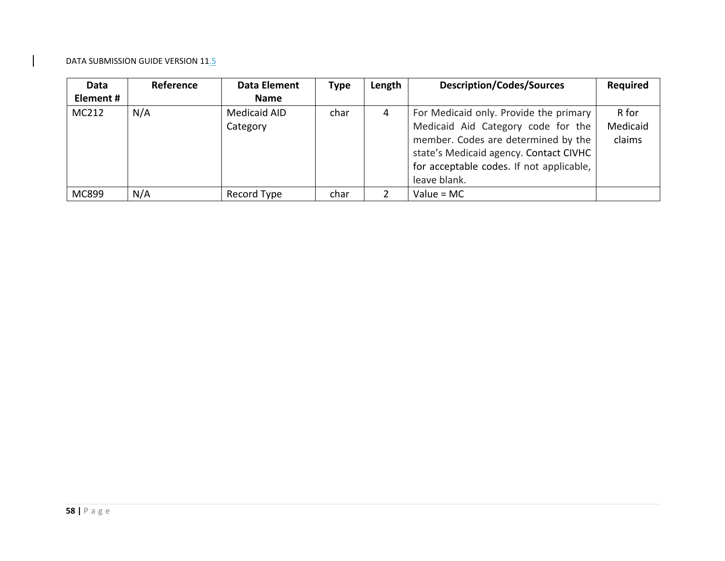| Data      | <b>Reference</b> | Data Element        | <b>Type</b> | Length | <b>Description/Codes/Sources</b>         | <b>Required</b> |
|-----------|------------------|---------------------|-------------|--------|------------------------------------------|-----------------|
| Element # |                  | <b>Name</b>         |             |        |                                          |                 |
| MC212     | N/A              | <b>Medicaid AID</b> | char        | 4      | For Medicaid only. Provide the primary   | R for           |
|           |                  | Category            |             |        | Medicaid Aid Category code for the       | Medicaid        |
|           |                  |                     |             |        | member. Codes are determined by the      | claims          |
|           |                  |                     |             |        | state's Medicaid agency. Contact CIVHC   |                 |
|           |                  |                     |             |        | for acceptable codes. If not applicable, |                 |
|           |                  |                     |             |        | leave blank.                             |                 |
| MC899     | N/A              | Record Type         | char        | ר      | Value = $MC$                             |                 |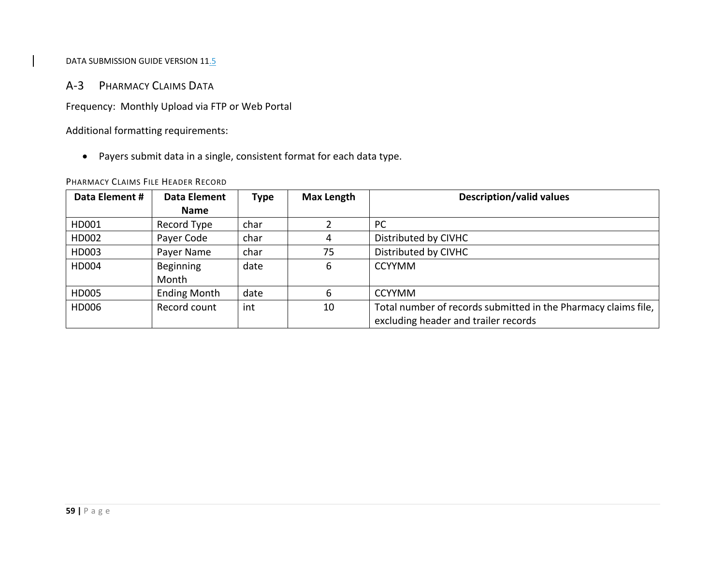# A‐3 PHARMACY CLAIMS DATA

Frequency: Monthly Upload via FTP or Web Portal

Additional formatting requirements:

Payers submit data in <sup>a</sup> single, consistent format for each data type.

#### PHARMACY CLAIMS FILE HEADER RECORD

| Data Element # | Data Element        | Type | <b>Max Length</b> | <b>Description/valid values</b>                                |
|----------------|---------------------|------|-------------------|----------------------------------------------------------------|
|                | <b>Name</b>         |      |                   |                                                                |
| HD001          | Record Type         | char |                   | <b>PC</b>                                                      |
| HD002          | Payer Code          | char | 4                 | Distributed by CIVHC                                           |
| HD003          | Payer Name          | char | 75                | Distributed by CIVHC                                           |
| HD004          | Beginning           | date | 6                 | <b>CCYYMM</b>                                                  |
|                | Month               |      |                   |                                                                |
| HD005          | <b>Ending Month</b> | date | 6                 | <b>CCYYMM</b>                                                  |
| HD006          | Record count        | int  | 10                | Total number of records submitted in the Pharmacy claims file, |
|                |                     |      |                   | excluding header and trailer records                           |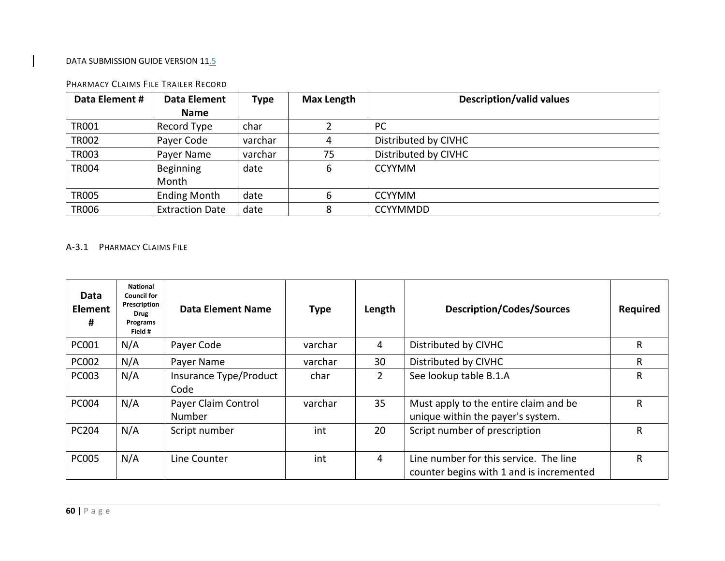| Data Element # | <b>Data Element</b>    | <b>Type</b> | <b>Max Length</b> | <b>Description/valid values</b> |
|----------------|------------------------|-------------|-------------------|---------------------------------|
|                | <b>Name</b>            |             |                   |                                 |
| <b>TR001</b>   | Record Type            | char        |                   | PC                              |
| <b>TR002</b>   | Payer Code             | varchar     | 4                 | Distributed by CIVHC            |
| <b>TR003</b>   | Payer Name             | varchar     | 75                | Distributed by CIVHC            |
| <b>TR004</b>   | <b>Beginning</b>       | date        | 6                 | <b>CCYYMM</b>                   |
|                | Month                  |             |                   |                                 |
| <b>TR005</b>   | <b>Ending Month</b>    | date        | 6                 | <b>CCYYMM</b>                   |
| <b>TR006</b>   | <b>Extraction Date</b> | date        |                   | <b>CCYYMMDD</b>                 |

#### PHARMACY CLAIMS FILE TRAILER RECORD

#### A‐3.1 PHARMACY CLAIMS FILE

| Data<br><b>Element</b><br># | <b>National</b><br><b>Council for</b><br>Prescription<br><b>Drug</b><br>Programs<br>Field # | <b>Data Element Name</b>       | <b>Type</b> | Length         | <b>Description/Codes/Sources</b>                                                   | <b>Required</b> |
|-----------------------------|---------------------------------------------------------------------------------------------|--------------------------------|-------------|----------------|------------------------------------------------------------------------------------|-----------------|
| <b>PC001</b>                | N/A                                                                                         | Payer Code                     | varchar     | 4              | Distributed by CIVHC                                                               | R               |
| <b>PC002</b>                | N/A                                                                                         | Payer Name                     | varchar     | 30             | Distributed by CIVHC                                                               | R               |
| <b>PC003</b>                | N/A                                                                                         | Insurance Type/Product<br>Code | char        | $\overline{2}$ | See lookup table B.1.A                                                             | R               |
| <b>PC004</b>                | N/A                                                                                         | Payer Claim Control<br>Number  | varchar     | 35             | Must apply to the entire claim and be<br>unique within the payer's system.         | R.              |
| PC204                       | N/A                                                                                         | Script number                  | int         | 20             | Script number of prescription                                                      | R               |
| <b>PC005</b>                | N/A                                                                                         | Line Counter                   | int         | 4              | Line number for this service. The line<br>counter begins with 1 and is incremented | R               |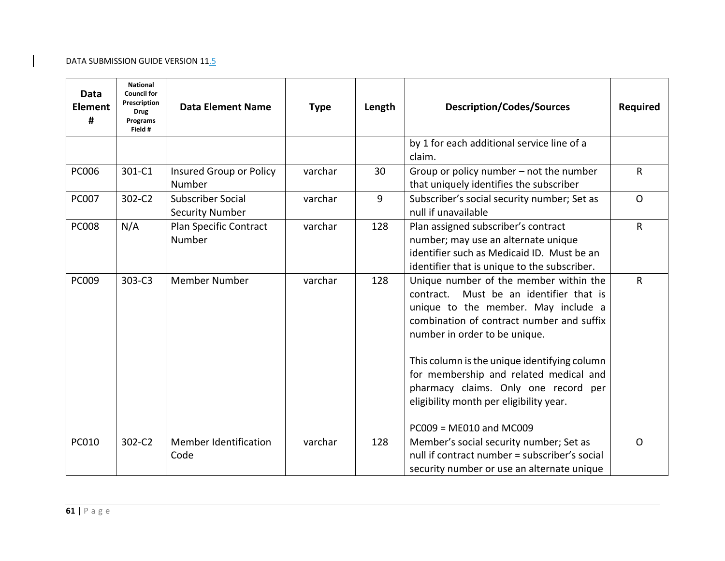| Data<br><b>Element</b><br># | <b>National</b><br><b>Council for</b><br>Prescription<br><b>Drug</b><br>Programs<br>Field # | <b>Data Element Name</b>                           | <b>Type</b> | Length | <b>Description/Codes/Sources</b>                                                                                                                                                                                                                                                                                                                                                                                    | Required       |
|-----------------------------|---------------------------------------------------------------------------------------------|----------------------------------------------------|-------------|--------|---------------------------------------------------------------------------------------------------------------------------------------------------------------------------------------------------------------------------------------------------------------------------------------------------------------------------------------------------------------------------------------------------------------------|----------------|
|                             |                                                                                             |                                                    |             |        | by 1 for each additional service line of a<br>claim.                                                                                                                                                                                                                                                                                                                                                                |                |
| <b>PC006</b>                | 301-C1                                                                                      | Insured Group or Policy<br>Number                  | varchar     | 30     | Group or policy number – not the number<br>that uniquely identifies the subscriber                                                                                                                                                                                                                                                                                                                                  | $\mathsf{R}$   |
| <b>PC007</b>                | 302-C2                                                                                      | <b>Subscriber Social</b><br><b>Security Number</b> | varchar     | 9      | Subscriber's social security number; Set as<br>null if unavailable                                                                                                                                                                                                                                                                                                                                                  | $\overline{O}$ |
| <b>PC008</b>                | N/A                                                                                         | Plan Specific Contract<br><b>Number</b>            | varchar     | 128    | Plan assigned subscriber's contract<br>number; may use an alternate unique<br>identifier such as Medicaid ID. Must be an<br>identifier that is unique to the subscriber.                                                                                                                                                                                                                                            | $\mathsf{R}$   |
| <b>PC009</b>                | 303-C3                                                                                      | <b>Member Number</b>                               | varchar     | 128    | Unique number of the member within the<br>Must be an identifier that is<br>contract.<br>unique to the member. May include a<br>combination of contract number and suffix<br>number in order to be unique.<br>This column is the unique identifying column<br>for membership and related medical and<br>pharmacy claims. Only one record per<br>eligibility month per eligibility year.<br>$PC009 = ME010$ and MC009 | R              |
| <b>PC010</b>                | 302-C2                                                                                      | <b>Member Identification</b><br>Code               | varchar     | 128    | Member's social security number; Set as<br>null if contract number = subscriber's social<br>security number or use an alternate unique                                                                                                                                                                                                                                                                              | $\Omega$       |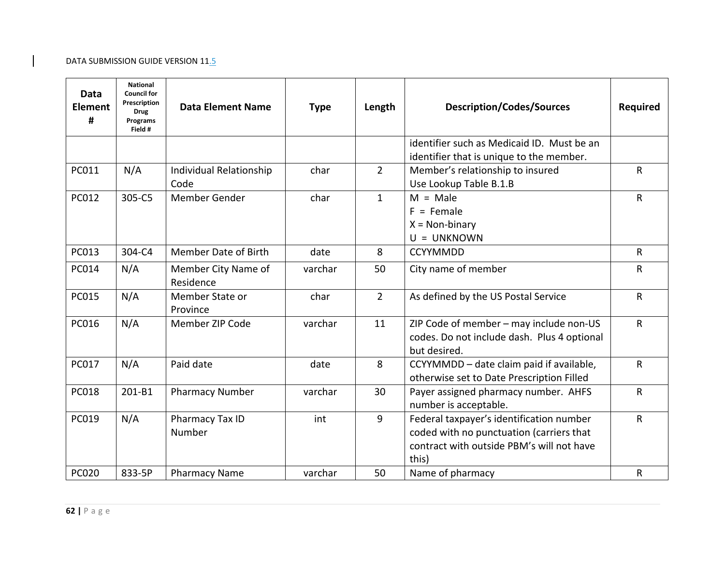| Data<br><b>Element</b><br># | <b>National</b><br><b>Council for</b><br>Prescription<br><b>Drug</b><br>Programs<br>Field # | <b>Data Element Name</b>         | <b>Type</b> | Length       | <b>Description/Codes/Sources</b>                                                                                                           | <b>Required</b> |
|-----------------------------|---------------------------------------------------------------------------------------------|----------------------------------|-------------|--------------|--------------------------------------------------------------------------------------------------------------------------------------------|-----------------|
|                             |                                                                                             |                                  |             |              | identifier such as Medicaid ID. Must be an<br>identifier that is unique to the member.                                                     |                 |
| PC011                       | N/A                                                                                         | Individual Relationship<br>Code  | char        | $2^{\circ}$  | Member's relationship to insured<br>Use Lookup Table B.1.B                                                                                 | ${\sf R}$       |
| PC012                       | 305-C5                                                                                      | Member Gender                    | char        | $\mathbf{1}$ | $M = Male$<br>$F =$ Female<br>$X = Non-binary$<br>$U = UNKNOWN$                                                                            | ${\sf R}$       |
| <b>PC013</b>                | 304-C4                                                                                      | <b>Member Date of Birth</b>      | date        | 8            | <b>CCYYMMDD</b>                                                                                                                            | $\mathsf{R}$    |
| PC014                       | N/A                                                                                         | Member City Name of<br>Residence | varchar     | 50           | City name of member                                                                                                                        | ${\sf R}$       |
| <b>PC015</b>                | N/A                                                                                         | Member State or<br>Province      | char        | $2^{\circ}$  | As defined by the US Postal Service                                                                                                        | ${\sf R}$       |
| PC016                       | N/A                                                                                         | Member ZIP Code                  | varchar     | 11           | ZIP Code of member - may include non-US<br>codes. Do not include dash. Plus 4 optional<br>but desired.                                     | ${\sf R}$       |
| <b>PC017</b>                | N/A                                                                                         | Paid date                        | date        | 8            | CCYYMMDD - date claim paid if available,<br>otherwise set to Date Prescription Filled                                                      | $\mathsf{R}$    |
| <b>PC018</b>                | 201-B1                                                                                      | <b>Pharmacy Number</b>           | varchar     | 30           | Payer assigned pharmacy number. AHFS<br>number is acceptable.                                                                              | $\mathsf{R}$    |
| PC019                       | N/A                                                                                         | Pharmacy Tax ID<br>Number        | int         | 9            | Federal taxpayer's identification number<br>coded with no punctuation (carriers that<br>contract with outside PBM's will not have<br>this) | $\mathsf{R}$    |
| <b>PC020</b>                | 833-5P                                                                                      | <b>Pharmacy Name</b>             | varchar     | 50           | Name of pharmacy                                                                                                                           | ${\sf R}$       |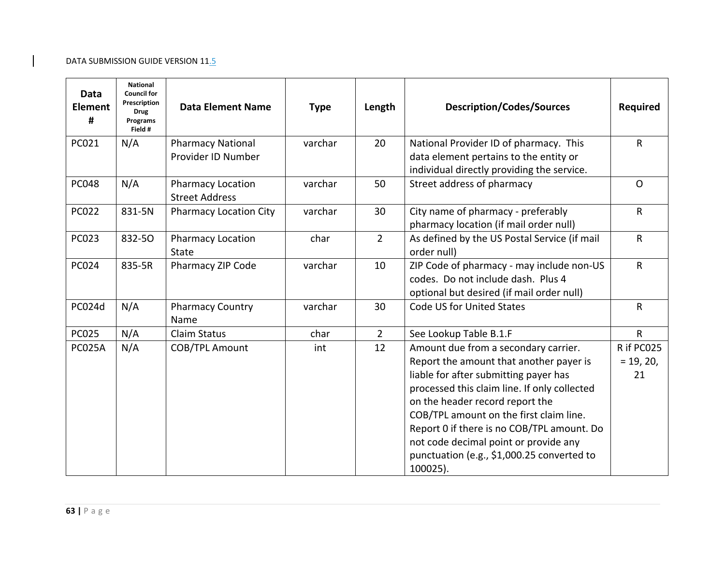| Data<br><b>Element</b><br># | <b>National</b><br><b>Council for</b><br>Prescription<br><b>Drug</b><br>Programs<br>Field # | <b>Data Element Name</b>                          | <b>Type</b> | Length      | <b>Description/Codes/Sources</b>                                                                                                                                                                                                                                                                                                                                                                        | <b>Required</b>                 |
|-----------------------------|---------------------------------------------------------------------------------------------|---------------------------------------------------|-------------|-------------|---------------------------------------------------------------------------------------------------------------------------------------------------------------------------------------------------------------------------------------------------------------------------------------------------------------------------------------------------------------------------------------------------------|---------------------------------|
| PC021                       | N/A                                                                                         | <b>Pharmacy National</b><br>Provider ID Number    | varchar     | 20          | National Provider ID of pharmacy. This<br>data element pertains to the entity or<br>individual directly providing the service.                                                                                                                                                                                                                                                                          | $\mathsf{R}$                    |
| <b>PC048</b>                | N/A                                                                                         | <b>Pharmacy Location</b><br><b>Street Address</b> | varchar     | 50          | Street address of pharmacy                                                                                                                                                                                                                                                                                                                                                                              | $\mathsf{O}$                    |
| <b>PC022</b>                | 831-5N                                                                                      | <b>Pharmacy Location City</b>                     | varchar     | 30          | City name of pharmacy - preferably<br>pharmacy location (if mail order null)                                                                                                                                                                                                                                                                                                                            | $\mathsf{R}$                    |
| <b>PC023</b>                | 832-50                                                                                      | <b>Pharmacy Location</b><br><b>State</b>          | char        | $2^{\circ}$ | As defined by the US Postal Service (if mail<br>order null)                                                                                                                                                                                                                                                                                                                                             | $\mathsf{R}$                    |
| <b>PC024</b>                | 835-5R                                                                                      | Pharmacy ZIP Code                                 | varchar     | 10          | ZIP Code of pharmacy - may include non-US<br>codes. Do not include dash. Plus 4<br>optional but desired (if mail order null)                                                                                                                                                                                                                                                                            | $\mathsf{R}$                    |
| PC024d                      | N/A                                                                                         | <b>Pharmacy Country</b><br>Name                   | varchar     | 30          | Code US for United States                                                                                                                                                                                                                                                                                                                                                                               | R                               |
| <b>PC025</b>                | N/A                                                                                         | Claim Status                                      | char        | $2^{\circ}$ | See Lookup Table B.1.F                                                                                                                                                                                                                                                                                                                                                                                  | $\mathsf{R}$                    |
| <b>PC025A</b>               | N/A                                                                                         | COB/TPL Amount                                    | int         | 12          | Amount due from a secondary carrier.<br>Report the amount that another payer is<br>liable for after submitting payer has<br>processed this claim line. If only collected<br>on the header record report the<br>COB/TPL amount on the first claim line.<br>Report 0 if there is no COB/TPL amount. Do<br>not code decimal point or provide any<br>punctuation (e.g., \$1,000.25 converted to<br>100025). | R if PC025<br>$= 19, 20,$<br>21 |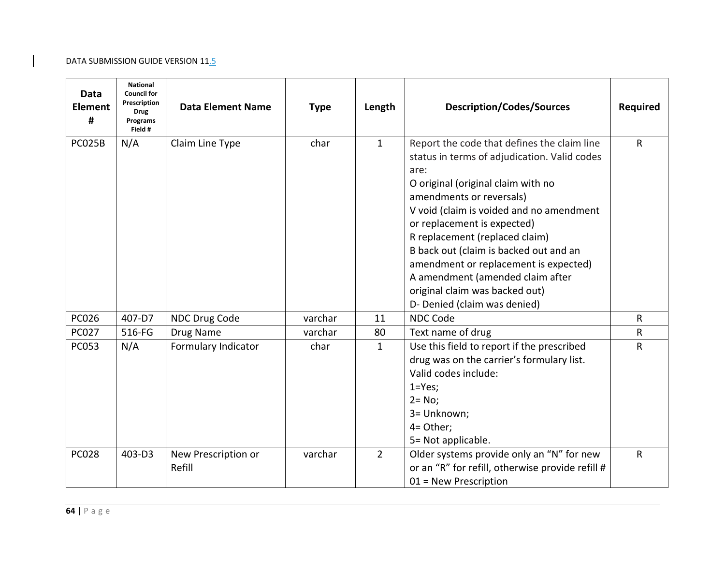| Data<br><b>Element</b><br># | <b>National</b><br><b>Council for</b><br>Prescription<br><b>Drug</b><br>Programs<br>Field # | <b>Data Element Name</b>      | <b>Type</b> | Length         | <b>Description/Codes/Sources</b>                                                                                                                                                                                                                                                                                                                                                                                                                                            | <b>Required</b> |
|-----------------------------|---------------------------------------------------------------------------------------------|-------------------------------|-------------|----------------|-----------------------------------------------------------------------------------------------------------------------------------------------------------------------------------------------------------------------------------------------------------------------------------------------------------------------------------------------------------------------------------------------------------------------------------------------------------------------------|-----------------|
| PC025B                      | N/A                                                                                         | Claim Line Type               | char        | $\mathbf{1}$   | Report the code that defines the claim line<br>status in terms of adjudication. Valid codes<br>are:<br>O original (original claim with no<br>amendments or reversals)<br>V void (claim is voided and no amendment<br>or replacement is expected)<br>R replacement (replaced claim)<br>B back out (claim is backed out and an<br>amendment or replacement is expected)<br>A amendment (amended claim after<br>original claim was backed out)<br>D- Denied (claim was denied) | R               |
| <b>PC026</b>                | 407-D7                                                                                      | NDC Drug Code                 | varchar     | 11             | <b>NDC Code</b>                                                                                                                                                                                                                                                                                                                                                                                                                                                             | R               |
| <b>PC027</b>                | 516-FG                                                                                      | Drug Name                     | varchar     | 80             | Text name of drug                                                                                                                                                                                                                                                                                                                                                                                                                                                           | R               |
| <b>PC053</b>                | N/A                                                                                         | Formulary Indicator           | char        | $\mathbf{1}$   | Use this field to report if the prescribed<br>drug was on the carrier's formulary list.<br>Valid codes include:<br>$1 = Yes;$<br>$2 = No;$<br>3= Unknown;<br>4= Other;<br>5= Not applicable.                                                                                                                                                                                                                                                                                | R               |
| <b>PC028</b>                | 403-D3                                                                                      | New Prescription or<br>Refill | varchar     | $\overline{2}$ | Older systems provide only an "N" for new<br>or an "R" for refill, otherwise provide refill #<br>$01$ = New Prescription                                                                                                                                                                                                                                                                                                                                                    | R               |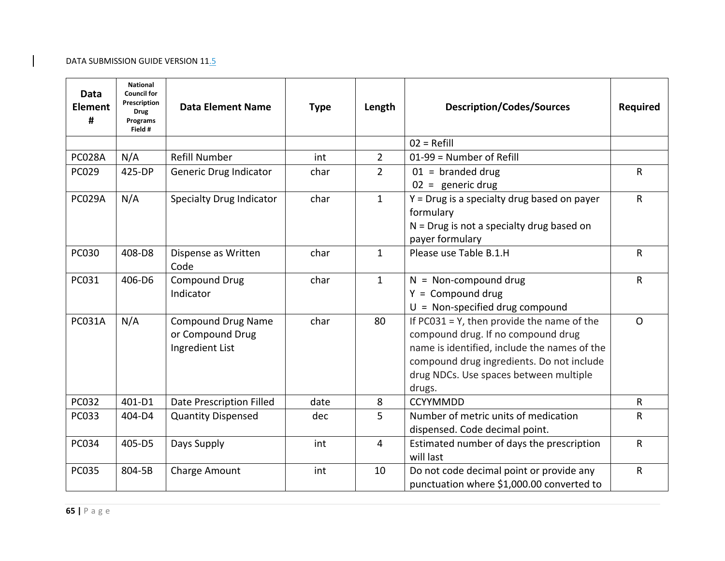| <b>Data</b><br><b>Element</b><br># | <b>National</b><br><b>Council for</b><br>Prescription<br><b>Drug</b><br>Programs<br>Field # | <b>Data Element Name</b>                                         | <b>Type</b> | Length         | <b>Description/Codes/Sources</b>                                                                                                                                                                                                     | <b>Required</b> |
|------------------------------------|---------------------------------------------------------------------------------------------|------------------------------------------------------------------|-------------|----------------|--------------------------------------------------------------------------------------------------------------------------------------------------------------------------------------------------------------------------------------|-----------------|
|                                    |                                                                                             |                                                                  |             |                | $02 = Refill$                                                                                                                                                                                                                        |                 |
| <b>PC028A</b>                      | N/A                                                                                         | <b>Refill Number</b>                                             | int         | $\overline{2}$ | 01-99 = Number of Refill                                                                                                                                                                                                             |                 |
| <b>PC029</b>                       | 425-DP                                                                                      | Generic Drug Indicator                                           | char        | $\overline{2}$ | $01 =$ branded drug<br>$02 =$ generic drug                                                                                                                                                                                           | $\mathsf{R}$    |
| PC029A                             | N/A                                                                                         | <b>Specialty Drug Indicator</b>                                  | char        | $\mathbf{1}$   | Y = Drug is a specialty drug based on payer<br>formulary<br>$N = Drug$ is not a specialty drug based on<br>payer formulary                                                                                                           | ${\sf R}$       |
| <b>PC030</b>                       | 408-D8                                                                                      | Dispense as Written<br>Code                                      | char        | $\mathbf{1}$   | Please use Table B.1.H                                                                                                                                                                                                               | ${\sf R}$       |
| PC031                              | 406-D6                                                                                      | <b>Compound Drug</b><br>Indicator                                | char        | $\mathbf{1}$   | $N = Non-compound drug$<br>$Y = Compound drug$<br>$U = Non-specified drug compound$                                                                                                                                                  | $\mathsf{R}$    |
| <b>PC031A</b>                      | N/A                                                                                         | <b>Compound Drug Name</b><br>or Compound Drug<br>Ingredient List | char        | 80             | If $PC031 = Y$ , then provide the name of the<br>compound drug. If no compound drug<br>name is identified, include the names of the<br>compound drug ingredients. Do not include<br>drug NDCs. Use spaces between multiple<br>drugs. | $\Omega$        |
| <b>PC032</b>                       | 401-D1                                                                                      | Date Prescription Filled                                         | date        | 8              | <b>CCYYMMDD</b>                                                                                                                                                                                                                      | $\mathsf{R}$    |
| PC033                              | 404-D4                                                                                      | <b>Quantity Dispensed</b>                                        | dec         | 5              | Number of metric units of medication<br>dispensed. Code decimal point.                                                                                                                                                               | ${\sf R}$       |
| <b>PC034</b>                       | 405-D5                                                                                      | Days Supply                                                      | int         | $\overline{4}$ | Estimated number of days the prescription<br>will last                                                                                                                                                                               | ${\sf R}$       |
| <b>PC035</b>                       | 804-5B                                                                                      | Charge Amount                                                    | int         | 10             | Do not code decimal point or provide any<br>punctuation where \$1,000.00 converted to                                                                                                                                                | $\mathsf{R}$    |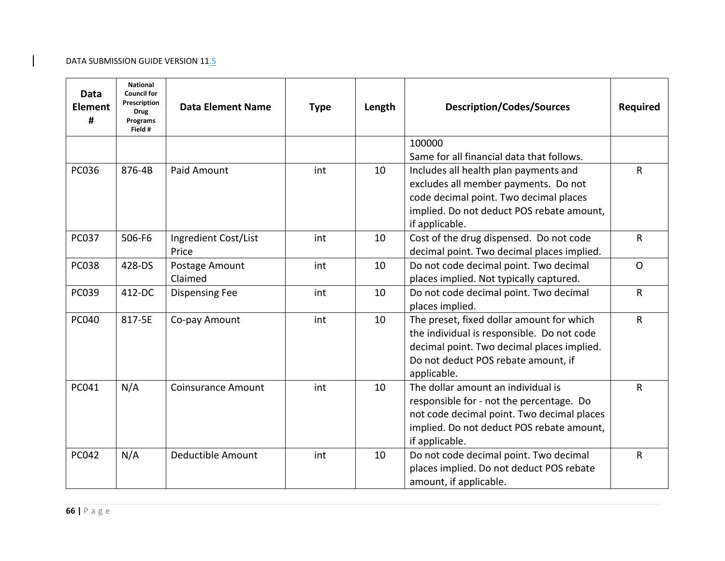| Data<br><b>Element</b><br># | <b>National</b><br><b>Council for</b><br>Prescription<br><b>Drug</b><br>Programs<br>Field # | <b>Data Element Name</b>      | <b>Type</b> | Length | <b>Description/Codes/Sources</b>                                                                                                                                                            | <b>Required</b> |
|-----------------------------|---------------------------------------------------------------------------------------------|-------------------------------|-------------|--------|---------------------------------------------------------------------------------------------------------------------------------------------------------------------------------------------|-----------------|
|                             |                                                                                             |                               |             |        | 100000<br>Same for all financial data that follows.                                                                                                                                         |                 |
| <b>PC036</b>                | 876-4B                                                                                      | Paid Amount                   | int         | 10     | Includes all health plan payments and<br>excludes all member payments. Do not<br>code decimal point. Two decimal places<br>implied. Do not deduct POS rebate amount,<br>if applicable.      | R               |
| <b>PC037</b>                | 506-F6                                                                                      | Ingredient Cost/List<br>Price | int         | 10     | Cost of the drug dispensed. Do not code<br>decimal point. Two decimal places implied.                                                                                                       | R               |
| <b>PC038</b>                | 428-DS                                                                                      | Postage Amount<br>Claimed     | int         | 10     | Do not code decimal point. Two decimal<br>places implied. Not typically captured.                                                                                                           | $\mathsf{O}$    |
| <b>PC039</b>                | 412-DC                                                                                      | <b>Dispensing Fee</b>         | int         | 10     | Do not code decimal point. Two decimal<br>places implied.                                                                                                                                   | R               |
| <b>PC040</b>                | 817-5E                                                                                      | Co-pay Amount                 | int         | 10     | The preset, fixed dollar amount for which<br>the individual is responsible. Do not code<br>decimal point. Two decimal places implied.<br>Do not deduct POS rebate amount, if<br>applicable. | R               |
| PC041                       | N/A                                                                                         | <b>Coinsurance Amount</b>     | int         | 10     | The dollar amount an individual is<br>responsible for - not the percentage. Do<br>not code decimal point. Two decimal places<br>implied. Do not deduct POS rebate amount,<br>if applicable. | R               |
| PC042                       | N/A                                                                                         | Deductible Amount             | int         | 10     | Do not code decimal point. Two decimal<br>places implied. Do not deduct POS rebate<br>amount, if applicable.                                                                                | ${\sf R}$       |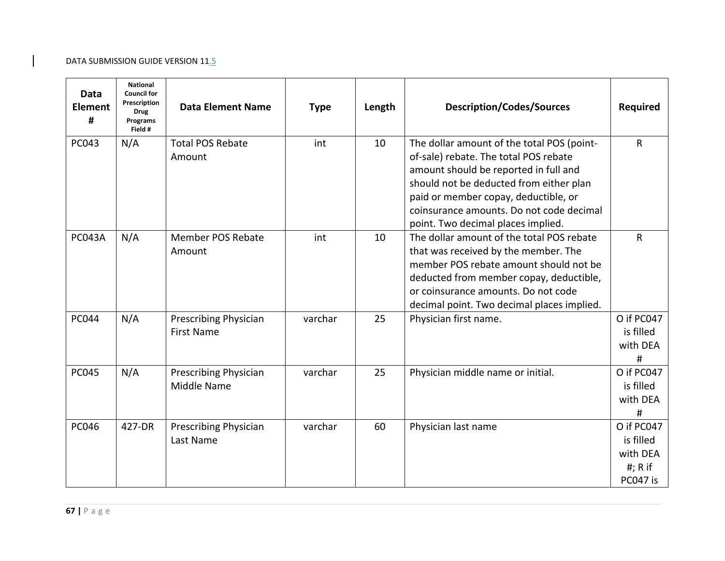| Data<br><b>Element</b><br># | <b>National</b><br><b>Council for</b><br>Prescription<br><b>Drug</b><br>Programs<br>Field # | <b>Data Element Name</b>                    | <b>Type</b> | Length | <b>Description/Codes/Sources</b>                                                                                                                                                                                                                                                                  | <b>Required</b>                                               |
|-----------------------------|---------------------------------------------------------------------------------------------|---------------------------------------------|-------------|--------|---------------------------------------------------------------------------------------------------------------------------------------------------------------------------------------------------------------------------------------------------------------------------------------------------|---------------------------------------------------------------|
| <b>PC043</b>                | N/A                                                                                         | <b>Total POS Rebate</b><br>Amount           | int         | 10     | The dollar amount of the total POS (point-<br>of-sale) rebate. The total POS rebate<br>amount should be reported in full and<br>should not be deducted from either plan<br>paid or member copay, deductible, or<br>coinsurance amounts. Do not code decimal<br>point. Two decimal places implied. | ${\sf R}$                                                     |
| <b>PC043A</b>               | N/A                                                                                         | <b>Member POS Rebate</b><br>Amount          | int         | 10     | The dollar amount of the total POS rebate<br>that was received by the member. The<br>member POS rebate amount should not be<br>deducted from member copay, deductible,<br>or coinsurance amounts. Do not code<br>decimal point. Two decimal places implied.                                       | ${\sf R}$                                                     |
| <b>PC044</b>                | N/A                                                                                         | Prescribing Physician<br><b>First Name</b>  | varchar     | 25     | Physician first name.                                                                                                                                                                                                                                                                             | O if PC047<br>is filled<br>with DEA<br>#                      |
| <b>PC045</b>                | N/A                                                                                         | <b>Prescribing Physician</b><br>Middle Name | varchar     | 25     | Physician middle name or initial.                                                                                                                                                                                                                                                                 | O if PC047<br>is filled<br>with DEA<br>#                      |
| <b>PC046</b>                | 427-DR                                                                                      | <b>Prescribing Physician</b><br>Last Name   | varchar     | 60     | Physician last name                                                                                                                                                                                                                                                                               | O if PC047<br>is filled<br>with DEA<br>$#$ ; R if<br>PC047 is |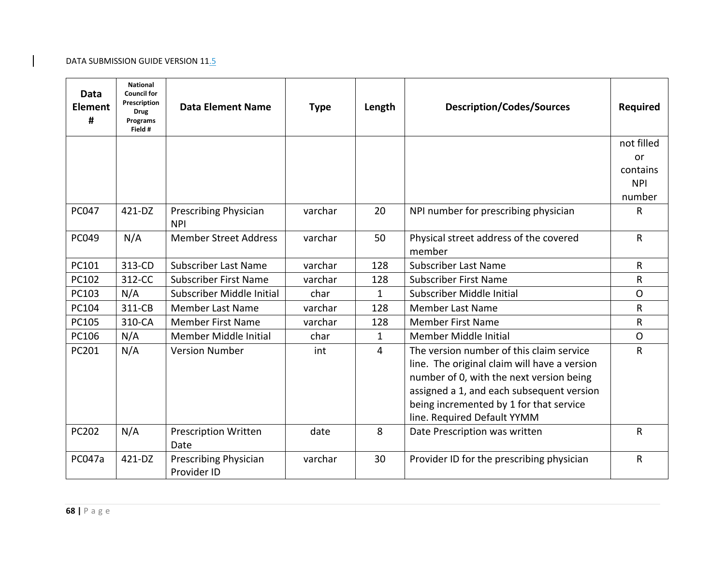| Data<br><b>Element</b><br># | <b>National</b><br><b>Council for</b><br>Prescription<br><b>Drug</b><br>Programs<br>Field # | <b>Data Element Name</b>             | <b>Type</b> | Length       | <b>Description/Codes/Sources</b>                                                                                                                                                                                                                            | <b>Required</b> |
|-----------------------------|---------------------------------------------------------------------------------------------|--------------------------------------|-------------|--------------|-------------------------------------------------------------------------------------------------------------------------------------------------------------------------------------------------------------------------------------------------------------|-----------------|
|                             |                                                                                             |                                      |             |              |                                                                                                                                                                                                                                                             | not filled      |
|                             |                                                                                             |                                      |             |              |                                                                                                                                                                                                                                                             | or              |
|                             |                                                                                             |                                      |             |              |                                                                                                                                                                                                                                                             | contains        |
|                             |                                                                                             |                                      |             |              |                                                                                                                                                                                                                                                             | <b>NPI</b>      |
|                             |                                                                                             |                                      |             |              |                                                                                                                                                                                                                                                             | number          |
| <b>PC047</b>                | 421-DZ                                                                                      | Prescribing Physician<br><b>NPI</b>  | varchar     | 20           | NPI number for prescribing physician                                                                                                                                                                                                                        | R               |
| PC049                       | N/A                                                                                         | <b>Member Street Address</b>         | varchar     | 50           | Physical street address of the covered<br>member                                                                                                                                                                                                            | ${\sf R}$       |
| PC101                       | 313-CD                                                                                      | <b>Subscriber Last Name</b>          | varchar     | 128          | <b>Subscriber Last Name</b>                                                                                                                                                                                                                                 | $\mathsf{R}$    |
| PC102                       | 312-CC                                                                                      | <b>Subscriber First Name</b>         | varchar     | 128          | <b>Subscriber First Name</b>                                                                                                                                                                                                                                | $\mathsf{R}$    |
| PC103                       | N/A                                                                                         | Subscriber Middle Initial            | char        | $\mathbf{1}$ | Subscriber Middle Initial                                                                                                                                                                                                                                   | $\Omega$        |
| PC104                       | 311-CB                                                                                      | <b>Member Last Name</b>              | varchar     | 128          | <b>Member Last Name</b>                                                                                                                                                                                                                                     | $\mathsf{R}$    |
| PC105                       | 310-CA                                                                                      | <b>Member First Name</b>             | varchar     | 128          | <b>Member First Name</b>                                                                                                                                                                                                                                    | $\mathsf{R}$    |
| PC106                       | N/A                                                                                         | Member Middle Initial                | char        | $\mathbf{1}$ | Member Middle Initial                                                                                                                                                                                                                                       | $\mathsf{O}$    |
| PC201                       | N/A                                                                                         | <b>Version Number</b>                | int         | 4            | The version number of this claim service<br>line. The original claim will have a version<br>number of 0, with the next version being<br>assigned a 1, and each subsequent version<br>being incremented by 1 for that service<br>line. Required Default YYMM | $\mathsf{R}$    |
| PC202                       | N/A                                                                                         | <b>Prescription Written</b><br>Date  | date        | 8            | Date Prescription was written                                                                                                                                                                                                                               | R               |
| <b>PC047a</b>               | 421-DZ                                                                                      | Prescribing Physician<br>Provider ID | varchar     | 30           | Provider ID for the prescribing physician                                                                                                                                                                                                                   | R               |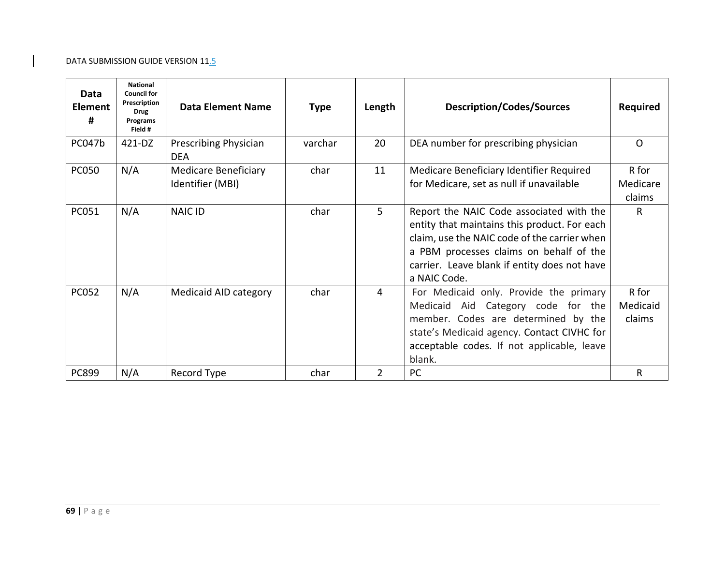| Data<br><b>Element</b><br># | <b>National</b><br><b>Council for</b><br>Prescription<br><b>Drug</b><br>Programs<br>Field # | <b>Data Element Name</b>                        | <b>Type</b> | Length         | <b>Description/Codes/Sources</b>                                                                                                                                                                                                                    | <b>Required</b>             |
|-----------------------------|---------------------------------------------------------------------------------------------|-------------------------------------------------|-------------|----------------|-----------------------------------------------------------------------------------------------------------------------------------------------------------------------------------------------------------------------------------------------------|-----------------------------|
| PC047b                      | 421-DZ                                                                                      | Prescribing Physician<br><b>DEA</b>             | varchar     | 20             | DEA number for prescribing physician                                                                                                                                                                                                                | $\Omega$                    |
| <b>PC050</b>                | N/A                                                                                         | <b>Medicare Beneficiary</b><br>Identifier (MBI) | char        | 11             | Medicare Beneficiary Identifier Required<br>for Medicare, set as null if unavailable                                                                                                                                                                | R for<br>Medicare<br>claims |
| PC051                       | N/A                                                                                         | <b>NAIC ID</b>                                  | char        | 5              | Report the NAIC Code associated with the<br>entity that maintains this product. For each<br>claim, use the NAIC code of the carrier when<br>a PBM processes claims on behalf of the<br>carrier. Leave blank if entity does not have<br>a NAIC Code. | R.                          |
| <b>PC052</b>                | N/A                                                                                         | Medicaid AID category                           | char        | 4              | For Medicaid only. Provide the primary<br>Medicaid Aid Category code for the<br>member. Codes are determined by the<br>state's Medicaid agency. Contact CIVHC for<br>acceptable codes. If not applicable, leave<br>blank.                           | R for<br>Medicaid<br>claims |
| PC899                       | N/A                                                                                         | Record Type                                     | char        | $\overline{2}$ | PC                                                                                                                                                                                                                                                  | R                           |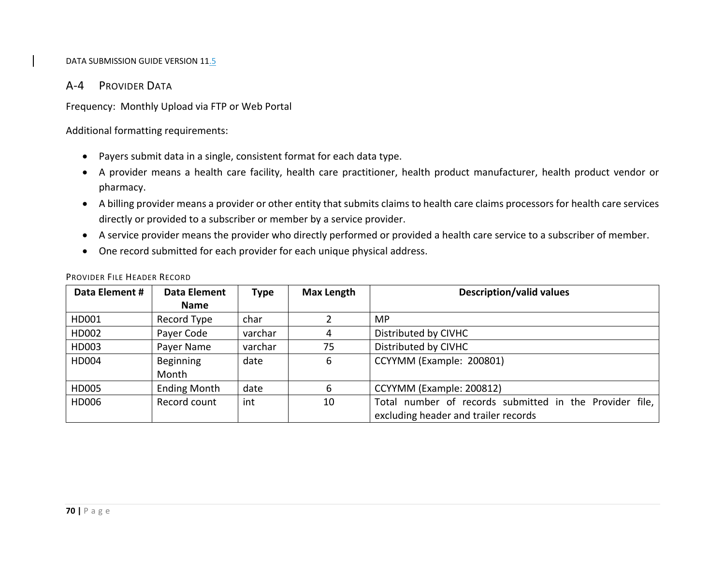# A‐4 PROVIDER DATA

Frequency: Monthly Upload via FTP or Web Portal

Additional formatting requirements:

- Payers submit data in <sup>a</sup> single, consistent format for each data type.
- A provider means <sup>a</sup> health care facility, health care practitioner, health product manufacturer, health product vendor or pharmacy.
- A billing provider means <sup>a</sup> provider or other entity that submits claims to health care claims processors for health care services directly or provided to <sup>a</sup> subscriber or member by <sup>a</sup> service provider.
- A service provider means the provider who directly performed or provided <sup>a</sup> health care service to <sup>a</sup> subscriber of member.
- One record submitted for each provider for each unique physical address.

| Data Element # | Data Element        | <b>Type</b> | <b>Max Length</b> | <b>Description/valid values</b>                                                                 |
|----------------|---------------------|-------------|-------------------|-------------------------------------------------------------------------------------------------|
|                | <b>Name</b>         |             |                   |                                                                                                 |
| HD001          | Record Type         | char        |                   | MP.                                                                                             |
| HD002          | Payer Code          | varchar     |                   | Distributed by CIVHC                                                                            |
| HD003          | Payer Name          | varchar     | 75                | Distributed by CIVHC                                                                            |
| HD004          | Beginning<br>Month  | date        | 6                 | CCYYMM (Example: 200801)                                                                        |
| HD005          | <b>Ending Month</b> | date        | 6                 | CCYYMM (Example: 200812)                                                                        |
| HD006          | Record count        | int         | 10                | Total number of records submitted in the Provider file,<br>excluding header and trailer records |

#### PROVIDER FILE HEADER RECORD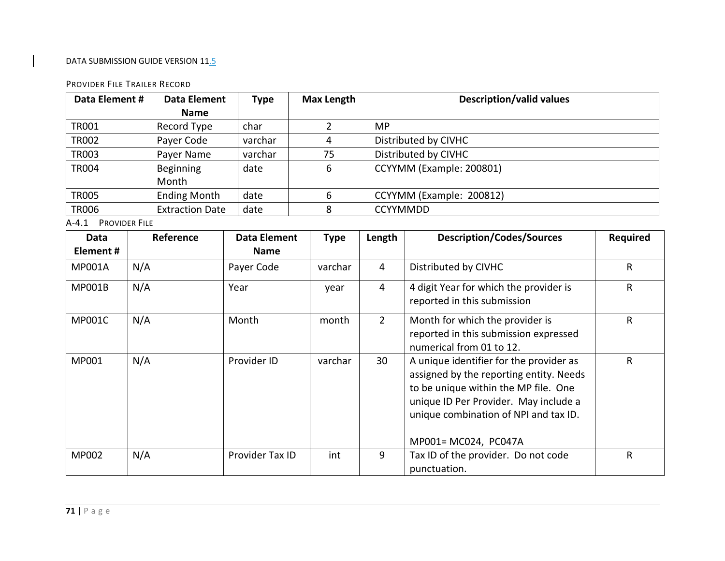#### PROVIDER FILE TRAILER RECORD

| Data Element #                            |     | <b>Data Element</b>    | <b>Max Length</b><br><b>Type</b> |    |                | Description/valid values |                                                                                                                                                                                                                                      |                 |  |  |
|-------------------------------------------|-----|------------------------|----------------------------------|----|----------------|--------------------------|--------------------------------------------------------------------------------------------------------------------------------------------------------------------------------------------------------------------------------------|-----------------|--|--|
|                                           |     | <b>Name</b>            |                                  |    |                |                          |                                                                                                                                                                                                                                      |                 |  |  |
| <b>TR001</b>                              |     | Record Type            | char                             |    | $\overline{2}$ | <b>MP</b>                |                                                                                                                                                                                                                                      |                 |  |  |
| <b>TR002</b>                              |     | Payer Code             | varchar                          | 4  |                |                          | Distributed by CIVHC                                                                                                                                                                                                                 |                 |  |  |
| <b>TR003</b><br>Payer Name                |     | varchar                |                                  | 75 |                | Distributed by CIVHC     |                                                                                                                                                                                                                                      |                 |  |  |
| <b>Beginning</b><br><b>TR004</b><br>Month |     | date                   |                                  | 6  |                | CCYYMM (Example: 200801) |                                                                                                                                                                                                                                      |                 |  |  |
| <b>TR005</b>                              |     | <b>Ending Month</b>    | date                             |    | 6              |                          | CCYYMM (Example: 200812)                                                                                                                                                                                                             |                 |  |  |
| <b>TR006</b>                              |     | <b>Extraction Date</b> | date                             |    | 8              | <b>CCYYMMDD</b>          |                                                                                                                                                                                                                                      |                 |  |  |
| A-4.1 PROVIDER FILE                       |     |                        |                                  |    |                |                          |                                                                                                                                                                                                                                      |                 |  |  |
| <b>Data</b>                               |     | Reference              | <b>Data Element</b>              |    | <b>Type</b>    | Length                   | <b>Description/Codes/Sources</b>                                                                                                                                                                                                     | <b>Required</b> |  |  |
| Element#                                  |     |                        | <b>Name</b>                      |    |                |                          |                                                                                                                                                                                                                                      |                 |  |  |
| <b>MP001A</b>                             | N/A |                        | Payer Code                       |    | varchar        | $\overline{4}$           | Distributed by CIVHC                                                                                                                                                                                                                 | ${\sf R}$       |  |  |
| <b>MP001B</b>                             | N/A |                        | Year                             |    | year           | $\overline{4}$           | 4 digit Year for which the provider is<br>reported in this submission                                                                                                                                                                | $\mathsf{R}$    |  |  |
| <b>MP001C</b>                             | N/A |                        | Month                            |    | month          | $\overline{2}$           | Month for which the provider is<br>reported in this submission expressed<br>numerical from 01 to 12.                                                                                                                                 | ${\sf R}$       |  |  |
| MP001                                     | N/A |                        | Provider ID                      |    | varchar        | 30                       | A unique identifier for the provider as<br>assigned by the reporting entity. Needs<br>to be unique within the MP file. One<br>unique ID Per Provider. May include a<br>unique combination of NPI and tax ID.<br>MP001= MC024, PC047A | $\mathsf{R}$    |  |  |
| MP002                                     | N/A |                        | Provider Tax ID                  |    | int            | 9                        | Tax ID of the provider. Do not code<br>punctuation.                                                                                                                                                                                  | ${\sf R}$       |  |  |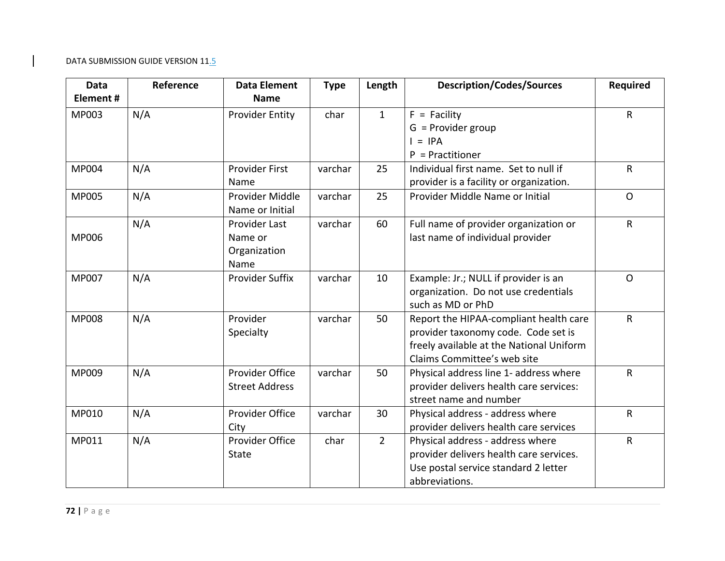| <b>Data</b>  | Reference | <b>Data Element</b>    | <b>Type</b> | Length         | <b>Description/Codes/Sources</b>         | <b>Required</b> |
|--------------|-----------|------------------------|-------------|----------------|------------------------------------------|-----------------|
| Element#     |           | <b>Name</b>            |             |                |                                          |                 |
| MP003        | N/A       | <b>Provider Entity</b> | char        | $\mathbf{1}$   | $F =$ Facility                           | R               |
|              |           |                        |             |                | $G =$ Provider group                     |                 |
|              |           |                        |             |                | $=$ IPA                                  |                 |
|              |           |                        |             |                | $P =$ Practitioner                       |                 |
| <b>MP004</b> | N/A       | <b>Provider First</b>  | varchar     | 25             | Individual first name. Set to null if    | $\mathsf{R}$    |
|              |           | Name                   |             |                | provider is a facility or organization.  |                 |
| <b>MP005</b> | N/A       | Provider Middle        | varchar     | 25             | Provider Middle Name or Initial          | $\Omega$        |
|              |           | Name or Initial        |             |                |                                          |                 |
|              | N/A       | <b>Provider Last</b>   | varchar     | 60             | Full name of provider organization or    | $\mathsf{R}$    |
| <b>MP006</b> |           | Name or                |             |                | last name of individual provider         |                 |
|              |           | Organization           |             |                |                                          |                 |
|              |           | Name                   |             |                |                                          |                 |
| MP007        | N/A       | Provider Suffix        | varchar     | 10             | Example: Jr.; NULL if provider is an     | $\mathsf{O}$    |
|              |           |                        |             |                | organization. Do not use credentials     |                 |
|              |           |                        |             |                | such as MD or PhD                        |                 |
| <b>MP008</b> | N/A       | Provider               | varchar     | 50             | Report the HIPAA-compliant health care   | R               |
|              |           | Specialty              |             |                | provider taxonomy code. Code set is      |                 |
|              |           |                        |             |                | freely available at the National Uniform |                 |
|              |           |                        |             |                | Claims Committee's web site              |                 |
| MP009        | N/A       | Provider Office        | varchar     | 50             | Physical address line 1- address where   | R               |
|              |           | <b>Street Address</b>  |             |                | provider delivers health care services:  |                 |
|              |           |                        |             |                | street name and number                   |                 |
| MP010        | N/A       | Provider Office        | varchar     | 30             | Physical address - address where         | $\sf R$         |
|              |           | City                   |             |                | provider delivers health care services   |                 |
| MP011        | N/A       | Provider Office        | char        | $\overline{2}$ | Physical address - address where         | R               |
|              |           | <b>State</b>           |             |                | provider delivers health care services.  |                 |
|              |           |                        |             |                | Use postal service standard 2 letter     |                 |
|              |           |                        |             |                | abbreviations.                           |                 |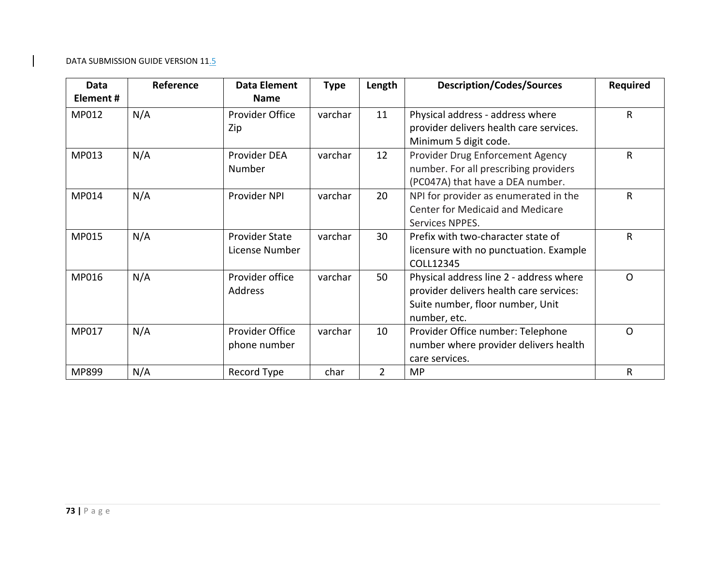| Data<br>Element# | Reference | Data Element<br><b>Name</b>             | <b>Type</b> | Length         | <b>Description/Codes/Sources</b>                                                                                                       | <b>Required</b> |
|------------------|-----------|-----------------------------------------|-------------|----------------|----------------------------------------------------------------------------------------------------------------------------------------|-----------------|
| MP012            | N/A       | Provider Office<br>Zip                  | varchar     | 11             | Physical address - address where<br>provider delivers health care services.<br>Minimum 5 digit code.                                   | R               |
| MP013            | N/A       | Provider DEA<br>Number                  | varchar     | 12             | Provider Drug Enforcement Agency<br>number. For all prescribing providers<br>(PC047A) that have a DEA number.                          | R               |
| MP014            | N/A       | Provider NPI                            | varchar     | 20             | NPI for provider as enumerated in the<br><b>Center for Medicaid and Medicare</b><br>Services NPPES.                                    | R               |
| MP015            | N/A       | <b>Provider State</b><br>License Number | varchar     | 30             | Prefix with two-character state of<br>licensure with no punctuation. Example<br>COLL12345                                              | $\mathsf{R}$    |
| MP016            | N/A       | Provider office<br>Address              | varchar     | 50             | Physical address line 2 - address where<br>provider delivers health care services:<br>Suite number, floor number, Unit<br>number, etc. | $\mathsf{O}$    |
| MP017            | N/A       | Provider Office<br>phone number         | varchar     | 10             | Provider Office number: Telephone<br>number where provider delivers health<br>care services.                                           | $\Omega$        |
| MP899            | N/A       | Record Type                             | char        | $\overline{2}$ | <b>MP</b>                                                                                                                              | R               |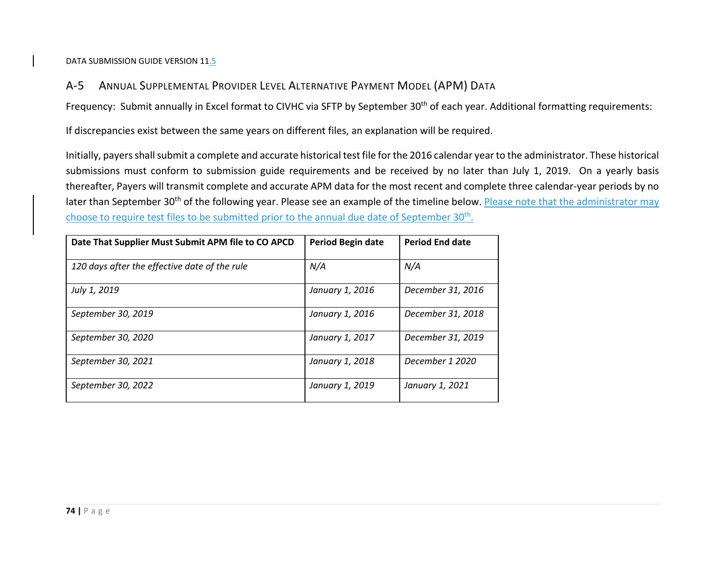#### $A-5$ ANNUAL SUPPLEMENTAL PROVIDER LEVEL ALTERNATIVE PAYMENT MODEL (APM) DATA

Frequency: Submit annually in Excel format to CIVHC via SFTP by September 30<sup>th</sup> of each year. Additional formatting requirements:

If discrepancies exist between the same years on different files, an explanation will be required.

Initially, payers shall submit a complete and accurate historical test file for the 2016 calendar year to the administrator. These historical submissions must conform to submission guide requirements and be received by no later than July 1, 2019. On <sup>a</sup> yearly basis thereafter, Payers will transmit complete and accurate APM data for the most recent and complete three calendar‐year periods by no later than September 30<sup>th</sup> of the following year. Please see an example of the timeline below. <u>Please note that the administrator may</u> choose to require test files to be submitted prior to the annual due date of September 30<sup>th</sup>.

| Date That Supplier Must Submit APM file to CO APCD | <b>Period Begin date</b> | <b>Period End date</b> |
|----------------------------------------------------|--------------------------|------------------------|
| 120 days after the effective date of the rule      | N/A                      | N/A                    |
| July 1, 2019                                       | January 1, 2016          | December 31, 2016      |
| September 30, 2019                                 | January 1, 2016          | December 31, 2018      |
| September 30, 2020                                 | January 1, 2017          | December 31, 2019      |
| September 30, 2021                                 | January 1, 2018          | December 1 2020        |
| September 30, 2022                                 | January 1, 2019          | January 1, 2021        |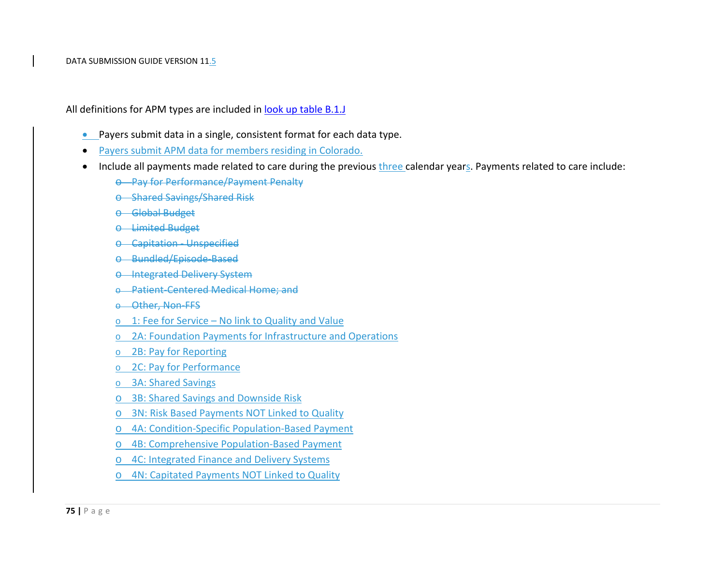All definitions for APM types are included in <u>look up table B.1.J</u>

- **•** Payers submit data in a single, consistent format for each data type.
- $\bullet$ Payers submit APM data for members residing in Colorado.
- $\bullet$ **•** Include all payments made related to care during the previous three calendar years. Payments related to care include:
	- o Pay for Performance/Payment Penalty
	- o Shared Savings/Shared Risk
	- o Global Budget
	- o Limited Budget
	- o Capitation ‐ Unspecified
	- o Bundled/Episode‐Based
	- o Integrated Delivery System
	- o Patient‐Centered Medical Home; and
	- o Other, Non‐FFS
	- o 1: Fee for Service No link to Quality and Value
	- o 2A: Foundation Payments for Infrastructure and Operations
	- o 2B: Pay for Reporting
	- o 2C: Pay for Performance
	- o 3A: Shared Savings
	- o 3B: Shared Savings and Downside Risk
	- o 3N: Risk Based Payments NOT Linked to Quality
	- o 4A: Condition‐Specific Population‐Based Payment
	- o 4B: Comprehensive Population‐Based Payment
	- o 4C: Integrated Finance and Delivery Systems
	- o 4N: Capitated Payments NOT Linked to Quality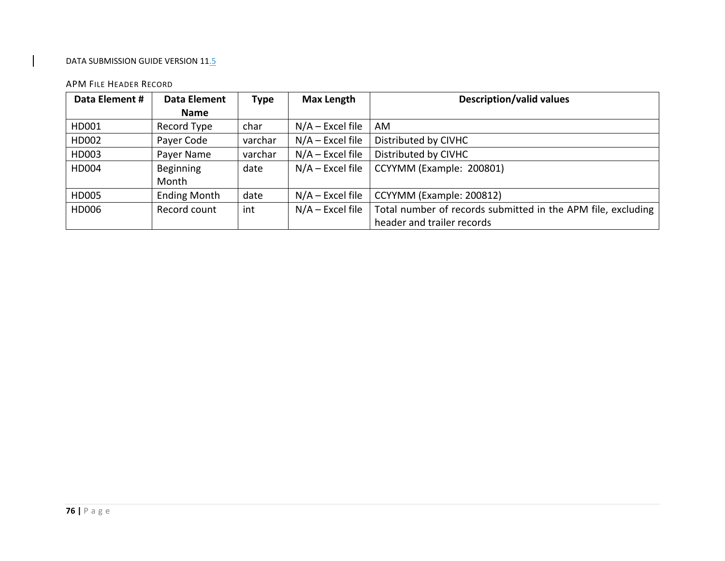#### APM FILE HEADER RECORD

| Data Element # | Data Element        | <b>Type</b> | Max Length         | <b>Description/valid values</b>                              |
|----------------|---------------------|-------------|--------------------|--------------------------------------------------------------|
|                | <b>Name</b>         |             |                    |                                                              |
| HD001          | Record Type         | char        | $N/A$ – Excel file | AM                                                           |
| HD002          | Payer Code          | varchar     | $N/A$ – Excel file | Distributed by CIVHC                                         |
| HD003          | Payer Name          | varchar     | $N/A$ – Excel file | Distributed by CIVHC                                         |
| HD004          | Beginning           | date        | $N/A$ – Excel file | CCYYMM (Example: 200801)                                     |
|                | Month               |             |                    |                                                              |
| HD005          | <b>Ending Month</b> | date        | $N/A$ – Excel file | CCYYMM (Example: 200812)                                     |
| HD006          | Record count        | int         | $N/A$ – Excel file | Total number of records submitted in the APM file, excluding |
|                |                     |             |                    | header and trailer records                                   |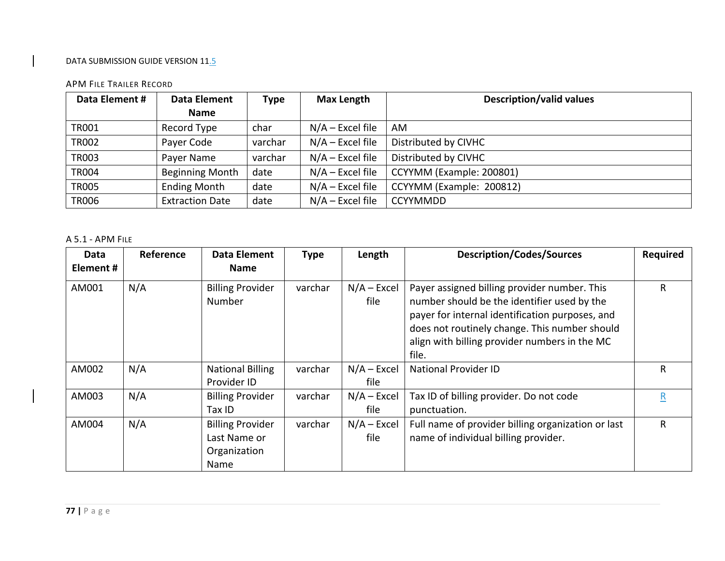#### APM FILE TRAILER RECORD

| Data Element # | <b>Data Element</b>    | Type    | <b>Max Length</b>  | <b>Description/valid values</b> |
|----------------|------------------------|---------|--------------------|---------------------------------|
|                | <b>Name</b>            |         |                    |                                 |
| TR001          | Record Type            | char    | $N/A$ – Excel file | AM                              |
| <b>TR002</b>   | Payer Code             | varchar | $N/A$ – Excel file | Distributed by CIVHC            |
| <b>TR003</b>   | Payer Name             | varchar | $N/A$ – Excel file | Distributed by CIVHC            |
| <b>TR004</b>   | <b>Beginning Month</b> | date    | $N/A$ – Excel file | CCYYMM (Example: 200801)        |
| <b>TR005</b>   | <b>Ending Month</b>    | date    | $N/A$ – Excel file | CCYYMM (Example: 200812)        |
| <b>TR006</b>   | <b>Extraction Date</b> | date    | $N/A$ – Excel file | <b>CCYYMMDD</b>                 |

#### A 5.1 ‐ APM FILE

| Data<br>Element# | Reference | <b>Data Element</b><br><b>Name</b>                              | <b>Type</b> | Length                | <b>Description/Codes/Sources</b>                                                                                                                                                                                                                          | <b>Required</b> |
|------------------|-----------|-----------------------------------------------------------------|-------------|-----------------------|-----------------------------------------------------------------------------------------------------------------------------------------------------------------------------------------------------------------------------------------------------------|-----------------|
| AM001            | N/A       | <b>Billing Provider</b><br>Number                               | varchar     | $N/A - Excel$<br>file | Payer assigned billing provider number. This<br>number should be the identifier used by the<br>payer for internal identification purposes, and<br>does not routinely change. This number should<br>align with billing provider numbers in the MC<br>file. | R               |
| AM002            | N/A       | <b>National Billing</b><br>Provider ID                          | varchar     | $N/A - Excel$<br>file | <b>National Provider ID</b>                                                                                                                                                                                                                               | R               |
| AM003            | N/A       | <b>Billing Provider</b><br>Tax ID                               | varchar     | $N/A - Excel$<br>file | Tax ID of billing provider. Do not code<br>punctuation.                                                                                                                                                                                                   | R               |
| AM004            | N/A       | <b>Billing Provider</b><br>Last Name or<br>Organization<br>Name | varchar     | $N/A - Excel$<br>file | Full name of provider billing organization or last<br>name of individual billing provider.                                                                                                                                                                | R               |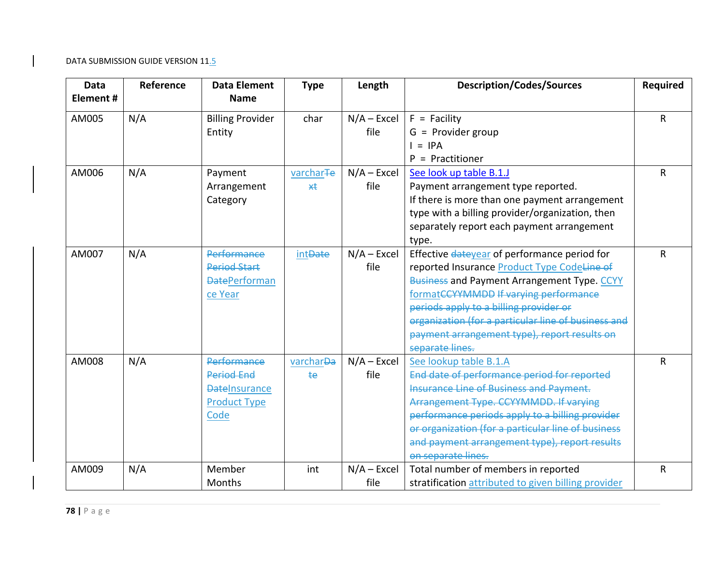| <b>Data</b> | Reference | <b>Data Element</b>     | <b>Type</b>           | Length        | <b>Description/Codes/Sources</b>                    | <b>Required</b> |
|-------------|-----------|-------------------------|-----------------------|---------------|-----------------------------------------------------|-----------------|
| Element#    |           | <b>Name</b>             |                       |               |                                                     |                 |
| AM005       | N/A       | <b>Billing Provider</b> | char                  | $N/A - Excel$ | $F =$ Facility                                      | $\mathsf{R}$    |
|             |           | Entity                  |                       | file          | $G =$ Provider group                                |                 |
|             |           |                         |                       |               | $I = IPA$                                           |                 |
|             |           |                         |                       |               | = Practitioner<br>P.                                |                 |
| AM006       | N/A       | Payment                 | varchar <sub>Te</sub> | $N/A$ – Excel | See look up table B.1.J                             | $\mathsf{R}$    |
|             |           | Arrangement             | $\star\star$          | file          | Payment arrangement type reported.                  |                 |
|             |           | Category                |                       |               | If there is more than one payment arrangement       |                 |
|             |           |                         |                       |               | type with a billing provider/organization, then     |                 |
|             |           |                         |                       |               | separately report each payment arrangement          |                 |
|             |           |                         |                       |               | type.                                               |                 |
| AM007       | N/A       | <b>Performance</b>      | int <del>Date</del>   | $N/A - Excel$ | Effective dateyear of performance period for        | R               |
|             |           | <b>Period Start</b>     |                       | file          | reported Insurance Product Type CodeLine of         |                 |
|             |           | <b>DatePerforman</b>    |                       |               | <b>Business and Payment Arrangement Type. CCYY</b>  |                 |
|             |           | ce Year                 |                       |               | formatCCYYMMDD If varying performance               |                 |
|             |           |                         |                       |               | periods apply to a billing provider or              |                 |
|             |           |                         |                       |               | organization (for a particular line of business and |                 |
|             |           |                         |                       |               | payment arrangement type), report results on        |                 |
|             |           |                         |                       |               | separate lines.                                     |                 |
| AM008       | N/A       | <b>Performance</b>      | varchar <del>Da</del> | $N/A - Excel$ | See lookup table B.1.A                              | R               |
|             |           | <b>Period End</b>       | <b>te</b>             | file          | End date of performance period for reported         |                 |
|             |           | <b>DateInsurance</b>    |                       |               | <b>Insurance Line of Business and Payment.</b>      |                 |
|             |           | <b>Product Type</b>     |                       |               | Arrangement Type. CCYYMMDD. If varying              |                 |
|             |           | Code                    |                       |               | performance periods apply to a billing provider     |                 |
|             |           |                         |                       |               | or organization (for a particular line of business  |                 |
|             |           |                         |                       |               | and payment arrangement type), report results       |                 |
|             |           |                         |                       |               | on separate lines.                                  |                 |
| AM009       | N/A       | Member                  | int                   | $N/A$ – Excel | Total number of members in reported                 | R               |
|             |           | <b>Months</b>           |                       | file          | stratification attributed to given billing provider |                 |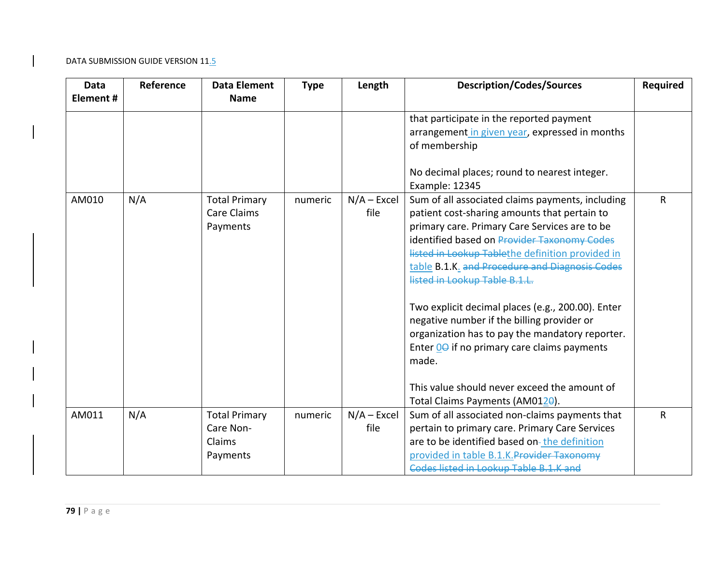| <b>Data</b><br>Element# | Reference | <b>Data Element</b><br><b>Name</b>                      | <b>Type</b> | Length                | <b>Description/Codes/Sources</b>                                                                                                                                                                                                                                                                                                        | <b>Required</b> |
|-------------------------|-----------|---------------------------------------------------------|-------------|-----------------------|-----------------------------------------------------------------------------------------------------------------------------------------------------------------------------------------------------------------------------------------------------------------------------------------------------------------------------------------|-----------------|
|                         |           |                                                         |             |                       | that participate in the reported payment<br>arrangement in given year, expressed in months<br>of membership                                                                                                                                                                                                                             |                 |
|                         |           |                                                         |             |                       | No decimal places; round to nearest integer.<br>Example: 12345                                                                                                                                                                                                                                                                          |                 |
| AM010                   | N/A       | <b>Total Primary</b><br><b>Care Claims</b><br>Payments  | numeric     | $N/A$ – Excel<br>file | Sum of all associated claims payments, including<br>patient cost-sharing amounts that pertain to<br>primary care. Primary Care Services are to be<br>identified based on Provider Taxonomy Codes<br>listed in Lookup Tablethe definition provided in<br>table B.1.K. and Procedure and Diagnosis Codes<br>listed in Lookup Table B.1.L. | $\mathsf{R}$    |
|                         |           |                                                         |             |                       | Two explicit decimal places (e.g., 200.00). Enter<br>negative number if the billing provider or<br>organization has to pay the mandatory reporter.<br>Enter 0 <del>0</del> if no primary care claims payments<br>made.                                                                                                                  |                 |
|                         |           |                                                         |             |                       | This value should never exceed the amount of<br>Total Claims Payments (AM0120).                                                                                                                                                                                                                                                         |                 |
| AM011                   | N/A       | <b>Total Primary</b><br>Care Non-<br>Claims<br>Payments | numeric     | $N/A - Excel$<br>file | Sum of all associated non-claims payments that<br>pertain to primary care. Primary Care Services<br>are to be identified based on-the definition<br>provided in table B.1.K. Provider Taxonomy<br>Codes listed in Lookup Table B.1.K and                                                                                                | R               |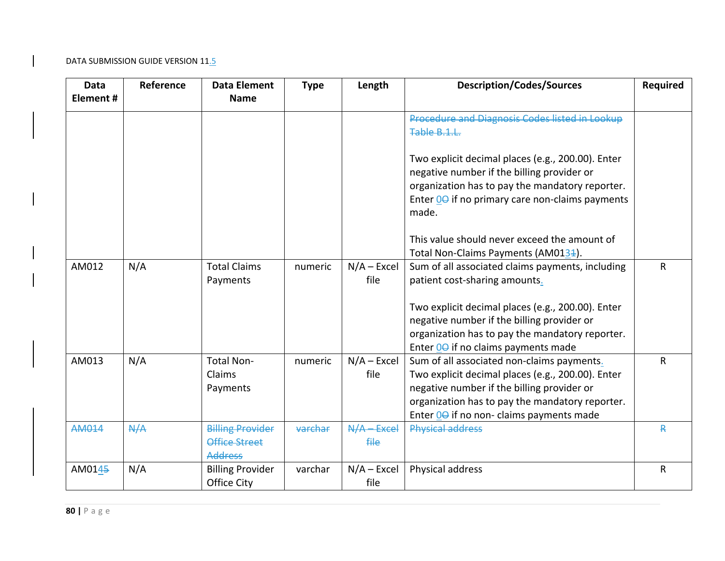| Data<br>Element# | Reference | <b>Data Element</b><br><b>Name</b>                         | <b>Type</b> | Length                           | <b>Description/Codes/Sources</b>                                                                                                                                                                                                            | <b>Required</b> |
|------------------|-----------|------------------------------------------------------------|-------------|----------------------------------|---------------------------------------------------------------------------------------------------------------------------------------------------------------------------------------------------------------------------------------------|-----------------|
|                  |           |                                                            |             |                                  | Procedure and Diagnosis Codes listed in Lookup<br>Table B.1.L.                                                                                                                                                                              |                 |
|                  |           |                                                            |             |                                  | Two explicit decimal places (e.g., 200.00). Enter<br>negative number if the billing provider or<br>organization has to pay the mandatory reporter.<br>Enter 00 if no primary care non-claims payments<br>made.                              |                 |
|                  |           |                                                            |             |                                  | This value should never exceed the amount of<br>Total Non-Claims Payments (AM0134).                                                                                                                                                         |                 |
| AM012            | N/A       | <b>Total Claims</b><br>Payments                            | numeric     | $N/A - Excel$<br>file            | Sum of all associated claims payments, including<br>patient cost-sharing amounts.                                                                                                                                                           | R               |
|                  |           |                                                            |             |                                  | Two explicit decimal places (e.g., 200.00). Enter<br>negative number if the billing provider or<br>organization has to pay the mandatory reporter.<br>Enter 00 if no claims payments made                                                   |                 |
| AM013            | N/A       | <b>Total Non-</b><br>Claims<br>Payments                    | numeric     | $N/A - Excel$<br>file            | Sum of all associated non-claims payments.<br>Two explicit decimal places (e.g., 200.00). Enter<br>negative number if the billing provider or<br>organization has to pay the mandatory reporter.<br>Enter 00 if no non-claims payments made | R               |
| AM014            | A/A       | <b>Billing Provider</b><br>Office Street<br><b>Address</b> | varchar     | $N/A - Excel$<br><del>file</del> | <b>Physical address</b>                                                                                                                                                                                                                     | R               |
| AM0145           | N/A       | <b>Billing Provider</b><br><b>Office City</b>              | varchar     | $N/A - Excel$<br>file            | Physical address                                                                                                                                                                                                                            | R               |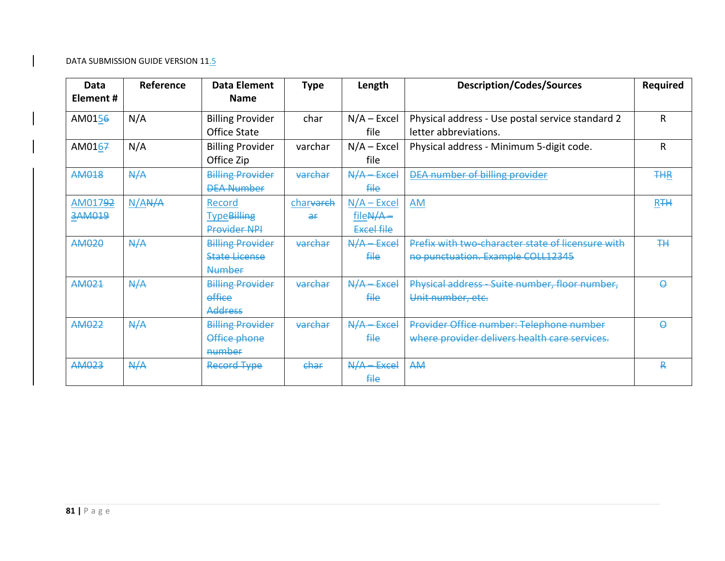| Data<br>Element # | Reference               | Data Element<br><b>Name</b>                                      | <b>Type</b>                 | Length                                                    | <b>Description/Codes/Sources</b>                                                          | <b>Required</b>       |
|-------------------|-------------------------|------------------------------------------------------------------|-----------------------------|-----------------------------------------------------------|-------------------------------------------------------------------------------------------|-----------------------|
| AM0156            | N/A                     | <b>Billing Provider</b><br>Office State                          | char                        | $N/A - Excel$<br>file.                                    | Physical address - Use postal service standard 2<br>letter abbreviations.                 | R                     |
| AM0167            | N/A                     | <b>Billing Provider</b><br>Office Zip                            | varchar                     | $N/A - Excel$<br>file                                     | Physical address - Minimum 5-digit code.                                                  | R                     |
| <b>AM018</b>      | A/A                     | <b>Billing Provider</b><br><b>DEA Number</b>                     | varchar                     | $N/A - Excel$<br><del>file</del>                          | <b>DEA number of billing provider</b>                                                     | <b>THR</b>            |
| AM01792<br>3AM019 | $N/A$ <sub>A</sub> $/A$ | Record<br>Type <del>Billing</del><br>Provider NPI                | charvarch<br>$\overline{a}$ | $N/A$ – Excel<br>file <del>N/A</del><br><b>Excel file</b> | AM                                                                                        | <b>R</b> <sub>+</sub> |
| AM020             | A/A                     | <b>Billing Provider</b><br><b>State License</b><br><b>Number</b> | varchar                     | $N/A - Excel$<br><del>file</del>                          | Prefix with two-character state of licensure with<br>no punctuation. Example COLL12345    | ᅖ                     |
| AM021             | A/A                     | <b>Billing Provider</b><br>effice<br><b>Address</b>              | varchar                     | A/A<br><b>Excel</b><br><del>file</del>                    | Physical address Suite number, floor number,<br>Unit number, etc.                         | Ą                     |
| AM022             | A/A                     | <b>Billing Provider</b><br>Office phone<br>number                | varchar                     | $N/A - Excel$<br><del>file</del>                          | Provider Office number: Telephone number<br>where provider delivers health care services. | Q                     |
| AM023             | A/A                     | <b>Record Type</b>                                               | ehar                        | $N/A$ Excel<br><del>file</del>                            | AA4                                                                                       | ₽                     |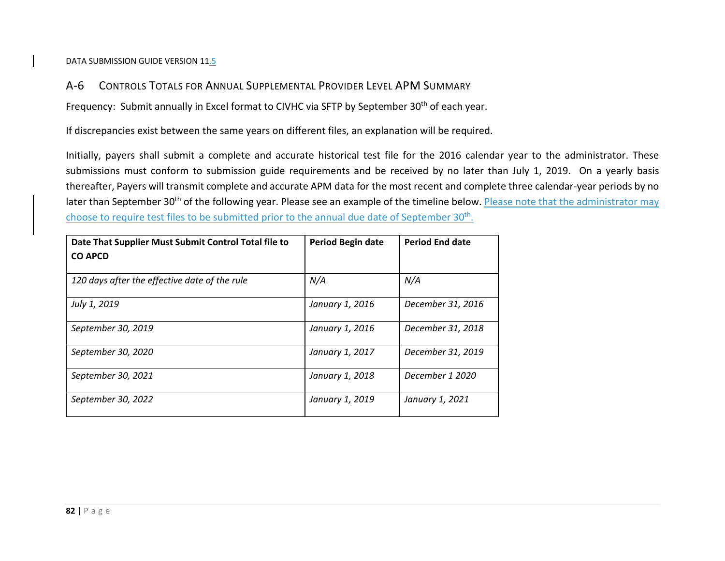#### A‐6CONTROLS TOTALS FOR ANNUAL SUPPLEMENTAL PROVIDER LEVEL APM SUMMARY

Frequency: Submit annually in Excel format to CIVHC via SFTP by September 30<sup>th</sup> of each year.

If discrepancies exist between the same years on different files, an explanation will be required.

Initially, payers shall submit <sup>a</sup> complete and accurate historical test file for the 2016 calendar year to the administrator. These submissions must conform to submission guide requirements and be received by no later than July 1, 2019. On <sup>a</sup> yearly basis thereafter, Payers will transmit complete and accurate APM data for the most recent and complete three calendar‐year periods by no later than September 30<sup>th</sup> of the following year. Please see an example of the timeline below. <u>Please note that the administrator may</u> choose to require test files to be submitted prior to the annual due date of September 30<sup>th</sup>.

| Date That Supplier Must Submit Control Total file to<br><b>CO APCD</b> | Period Begin date | <b>Period End date</b> |
|------------------------------------------------------------------------|-------------------|------------------------|
| 120 days after the effective date of the rule                          | N/A               | N/A                    |
| July 1, 2019                                                           | January 1, 2016   | December 31, 2016      |
| September 30, 2019                                                     | January 1, 2016   | December 31, 2018      |
| September 30, 2020                                                     | January 1, 2017   | December 31, 2019      |
| September 30, 2021                                                     | January 1, 2018   | December 1 2020        |
| September 30, 2022                                                     | January 1, 2019   | January 1, 2021        |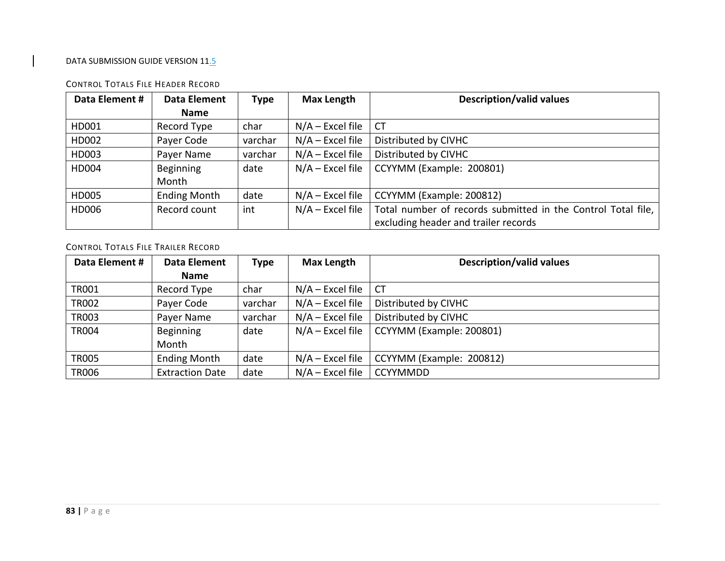#### **Data Element # Data Element Name Type Max Length Description/valid values** HD001 Recordchar  $N/A$  – Excel file  $|CT|$ HD002Payer Code  $\vert$  varchar  $\vert$  N/A – Excel file  $\vert$  Distributed by CIVHC HD003Payer Name  $\vert$  varchar  $\vert$  N/A – Excel file  $\vert$  Distributed by CIVHC HD004 Beginning Monthdate $N/A$  – Excel file  $\vert$  CCYYMM (Example: 200801) HD005Ending Month  $\vert$  date  $\vert$  N/A – Excel file  $\vert$  CCYYMM (Example: 200812) HD006 Recordint  $\vert N/A -$  Excel file  $\vert$  Total number of records submitted in the Control Total file, excluding header and trailer records

#### CONTROL TOTALS FILE HEADER RECORD

CONTROL TOTALS FILE TRAILER RECORD

| Data Element # | Data Element           | <b>Type</b> | <b>Max Length</b>  | <b>Description/valid values</b> |
|----------------|------------------------|-------------|--------------------|---------------------------------|
|                | <b>Name</b>            |             |                    |                                 |
| <b>TR001</b>   | Record Type            | char        | $N/A$ – Excel file | <b>CT</b>                       |
| <b>TR002</b>   | Payer Code             | varchar     | $N/A$ – Excel file | Distributed by CIVHC            |
| <b>TR003</b>   | Payer Name             | varchar     | $N/A$ – Excel file | Distributed by CIVHC            |
| <b>TR004</b>   | <b>Beginning</b>       | date        | $N/A$ – Excel file | CCYYMM (Example: 200801)        |
|                | Month                  |             |                    |                                 |
| <b>TR005</b>   | <b>Ending Month</b>    | date        | $N/A$ – Excel file | CCYYMM (Example: 200812)        |
| <b>TR006</b>   | <b>Extraction Date</b> | date        | $N/A$ – Excel file | <b>CCYYMMDD</b>                 |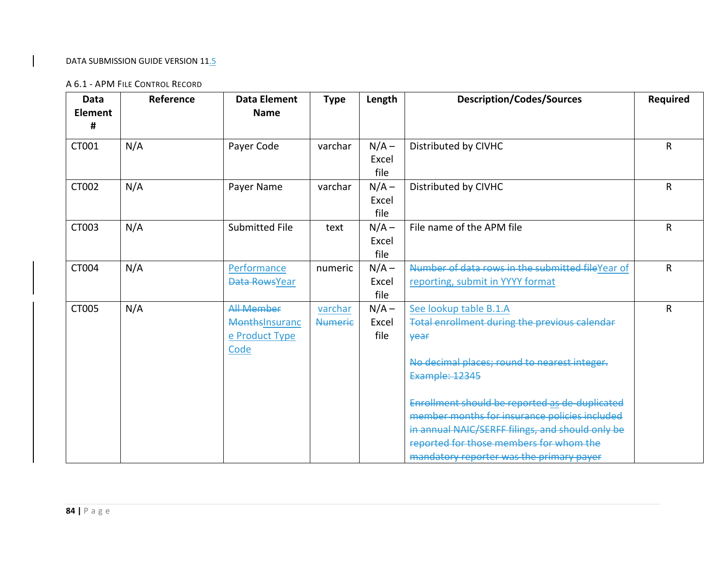#### A 6.1 ‐ APM FILE CONTROL RECORD

| Data<br><b>Element</b><br># | Reference | <b>Data Element</b><br><b>Name</b>                            | <b>Type</b>               | Length                   | <b>Description/Codes/Sources</b>                                                                                                                                                                                                                                                                                                                                                                                     | <b>Required</b> |
|-----------------------------|-----------|---------------------------------------------------------------|---------------------------|--------------------------|----------------------------------------------------------------------------------------------------------------------------------------------------------------------------------------------------------------------------------------------------------------------------------------------------------------------------------------------------------------------------------------------------------------------|-----------------|
| CT001                       | N/A       | Payer Code                                                    | varchar                   | $N/A -$<br>Excel<br>file | Distributed by CIVHC                                                                                                                                                                                                                                                                                                                                                                                                 | R               |
| CT002                       | N/A       | Payer Name                                                    | varchar                   | $N/A -$<br>Excel<br>file | Distributed by CIVHC                                                                                                                                                                                                                                                                                                                                                                                                 | R               |
| CT003                       | N/A       | Submitted File                                                | text                      | $N/A -$<br>Excel<br>file | File name of the APM file                                                                                                                                                                                                                                                                                                                                                                                            | R               |
| CT004                       | N/A       | Performance<br>Data RowsYear                                  | numeric                   | $N/A -$<br>Excel<br>file | Number of data rows in the submitted fileYear of<br>reporting, submit in YYYY format                                                                                                                                                                                                                                                                                                                                 | R               |
| CT005                       | N/A       | <b>All Member</b><br>MonthsInsuranc<br>e Product Type<br>Code | varchar<br><b>Numerie</b> | $N/A -$<br>Excel<br>file | See lookup table B.1.A<br><b>Total enrollment during the previous calendar</b><br><b>year</b><br>No decimal places; round to nearest integer.<br><b>Example: 12345</b><br>Enrollment should be reported as de-duplicated<br>member months for insurance policies included<br>in annual NAIC/SERFF filings, and should only be<br>reported for those members for whom the<br>mandatory reporter was the primary payer | $\mathsf R$     |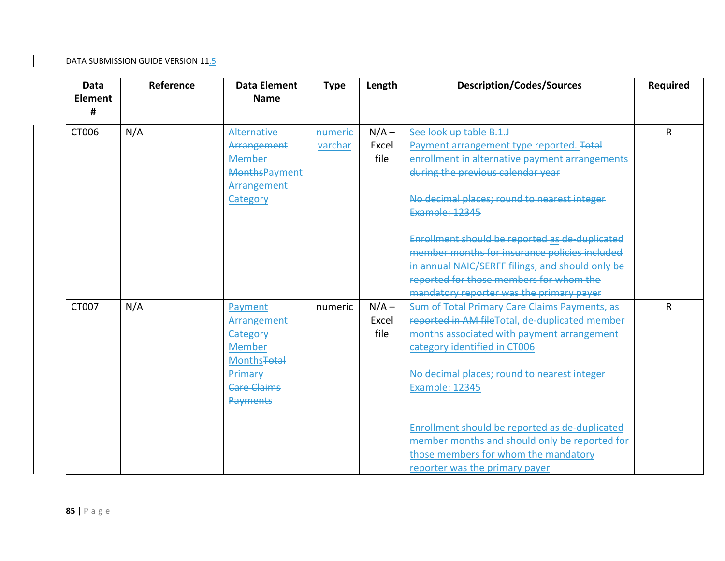| <b>Data</b><br><b>Element</b><br># | Reference | <b>Data Element</b><br><b>Name</b>                                                                                                | <b>Type</b>        | Length                   | <b>Description/Codes/Sources</b>                                                                                                                                                                                                                | <b>Required</b> |
|------------------------------------|-----------|-----------------------------------------------------------------------------------------------------------------------------------|--------------------|--------------------------|-------------------------------------------------------------------------------------------------------------------------------------------------------------------------------------------------------------------------------------------------|-----------------|
| CT006                              | N/A       | Alternative<br>Arrangement<br>Member<br><b>MonthsPayment</b><br>Arrangement<br>Category                                           | numerie<br>varchar | $N/A -$<br>Excel<br>file | See look up table B.1.J<br>Payment arrangement type reported. Total<br>enrollment in alternative payment arrangements<br>during the previous calendar year<br>No decimal places; round to nearest integer<br><b>Example: 12345</b>              | R               |
|                                    |           |                                                                                                                                   |                    |                          | Enrollment should be reported as de-duplicated<br>member months for insurance policies included<br>in annual NAIC/SERFF filings, and should only be<br>reported for those members for whom the<br>mandatory reporter was the primary payer      |                 |
| CT007                              | N/A       | Payment<br>Arrangement<br>Category<br><b>Member</b><br><b>Months<del>Total</del></b><br>Primary<br><b>Care Claims</b><br>Payments | numeric            | $N/A -$<br>Excel<br>file | Sum of Total Primary Care Claims Payments, as<br>reported in AM file Total, de-duplicated member<br>months associated with payment arrangement<br>category identified in CT006<br>No decimal places; round to nearest integer<br>Example: 12345 | R               |
|                                    |           |                                                                                                                                   |                    |                          | Enrollment should be reported as de-duplicated<br>member months and should only be reported for<br>those members for whom the mandatory<br>reporter was the primary payer                                                                       |                 |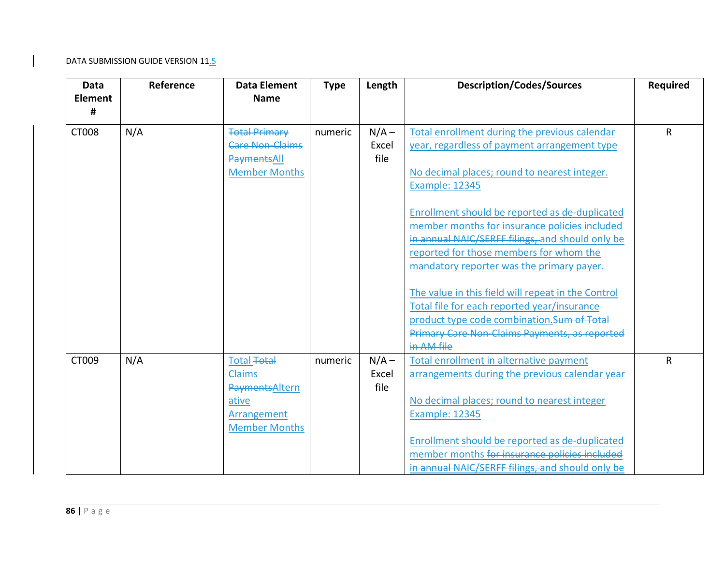| Data<br><b>Element</b><br># | Reference | <b>Data Element</b><br><b>Name</b>                                                                 | <b>Type</b> | Length                   | <b>Description/Codes/Sources</b>                                                                                                                                                                                                                                                                                                                                                                                                                                                                                                                                                                                                                           | <b>Required</b> |
|-----------------------------|-----------|----------------------------------------------------------------------------------------------------|-------------|--------------------------|------------------------------------------------------------------------------------------------------------------------------------------------------------------------------------------------------------------------------------------------------------------------------------------------------------------------------------------------------------------------------------------------------------------------------------------------------------------------------------------------------------------------------------------------------------------------------------------------------------------------------------------------------------|-----------------|
| CT008                       | N/A       | <b>Total Primary</b><br><b>Care Non-Claims</b><br>PaymentsAll<br><b>Member Months</b>              | numeric     | $N/A -$<br>Excel<br>file | Total enrollment during the previous calendar<br>year, regardless of payment arrangement type<br>No decimal places; round to nearest integer.<br><b>Example: 12345</b><br>Enrollment should be reported as de-duplicated<br>member months <del>for insurance policies included</del><br>in annual NAIC/SERFF filings, and should only be<br>reported for those members for whom the<br>mandatory reporter was the primary payer.<br>The value in this field will repeat in the Control<br>Total file for each reported year/insurance<br>product type code combination. Sum of Total<br><b>Primary Care Non-Claims Payments, as reported</b><br>in AM file | $\mathsf{R}$    |
| CT009                       | N/A       | Total <del>Total</del><br>Claims<br>PaymentsAltern<br>ative<br>Arrangement<br><b>Member Months</b> | numeric     | $N/A -$<br>Excel<br>file | Total enrollment in alternative payment<br>arrangements during the previous calendar year<br>No decimal places; round to nearest integer<br><b>Example: 12345</b><br>Enrollment should be reported as de-duplicated<br>member months for insurance policies included<br>in annual NAIC/SERFF filings, and should only be                                                                                                                                                                                                                                                                                                                                   | R               |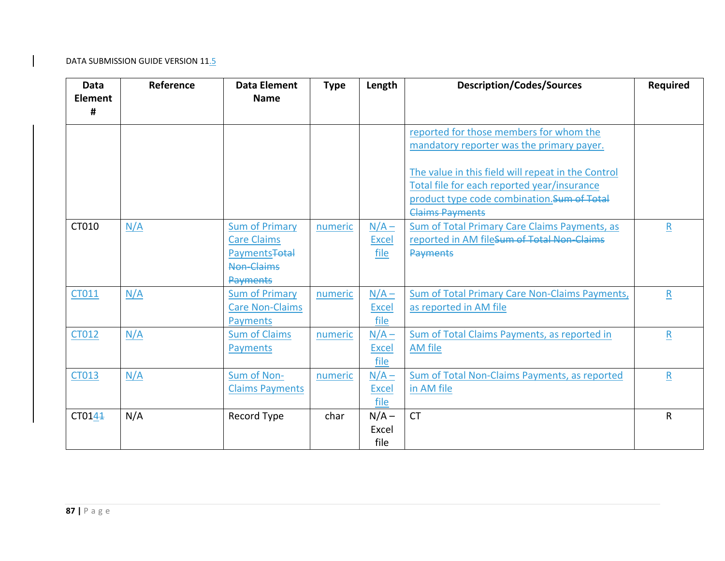| Data<br><b>Element</b><br># | Reference | <b>Data Element</b><br><b>Name</b>                                                                              | <b>Type</b> | Length                          | <b>Description/Codes/Sources</b>                                                                                                                                                                                                         | <b>Required</b>         |
|-----------------------------|-----------|-----------------------------------------------------------------------------------------------------------------|-------------|---------------------------------|------------------------------------------------------------------------------------------------------------------------------------------------------------------------------------------------------------------------------------------|-------------------------|
|                             |           |                                                                                                                 |             |                                 | reported for those members for whom the<br>mandatory reporter was the primary payer.<br>The value in this field will repeat in the Control<br>Total file for each reported year/insurance<br>product type code combination. Sum of Total |                         |
|                             |           |                                                                                                                 |             |                                 | <b>Claims Payments</b>                                                                                                                                                                                                                   |                         |
| CT010                       | N/A       | <b>Sum of Primary</b><br><b>Care Claims</b><br><b>Payments<del>Total</del></b><br>Non-Claims<br><b>Payments</b> | numeric     | $N/A -$<br><b>Excel</b><br>file | Sum of Total Primary Care Claims Payments, as<br>reported in AM fileSum of Total Non-Claims<br>Payments                                                                                                                                  | $\mathsf R$             |
| CT011                       | N/A       | <b>Sum of Primary</b><br><b>Care Non-Claims</b><br><b>Payments</b>                                              | numeric     | $N/A -$<br><b>Excel</b><br>file | <b>Sum of Total Primary Care Non-Claims Payments,</b><br>as reported in AM file                                                                                                                                                          | $\mathsf{R}$            |
| CT012                       | N/A       | <b>Sum of Claims</b><br>Payments                                                                                | numeric     | $N/A -$<br><b>Excel</b><br>file | <b>Sum of Total Claims Payments, as reported in</b><br><b>AM</b> file                                                                                                                                                                    | $\overline{\mathbf{R}}$ |
| CT013                       | N/A       | Sum of Non-<br><b>Claims Payments</b>                                                                           | numeric     | $N/A -$<br><b>Excel</b><br>file | Sum of Total Non-Claims Payments, as reported<br>in AM file                                                                                                                                                                              | $\mathsf{R}$            |
| CT0144                      | N/A       | Record Type                                                                                                     | char        | $N/A -$<br>Excel<br>file        | <b>CT</b>                                                                                                                                                                                                                                | R                       |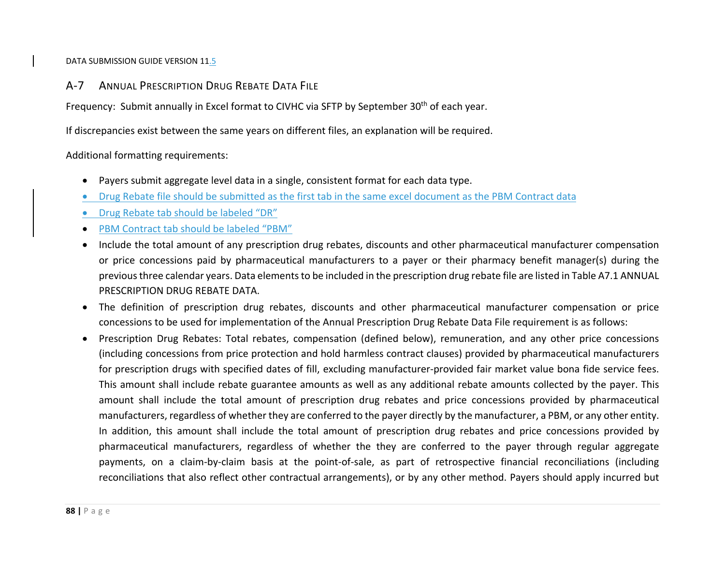A‐7 ANNUAL PRESCRIPTION DRUG REBATE DATA FILE

Frequency: Submit annually in Excel format to CIVHC via SFTP by September 30<sup>th</sup> of each year.

If discrepancies exist between the same years on different files, an explanation will be required.

Additional formatting requirements:

- $\bullet$ Payers submit aggregate level data in <sup>a</sup> single, consistent format for each data type.
- $\bullet$ Drug Rebate file should be submitted as the first tab in the same excel document as the PBM Contract data
- $\bullet$ Drug Rebate tab should be labeled "DR"
- $\bullet$ PBM Contract tab should be labeled "PBM"
- $\bullet$  Include the total amount of any prescription drug rebates, discounts and other pharmaceutical manufacturer compensation or price concessions paid by pharmaceutical manufacturers to <sup>a</sup> payer or their pharmacy benefit manager(s) during the previousthree calendar years. Data elementsto be included in the prescription drug rebate file are listed in Table A7.1 ANNUAL PRESCRIPTION DRUG REBATE DATA.
- $\bullet$  The definition of prescription drug rebates, discounts and other pharmaceutical manufacturer compensation or price concessions to be used for implementation of the Annual Prescription Drug Rebate Data File requirement is as follows:
- $\bullet$  Prescription Drug Rebates: Total rebates, compensation (defined below), remuneration, and any other price concessions (including concessions from price protection and hold harmless contract clauses) provided by pharmaceutical manufacturers for prescription drugs with specified dates of fill, excluding manufacturer‐provided fair market value bona fide service fees. This amount shall include rebate guarantee amounts as well as any additional rebate amounts collected by the payer. This amount shall include the total amount of prescription drug rebates and price concessions provided by pharmaceutical manufacturers, regardless of whether they are conferred to the payer directly by the manufacturer, <sup>a</sup> PBM, or any other entity. In addition, this amount shall include the total amount of prescription drug rebates and price concessions provided by pharmaceutical manufacturers, regardless of whether the they are conferred to the payer through regular aggregate payments, on a claim-by-claim basis at the point-of-sale, as part of retrospective financial reconciliations (including reconciliations that also reflect other contractual arrangements), or by any other method. Payers should apply incurred but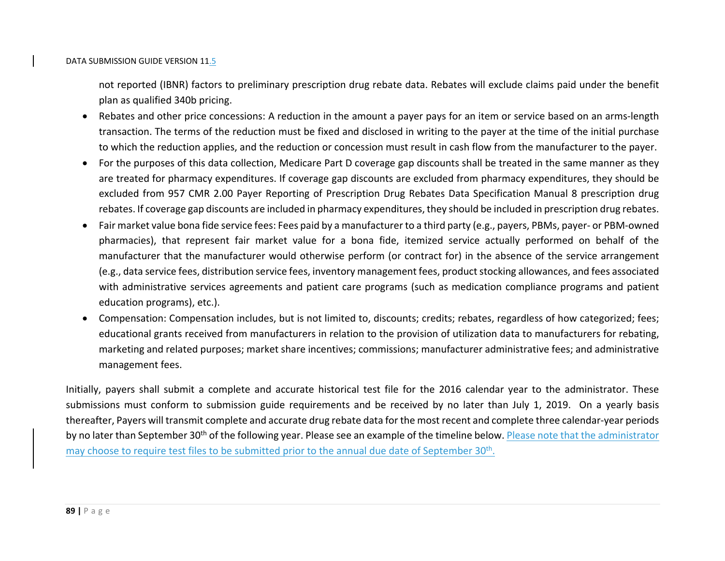not reported (IBNR) factors to preliminary prescription drug rebate data. Rebates will exclude claims paid under the benefit plan as qualified 340b pricing.

- Rebates and other price concessions: A reduction in the amount a payer pays for an item or service based on an arms-length transaction. The terms of the reduction must be fixed and disclosed in writing to the payer at the time of the initial purchase to which the reduction applies, and the reduction or concession must result in cash flow from the manufacturer to the payer.
- For the purposes of this data collection, Medicare Part D coverage gap discounts shall be treated in the same manner as they are treated for pharmacy expenditures. If coverage gap discounts are excluded from pharmacy expenditures, they should be excluded from 957 CMR 2.00 Payer Reporting of Prescription Drug Rebates Data Specification Manual 8 prescription drug rebates. If coverage gap discounts are included in pharmacy expenditures, they should be included in prescription drug rebates.
- Fair market value bona fide service fees: Fees paid by <sup>a</sup> manufacturer to <sup>a</sup> third party (e.g., payers, PBMs, payer‐ or PBM‐owned pharmacies), that represent fair market value for <sup>a</sup> bona fide, itemized service actually performed on behalf of the manufacturer that the manufacturer would otherwise perform (or contract for) in the absence of the service arrangement (e.g., data service fees, distribution service fees, inventory management fees, product stocking allowances, and fees associated with administrative services agreements and patient care programs (such as medication compliance programs and patient education programs), etc.).
- Compensation: Compensation includes, but is not limited to, discounts; credits; rebates, regardless of how categorized; fees; educational grants received from manufacturers in relation to the provision of utilization data to manufacturers for rebating, marketing and related purposes; market share incentives; commissions; manufacturer administrative fees; and administrative management fees.

Initially, payers shall submit <sup>a</sup> complete and accurate historical test file for the 2016 calendar year to the administrator. These submissions must conform to submission guide requirements and be received by no later than July 1, 2019. On <sup>a</sup> yearly basis thereafter, Payers will transmit complete and accurate drug rebate data for the most recent and complete three calendar‐year periods by no later than September 30<sup>th</sup> of the following year. Please see an example of the timeline below. Please note that the administrator may choose to require test files to be submitted prior to the annual due date of September 30<sup>th</sup>.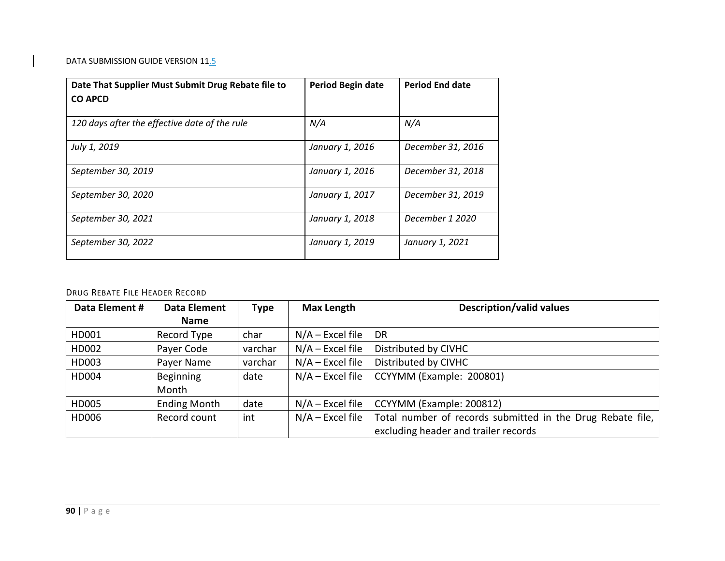| Date That Supplier Must Submit Drug Rebate file to<br><b>CO APCD</b> | Period Begin date | <b>Period End date</b> |
|----------------------------------------------------------------------|-------------------|------------------------|
| 120 days after the effective date of the rule                        | N/A               | N/A                    |
| July 1, 2019                                                         | January 1, 2016   | December 31, 2016      |
| September 30, 2019                                                   | January 1, 2016   | December 31, 2018      |
| September 30, 2020                                                   | January 1, 2017   | December 31, 2019      |
| September 30, 2021                                                   | January 1, 2018   | December 1 2020        |
| September 30, 2022                                                   | January 1, 2019   | January 1, 2021        |

#### DRUG REBATE FILE HEADER RECORD

| Data Element # | <b>Data Element</b> | <b>Type</b> | <b>Max Length</b>  | <b>Description/valid values</b>                            |
|----------------|---------------------|-------------|--------------------|------------------------------------------------------------|
|                | <b>Name</b>         |             |                    |                                                            |
| HD001          | Record Type         | char        | $N/A$ – Excel file | <b>DR</b>                                                  |
| HD002          | Payer Code          | varchar     | $N/A$ – Excel file | Distributed by CIVHC                                       |
| HD003          | Payer Name          | varchar     | $N/A$ – Excel file | Distributed by CIVHC                                       |
| HD004          | <b>Beginning</b>    | date        | $N/A$ – Excel file | CCYYMM (Example: 200801)                                   |
|                | Month               |             |                    |                                                            |
| HD005          | <b>Ending Month</b> | date        | $N/A$ – Excel file | CCYYMM (Example: 200812)                                   |
| HD006          | Record count        | int         | $N/A$ – Excel file | Total number of records submitted in the Drug Rebate file, |
|                |                     |             |                    | excluding header and trailer records                       |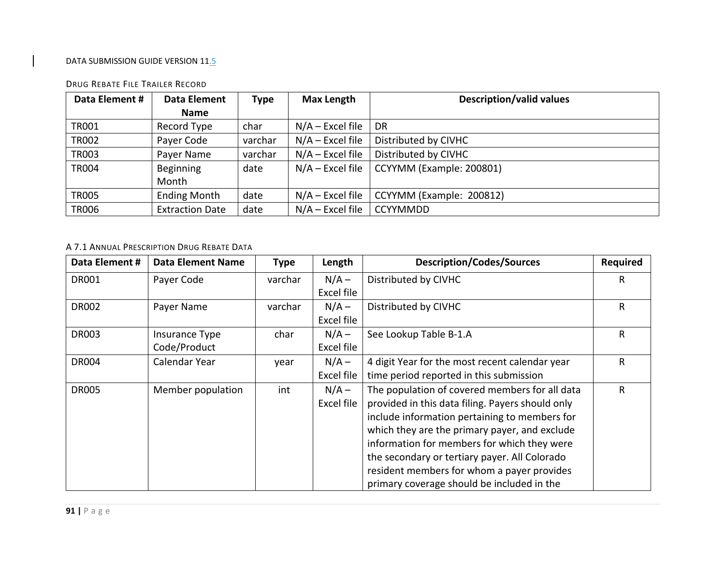| Data Element # | <b>Data Element</b>    | <b>Type</b> | <b>Max Length</b>  | <b>Description/valid values</b> |
|----------------|------------------------|-------------|--------------------|---------------------------------|
|                | <b>Name</b>            |             |                    |                                 |
| <b>TR001</b>   | Record Type            | char        | $N/A$ – Excel file | DR                              |
| <b>TR002</b>   | Payer Code             | varchar     | $N/A$ – Excel file | Distributed by CIVHC            |
| <b>TR003</b>   | Payer Name             | varchar     | $N/A$ – Excel file | Distributed by CIVHC            |
| <b>TR004</b>   | Beginning              | date        | $N/A$ – Excel file | CCYYMM (Example: 200801)        |
|                | Month                  |             |                    |                                 |
| <b>TR005</b>   | <b>Ending Month</b>    | date        | $N/A$ – Excel file | CCYYMM (Example: 200812)        |
| <b>TR006</b>   | <b>Extraction Date</b> | date        | $N/A$ – Excel file | <b>CCYYMMDD</b>                 |

#### DRUG REBATE FILE TRAILER RECORD

## A 7.1 ANNUAL PRESCRIPTION DRUG REBATE DATA

| Data Element # | <b>Data Element Name</b> | Type    | Length     | <b>Description/Codes/Sources</b>                 | <b>Required</b> |
|----------------|--------------------------|---------|------------|--------------------------------------------------|-----------------|
| <b>DR001</b>   | Payer Code               | varchar | $N/A -$    | Distributed by CIVHC                             | R.              |
|                |                          |         | Excel file |                                                  |                 |
| <b>DR002</b>   | Payer Name               | varchar | $N/A -$    | Distributed by CIVHC                             | R               |
|                |                          |         | Excel file |                                                  |                 |
| <b>DR003</b>   | Insurance Type           | char    | $N/A -$    | See Lookup Table B-1.A                           | R               |
|                | Code/Product             |         | Excel file |                                                  |                 |
| <b>DR004</b>   | Calendar Year            | year    | $N/A -$    | 4 digit Year for the most recent calendar year   | R               |
|                |                          |         | Excel file | time period reported in this submission          |                 |
| <b>DR005</b>   | Member population        | int     | $N/A -$    | The population of covered members for all data   | R               |
|                |                          |         | Excel file | provided in this data filing. Payers should only |                 |
|                |                          |         |            | include information pertaining to members for    |                 |
|                |                          |         |            | which they are the primary payer, and exclude    |                 |
|                |                          |         |            | information for members for which they were      |                 |
|                |                          |         |            | the secondary or tertiary payer. All Colorado    |                 |
|                |                          |         |            | resident members for whom a payer provides       |                 |
|                |                          |         |            | primary coverage should be included in the       |                 |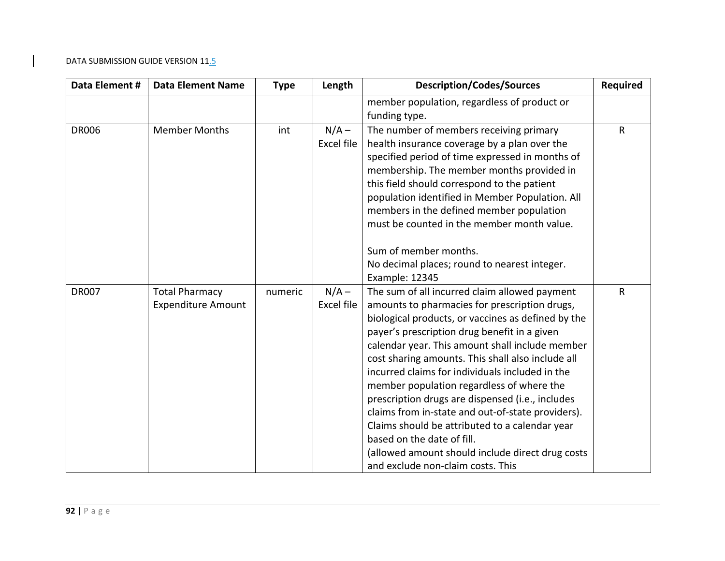| Data Element # | <b>Data Element Name</b>                           | <b>Type</b> | Length                       | <b>Description/Codes/Sources</b>                                                                                                                                                                                                                                                                                                                                                                                                                                                                                                                                                                                                                                                               | <b>Required</b> |
|----------------|----------------------------------------------------|-------------|------------------------------|------------------------------------------------------------------------------------------------------------------------------------------------------------------------------------------------------------------------------------------------------------------------------------------------------------------------------------------------------------------------------------------------------------------------------------------------------------------------------------------------------------------------------------------------------------------------------------------------------------------------------------------------------------------------------------------------|-----------------|
|                |                                                    |             |                              | member population, regardless of product or<br>funding type.                                                                                                                                                                                                                                                                                                                                                                                                                                                                                                                                                                                                                                   |                 |
| <b>DR006</b>   | <b>Member Months</b>                               | int         | $N/A -$<br><b>Excel file</b> | The number of members receiving primary<br>health insurance coverage by a plan over the<br>specified period of time expressed in months of<br>membership. The member months provided in<br>this field should correspond to the patient<br>population identified in Member Population. All<br>members in the defined member population<br>must be counted in the member month value.                                                                                                                                                                                                                                                                                                            | $\mathsf{R}$    |
|                |                                                    |             |                              | Sum of member months.<br>No decimal places; round to nearest integer.<br>Example: 12345                                                                                                                                                                                                                                                                                                                                                                                                                                                                                                                                                                                                        |                 |
| <b>DR007</b>   | <b>Total Pharmacy</b><br><b>Expenditure Amount</b> | numeric     | $N/A -$<br><b>Excel file</b> | The sum of all incurred claim allowed payment<br>amounts to pharmacies for prescription drugs,<br>biological products, or vaccines as defined by the<br>payer's prescription drug benefit in a given<br>calendar year. This amount shall include member<br>cost sharing amounts. This shall also include all<br>incurred claims for individuals included in the<br>member population regardless of where the<br>prescription drugs are dispensed (i.e., includes<br>claims from in-state and out-of-state providers).<br>Claims should be attributed to a calendar year<br>based on the date of fill.<br>(allowed amount should include direct drug costs<br>and exclude non-claim costs. This | $\mathsf{R}$    |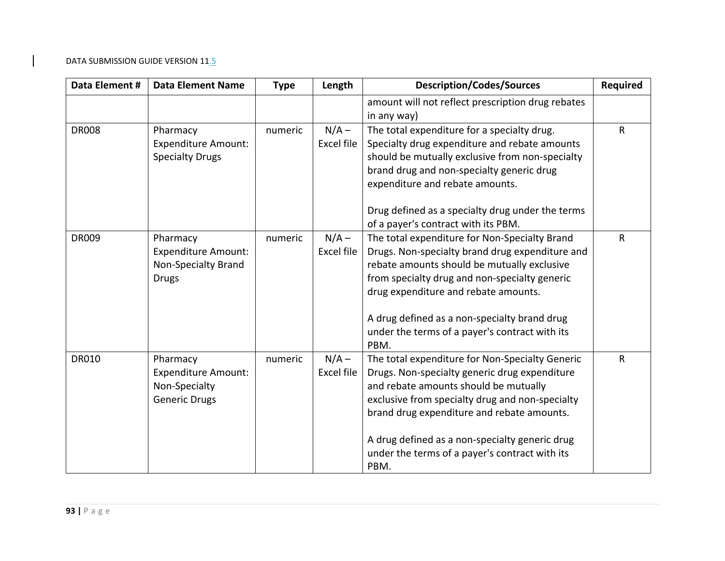| Data Element # | <b>Data Element Name</b>                                                             | <b>Type</b> | Length                       | <b>Description/Codes/Sources</b>                                                                                                                                                                                                                                                                                                                       | <b>Required</b> |
|----------------|--------------------------------------------------------------------------------------|-------------|------------------------------|--------------------------------------------------------------------------------------------------------------------------------------------------------------------------------------------------------------------------------------------------------------------------------------------------------------------------------------------------------|-----------------|
|                |                                                                                      |             |                              | amount will not reflect prescription drug rebates<br>in any way)                                                                                                                                                                                                                                                                                       |                 |
| <b>DR008</b>   | Pharmacy<br><b>Expenditure Amount:</b><br><b>Specialty Drugs</b>                     | numeric     | $N/A -$<br>Excel file        | The total expenditure for a specialty drug.<br>Specialty drug expenditure and rebate amounts<br>should be mutually exclusive from non-specialty<br>brand drug and non-specialty generic drug<br>expenditure and rebate amounts.                                                                                                                        | $\mathsf{R}$    |
|                |                                                                                      |             |                              | Drug defined as a specialty drug under the terms<br>of a payer's contract with its PBM.                                                                                                                                                                                                                                                                |                 |
| <b>DR009</b>   | Pharmacy<br><b>Expenditure Amount:</b><br><b>Non-Specialty Brand</b><br><b>Drugs</b> | numeric     | $N/A -$<br><b>Excel file</b> | The total expenditure for Non-Specialty Brand<br>Drugs. Non-specialty brand drug expenditure and<br>rebate amounts should be mutually exclusive<br>from specialty drug and non-specialty generic<br>drug expenditure and rebate amounts.<br>A drug defined as a non-specialty brand drug<br>under the terms of a payer's contract with its<br>PBM.     | $\mathsf{R}$    |
| <b>DR010</b>   | Pharmacy<br><b>Expenditure Amount:</b><br>Non-Specialty<br><b>Generic Drugs</b>      | numeric     | $N/A -$<br><b>Excel file</b> | The total expenditure for Non-Specialty Generic<br>Drugs. Non-specialty generic drug expenditure<br>and rebate amounts should be mutually<br>exclusive from specialty drug and non-specialty<br>brand drug expenditure and rebate amounts.<br>A drug defined as a non-specialty generic drug<br>under the terms of a payer's contract with its<br>PBM. | $\mathsf{R}$    |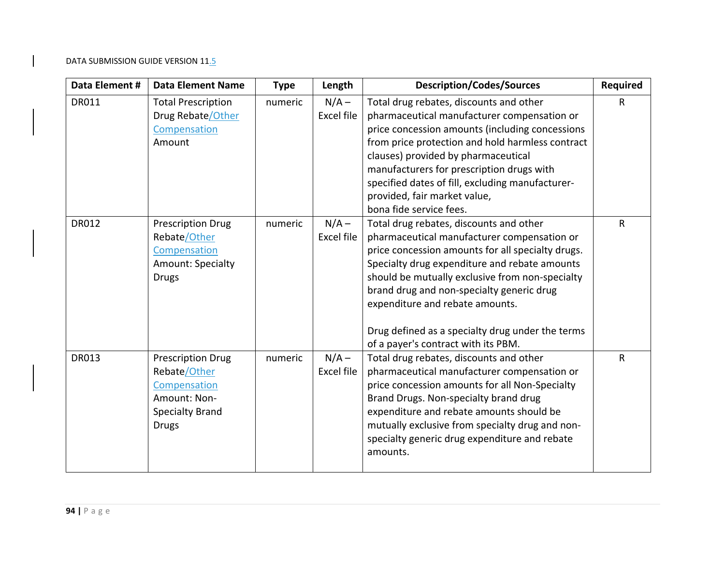| Data Element # | <b>Data Element Name</b>                                                                                           | <b>Type</b> | Length                | <b>Description/Codes/Sources</b>                                                                                                                                                                                                                                                                                                                                                                                           | <b>Required</b> |
|----------------|--------------------------------------------------------------------------------------------------------------------|-------------|-----------------------|----------------------------------------------------------------------------------------------------------------------------------------------------------------------------------------------------------------------------------------------------------------------------------------------------------------------------------------------------------------------------------------------------------------------------|-----------------|
| DR011          | <b>Total Prescription</b><br>Drug Rebate/Other<br>Compensation<br>Amount                                           | numeric     | $N/A -$<br>Excel file | Total drug rebates, discounts and other<br>pharmaceutical manufacturer compensation or<br>price concession amounts (including concessions<br>from price protection and hold harmless contract<br>clauses) provided by pharmaceutical<br>manufacturers for prescription drugs with<br>specified dates of fill, excluding manufacturer-<br>provided, fair market value,<br>bona fide service fees.                           | $\mathsf{R}$    |
| <b>DR012</b>   | <b>Prescription Drug</b><br>Rebate/Other<br>Compensation<br>Amount: Specialty<br><b>Drugs</b>                      | numeric     | $N/A -$<br>Excel file | Total drug rebates, discounts and other<br>pharmaceutical manufacturer compensation or<br>price concession amounts for all specialty drugs.<br>Specialty drug expenditure and rebate amounts<br>should be mutually exclusive from non-specialty<br>brand drug and non-specialty generic drug<br>expenditure and rebate amounts.<br>Drug defined as a specialty drug under the terms<br>of a payer's contract with its PBM. | R               |
| <b>DR013</b>   | <b>Prescription Drug</b><br>Rebate/Other<br>Compensation<br>Amount: Non-<br><b>Specialty Brand</b><br><b>Drugs</b> | numeric     | $N/A -$<br>Excel file | Total drug rebates, discounts and other<br>pharmaceutical manufacturer compensation or<br>price concession amounts for all Non-Specialty<br>Brand Drugs. Non-specialty brand drug<br>expenditure and rebate amounts should be<br>mutually exclusive from specialty drug and non-<br>specialty generic drug expenditure and rebate<br>amounts.                                                                              | $\mathsf{R}$    |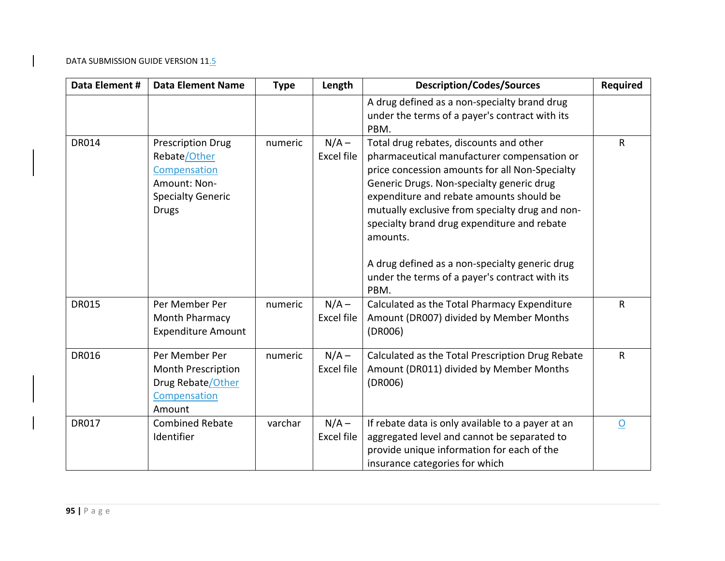| Data Element # | <b>Data Element Name</b>                                                                                             | <b>Type</b> | Length                | <b>Description/Codes/Sources</b>                                                                                                                                                                                                                                                                                                                                                                                                                            | <b>Required</b> |
|----------------|----------------------------------------------------------------------------------------------------------------------|-------------|-----------------------|-------------------------------------------------------------------------------------------------------------------------------------------------------------------------------------------------------------------------------------------------------------------------------------------------------------------------------------------------------------------------------------------------------------------------------------------------------------|-----------------|
|                |                                                                                                                      |             |                       | A drug defined as a non-specialty brand drug<br>under the terms of a payer's contract with its<br>PBM.                                                                                                                                                                                                                                                                                                                                                      |                 |
| <b>DR014</b>   | <b>Prescription Drug</b><br>Rebate/Other<br>Compensation<br>Amount: Non-<br><b>Specialty Generic</b><br><b>Drugs</b> | numeric     | $N/A -$<br>Excel file | Total drug rebates, discounts and other<br>pharmaceutical manufacturer compensation or<br>price concession amounts for all Non-Specialty<br>Generic Drugs. Non-specialty generic drug<br>expenditure and rebate amounts should be<br>mutually exclusive from specialty drug and non-<br>specialty brand drug expenditure and rebate<br>amounts.<br>A drug defined as a non-specialty generic drug<br>under the terms of a payer's contract with its<br>PBM. | $\mathsf{R}$    |
| <b>DR015</b>   | Per Member Per<br>Month Pharmacy<br><b>Expenditure Amount</b>                                                        | numeric     | $N/A -$<br>Excel file | Calculated as the Total Pharmacy Expenditure<br>Amount (DR007) divided by Member Months<br>(DR006)                                                                                                                                                                                                                                                                                                                                                          | $\mathsf{R}$    |
| <b>DR016</b>   | Per Member Per<br>Month Prescription<br>Drug Rebate/Other<br>Compensation<br>Amount                                  | numeric     | $N/A -$<br>Excel file | Calculated as the Total Prescription Drug Rebate<br>Amount (DR011) divided by Member Months<br>(DR006)                                                                                                                                                                                                                                                                                                                                                      | $\mathsf{R}$    |
| <b>DR017</b>   | <b>Combined Rebate</b><br>Identifier                                                                                 | varchar     | $N/A -$<br>Excel file | If rebate data is only available to a payer at an<br>aggregated level and cannot be separated to<br>provide unique information for each of the<br>insurance categories for which                                                                                                                                                                                                                                                                            | $\Omega$        |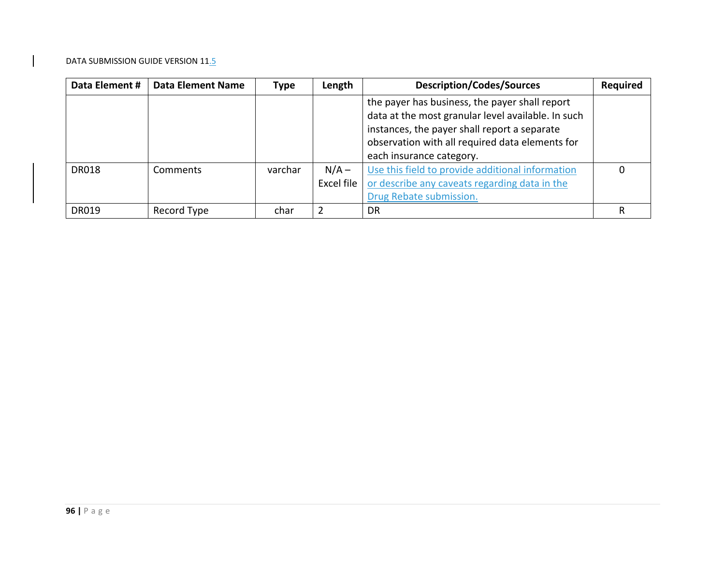| Data Element # | <b>Data Element Name</b> | Type    | Length     | <b>Description/Codes/Sources</b>                                                                                                                                                                                                    | <b>Required</b> |
|----------------|--------------------------|---------|------------|-------------------------------------------------------------------------------------------------------------------------------------------------------------------------------------------------------------------------------------|-----------------|
|                |                          |         |            | the payer has business, the payer shall report<br>data at the most granular level available. In such<br>instances, the payer shall report a separate<br>observation with all required data elements for<br>each insurance category. |                 |
| <b>DR018</b>   | Comments                 | varchar | $N/A -$    | Use this field to provide additional information                                                                                                                                                                                    |                 |
|                |                          |         | Excel file | or describe any caveats regarding data in the                                                                                                                                                                                       |                 |
|                |                          |         |            | Drug Rebate submission.                                                                                                                                                                                                             |                 |
| <b>DR019</b>   | Record Type              | char    | っ          | DR                                                                                                                                                                                                                                  | R               |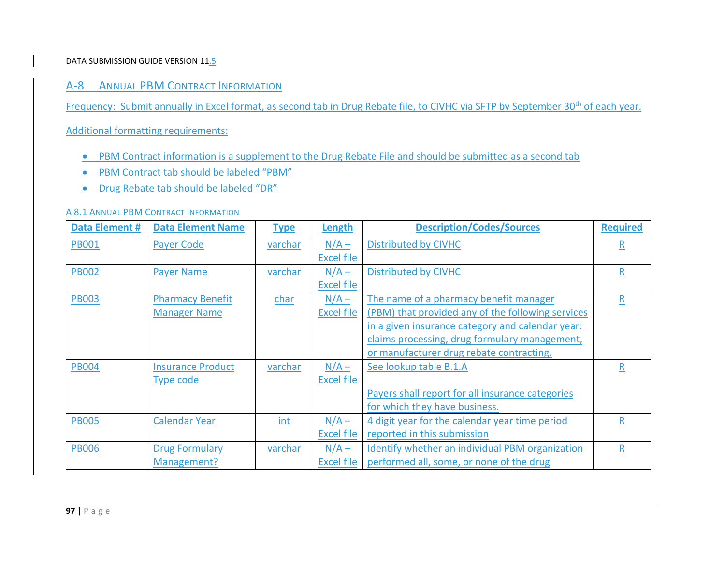# A‐8 ANNUAL PBM CONTRACT INFORMATION

Frequency: Submit annually in Excel format, as second tab in Drug Rebate file, to CIVHC via SFTP by September 30<sup>th</sup> of each year.

Additional formatting requirements:

- PBM Contract information is a supplement to the Drug Rebate File and should be submitted as a second tab
- PBM Contract tab should be labeled "PBM"
- **•** Drug Rebate tab should be labeled "DR"

#### A 8.1 ANNUAL PBM CONTRACT INFORMATION

| <b>Data Element #</b> | <b>Data Element Name</b> | <b>Type</b> | Length            | <b>Description/Codes/Sources</b>                  | <b>Required</b> |
|-----------------------|--------------------------|-------------|-------------------|---------------------------------------------------|-----------------|
| <b>PB001</b>          | <b>Payer Code</b>        | varchar     | $N/A -$           | <b>Distributed by CIVHC</b>                       | R               |
|                       |                          |             | <b>Excel file</b> |                                                   |                 |
| <b>PB002</b>          | <b>Payer Name</b>        | varchar     | $N/A -$           | <b>Distributed by CIVHC</b>                       | R               |
|                       |                          |             | <b>Excel file</b> |                                                   |                 |
| <b>PB003</b>          | <b>Pharmacy Benefit</b>  | char        | $N/A -$           | The name of a pharmacy benefit manager            | $\mathsf{R}$    |
|                       | <b>Manager Name</b>      |             | <b>Excel file</b> | (PBM) that provided any of the following services |                 |
|                       |                          |             |                   | in a given insurance category and calendar year:  |                 |
|                       |                          |             |                   | claims processing, drug formulary management,     |                 |
|                       |                          |             |                   | or manufacturer drug rebate contracting.          |                 |
| <b>PB004</b>          | <b>Insurance Product</b> | varchar     | $N/A -$           | See lookup table B.1.A                            | $\mathsf{R}$    |
|                       | Type code                |             | <b>Excel file</b> |                                                   |                 |
|                       |                          |             |                   | Payers shall report for all insurance categories  |                 |
|                       |                          |             |                   | for which they have business.                     |                 |
| <b>PB005</b>          | <b>Calendar Year</b>     | int         | $N/A -$           | 4 digit year for the calendar year time period    | $\mathsf R$     |
|                       |                          |             | <b>Excel file</b> | reported in this submission                       |                 |
| <b>PB006</b>          | <b>Drug Formulary</b>    | varchar     | $N/A -$           | Identify whether an individual PBM organization   | R               |
|                       | Management?              |             | <b>Excel file</b> | performed all, some, or none of the drug          |                 |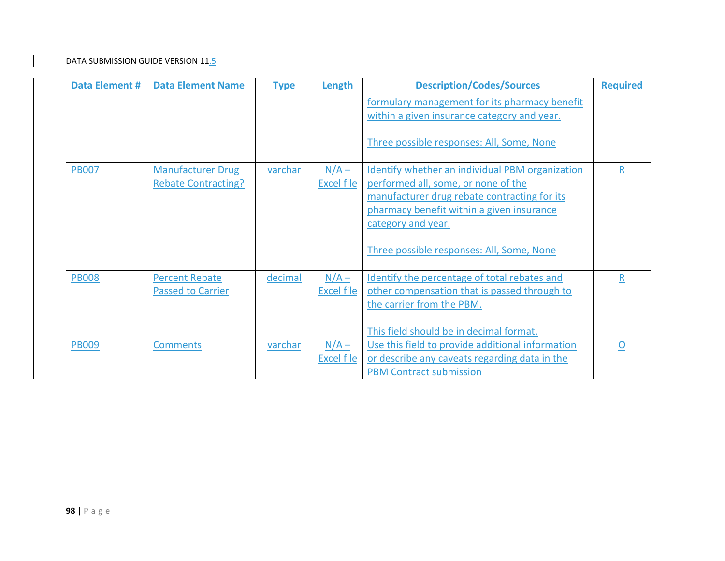| <b>Data Element #</b> | <b>Data Element Name</b>                               | <b>Type</b> | Length                       | <b>Description/Codes/Sources</b>                                                                                                                                                                                                                       | <b>Required</b> |
|-----------------------|--------------------------------------------------------|-------------|------------------------------|--------------------------------------------------------------------------------------------------------------------------------------------------------------------------------------------------------------------------------------------------------|-----------------|
|                       |                                                        |             |                              | formulary management for its pharmacy benefit<br>within a given insurance category and year.                                                                                                                                                           |                 |
|                       |                                                        |             |                              | Three possible responses: All, Some, None                                                                                                                                                                                                              |                 |
| <b>PB007</b>          | <b>Manufacturer Drug</b><br><b>Rebate Contracting?</b> | varchar     | $N/A -$<br><b>Excel file</b> | Identify whether an individual PBM organization<br>performed all, some, or none of the<br>manufacturer drug rebate contracting for its<br>pharmacy benefit within a given insurance<br>category and year.<br>Three possible responses: All, Some, None | R               |
| <b>PB008</b>          | <b>Percent Rebate</b><br><b>Passed to Carrier</b>      | decimal     | $N/A -$<br>Excel file        | Identify the percentage of total rebates and<br>other compensation that is passed through to<br>the carrier from the PBM.<br>This field should be in decimal format.                                                                                   | R               |
| <b>PB009</b>          | <b>Comments</b>                                        | varchar     | $N/A -$<br><b>Excel file</b> | Use this field to provide additional information<br>or describe any caveats regarding data in the<br><b>PBM Contract submission</b>                                                                                                                    | $\Omega$        |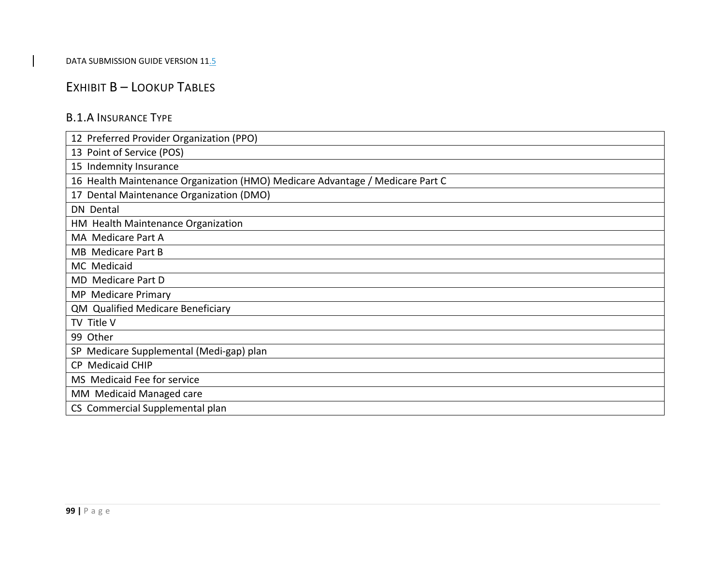# EXHIBIT B – LOOKUP TABLES

## B.1.A INSURANCE TYPE

| 12 Preferred Provider Organization (PPO)                                      |
|-------------------------------------------------------------------------------|
| 13 Point of Service (POS)                                                     |
| 15 Indemnity Insurance                                                        |
| 16 Health Maintenance Organization (HMO) Medicare Advantage / Medicare Part C |
| 17 Dental Maintenance Organization (DMO)                                      |
| <b>DN</b> Dental                                                              |
| HM Health Maintenance Organization                                            |
| MA Medicare Part A                                                            |
| <b>MB</b> Medicare Part B                                                     |
| MC Medicaid                                                                   |
| MD Medicare Part D                                                            |
| MP Medicare Primary                                                           |
| QM Qualified Medicare Beneficiary                                             |
| TV Title V                                                                    |
| 99 Other                                                                      |
| SP Medicare Supplemental (Medi-gap) plan                                      |
| CP Medicaid CHIP                                                              |
| MS Medicaid Fee for service                                                   |
| MM Medicaid Managed care                                                      |
| CS Commercial Supplemental plan                                               |
|                                                                               |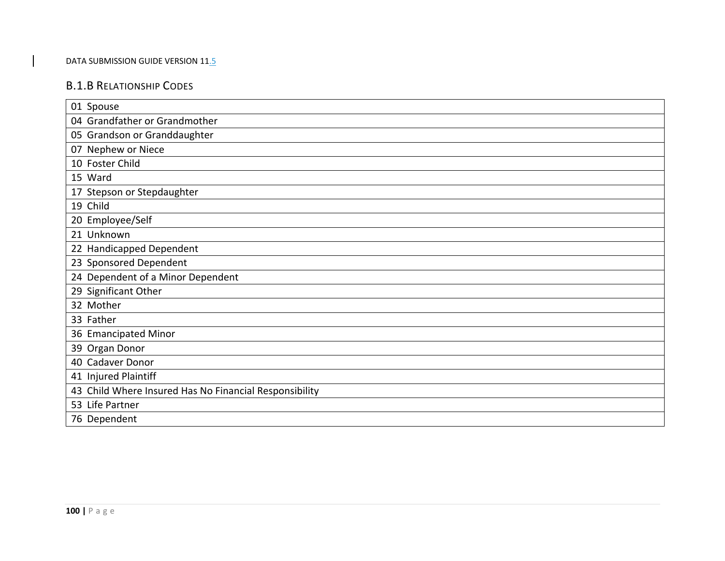## B.1.B RELATIONSHIP CODES

| 01 Spouse                                              |
|--------------------------------------------------------|
| 04 Grandfather or Grandmother                          |
| 05 Grandson or Granddaughter                           |
| 07 Nephew or Niece                                     |
| 10 Foster Child                                        |
| 15 Ward                                                |
| 17 Stepson or Stepdaughter                             |
| 19 Child                                               |
| 20 Employee/Self                                       |
| 21 Unknown                                             |
| 22 Handicapped Dependent                               |
| 23 Sponsored Dependent                                 |
| 24 Dependent of a Minor Dependent                      |
| 29 Significant Other                                   |
| 32 Mother                                              |
| 33 Father                                              |
| 36 Emancipated Minor                                   |
| 39 Organ Donor                                         |
| 40 Cadaver Donor                                       |
| 41 Injured Plaintiff                                   |
| 43 Child Where Insured Has No Financial Responsibility |
| 53 Life Partner                                        |
| 76 Dependent                                           |
|                                                        |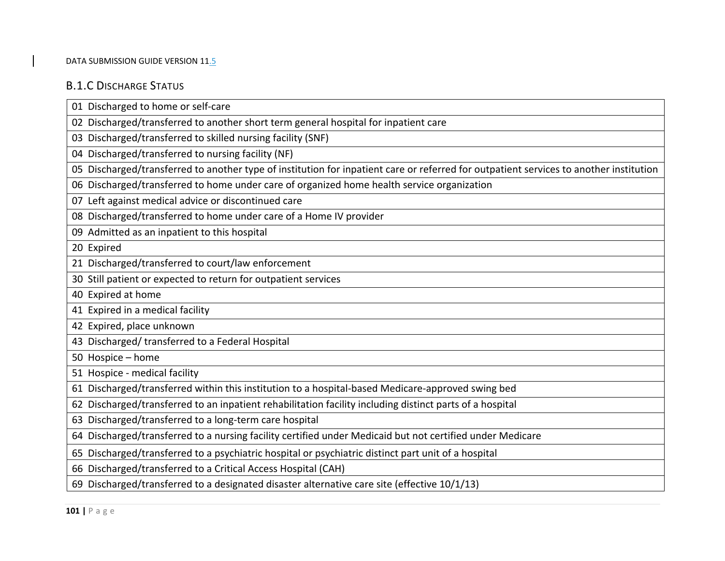# B.1.C DISCHARGE STATUS

| 01 Discharged to home or self-care                                                                                                     |
|----------------------------------------------------------------------------------------------------------------------------------------|
| 02 Discharged/transferred to another short term general hospital for inpatient care                                                    |
| 03 Discharged/transferred to skilled nursing facility (SNF)                                                                            |
| 04 Discharged/transferred to nursing facility (NF)                                                                                     |
| 05 Discharged/transferred to another type of institution for inpatient care or referred for outpatient services to another institution |
| 06 Discharged/transferred to home under care of organized home health service organization                                             |
| 07 Left against medical advice or discontinued care                                                                                    |
| 08 Discharged/transferred to home under care of a Home IV provider                                                                     |
| 09 Admitted as an inpatient to this hospital                                                                                           |
| 20 Expired                                                                                                                             |
| 21 Discharged/transferred to court/law enforcement                                                                                     |
| 30 Still patient or expected to return for outpatient services                                                                         |
| 40 Expired at home                                                                                                                     |
| 41 Expired in a medical facility                                                                                                       |
| 42 Expired, place unknown                                                                                                              |
| 43 Discharged/ transferred to a Federal Hospital                                                                                       |
| 50 Hospice - home                                                                                                                      |
| 51 Hospice - medical facility                                                                                                          |
| 61 Discharged/transferred within this institution to a hospital-based Medicare-approved swing bed                                      |
| 62 Discharged/transferred to an inpatient rehabilitation facility including distinct parts of a hospital                               |
| 63 Discharged/transferred to a long-term care hospital                                                                                 |
| 64 Discharged/transferred to a nursing facility certified under Medicaid but not certified under Medicare                              |
| 65 Discharged/transferred to a psychiatric hospital or psychiatric distinct part unit of a hospital                                    |
| 66 Discharged/transferred to a Critical Access Hospital (CAH)                                                                          |
| 69 Discharged/transferred to a designated disaster alternative care site (effective 10/1/13)                                           |
|                                                                                                                                        |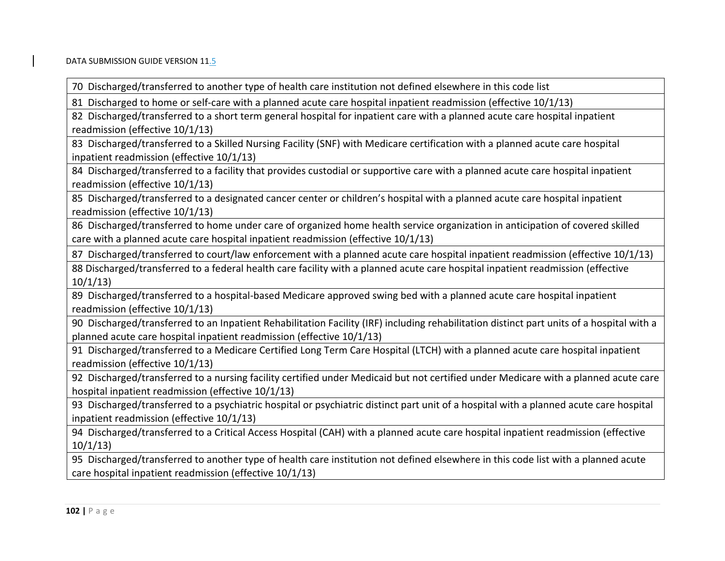70 Discharged/transferred to another type of health care institution not defined elsewhere in this code list

81 Discharged to home or self‐care with <sup>a</sup> planned acute care hospital inpatient readmission (effective 10/1/13)

82 Discharged/transferred to <sup>a</sup> short term general hospital for inpatient care with <sup>a</sup> planned acute care hospital inpatient readmission (effective 10/1/13)

83 Discharged/transferred to <sup>a</sup> Skilled Nursing Facility (SNF) with Medicare certification with <sup>a</sup> planned acute care hospital inpatient readmission (effective 10/1/13)

84 Discharged/transferred to <sup>a</sup> facility that provides custodial or supportive care with <sup>a</sup> planned acute care hospital inpatient readmission (effective 10/1/13)

85 Discharged/transferred to <sup>a</sup> designated cancer center or children's hospital with <sup>a</sup> planned acute care hospital inpatient readmission (effective 10/1/13)

86 Discharged/transferred to home under care of organized home health service organization in anticipation of covered skilled care with <sup>a</sup> planned acute care hospital inpatient readmission (effective 10/1/13)

87 Discharged/transferred to court/law enforcement with <sup>a</sup> planned acute care hospital inpatient readmission (effective 10/1/13)

88 Discharged/transferred to <sup>a</sup> federal health care facility with <sup>a</sup> planned acute care hospital inpatient readmission (effective 10/1/13)

89 Discharged/transferred to <sup>a</sup> hospital‐based Medicare approved swing bed with <sup>a</sup> planned acute care hospital inpatient readmission (effective 10/1/13)

90 Discharged/transferred to an Inpatient Rehabilitation Facility (IRF) including rehabilitation distinct part units of <sup>a</sup> hospital with <sup>a</sup> planned acute care hospital inpatient readmission (effective 10/1/13)

91 Discharged/transferred to <sup>a</sup> Medicare Certified Long Term Care Hospital (LTCH) with <sup>a</sup> planned acute care hospital inpatient readmission (effective 10/1/13)

92 Discharged/transferred to <sup>a</sup> nursing facility certified under Medicaid but not certified under Medicare with <sup>a</sup> planned acute care hospital inpatient readmission (effective 10/1/13)

93 Discharged/transferred to <sup>a</sup> psychiatric hospital or psychiatric distinct part unit of <sup>a</sup> hospital with <sup>a</sup> planned acute care hospital inpatient readmission (effective 10/1/13)

94 Discharged/transferred to <sup>a</sup> Critical Access Hospital (CAH) with <sup>a</sup> planned acute care hospital inpatient readmission (effective 10/1/13)

95 Discharged/transferred to another type of health care institution not defined elsewhere in this code list with <sup>a</sup> planned acute care hospital inpatient readmission (effective 10/1/13)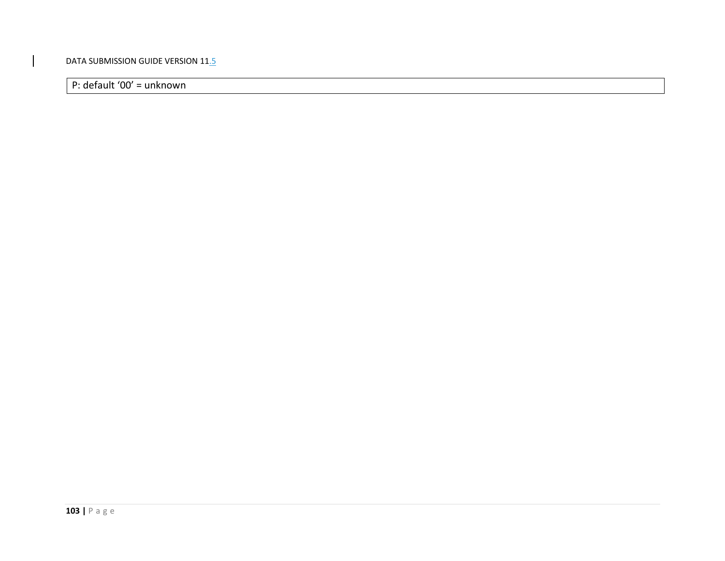P: default '00' <sup>=</sup> unknown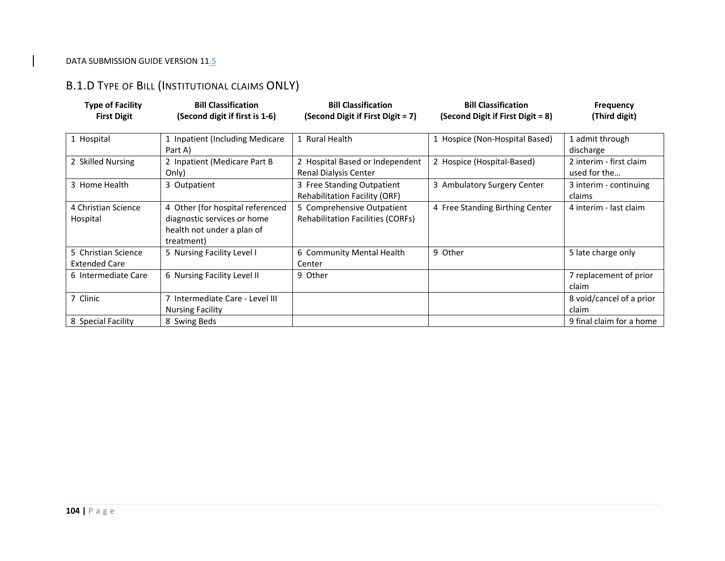# B.1.D TYPE OF BILL (INSTITUTIONAL CLAIMS ONLY)

| <b>Type of Facility</b><br><b>First Digit</b> | <b>Bill Classification</b><br>(Second digit if first is 1-6)                                                | <b>Bill Classification</b><br>(Second Digit if First Digit = 7)        | <b>Bill Classification</b><br>(Second Digit if First Digit = 8) | <b>Frequency</b><br>(Third digit)       |
|-----------------------------------------------|-------------------------------------------------------------------------------------------------------------|------------------------------------------------------------------------|-----------------------------------------------------------------|-----------------------------------------|
| 1 Hospital                                    | 1 Inpatient (Including Medicare<br>Part A)                                                                  | 1 Rural Health                                                         | 1 Hospice (Non-Hospital Based)                                  | 1 admit through<br>discharge            |
| 2 Skilled Nursing                             | 2 Inpatient (Medicare Part B<br>Only)                                                                       | 2 Hospital Based or Independent<br>Renal Dialysis Center               | 2 Hospice (Hospital-Based)                                      | 2 interim - first claim<br>used for the |
| 3 Home Health                                 | 3 Outpatient                                                                                                | 3 Free Standing Outpatient<br><b>Rehabilitation Facility (ORF)</b>     | 3 Ambulatory Surgery Center                                     | 3 interim - continuing<br>claims        |
| 4 Christian Science<br>Hospital               | 4 Other (for hospital referenced<br>diagnostic services or home<br>health not under a plan of<br>treatment) | 5 Comprehensive Outpatient<br><b>Rehabilitation Facilities (CORFs)</b> | 4 Free Standing Birthing Center                                 | 4 interim - last claim                  |
| 5 Christian Science<br><b>Extended Care</b>   | 5 Nursing Facility Level I                                                                                  | 6 Community Mental Health<br>Center                                    | 9 Other                                                         | 5 late charge only                      |
| 6 Intermediate Care                           | 6 Nursing Facility Level II                                                                                 | 9 Other                                                                |                                                                 | 7 replacement of prior<br>claim         |
| 7 Clinic                                      | 7 Intermediate Care - Level III<br><b>Nursing Facility</b>                                                  |                                                                        |                                                                 | 8 void/cancel of a prior<br>claim       |
| 8 Special Facility                            | 8 Swing Beds                                                                                                |                                                                        |                                                                 | 9 final claim for a home                |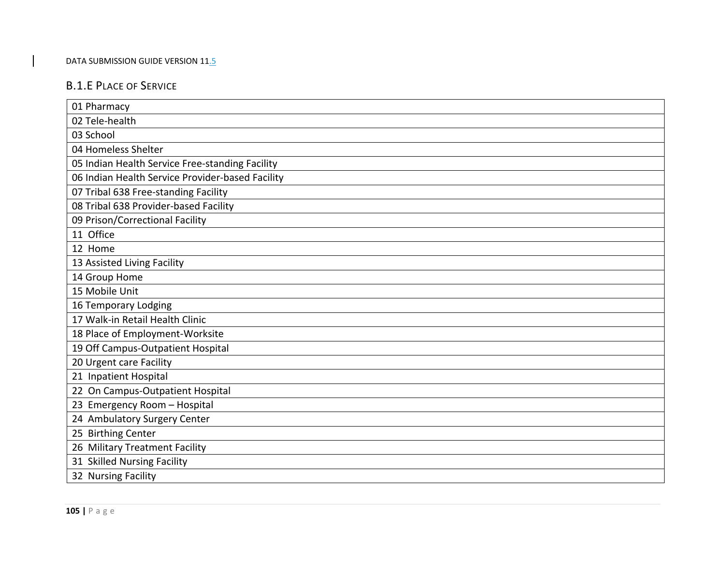# B.1.E PLACE OF SERVICE

| 01 Pharmacy                                      |
|--------------------------------------------------|
| 02 Tele-health                                   |
| 03 School                                        |
| 04 Homeless Shelter                              |
| 05 Indian Health Service Free-standing Facility  |
| 06 Indian Health Service Provider-based Facility |
| 07 Tribal 638 Free-standing Facility             |
| 08 Tribal 638 Provider-based Facility            |
| 09 Prison/Correctional Facility                  |
| 11 Office                                        |
| 12 Home                                          |
| 13 Assisted Living Facility                      |
| 14 Group Home                                    |
| 15 Mobile Unit                                   |
| 16 Temporary Lodging                             |
| 17 Walk-in Retail Health Clinic                  |
| 18 Place of Employment-Worksite                  |
| 19 Off Campus-Outpatient Hospital                |
| 20 Urgent care Facility                          |
| 21 Inpatient Hospital                            |
| 22 On Campus-Outpatient Hospital                 |
| 23 Emergency Room - Hospital                     |
| 24 Ambulatory Surgery Center                     |
| 25 Birthing Center                               |
| 26 Military Treatment Facility                   |
| 31 Skilled Nursing Facility                      |
| 32 Nursing Facility                              |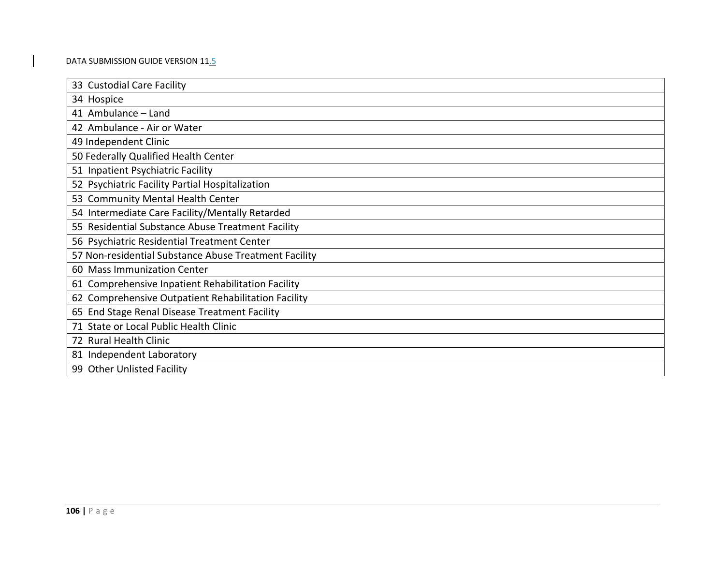| 33 Custodial Care Facility                            |
|-------------------------------------------------------|
| 34 Hospice                                            |
| 41 Ambulance - Land                                   |
| 42 Ambulance - Air or Water                           |
| 49 Independent Clinic                                 |
| 50 Federally Qualified Health Center                  |
| 51 Inpatient Psychiatric Facility                     |
| 52 Psychiatric Facility Partial Hospitalization       |
| 53 Community Mental Health Center                     |
| 54 Intermediate Care Facility/Mentally Retarded       |
| 55 Residential Substance Abuse Treatment Facility     |
| 56 Psychiatric Residential Treatment Center           |
| 57 Non-residential Substance Abuse Treatment Facility |
| 60 Mass Immunization Center                           |
| 61 Comprehensive Inpatient Rehabilitation Facility    |
| 62 Comprehensive Outpatient Rehabilitation Facility   |
| 65 End Stage Renal Disease Treatment Facility         |
| 71 State or Local Public Health Clinic                |
| 72 Rural Health Clinic                                |
| 81 Independent Laboratory                             |
| 99 Other Unlisted Facility                            |
|                                                       |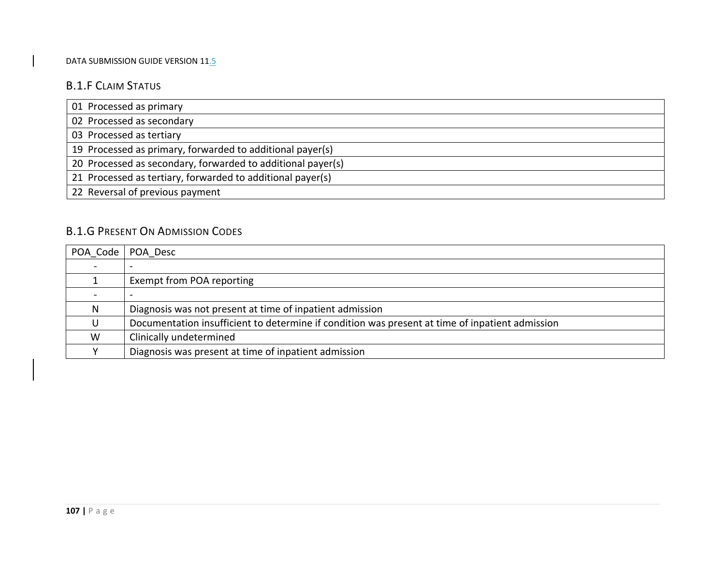## B.1.F CLAIM STATUS

| 01 Processed as primary                                     |
|-------------------------------------------------------------|
| 02 Processed as secondary                                   |
| 03 Processed as tertiary                                    |
| 19 Processed as primary, forwarded to additional payer(s)   |
| 20 Processed as secondary, forwarded to additional payer(s) |
| 21 Processed as tertiary, forwarded to additional payer(s)  |
| 22 Reversal of previous payment                             |

# B.1.G PRESENT ON ADMISSION CODES

|   | POA Code   POA Desc                                                                             |
|---|-------------------------------------------------------------------------------------------------|
|   |                                                                                                 |
|   | Exempt from POA reporting                                                                       |
|   |                                                                                                 |
| N | Diagnosis was not present at time of inpatient admission                                        |
| U | Documentation insufficient to determine if condition was present at time of inpatient admission |
| W | Clinically undetermined                                                                         |
|   | Diagnosis was present at time of inpatient admission                                            |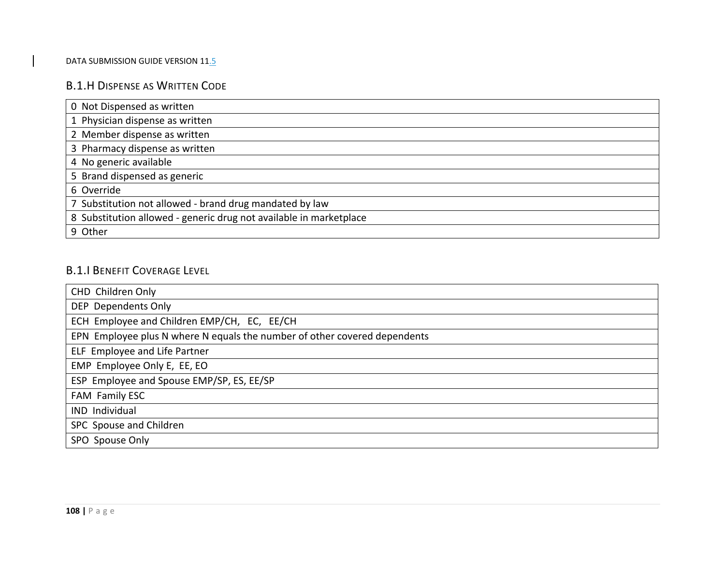## B.1.H DISPENSE AS WRITTEN CODE

| 0 Not Dispensed as written                                         |
|--------------------------------------------------------------------|
| 1 Physician dispense as written                                    |
| 2 Member dispense as written                                       |
| 3 Pharmacy dispense as written                                     |
| 4 No generic available                                             |
| 5 Brand dispensed as generic                                       |
| 6 Override                                                         |
| 7 Substitution not allowed - brand drug mandated by law            |
| 8 Substitution allowed - generic drug not available in marketplace |
| 9 Other                                                            |

# B.1.I BENEFIT COVERAGE LEVEL

| CHD Children Only                                                         |
|---------------------------------------------------------------------------|
| DEP Dependents Only                                                       |
| ECH Employee and Children EMP/CH, EC, EE/CH                               |
| EPN Employee plus N where N equals the number of other covered dependents |
| ELF Employee and Life Partner                                             |
| EMP Employee Only E, EE, EO                                               |
| ESP Employee and Spouse EMP/SP, ES, EE/SP                                 |
| FAM Family ESC                                                            |
| IND Individual                                                            |
| SPC Spouse and Children                                                   |
| SPO Spouse Only                                                           |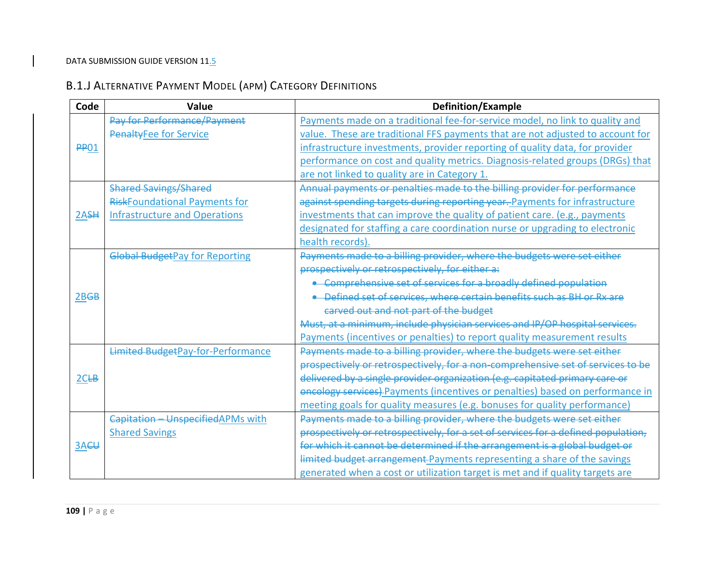# B.1.J ALTERNATIVE PAYMENT MODEL (APM) CATEGORY DEFINITIONS

| Code             | Value                                    | <b>Definition/Example</b>                                                         |
|------------------|------------------------------------------|-----------------------------------------------------------------------------------|
|                  | Pay for Performance/Payment              | Payments made on a traditional fee-for-service model, no link to quality and      |
|                  | <b>PenaltyFee for Service</b>            | value. These are traditional FFS payments that are not adjusted to account for    |
| <b>PP01</b>      |                                          | infrastructure investments, provider reporting of quality data, for provider      |
|                  |                                          | performance on cost and quality metrics. Diagnosis-related groups (DRGs) that     |
|                  |                                          | are not linked to quality are in Category 1.                                      |
|                  | <b>Shared Savings/Shared</b>             | Annual payments or penalties made to the billing provider for performance         |
|                  | <b>RiskFoundational Payments for</b>     | against spending targets during reporting year. Payments for infrastructure       |
| 2A <sub>SH</sub> | <b>Infrastructure and Operations</b>     | investments that can improve the quality of patient care. (e.g., payments         |
|                  |                                          | designated for staffing a care coordination nurse or upgrading to electronic      |
|                  |                                          | health records).                                                                  |
|                  | <b>Global BudgetPay for Reporting</b>    | Payments made to a billing provider, where the budgets were set either            |
|                  |                                          | prospectively or retrospectively, for either a:                                   |
|                  |                                          | • Comprehensive set of services for a broadly defined population                  |
| 2B <sub>GB</sub> |                                          | • Defined set of services, where certain benefits such as BH or Rx are            |
|                  |                                          | carved out and not part of the budget                                             |
|                  |                                          | Must, at a minimum, include physician services and IP/OP hospital services.       |
|                  |                                          | Payments (incentives or penalties) to report quality measurement results          |
|                  | <b>Limited BudgetPay-for-Performance</b> | Payments made to a billing provider, where the budgets were set either            |
|                  |                                          | prospectively or retrospectively, for a non-comprehensive set of services to be   |
| 2CEB             |                                          | delivered by a single provider organization (e.g. capitated primary care or       |
|                  |                                          | oncology services) Payments (incentives or penalties) based on performance in     |
|                  |                                          | meeting goals for quality measures (e.g. bonuses for quality performance)         |
|                  | Capitation - Unspecified APMs with       | Payments made to a billing provider, where the budgets were set either            |
|                  | <b>Shared Savings</b>                    | prospectively or retrospectively, for a set of services for a defined population, |
| 3A <del>CU</del> |                                          | for which it cannot be determined if the arrangement is a global budget or        |
|                  |                                          | limited budget arrangement Payments representing a share of the savings           |
|                  |                                          | generated when a cost or utilization target is met and if quality targets are     |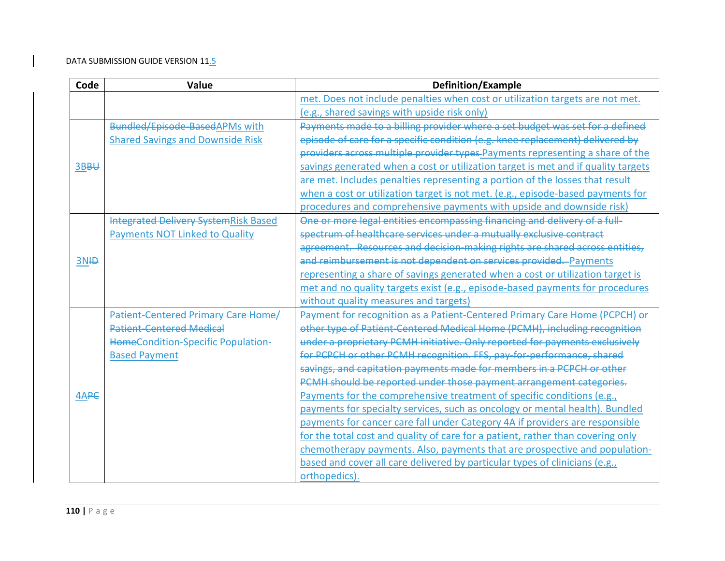| Code  | Value                                       | <b>Definition/Example</b>                                                         |
|-------|---------------------------------------------|-----------------------------------------------------------------------------------|
|       |                                             | met. Does not include penalties when cost or utilization targets are not met.     |
|       |                                             | (e.g., shared savings with upside risk only)                                      |
|       | Bundled/Episode BasedAPMs with              | Payments made to a billing provider where a set budget was set for a defined      |
|       | <b>Shared Savings and Downside Risk</b>     | episode of care for a specific condition (e.g. knee replacement) delivered by     |
|       |                                             | providers across multiple provider types-Payments representing a share of the     |
| 3BBU  |                                             | savings generated when a cost or utilization target is met and if quality targets |
|       |                                             | are met. Includes penalties representing a portion of the losses that result      |
|       |                                             | when a cost or utilization target is not met. (e.g., episode-based payments for   |
|       |                                             | procedures and comprehensive payments with upside and downside risk)              |
|       | <b>Integrated Delivery SystemRisk Based</b> | One or more legal entities encompassing financing and delivery of a full-         |
|       | <b>Payments NOT Linked to Quality</b>       | spectrum of healthcare services under a mutually exclusive contract               |
|       |                                             | agreement. Resources and decision making rights are shared across entities,       |
| $3N+$ |                                             | and reimbursement is not dependent on services provided. Payments                 |
|       |                                             | representing a share of savings generated when a cost or utilization target is    |
|       |                                             | met and no quality targets exist (e.g., episode-based payments for procedures     |
|       |                                             | without quality measures and targets)                                             |
|       | <b>Patient-Centered Primary Care Home/</b>  | Payment for recognition as a Patient-Centered Primary Care Home (PCPCH) or        |
|       | <b>Patient-Centered Medical</b>             | other type of Patient-Centered Medical Home (PCMH), including recognition         |
|       | <b>HomeCondition-Specific Population-</b>   | under a proprietary PCMH initiative. Only reported for payments exclusively       |
|       | <b>Based Payment</b>                        | for PCPCH or other PCMH recognition. FFS, pay-for-performance, shared             |
|       |                                             | savings, and capitation payments made for members in a PCPCH or other             |
|       |                                             | PCMH should be reported under those payment arrangement categories.               |
| 4APC  |                                             | Payments for the comprehensive treatment of specific conditions (e.g.,            |
|       |                                             | payments for specialty services, such as oncology or mental health). Bundled      |
|       |                                             | payments for cancer care fall under Category 4A if providers are responsible      |
|       |                                             | for the total cost and quality of care for a patient, rather than covering only   |
|       |                                             | chemotherapy payments. Also, payments that are prospective and population-        |
|       |                                             | based and cover all care delivered by particular types of clinicians (e.g.,       |
|       |                                             | orthopedics).                                                                     |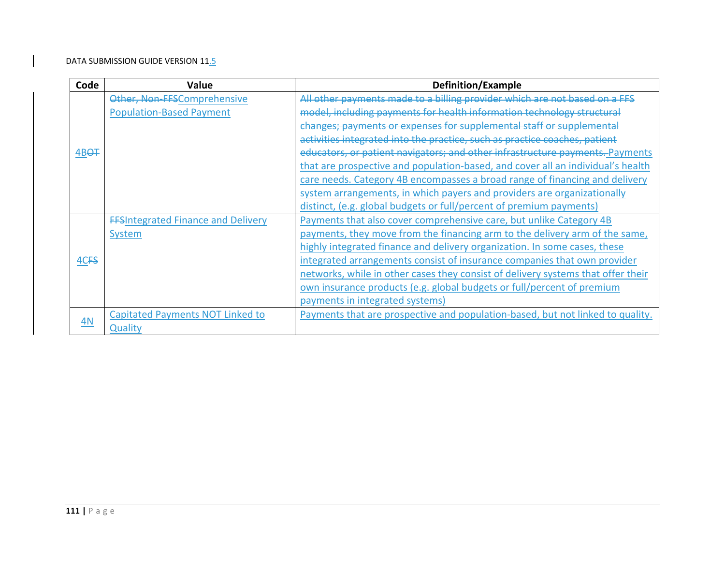| Code              | Value                                     | Definition/Example                                                               |
|-------------------|-------------------------------------------|----------------------------------------------------------------------------------|
|                   | Other, Non-FFSComprehensive               | All other payments made to a billing provider which are not based on a FFS       |
|                   | <b>Population-Based Payment</b>           | model, including payments for health information technology structural           |
|                   |                                           | changes; payments or expenses for supplemental staff or supplemental             |
|                   |                                           | activities integrated into the practice, such as practice coaches, patient       |
| 4BO <sub>T</sub>  |                                           | educators, or patient navigators; and other infrastructure payments. Payments    |
|                   |                                           | that are prospective and population-based, and cover all an individual's health  |
|                   |                                           | care needs. Category 4B encompasses a broad range of financing and delivery      |
|                   |                                           | system arrangements, in which payers and providers are organizationally          |
|                   |                                           | distinct, (e.g. global budgets or full/percent of premium payments)              |
|                   | <b>FFSIntegrated Finance and Delivery</b> | Payments that also cover comprehensive care, but unlike Category 4B              |
|                   | System                                    | payments, they move from the financing arm to the delivery arm of the same,      |
|                   |                                           | highly integrated finance and delivery organization. In some cases, these        |
| 4C <sub>F</sub> S |                                           | integrated arrangements consist of insurance companies that own provider         |
|                   |                                           | networks, while in other cases they consist of delivery systems that offer their |
|                   |                                           | own insurance products (e.g. global budgets or full/percent of premium           |
|                   |                                           | payments in integrated systems)                                                  |
|                   | <b>Capitated Payments NOT Linked to</b>   | Payments that are prospective and population-based, but not linked to quality.   |
| 4N                | Quality                                   |                                                                                  |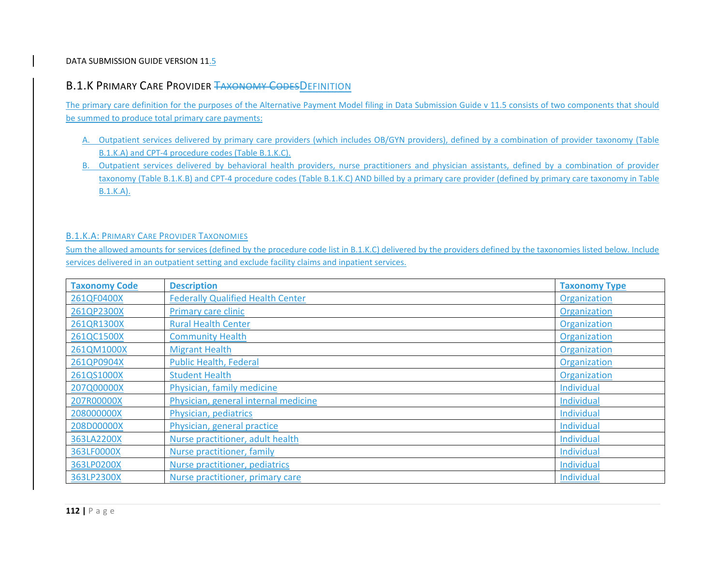## B.1.K Primary Care Provider <del>Taxonomy Codes</del>Definition

The primary care definition for the purposes of the Alternative Payment Model filing in Data Submission Guide <sup>v</sup> 11.5 consists of two components that should be summed to produce total primary care payments:

- A. Outpatient services delivered by primary care providers (which includes OB/GYN providers), defined by <sup>a</sup> combination of provider taxonomy (Table B.1.K.A) and CPT‐4 procedure codes (Table B.1.K.C).
- B. Outpatient services delivered by behavioral health providers, nurse practitioners and physician assistants, defined by <sup>a</sup> combination of provider taxonomy (Table B.1.K.B) and CPT‐4 procedure codes (Table B.1.K.C) AND billed by <sup>a</sup> primary care provider (defined by primary care taxonomy in Table B.1.K.A).

## B.1.K.A: PRIMARY CARE PROVIDER TAXONOMIES

Sum the allowed amounts for services (defined by the procedure code list in B.1.K.C) delivered by the providers defined by the taxonomies listed below. Include services delivered in an outpatient setting and exclude facility claims and inpatient services.

| <b>Taxonomy Code</b> | <b>Description</b>                       | <b>Taxonomy Type</b> |
|----------------------|------------------------------------------|----------------------|
| 261QF0400X           | <b>Federally Qualified Health Center</b> | Organization         |
| 261QP2300X           | Primary care clinic                      | Organization         |
| 261QR1300X           | <b>Rural Health Center</b>               | Organization         |
| 261QC1500X           | <b>Community Health</b>                  | Organization         |
| 261QM1000X           | <b>Migrant Health</b>                    | Organization         |
| 261QP0904X           | <b>Public Health, Federal</b>            | Organization         |
| 261QS1000X           | <b>Student Health</b>                    | Organization         |
| 207Q00000X           | Physician, family medicine               | Individual           |
| 207R00000X           | Physician, general internal medicine     | Individual           |
| 208000000X           | Physician, pediatrics                    | Individual           |
| 208D00000X           | Physician, general practice              | Individual           |
| 363LA2200X           | Nurse practitioner, adult health         | Individual           |
| 363LF0000X           | Nurse practitioner, family               | Individual           |
| 363LP0200X           | Nurse practitioner, pediatrics           | Individual           |
| 363LP2300X           | Nurse practitioner, primary care         | Individual           |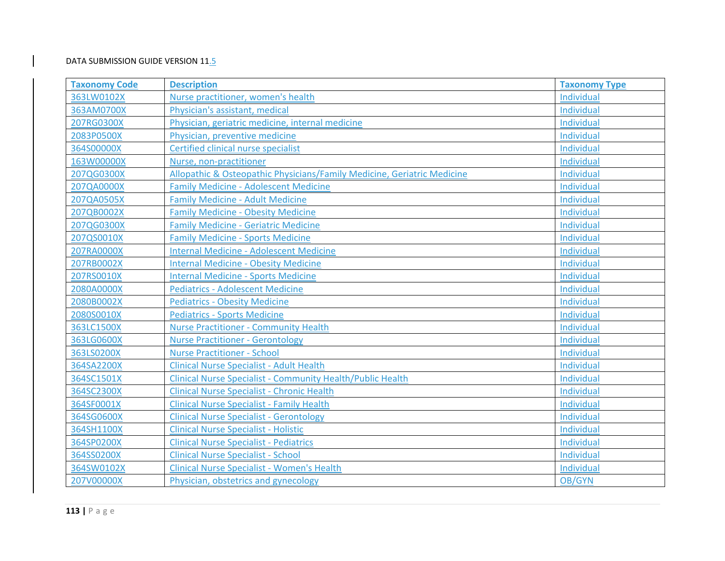| <b>Taxonomy Code</b> | <b>Description</b>                                                      | <b>Taxonomy Type</b> |
|----------------------|-------------------------------------------------------------------------|----------------------|
| 363LW0102X           | Nurse practitioner, women's health                                      | Individual           |
| 363AM0700X           | Physician's assistant, medical                                          | Individual           |
| 207RG0300X           | Physician, geriatric medicine, internal medicine                        | Individual           |
| 2083P0500X           | Physician, preventive medicine                                          | Individual           |
| 364S00000X           | Certified clinical nurse specialist                                     | Individual           |
| 163W00000X           | Nurse, non-practitioner                                                 | Individual           |
| 207QG0300X           | Allopathic & Osteopathic Physicians/Family Medicine, Geriatric Medicine | Individual           |
| 207QA0000X           | <b>Family Medicine - Adolescent Medicine</b>                            | Individual           |
| 207QA0505X           | <b>Family Medicine - Adult Medicine</b>                                 | Individual           |
| 207QB0002X           | <b>Family Medicine - Obesity Medicine</b>                               | Individual           |
| 207QG0300X           | <b>Family Medicine - Geriatric Medicine</b>                             | Individual           |
| 207QS0010X           | <b>Family Medicine - Sports Medicine</b>                                | Individual           |
| 207RA0000X           | <b>Internal Medicine - Adolescent Medicine</b>                          | Individual           |
| 207RB0002X           | <b>Internal Medicine - Obesity Medicine</b>                             | Individual           |
| 207RS0010X           | <b>Internal Medicine - Sports Medicine</b>                              | Individual           |
| 2080A0000X           | <b>Pediatrics - Adolescent Medicine</b>                                 | Individual           |
| 2080B0002X           | <b>Pediatrics - Obesity Medicine</b>                                    | Individual           |
| 2080S0010X           | <b>Pediatrics - Sports Medicine</b>                                     | Individual           |
| 363LC1500X           | <b>Nurse Practitioner - Community Health</b>                            | Individual           |
| 363LG0600X           | <b>Nurse Practitioner - Gerontology</b>                                 | Individual           |
| 363LS0200X           | <b>Nurse Practitioner - School</b>                                      | Individual           |
| 364SA2200X           | <b>Clinical Nurse Specialist - Adult Health</b>                         | Individual           |
| 364SC1501X           | <b>Clinical Nurse Specialist - Community Health/Public Health</b>       | Individual           |
| 364SC2300X           | <b>Clinical Nurse Specialist - Chronic Health</b>                       | Individual           |
| 364SF0001X           | <b>Clinical Nurse Specialist - Family Health</b>                        | Individual           |
| 364SG0600X           | <b>Clinical Nurse Specialist - Gerontology</b>                          | Individual           |
| 364SH1100X           | <b>Clinical Nurse Specialist - Holistic</b>                             | Individual           |
| 364SP0200X           | <b>Clinical Nurse Specialist - Pediatrics</b>                           | Individual           |
| 364SS0200X           | <b>Clinical Nurse Specialist - School</b>                               | Individual           |
| 364SW0102X           | <b>Clinical Nurse Specialist - Women's Health</b>                       | Individual           |
| 207V00000X           | Physician, obstetrics and gynecology                                    | OB/GYN               |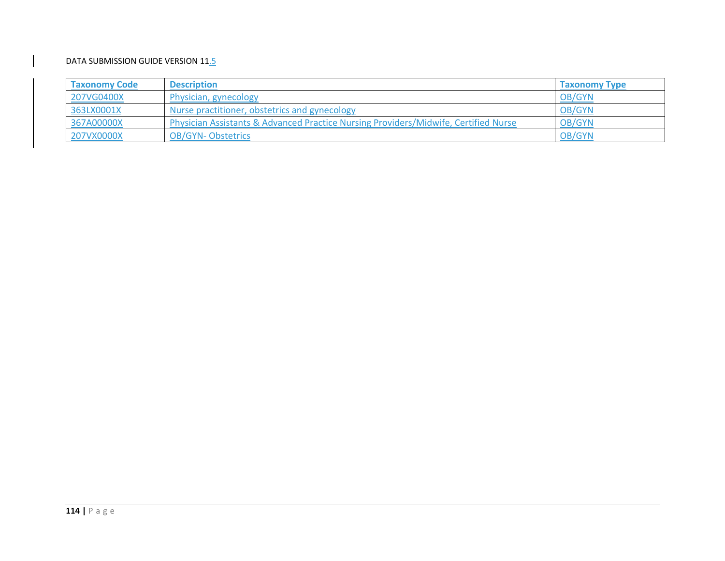| <b>Taxonomy Code</b> | <b>Description</b>                                                                  | <b>Taxonomy Type</b> |
|----------------------|-------------------------------------------------------------------------------------|----------------------|
| 207VG0400X           | Physician, gynecology                                                               | OB/GYN               |
| 363LX0001X           | Nurse practitioner, obstetrics and gynecology                                       | OB/GYN               |
| 367A00000X           | Physician Assistants & Advanced Practice Nursing Providers/Midwife, Certified Nurse | OB/GYN               |
| 207VX0000X           | <b>OB/GYN-Obstetrics</b>                                                            | OB/GYN               |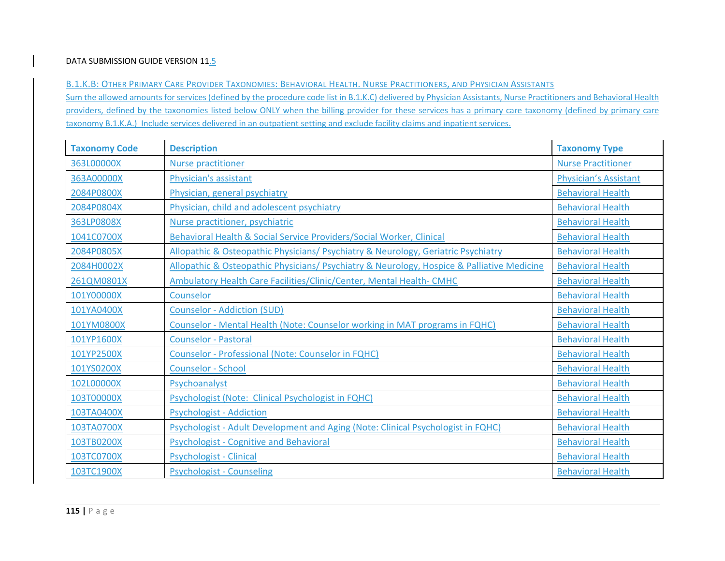B.1.K.B: OTHER PRIMARY CARE PROVIDER TAXONOMIES: BEHAVIORAL HEALTH. NURSE PRACTITIONERS, AND PHYSICIAN ASSISTANTS

Sum the allowed amounts for services (defined by the procedure code list in B.1.K.C) delivered by Physician Assistants, Nurse Practitioners and Behavioral Health providers, defined by the taxonomies listed below ONLY when the billing provider for these services has <sup>a</sup> primary care taxonomy (defined by primary care taxonomy B.1.K.A.) Include services delivered in an outpatient setting and exclude facility claims and inpatient services.

| <b>Taxonomy Code</b> | <b>Description</b>                                                                         | <b>Taxonomy Type</b>         |
|----------------------|--------------------------------------------------------------------------------------------|------------------------------|
| 363L00000X           | <b>Nurse practitioner</b>                                                                  | <b>Nurse Practitioner</b>    |
| 363A00000X           | Physician's assistant                                                                      | <b>Physician's Assistant</b> |
| 2084P0800X           | Physician, general psychiatry                                                              | <b>Behavioral Health</b>     |
| 2084P0804X           | Physician, child and adolescent psychiatry                                                 | <b>Behavioral Health</b>     |
| 363LP0808X           | Nurse practitioner, psychiatric                                                            | <b>Behavioral Health</b>     |
| 1041C0700X           | Behavioral Health & Social Service Providers/Social Worker, Clinical                       | <b>Behavioral Health</b>     |
| 2084P0805X           | Allopathic & Osteopathic Physicians/ Psychiatry & Neurology, Geriatric Psychiatry          | <b>Behavioral Health</b>     |
| 2084H0002X           | Allopathic & Osteopathic Physicians/ Psychiatry & Neurology, Hospice & Palliative Medicine | <b>Behavioral Health</b>     |
| 261QM0801X           | Ambulatory Health Care Facilities/Clinic/Center, Mental Health-CMHC                        | <b>Behavioral Health</b>     |
| 101Y00000X           | Counselor                                                                                  | <b>Behavioral Health</b>     |
| 101YA0400X           | <b>Counselor - Addiction (SUD)</b>                                                         | <b>Behavioral Health</b>     |
| 101YM0800X           | Counselor - Mental Health (Note: Counselor working in MAT programs in FQHC)                | <b>Behavioral Health</b>     |
| 101YP1600X           | <b>Counselor - Pastoral</b>                                                                | <b>Behavioral Health</b>     |
| 101YP2500X           | Counselor - Professional (Note: Counselor in FQHC)                                         | <b>Behavioral Health</b>     |
| 101YS0200X           | <b>Counselor - School</b>                                                                  | <b>Behavioral Health</b>     |
| 102L00000X           | Psychoanalyst                                                                              | <b>Behavioral Health</b>     |
| 103T00000X           | Psychologist (Note: Clinical Psychologist in FQHC)                                         | <b>Behavioral Health</b>     |
| 103TA0400X           | <b>Psychologist - Addiction</b>                                                            | <b>Behavioral Health</b>     |
| 103TA0700X           | Psychologist - Adult Development and Aging (Note: Clinical Psychologist in FQHC)           | <b>Behavioral Health</b>     |
| 103TB0200X           | <b>Psychologist - Cognitive and Behavioral</b>                                             | <b>Behavioral Health</b>     |
| 103TC0700X           | <b>Psychologist - Clinical</b>                                                             | <b>Behavioral Health</b>     |
| 103TC1900X           | <b>Psychologist - Counseling</b>                                                           | <b>Behavioral Health</b>     |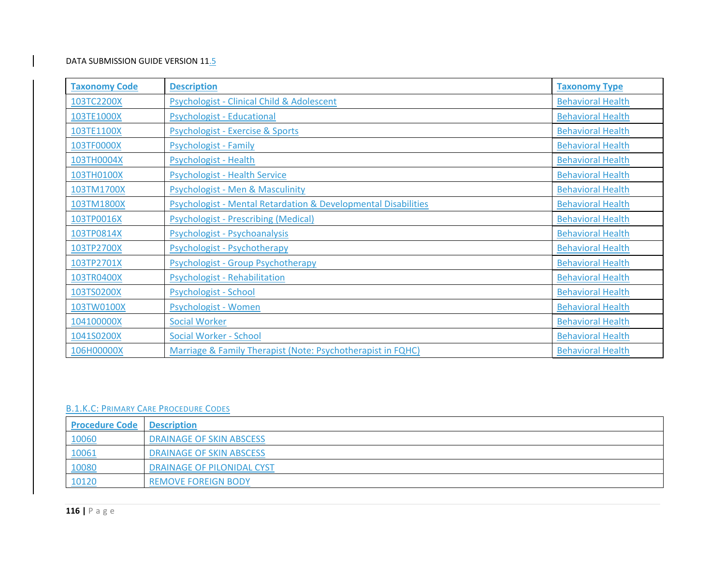| <b>Taxonomy Code</b> | <b>Description</b>                                                        | <b>Taxonomy Type</b>     |
|----------------------|---------------------------------------------------------------------------|--------------------------|
| 103TC2200X           | <b>Psychologist - Clinical Child &amp; Adolescent</b>                     | <b>Behavioral Health</b> |
| 103TE1000X           | <b>Psychologist - Educational</b>                                         | <b>Behavioral Health</b> |
| 103TE1100X           | Psychologist - Exercise & Sports                                          | <b>Behavioral Health</b> |
| 103TF0000X           | <b>Psychologist - Family</b>                                              | <b>Behavioral Health</b> |
| 103TH0004X           | Psychologist - Health                                                     | <b>Behavioral Health</b> |
| 103TH0100X           | <b>Psychologist - Health Service</b>                                      | <b>Behavioral Health</b> |
| 103TM1700X           | <b>Psychologist - Men &amp; Masculinity</b>                               | <b>Behavioral Health</b> |
| 103TM1800X           | <b>Psychologist - Mental Retardation &amp; Developmental Disabilities</b> | <b>Behavioral Health</b> |
| 103TP0016X           | <b>Psychologist - Prescribing (Medical)</b>                               | <b>Behavioral Health</b> |
| 103TP0814X           | Psychologist - Psychoanalysis                                             | <b>Behavioral Health</b> |
| 103TP2700X           | Psychologist - Psychotherapy                                              | <b>Behavioral Health</b> |
| 103TP2701X           | Psychologist - Group Psychotherapy                                        | <b>Behavioral Health</b> |
| 103TR0400X           | Psychologist - Rehabilitation                                             | <b>Behavioral Health</b> |
| 103TS0200X           | Psychologist - School                                                     | <b>Behavioral Health</b> |
| 103TW0100X           | Psychologist - Women                                                      | <b>Behavioral Health</b> |
| 104100000X           | <b>Social Worker</b>                                                      | <b>Behavioral Health</b> |
| 1041S0200X           | Social Worker - School                                                    | <b>Behavioral Health</b> |
| 106H00000X           | Marriage & Family Therapist (Note: Psychotherapist in FQHC)               | <b>Behavioral Health</b> |

#### B.1.K.C: PRIMARY CARE PROCEDURE CODES

| <b>Procedure Code Description</b> |                                 |
|-----------------------------------|---------------------------------|
| 10060                             | <b>DRAINAGE OF SKIN ABSCESS</b> |
| 10061                             | DRAINAGE OF SKIN ABSCESS        |
| 10080                             | DRAINAGE OF PILONIDAL CYST      |
| 10120                             | <b>REMOVE FOREIGN BODY</b>      |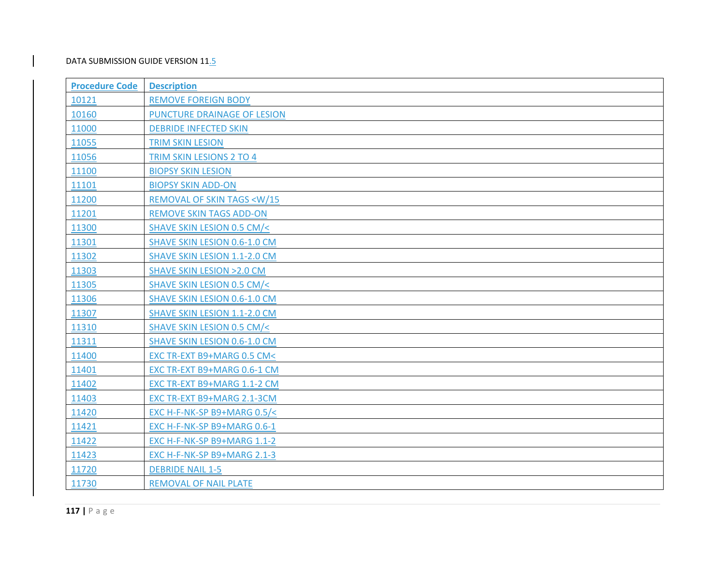| <b>Procedure Code</b> | <b>Description</b>                              |
|-----------------------|-------------------------------------------------|
| 10121                 | <b>REMOVE FOREIGN BODY</b>                      |
| 10160                 | PUNCTURE DRAINAGE OF LESION                     |
| 11000                 | <b>DEBRIDE INFECTED SKIN</b>                    |
| 11055                 | <b>TRIM SKIN LESION</b>                         |
| 11056                 | TRIM SKIN LESIONS 2 TO 4                        |
| 11100                 | <b>BIOPSY SKIN LESION</b>                       |
| 11101                 | <b>BIOPSY SKIN ADD-ON</b>                       |
| 11200                 | <b>REMOVAL OF SKIN TAGS <w 15<="" b=""></w></b> |
| 11201                 | <b>REMOVE SKIN TAGS ADD-ON</b>                  |
| 11300                 | SHAVE SKIN LESION 0.5 CM/<                      |
| 11301                 | SHAVE SKIN LESION 0.6-1.0 CM                    |
| 11302                 | SHAVE SKIN LESION 1.1-2.0 CM                    |
| 11303                 | <b>SHAVE SKIN LESION &gt; 2.0 CM</b>            |
| 11305                 | SHAVE SKIN LESION 0.5 CM/<                      |
| 11306                 | <b>SHAVE SKIN LESION 0.6-1.0 CM</b>             |
| 11307                 | <b>SHAVE SKIN LESION 1.1-2.0 CM</b>             |
| 11310                 | SHAVE SKIN LESION 0.5 CM/<                      |
| 11311                 | SHAVE SKIN LESION 0.6-1.0 CM                    |
| 11400                 | EXC TR-EXT B9+MARG 0.5 CM<                      |
| 11401                 | EXC TR-EXT B9+MARG 0.6-1 CM                     |
| 11402                 | EXC TR-EXT B9+MARG 1.1-2 CM                     |
| 11403                 | EXC TR-EXT B9+MARG 2.1-3CM                      |
| 11420                 | EXC H-F-NK-SP B9+MARG 0.5/<                     |
| 11421                 | EXC H-F-NK-SP B9+MARG 0.6-1                     |
| 11422                 | EXC H-F-NK-SP B9+MARG 1.1-2                     |
| 11423                 | EXC H-F-NK-SP B9+MARG 2.1-3                     |
| 11720                 | <b>DEBRIDE NAIL 1-5</b>                         |
| 11730                 | <b>REMOVAL OF NAIL PLATE</b>                    |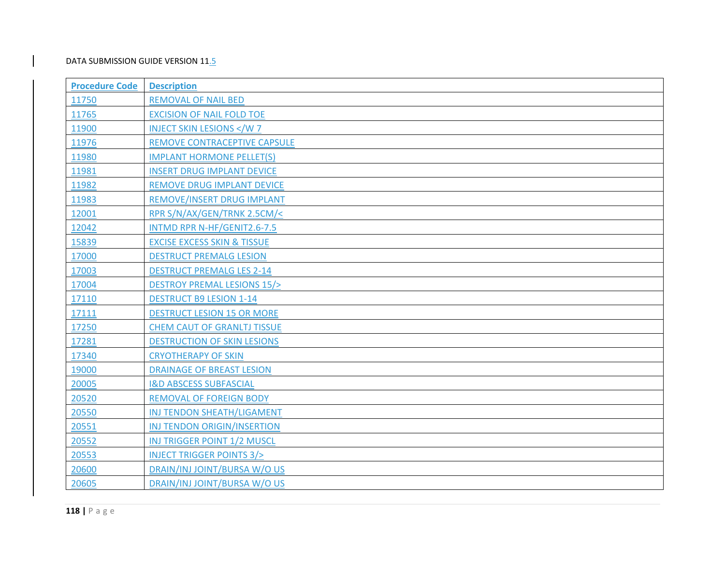| <b>Procedure Code</b> | <b>Description</b>                     |
|-----------------------|----------------------------------------|
| 11750                 | <b>REMOVAL OF NAIL BED</b>             |
| 11765                 | <b>EXCISION OF NAIL FOLD TOE</b>       |
| 11900                 | <b>INJECT SKIN LESIONS </b>            |
| 11976                 | REMOVE CONTRACEPTIVE CAPSULE           |
| 11980                 | <b>IMPLANT HORMONE PELLET(S)</b>       |
| 11981                 | <b>INSERT DRUG IMPLANT DEVICE</b>      |
| 11982                 | <b>REMOVE DRUG IMPLANT DEVICE</b>      |
| 11983                 | REMOVE/INSERT DRUG IMPLANT             |
| 12001                 | RPR S/N/AX/GEN/TRNK 2.5CM/<            |
| 12042                 | INTMD RPR N-HF/GENIT2.6-7.5            |
| 15839                 | <b>EXCISE EXCESS SKIN &amp; TISSUE</b> |
| 17000                 | <b>DESTRUCT PREMALG LESION</b>         |
| 17003                 | <b>DESTRUCT PREMALG LES 2-14</b>       |
| 17004                 | <b>DESTROY PREMAL LESIONS 15/&gt;</b>  |
| 17110                 | <b>DESTRUCT B9 LESION 1-14</b>         |
| 17111                 | <b>DESTRUCT LESION 15 OR MORE</b>      |
| 17250                 | <b>CHEM CAUT OF GRANLTJ TISSUE</b>     |
| 17281                 | <b>DESTRUCTION OF SKIN LESIONS</b>     |
| 17340                 | <b>CRYOTHERAPY OF SKIN</b>             |
| 19000                 | <b>DRAINAGE OF BREAST LESION</b>       |
| 20005                 | <b>I&amp;D ABSCESS SUBFASCIAL</b>      |
| 20520                 | <b>REMOVAL OF FOREIGN BODY</b>         |
| 20550                 | INJ TENDON SHEATH/LIGAMENT             |
| 20551                 | INJ TENDON ORIGIN/INSERTION            |
| 20552                 | INJ TRIGGER POINT 1/2 MUSCL            |
| 20553                 | <b>INJECT TRIGGER POINTS 3/&gt;</b>    |
| 20600                 | DRAIN/INJ JOINT/BURSA W/O US           |
| 20605                 | DRAIN/INJ JOINT/BURSA W/O US           |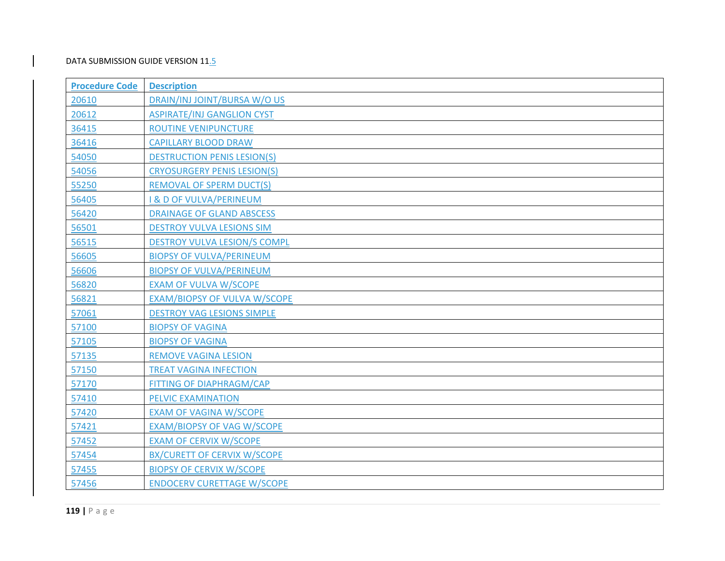| <b>Procedure Code</b> | <b>Description</b>                  |
|-----------------------|-------------------------------------|
| 20610                 | DRAIN/INJ JOINT/BURSA W/O US        |
| 20612                 | <b>ASPIRATE/INJ GANGLION CYST</b>   |
| 36415                 | <b>ROUTINE VENIPUNCTURE</b>         |
| 36416                 | <b>CAPILLARY BLOOD DRAW</b>         |
| 54050                 | <b>DESTRUCTION PENIS LESION(S)</b>  |
| 54056                 | <b>CRYOSURGERY PENIS LESION(S)</b>  |
| 55250                 | <b>REMOVAL OF SPERM DUCT(S)</b>     |
| 56405                 | <b>I &amp; D OF VULVA/PERINEUM</b>  |
| 56420                 | <b>DRAINAGE OF GLAND ABSCESS</b>    |
| 56501                 | <b>DESTROY VULVA LESIONS SIM</b>    |
| 56515                 | <b>DESTROY VULVA LESION/S COMPL</b> |
| 56605                 | <b>BIOPSY OF VULVA/PERINEUM</b>     |
| 56606                 | <b>BIOPSY OF VULVA/PERINEUM</b>     |
| 56820                 | <b>EXAM OF VULVA W/SCOPE</b>        |
| 56821                 | EXAM/BIOPSY OF VULVA W/SCOPE        |
| 57061                 | <b>DESTROY VAG LESIONS SIMPLE</b>   |
| 57100                 | <b>BIOPSY OF VAGINA</b>             |
| 57105                 | <b>BIOPSY OF VAGINA</b>             |
| 57135                 | <b>REMOVE VAGINA LESION</b>         |
| 57150                 | <b>TREAT VAGINA INFECTION</b>       |
| 57170                 | FITTING OF DIAPHRAGM/CAP            |
| 57410                 | PELVIC EXAMINATION                  |
| 57420                 | <b>EXAM OF VAGINA W/SCOPE</b>       |
| 57421                 | <b>EXAM/BIOPSY OF VAG W/SCOPE</b>   |
| 57452                 | <b>EXAM OF CERVIX W/SCOPE</b>       |
| 57454                 | <b>BX/CURETT OF CERVIX W/SCOPE</b>  |
| 57455                 | <b>BIOPSY OF CERVIX W/SCOPE</b>     |
| 57456                 | <b>ENDOCERV CURETTAGE W/SCOPE</b>   |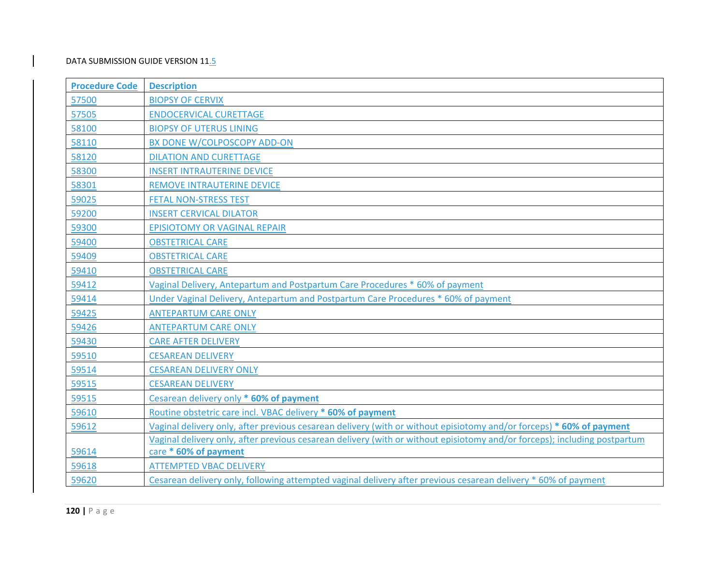| <b>Procedure Code</b> | <b>Description</b>                                                                                                        |
|-----------------------|---------------------------------------------------------------------------------------------------------------------------|
| 57500                 | <b>BIOPSY OF CERVIX</b>                                                                                                   |
| 57505                 | <b>ENDOCERVICAL CURETTAGE</b>                                                                                             |
| 58100                 | <b>BIOPSY OF UTERUS LINING</b>                                                                                            |
| 58110                 | <b>BX DONE W/COLPOSCOPY ADD-ON</b>                                                                                        |
| 58120                 | <b>DILATION AND CURETTAGE</b>                                                                                             |
| 58300                 | <b>INSERT INTRAUTERINE DEVICE</b>                                                                                         |
| 58301                 | REMOVE INTRAUTERINE DEVICE                                                                                                |
| 59025                 | <b>FETAL NON-STRESS TEST</b>                                                                                              |
| 59200                 | <b>INSERT CERVICAL DILATOR</b>                                                                                            |
| 59300                 | <b>EPISIOTOMY OR VAGINAL REPAIR</b>                                                                                       |
| 59400                 | <b>OBSTETRICAL CARE</b>                                                                                                   |
| 59409                 | <b>OBSTETRICAL CARE</b>                                                                                                   |
| 59410                 | <b>OBSTETRICAL CARE</b>                                                                                                   |
| 59412                 | Vaginal Delivery, Antepartum and Postpartum Care Procedures * 60% of payment                                              |
| 59414                 | Under Vaginal Delivery, Antepartum and Postpartum Care Procedures * 60% of payment                                        |
| 59425                 | <b>ANTEPARTUM CARE ONLY</b>                                                                                               |
| 59426                 | <b>ANTEPARTUM CARE ONLY</b>                                                                                               |
| 59430                 | <b>CARE AFTER DELIVERY</b>                                                                                                |
| 59510                 | <b>CESAREAN DELIVERY</b>                                                                                                  |
| 59514                 | <b>CESAREAN DELIVERY ONLY</b>                                                                                             |
| 59515                 | <b>CESAREAN DELIVERY</b>                                                                                                  |
| 59515                 | Cesarean delivery only * 60% of payment                                                                                   |
| 59610                 | Routine obstetric care incl. VBAC delivery * 60% of payment                                                               |
| 59612                 | Vaginal delivery only, after previous cesarean delivery (with or without episiotomy and/or forceps) * 60% of payment      |
|                       | Vaginal delivery only, after previous cesarean delivery (with or without episiotomy and/or forceps); including postpartum |
| 59614                 | care * 60% of payment                                                                                                     |
| 59618                 | <b>ATTEMPTED VBAC DELIVERY</b>                                                                                            |
| 59620                 | Cesarean delivery only, following attempted vaginal delivery after previous cesarean delivery * 60% of payment            |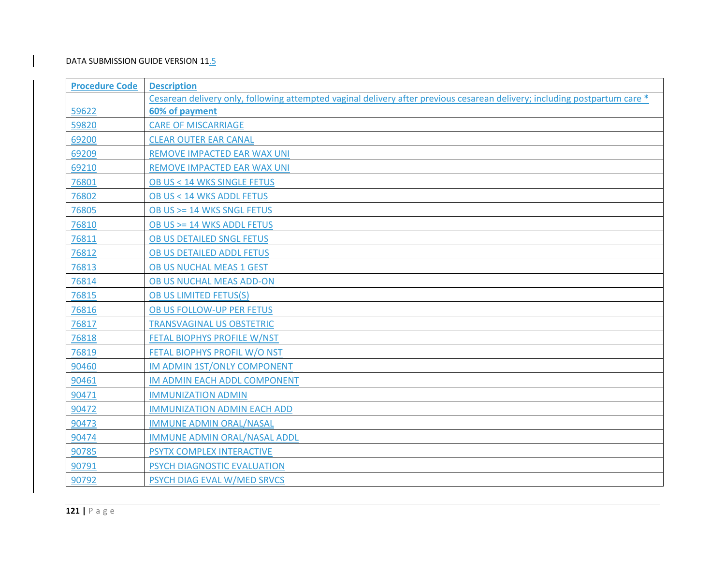| <b>Procedure Code</b> | <b>Description</b>                                                                                                         |
|-----------------------|----------------------------------------------------------------------------------------------------------------------------|
|                       | Cesarean delivery only, following attempted vaginal delivery after previous cesarean delivery; including postpartum care * |
| 59622                 | 60% of payment                                                                                                             |
| 59820                 | <b>CARE OF MISCARRIAGE</b>                                                                                                 |
| 69200                 | <b>CLEAR OUTER EAR CANAL</b>                                                                                               |
| 69209                 | REMOVE IMPACTED EAR WAX UNI                                                                                                |
| 69210                 | REMOVE IMPACTED EAR WAX UNI                                                                                                |
| 76801                 | OB US < 14 WKS SINGLE FETUS                                                                                                |
| 76802                 | OB US < 14 WKS ADDL FETUS                                                                                                  |
| 76805                 | OB US >= 14 WKS SNGL FETUS                                                                                                 |
| 76810                 | OB US >= 14 WKS ADDL FETUS                                                                                                 |
| 76811                 | OB US DETAILED SNGL FETUS                                                                                                  |
| 76812                 | OB US DETAILED ADDL FETUS                                                                                                  |
| 76813                 | OB US NUCHAL MEAS 1 GEST                                                                                                   |
| 76814                 | OB US NUCHAL MEAS ADD-ON                                                                                                   |
| 76815                 | OB US LIMITED FETUS(S)                                                                                                     |
| 76816                 | OB US FOLLOW-UP PER FETUS                                                                                                  |
| 76817                 | <b>TRANSVAGINAL US OBSTETRIC</b>                                                                                           |
| 76818                 | FETAL BIOPHYS PROFILE W/NST                                                                                                |
| 76819                 | FETAL BIOPHYS PROFIL W/O NST                                                                                               |
| 90460                 | <b>IM ADMIN 1ST/ONLY COMPONENT</b>                                                                                         |
| 90461                 | IM ADMIN EACH ADDL COMPONENT                                                                                               |
| 90471                 | <b>IMMUNIZATION ADMIN</b>                                                                                                  |
| 90472                 | <b>IMMUNIZATION ADMIN EACH ADD</b>                                                                                         |
| 90473                 | <b>IMMUNE ADMIN ORAL/NASAL</b>                                                                                             |
| 90474                 | IMMUNE ADMIN ORAL/NASAL ADDL                                                                                               |
| 90785                 | PSYTX COMPLEX INTERACTIVE                                                                                                  |
| 90791                 | PSYCH DIAGNOSTIC EVALUATION                                                                                                |
| 90792                 | PSYCH DIAG EVAL W/MED SRVCS                                                                                                |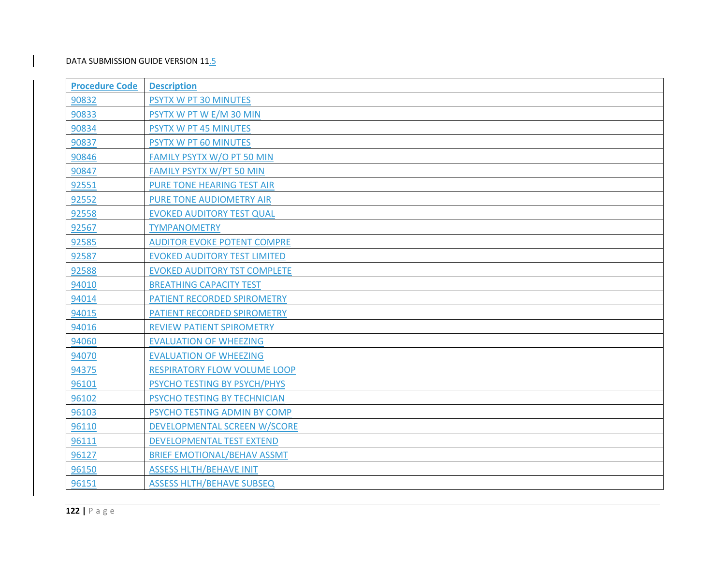| <b>Procedure Code</b> | <b>Description</b>                  |
|-----------------------|-------------------------------------|
| 90832                 | PSYTX W PT 30 MINUTES               |
| 90833                 | PSYTX W PT W E/M 30 MIN             |
| 90834                 | PSYTX W PT 45 MINUTES               |
| 90837                 | PSYTX W PT 60 MINUTES               |
| 90846                 | FAMILY PSYTX W/O PT 50 MIN          |
| 90847                 | <b>FAMILY PSYTX W/PT 50 MIN</b>     |
| 92551                 | PURE TONE HEARING TEST AIR          |
| 92552                 | PURE TONE AUDIOMETRY AIR            |
| 92558                 | <b>EVOKED AUDITORY TEST QUAL</b>    |
| 92567                 | <b>TYMPANOMETRY</b>                 |
| 92585                 | <b>AUDITOR EVOKE POTENT COMPRE</b>  |
| 92587                 | <b>EVOKED AUDITORY TEST LIMITED</b> |
| 92588                 | <b>EVOKED AUDITORY TST COMPLETE</b> |
| 94010                 | <b>BREATHING CAPACITY TEST</b>      |
| 94014                 | PATIENT RECORDED SPIROMETRY         |
| 94015                 | PATIENT RECORDED SPIROMETRY         |
| 94016                 | REVIEW PATIENT SPIROMETRY           |
| 94060                 | <b>EVALUATION OF WHEEZING</b>       |
| 94070                 | <b>EVALUATION OF WHEEZING</b>       |
| 94375                 | RESPIRATORY FLOW VOLUME LOOP        |
| 96101                 | PSYCHO TESTING BY PSYCH/PHYS        |
| 96102                 | PSYCHO TESTING BY TECHNICIAN        |
| 96103                 | PSYCHO TESTING ADMIN BY COMP        |
| 96110                 | <b>DEVELOPMENTAL SCREEN W/SCORE</b> |
| 96111                 | DEVELOPMENTAL TEST EXTEND           |
| 96127                 | <b>BRIEF EMOTIONAL/BEHAV ASSMT</b>  |
| 96150                 | <b>ASSESS HLTH/BEHAVE INIT</b>      |
| 96151                 | <b>ASSESS HLTH/BEHAVE SUBSEQ</b>    |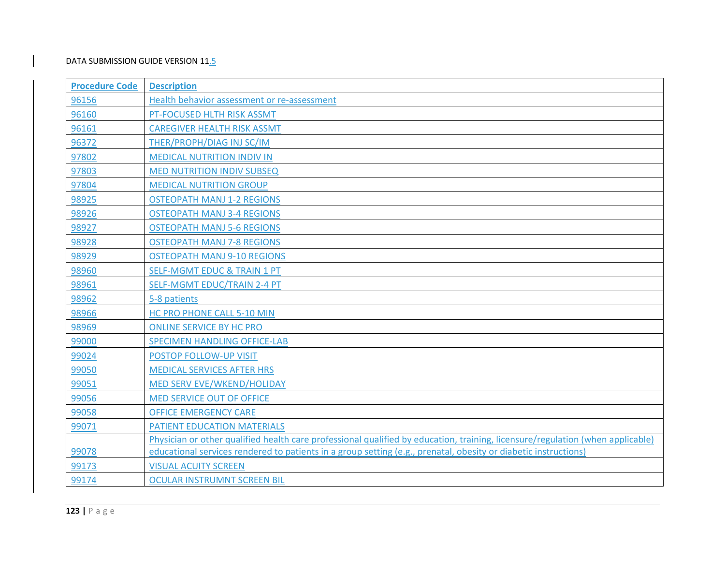| <b>Procedure Code</b> | <b>Description</b>                                                                                                             |
|-----------------------|--------------------------------------------------------------------------------------------------------------------------------|
| 96156                 | Health behavior assessment or re-assessment                                                                                    |
| 96160                 | PT-FOCUSED HLTH RISK ASSMT                                                                                                     |
| 96161                 | <b>CAREGIVER HEALTH RISK ASSMT</b>                                                                                             |
| 96372                 | THER/PROPH/DIAG INJ SC/IM                                                                                                      |
| 97802                 | <b>MEDICAL NUTRITION INDIV IN</b>                                                                                              |
| 97803                 | <b>MED NUTRITION INDIV SUBSEQ</b>                                                                                              |
| 97804                 | <b>MEDICAL NUTRITION GROUP</b>                                                                                                 |
| 98925                 | <b>OSTEOPATH MANJ 1-2 REGIONS</b>                                                                                              |
| 98926                 | <b>OSTEOPATH MANJ 3-4 REGIONS</b>                                                                                              |
| 98927                 | <b>OSTEOPATH MANJ 5-6 REGIONS</b>                                                                                              |
| 98928                 | <b>OSTEOPATH MANJ 7-8 REGIONS</b>                                                                                              |
| 98929                 | <b>OSTEOPATH MANJ 9-10 REGIONS</b>                                                                                             |
| 98960                 | <b>SELF-MGMT EDUC &amp; TRAIN 1 PT</b>                                                                                         |
| 98961                 | SELF-MGMT EDUC/TRAIN 2-4 PT                                                                                                    |
| 98962                 | 5-8 patients                                                                                                                   |
| 98966                 | HC PRO PHONE CALL 5-10 MIN                                                                                                     |
| 98969                 | <b>ONLINE SERVICE BY HC PRO</b>                                                                                                |
| 99000                 | <b>SPECIMEN HANDLING OFFICE-LAB</b>                                                                                            |
| 99024                 | POSTOP FOLLOW-UP VISIT                                                                                                         |
| 99050                 | <b>MEDICAL SERVICES AFTER HRS</b>                                                                                              |
| 99051                 | MED SERV EVE/WKEND/HOLIDAY                                                                                                     |
| 99056                 | MED SERVICE OUT OF OFFICE                                                                                                      |
| 99058                 | <b>OFFICE EMERGENCY CARE</b>                                                                                                   |
| 99071                 | PATIENT EDUCATION MATERIALS                                                                                                    |
|                       | Physician or other qualified health care professional qualified by education, training, licensure/regulation (when applicable) |
| 99078                 | educational services rendered to patients in a group setting (e.g., prenatal, obesity or diabetic instructions)                |
| 99173                 | <b>VISUAL ACUITY SCREEN</b>                                                                                                    |
| 99174                 | <b>OCULAR INSTRUMNT SCREEN BIL</b>                                                                                             |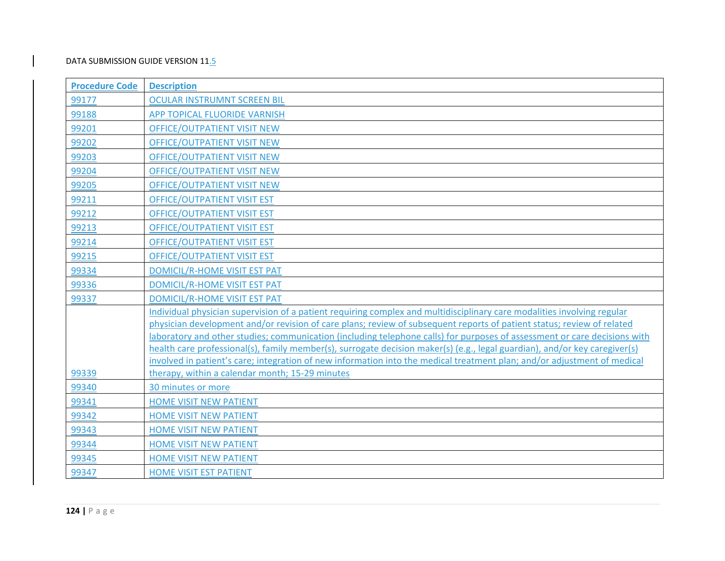| <b>Procedure Code</b> | <b>Description</b>                                                                                                                                                                                                                                     |
|-----------------------|--------------------------------------------------------------------------------------------------------------------------------------------------------------------------------------------------------------------------------------------------------|
| 99177                 | <b>OCULAR INSTRUMNT SCREEN BIL</b>                                                                                                                                                                                                                     |
| 99188                 | APP TOPICAL FLUORIDE VARNISH                                                                                                                                                                                                                           |
| 99201                 | <b>OFFICE/OUTPATIENT VISIT NEW</b>                                                                                                                                                                                                                     |
| 99202                 | <b>OFFICE/OUTPATIENT VISIT NEW</b>                                                                                                                                                                                                                     |
| 99203                 | OFFICE/OUTPATIENT VISIT NEW                                                                                                                                                                                                                            |
| 99204                 | <b>OFFICE/OUTPATIENT VISIT NEW</b>                                                                                                                                                                                                                     |
| 99205                 | <b>OFFICE/OUTPATIENT VISIT NEW</b>                                                                                                                                                                                                                     |
| 99211                 | <b>OFFICE/OUTPATIENT VISIT EST</b>                                                                                                                                                                                                                     |
| 99212                 | <b>OFFICE/OUTPATIENT VISIT EST</b>                                                                                                                                                                                                                     |
| 99213                 | <b>OFFICE/OUTPATIENT VISIT EST</b>                                                                                                                                                                                                                     |
| 99214                 | <b>OFFICE/OUTPATIENT VISIT EST</b>                                                                                                                                                                                                                     |
| 99215                 | <b>OFFICE/OUTPATIENT VISIT EST</b>                                                                                                                                                                                                                     |
| 99334                 | <b>DOMICIL/R-HOME VISIT EST PAT</b>                                                                                                                                                                                                                    |
| 99336                 | <b>DOMICIL/R-HOME VISIT EST PAT</b>                                                                                                                                                                                                                    |
| 99337                 | DOMICIL/R-HOME VISIT EST PAT                                                                                                                                                                                                                           |
|                       | Individual physician supervision of a patient requiring complex and multidisciplinary care modalities involving regular                                                                                                                                |
|                       | physician development and/or revision of care plans; review of subsequent reports of patient status; review of related                                                                                                                                 |
|                       | laboratory and other studies; communication (including telephone calls) for purposes of assessment or care decisions with                                                                                                                              |
|                       | health care professional(s), family member(s), surrogate decision maker(s) (e.g., legal guardian), and/or key caregiver(s)<br>involved in patient's care; integration of new information into the medical treatment plan; and/or adjustment of medical |
| 99339                 | therapy, within a calendar month; 15-29 minutes                                                                                                                                                                                                        |
| 99340                 | 30 minutes or more                                                                                                                                                                                                                                     |
| 99341                 | <b>HOME VISIT NEW PATIENT</b>                                                                                                                                                                                                                          |
| 99342                 | <b>HOME VISIT NEW PATIENT</b>                                                                                                                                                                                                                          |
| 99343                 | <b>HOME VISIT NEW PATIENT</b>                                                                                                                                                                                                                          |
| 99344                 | HOME VISIT NEW PATIENT                                                                                                                                                                                                                                 |
| 99345                 | <b>HOME VISIT NEW PATIENT</b>                                                                                                                                                                                                                          |
| 99347                 | <b>HOME VISIT EST PATIENT</b>                                                                                                                                                                                                                          |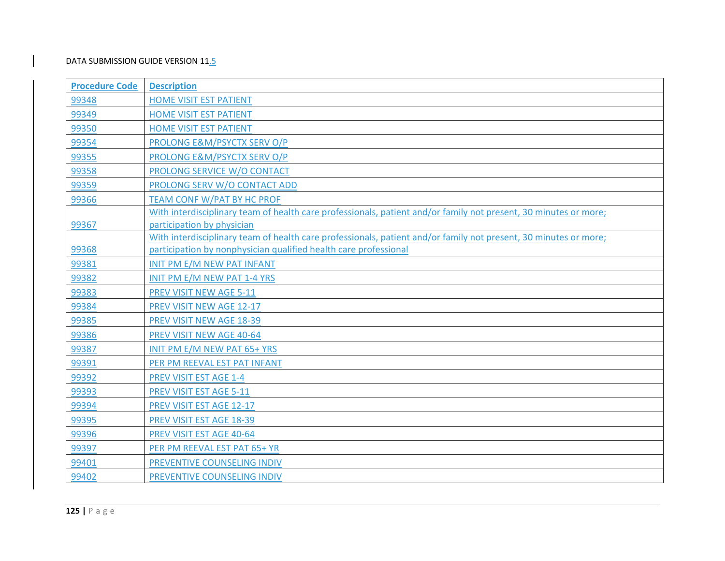| <b>Procedure Code</b> | <b>Description</b>                                                                                               |
|-----------------------|------------------------------------------------------------------------------------------------------------------|
| 99348                 | <b>HOME VISIT EST PATIENT</b>                                                                                    |
| 99349                 | <b>HOME VISIT EST PATIENT</b>                                                                                    |
| 99350                 | HOME VISIT EST PATIENT                                                                                           |
| 99354                 | PROLONG E&M/PSYCTX SERV O/P                                                                                      |
| 99355                 | PROLONG E&M/PSYCTX SERV O/P                                                                                      |
| 99358                 | PROLONG SERVICE W/O CONTACT                                                                                      |
| 99359                 | PROLONG SERV W/O CONTACT ADD                                                                                     |
| 99366                 | <b>TEAM CONF W/PAT BY HC PROF</b>                                                                                |
|                       | With interdisciplinary team of health care professionals, patient and/or family not present, 30 minutes or more; |
| 99367                 | participation by physician                                                                                       |
|                       | With interdisciplinary team of health care professionals, patient and/or family not present, 30 minutes or more; |
| 99368                 | participation by nonphysician qualified health care professional                                                 |
| 99381                 | INIT PM E/M NEW PAT INFANT                                                                                       |
| 99382                 | INIT PM E/M NEW PAT 1-4 YRS                                                                                      |
| 99383                 | PREV VISIT NEW AGE 5-11                                                                                          |
| 99384                 | PREV VISIT NEW AGE 12-17                                                                                         |
| 99385                 | PREV VISIT NEW AGE 18-39                                                                                         |
| 99386                 | PREV VISIT NEW AGE 40-64                                                                                         |
| 99387                 | INIT PM E/M NEW PAT 65+ YRS                                                                                      |
| 99391                 | PER PM REEVAL EST PAT INFANT                                                                                     |
| 99392                 | PREV VISIT EST AGE 1-4                                                                                           |
| 99393                 | PREV VISIT EST AGE 5-11                                                                                          |
| 99394                 | PREV VISIT EST AGE 12-17                                                                                         |
| 99395                 | PREV VISIT EST AGE 18-39                                                                                         |
| 99396                 | PREV VISIT EST AGE 40-64                                                                                         |
| 99397                 | PER PM REEVAL EST PAT 65+ YR                                                                                     |
| 99401                 | PREVENTIVE COUNSELING INDIV                                                                                      |
| 99402                 | PREVENTIVE COUNSELING INDIV                                                                                      |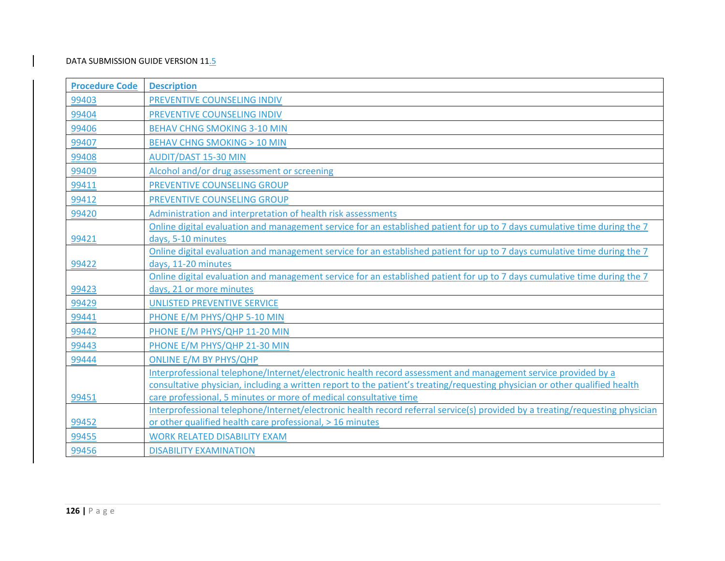| <b>Procedure Code</b> | <b>Description</b>                                                                                                            |
|-----------------------|-------------------------------------------------------------------------------------------------------------------------------|
| 99403                 | PREVENTIVE COUNSELING INDIV                                                                                                   |
| 99404                 | PREVENTIVE COUNSELING INDIV                                                                                                   |
| 99406                 | <b>BEHAV CHNG SMOKING 3-10 MIN</b>                                                                                            |
| 99407                 | <b>BEHAV CHNG SMOKING &gt; 10 MIN</b>                                                                                         |
| 99408                 | <b>AUDIT/DAST 15-30 MIN</b>                                                                                                   |
| 99409                 | Alcohol and/or drug assessment or screening                                                                                   |
| 99411                 | PREVENTIVE COUNSELING GROUP                                                                                                   |
| 99412                 | PREVENTIVE COUNSELING GROUP                                                                                                   |
| 99420                 | Administration and interpretation of health risk assessments                                                                  |
|                       | Online digital evaluation and management service for an established patient for up to 7 days cumulative time during the 7     |
| 99421                 | days, 5-10 minutes                                                                                                            |
|                       | Online digital evaluation and management service for an established patient for up to 7 days cumulative time during the 7     |
| 99422                 | days, 11-20 minutes                                                                                                           |
|                       | Online digital evaluation and management service for an established patient for up to 7 days cumulative time during the 7     |
| 99423                 | days, 21 or more minutes                                                                                                      |
| 99429                 | UNLISTED PREVENTIVE SERVICE                                                                                                   |
| 99441                 | PHONE E/M PHYS/QHP 5-10 MIN                                                                                                   |
| 99442                 | PHONE E/M PHYS/QHP 11-20 MIN                                                                                                  |
| 99443                 | PHONE E/M PHYS/QHP 21-30 MIN                                                                                                  |
| 99444                 | <b>ONLINE E/M BY PHYS/QHP</b>                                                                                                 |
|                       | Interprofessional telephone/Internet/electronic health record assessment and management service provided by a                 |
|                       | consultative physician, including a written report to the patient's treating/requesting physician or other qualified health   |
| 99451                 | care professional, 5 minutes or more of medical consultative time                                                             |
|                       | Interprofessional telephone/Internet/electronic health record referral service(s) provided by a treating/requesting physician |
| 99452                 | or other qualified health care professional, > 16 minutes                                                                     |
| 99455                 | <b>WORK RELATED DISABILITY EXAM</b>                                                                                           |
| 99456                 | <b>DISABILITY EXAMINATION</b>                                                                                                 |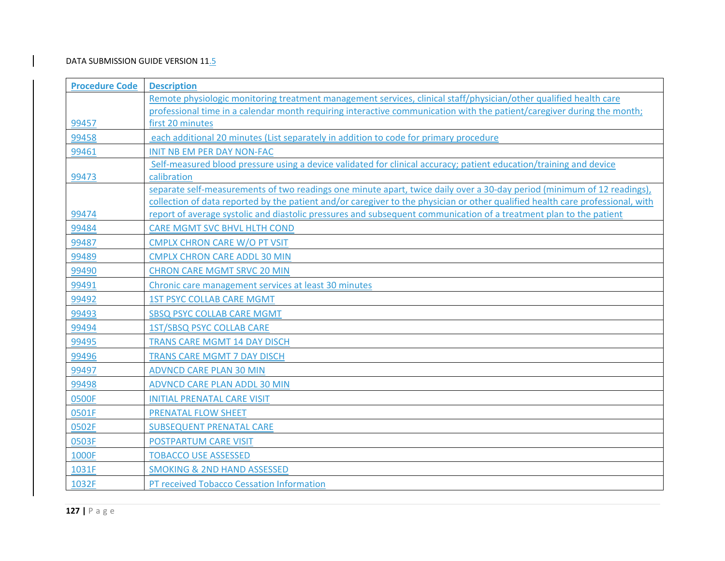| <b>Procedure Code</b> | <b>Description</b>                                                                                                                                                                                                                                   |
|-----------------------|------------------------------------------------------------------------------------------------------------------------------------------------------------------------------------------------------------------------------------------------------|
|                       | Remote physiologic monitoring treatment management services, clinical staff/physician/other qualified health care                                                                                                                                    |
|                       | professional time in a calendar month requiring interactive communication with the patient/caregiver during the month;                                                                                                                               |
| 99457                 | first 20 minutes                                                                                                                                                                                                                                     |
| 99458                 | each additional 20 minutes (List separately in addition to code for primary procedure                                                                                                                                                                |
| 99461                 | <b>INIT NB EM PER DAY NON-FAC</b>                                                                                                                                                                                                                    |
|                       | Self-measured blood pressure using a device validated for clinical accuracy; patient education/training and device                                                                                                                                   |
| 99473                 | calibration                                                                                                                                                                                                                                          |
|                       | separate self-measurements of two readings one minute apart, twice daily over a 30-day period (minimum of 12 readings),                                                                                                                              |
| 99474                 | collection of data reported by the patient and/or caregiver to the physician or other qualified health care professional, with<br>report of average systolic and diastolic pressures and subsequent communication of a treatment plan to the patient |
| 99484                 | <b>CARE MGMT SVC BHVL HLTH COND</b>                                                                                                                                                                                                                  |
| 99487                 | <b>CMPLX CHRON CARE W/O PT VSIT</b>                                                                                                                                                                                                                  |
| 99489                 |                                                                                                                                                                                                                                                      |
| 99490                 | <b>CMPLX CHRON CARE ADDL 30 MIN</b>                                                                                                                                                                                                                  |
|                       | <b>CHRON CARE MGMT SRVC 20 MIN</b>                                                                                                                                                                                                                   |
| 99491                 | Chronic care management services at least 30 minutes                                                                                                                                                                                                 |
| 99492                 | <b>1ST PSYC COLLAB CARE MGMT</b>                                                                                                                                                                                                                     |
| 99493                 | <b>SBSQ PSYC COLLAB CARE MGMT</b>                                                                                                                                                                                                                    |
| 99494                 | <b>1ST/SBSQ PSYC COLLAB CARE</b>                                                                                                                                                                                                                     |
| 99495                 | <b>TRANS CARE MGMT 14 DAY DISCH</b>                                                                                                                                                                                                                  |
| 99496                 | TRANS CARE MGMT 7 DAY DISCH                                                                                                                                                                                                                          |
| 99497                 | <b>ADVNCD CARE PLAN 30 MIN</b>                                                                                                                                                                                                                       |
| 99498                 | ADVNCD CARE PLAN ADDL 30 MIN                                                                                                                                                                                                                         |
| 0500F                 | <b>INITIAL PRENATAL CARE VISIT</b>                                                                                                                                                                                                                   |
| 0501F                 | <b>PRENATAL FLOW SHEET</b>                                                                                                                                                                                                                           |
| 0502F                 | <b>SUBSEQUENT PRENATAL CARE</b>                                                                                                                                                                                                                      |
| 0503F                 | POSTPARTUM CARE VISIT                                                                                                                                                                                                                                |
| 1000F                 | <b>TOBACCO USE ASSESSED</b>                                                                                                                                                                                                                          |
| 1031F                 | <b>SMOKING &amp; 2ND HAND ASSESSED</b>                                                                                                                                                                                                               |
| 1032F                 | PT received Tobacco Cessation Information                                                                                                                                                                                                            |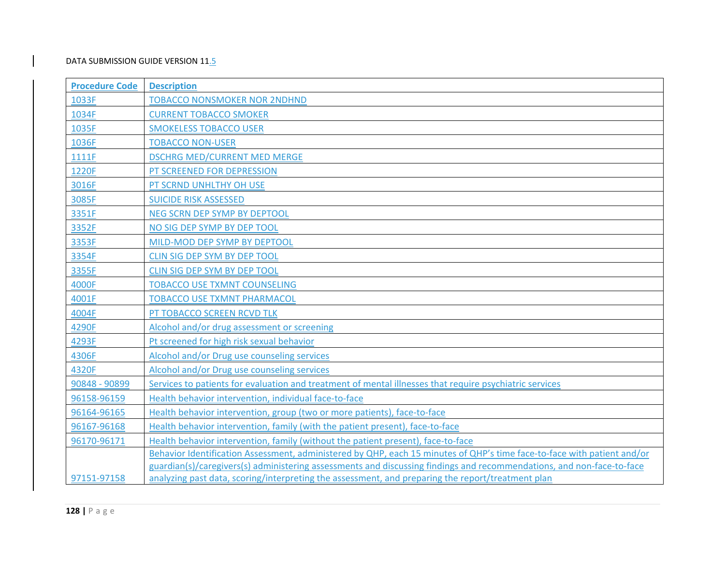| <b>Procedure Code</b> | <b>Description</b>                                                                                                      |
|-----------------------|-------------------------------------------------------------------------------------------------------------------------|
| 1033F                 | <b>TOBACCO NONSMOKER NOR 2NDHND</b>                                                                                     |
| 1034F                 | <b>CURRENT TOBACCO SMOKER</b>                                                                                           |
| 1035F                 | <b>SMOKELESS TOBACCO USER</b>                                                                                           |
| 1036F                 | <b>TOBACCO NON-USER</b>                                                                                                 |
| 1111F                 | <b>DSCHRG MED/CURRENT MED MERGE</b>                                                                                     |
| 1220F                 | PT SCREENED FOR DEPRESSION                                                                                              |
| 3016F                 | PT SCRND UNHLTHY OH USE                                                                                                 |
| 3085F                 | <b>SUICIDE RISK ASSESSED</b>                                                                                            |
| 3351F                 | NEG SCRN DEP SYMP BY DEPTOOL                                                                                            |
| 3352F                 | NO SIG DEP SYMP BY DEP TOOL                                                                                             |
| 3353F                 | MILD-MOD DEP SYMP BY DEPTOOL                                                                                            |
| 3354F                 | CLIN SIG DEP SYM BY DEP TOOL                                                                                            |
| 3355F                 | CLIN SIG DEP SYM BY DEP TOOL                                                                                            |
| 4000F                 | <b>TOBACCO USE TXMNT COUNSELING</b>                                                                                     |
| 4001F                 | <b>TOBACCO USE TXMNT PHARMACOL</b>                                                                                      |
| 4004F                 | PT TOBACCO SCREEN RCVD TLK                                                                                              |
| 4290F                 | Alcohol and/or drug assessment or screening                                                                             |
| 4293F                 | Pt screened for high risk sexual behavior                                                                               |
| 4306F                 | Alcohol and/or Drug use counseling services                                                                             |
| 4320F                 | Alcohol and/or Drug use counseling services                                                                             |
| 90848 - 90899         | Services to patients for evaluation and treatment of mental illnesses that require psychiatric services                 |
| 96158-96159           | Health behavior intervention, individual face-to-face                                                                   |
| 96164-96165           | Health behavior intervention, group (two or more patients), face-to-face                                                |
| 96167-96168           | Health behavior intervention, family (with the patient present), face-to-face                                           |
| 96170-96171           | Health behavior intervention, family (without the patient present), face-to-face                                        |
|                       | Behavior Identification Assessment, administered by QHP, each 15 minutes of QHP's time face-to-face with patient and/or |
|                       | guardian(s)/caregivers(s) administering assessments and discussing findings and recommendations, and non-face-to-face   |
| 97151-97158           | analyzing past data, scoring/interpreting the assessment, and preparing the report/treatment plan                       |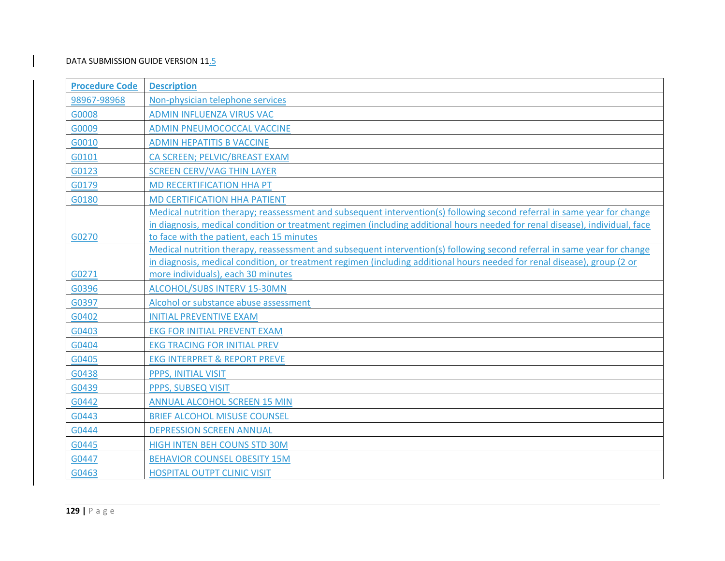| <b>Procedure Code</b> | <b>Description</b>                                                                                                                                                                                                                                                                                    |
|-----------------------|-------------------------------------------------------------------------------------------------------------------------------------------------------------------------------------------------------------------------------------------------------------------------------------------------------|
| 98967-98968           | Non-physician telephone services                                                                                                                                                                                                                                                                      |
| G0008                 | ADMIN INFLUENZA VIRUS VAC                                                                                                                                                                                                                                                                             |
| G0009                 | ADMIN PNEUMOCOCCAL VACCINE                                                                                                                                                                                                                                                                            |
| G0010                 | <b>ADMIN HEPATITIS B VACCINE</b>                                                                                                                                                                                                                                                                      |
| G0101                 | CA SCREEN; PELVIC/BREAST EXAM                                                                                                                                                                                                                                                                         |
| G0123                 | <b>SCREEN CERV/VAG THIN LAYER</b>                                                                                                                                                                                                                                                                     |
| G0179                 | MD RECERTIFICATION HHA PT                                                                                                                                                                                                                                                                             |
| G0180                 | <b>MD CERTIFICATION HHA PATIENT</b>                                                                                                                                                                                                                                                                   |
| G0270                 | Medical nutrition therapy; reassessment and subsequent intervention(s) following second referral in same year for change<br>in diagnosis, medical condition or treatment regimen (including additional hours needed for renal disease), individual, face<br>to face with the patient, each 15 minutes |
| G0271                 | Medical nutrition therapy, reassessment and subsequent intervention(s) following second referral in same year for change<br>in diagnosis, medical condition, or treatment regimen (including additional hours needed for renal disease), group (2 or<br>more individuals), each 30 minutes            |
| G0396                 | ALCOHOL/SUBS INTERV 15-30MN                                                                                                                                                                                                                                                                           |
| G0397                 | Alcohol or substance abuse assessment                                                                                                                                                                                                                                                                 |
| G0402                 | <b>INITIAL PREVENTIVE EXAM</b>                                                                                                                                                                                                                                                                        |
| G0403                 | <b>EKG FOR INITIAL PREVENT EXAM</b>                                                                                                                                                                                                                                                                   |
| G0404                 | <b>EKG TRACING FOR INITIAL PREV</b>                                                                                                                                                                                                                                                                   |
| G0405                 | <b>EKG INTERPRET &amp; REPORT PREVE</b>                                                                                                                                                                                                                                                               |
| G0438                 | PPPS, INITIAL VISIT                                                                                                                                                                                                                                                                                   |
| G0439                 | PPPS, SUBSEQ VISIT                                                                                                                                                                                                                                                                                    |
| G0442                 | <b>ANNUAL ALCOHOL SCREEN 15 MIN</b>                                                                                                                                                                                                                                                                   |
| G0443                 | <b>BRIEF ALCOHOL MISUSE COUNSEL</b>                                                                                                                                                                                                                                                                   |
| G0444                 | <b>DEPRESSION SCREEN ANNUAL</b>                                                                                                                                                                                                                                                                       |
| G0445                 | HIGH INTEN BEH COUNS STD 30M                                                                                                                                                                                                                                                                          |
| G0447                 | <b>BEHAVIOR COUNSEL OBESITY 15M</b>                                                                                                                                                                                                                                                                   |
| G0463                 | <b>HOSPITAL OUTPT CLINIC VISIT</b>                                                                                                                                                                                                                                                                    |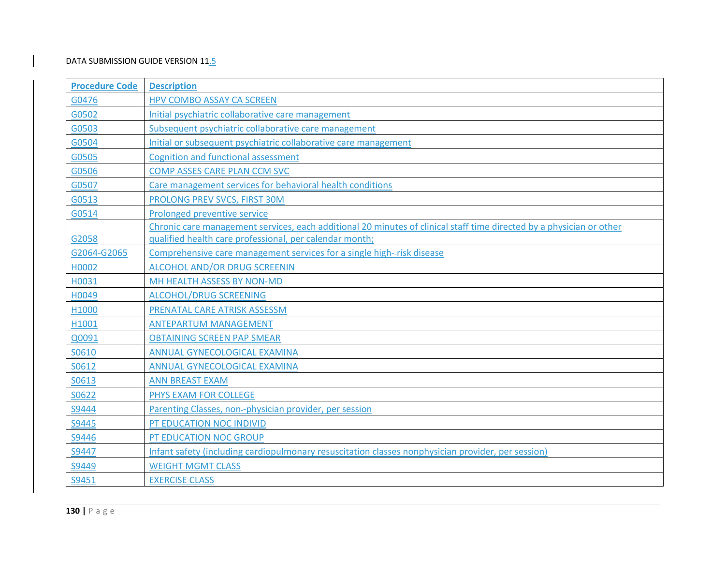| <b>Procedure Code</b> | <b>Description</b>                                                                                                   |
|-----------------------|----------------------------------------------------------------------------------------------------------------------|
| G0476                 | <b>HPV COMBO ASSAY CA SCREEN</b>                                                                                     |
| G0502                 | Initial psychiatric collaborative care management                                                                    |
| G0503                 | Subsequent psychiatric collaborative care management                                                                 |
| G0504                 | Initial or subsequent psychiatric collaborative care management                                                      |
| G0505                 | <b>Cognition and functional assessment</b>                                                                           |
| G0506                 | COMP ASSES CARE PLAN CCM SVC                                                                                         |
| G0507                 | Care management services for behavioral health conditions                                                            |
| G0513                 | PROLONG PREV SVCS, FIRST 30M                                                                                         |
| G0514                 | Prolonged preventive service                                                                                         |
|                       | Chronic care management services, each additional 20 minutes of clinical staff time directed by a physician or other |
| G2058                 | qualified health care professional, per calendar month;                                                              |
| G2064-G2065           | Comprehensive care management services for a single high--risk disease                                               |
| H0002                 | <b>ALCOHOL AND/OR DRUG SCREENIN</b>                                                                                  |
| H0031                 | MH HEALTH ASSESS BY NON-MD                                                                                           |
| H0049                 | <b>ALCOHOL/DRUG SCREENING</b>                                                                                        |
| H1000                 | PRENATAL CARE ATRISK ASSESSM                                                                                         |
| H1001                 | <b>ANTEPARTUM MANAGEMENT</b>                                                                                         |
| Q0091                 | <b>OBTAINING SCREEN PAP SMEAR</b>                                                                                    |
| S0610                 | ANNUAL GYNECOLOGICAL EXAMINA                                                                                         |
| S0612                 | ANNUAL GYNECOLOGICAL EXAMINA                                                                                         |
| S0613                 | <b>ANN BREAST EXAM</b>                                                                                               |
| S0622                 | PHYS EXAM FOR COLLEGE                                                                                                |
| S9444                 | Parenting Classes, non--physician provider, per session                                                              |
| S9445                 | PT EDUCATION NOC INDIVID                                                                                             |
| S9446                 | PT EDUCATION NOC GROUP                                                                                               |
| S9447                 | Infant safety (including cardiopulmonary resuscitation classes nonphysician provider, per session)                   |
| S9449                 | <b>WEIGHT MGMT CLASS</b>                                                                                             |
| S9451                 | <b>EXERCISE CLASS</b>                                                                                                |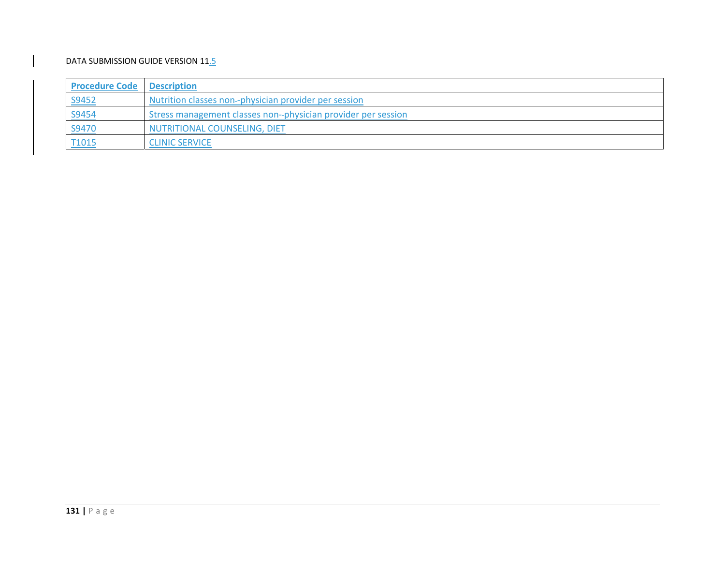| <b>Procedure Code   Description</b> |                                                               |
|-------------------------------------|---------------------------------------------------------------|
| <u>S9452</u>                        | Nutrition classes non--physician provider per session         |
| <u>S9454</u>                        | Stress management classes non--physician provider per session |
| <u>S9470</u>                        | NUTRITIONAL COUNSELING, DIET                                  |
| T1015                               | <b>CLINIC SERVICE</b>                                         |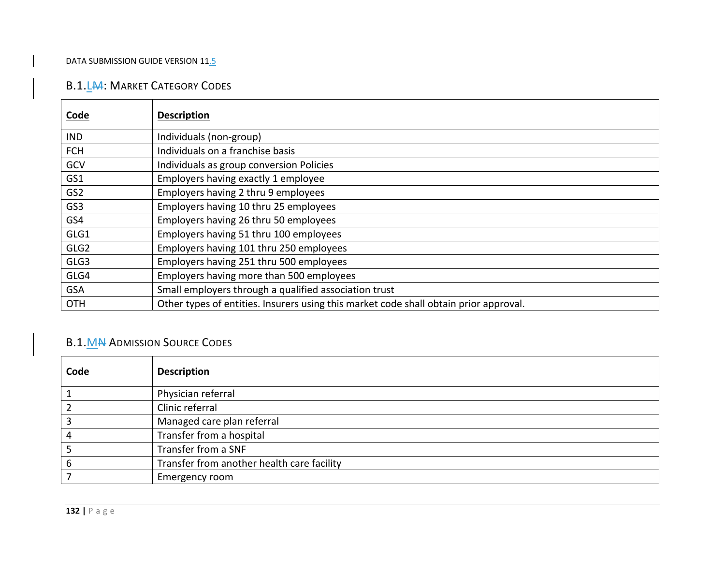## B.1.L<del>M</del>: Market Category Codes

| <b>Code</b>      | <b>Description</b>                                                                    |
|------------------|---------------------------------------------------------------------------------------|
| <b>IND</b>       | Individuals (non-group)                                                               |
| <b>FCH</b>       | Individuals on a franchise basis                                                      |
| GCV              | Individuals as group conversion Policies                                              |
| GS1              | Employers having exactly 1 employee                                                   |
| GS <sub>2</sub>  | Employers having 2 thru 9 employees                                                   |
| GS3              | Employers having 10 thru 25 employees                                                 |
| GS4              | Employers having 26 thru 50 employees                                                 |
| GLG1             | Employers having 51 thru 100 employees                                                |
| GLG <sub>2</sub> | Employers having 101 thru 250 employees                                               |
| GLG3             | Employers having 251 thru 500 employees                                               |
| GLG4             | Employers having more than 500 employees                                              |
| <b>GSA</b>       | Small employers through a qualified association trust                                 |
| <b>OTH</b>       | Other types of entities. Insurers using this market code shall obtain prior approval. |

# B.1.M<del>N</del> Admission Source Codes

| Code | <b>Description</b>                         |
|------|--------------------------------------------|
|      | Physician referral                         |
|      | Clinic referral                            |
|      | Managed care plan referral                 |
|      | Transfer from a hospital                   |
|      | Transfer from a SNF                        |
|      | Transfer from another health care facility |
|      | Emergency room                             |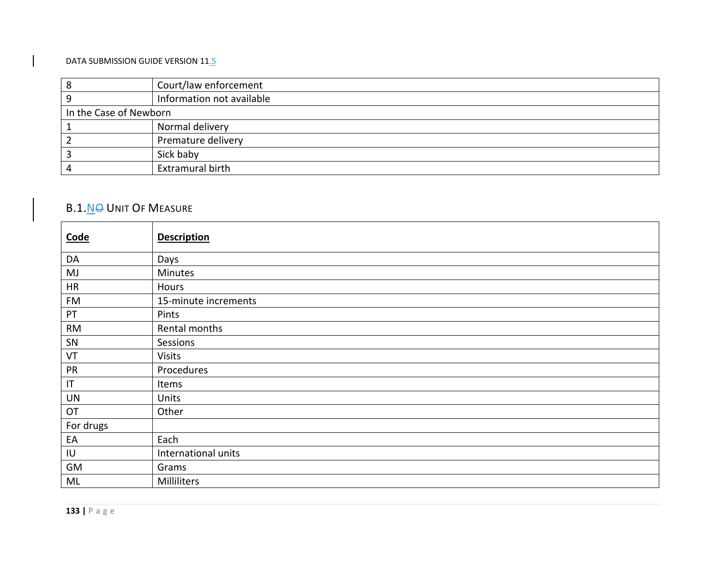|                        | Court/law enforcement     |
|------------------------|---------------------------|
|                        | Information not available |
| In the Case of Newborn |                           |
|                        | Normal delivery           |
|                        | Premature delivery        |
|                        | Sick baby                 |
|                        | Extramural birth          |

# B.1.N<del>O</del> Unit Of Measure

| Code         | <b>Description</b>   |
|--------------|----------------------|
| DA           | Days                 |
| MJ           | <b>Minutes</b>       |
| HR           | Hours                |
| FM           | 15-minute increments |
| PT           | Pints                |
| <b>RM</b>    | Rental months        |
| SN           | Sessions             |
| VT           | <b>Visits</b>        |
| PR           | Procedures           |
| $\sf IT$     | Items                |
| <b>UN</b>    | Units                |
| OT           | Other                |
| For drugs    |                      |
| EA           | Each                 |
| $\sf I\sf U$ | International units  |
| GM           | Grams                |
| ML           | Milliliters          |